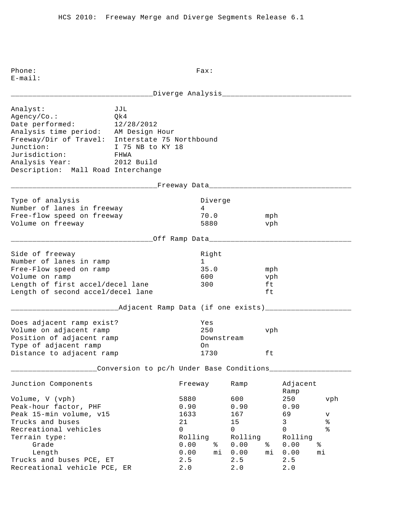\_\_\_\_\_\_\_\_\_\_\_\_\_\_\_\_\_\_\_\_\_\_\_\_\_\_\_\_\_\_\_\_\_Diverge Analysis\_\_\_\_\_\_\_\_\_\_\_\_\_\_\_\_\_\_\_\_\_\_\_\_\_\_\_\_\_\_ Analyst: JJL Agency/Co.: Qk4 Date performed: 12/28/2012 Analysis time period: AM Design Hour Freeway/Dir of Travel: Interstate 75 Northbound Junction: I 75 NB to KY 18 Jurisdiction: FHWA Analysis Year: 2012 Build Description: Mall Road Interchange \_\_\_\_\_\_\_\_\_\_\_\_\_\_\_\_\_\_\_\_\_\_\_\_\_\_\_\_\_\_\_\_\_\_Freeway Data\_\_\_\_\_\_\_\_\_\_\_\_\_\_\_\_\_\_\_\_\_\_\_\_\_\_\_\_\_\_\_\_\_ Type of analysis and the Diverge of analysis and the Diverge Number of lanes in freeway 14 Free-flow speed on freeway 70.0 mph Volume on freeway 5880 vph \_\_\_\_\_\_\_\_\_\_\_\_\_\_\_\_\_\_\_\_\_\_\_\_\_\_\_\_\_\_\_\_\_Off Ramp Data\_\_\_\_\_\_\_\_\_\_\_\_\_\_\_\_\_\_\_\_\_\_\_\_\_\_\_\_\_\_\_\_\_ Side of freeway and the state of the state of the state of the state of the state of the state of the state of Number of lanes in ramp 1 Free-Flow speed on ramp 35.0 mph Volume on ramp 600 vph Length of first accel/decel lane 300 ft Length of second accel/decel lane ft \_\_\_\_\_\_\_\_\_\_\_\_\_\_\_\_\_\_\_\_\_\_\_\_\_Adjacent Ramp Data (if one exists)\_\_\_\_\_\_\_\_\_\_\_\_\_\_\_\_\_\_\_\_ Does adjacent ramp exist? Yes Volume on adjacent ramp 250 vph Position of adjacent ramp  $\qquad \qquad$  Downstream Type of adjacent ramp on Distance to adjacent ramp 1730 ft \_\_\_\_\_\_\_\_\_\_\_\_\_\_\_\_\_\_\_\_Conversion to pc/h Under Base Conditions\_\_\_\_\_\_\_\_\_\_\_\_\_\_\_\_\_\_\_ Junction Components Freeway Ramp Adjacent Ramp Volume, V (vph) 5880 600 250 vph Peak-hour factor, PHF 0.90 0.90 0.90 Peak 15-min volume, v15 1633 167 69 v Prucks and buses and buses and buses the control of the control of the control of the control of the control o<br>
The control of the control of the control of the control of the control of the control of the control of the c Recreational vehicles and the control of the control of  $\sim$  0 0 0 % Terrain type: Terrain type: Terrain type: Rolling Rolling Rolling Grade 0.00 % 0.00 % 0.00 % Length 0.00 mi 0.00 mi 0.00 mi Trucks and buses PCE, ET 2.5 2.5 2.5 Recreational vehicle PCE, ER 2.0 2.0 2.0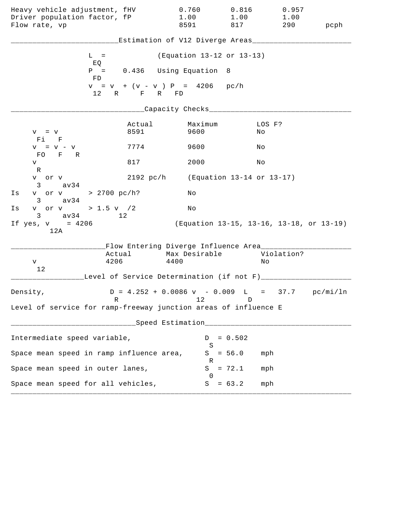| Heavy vehicle adjustment, fHV<br>Driver population factor, fP<br>Flow rate, vp |                | 0.760<br>1.00<br>8591                              | 0.816<br>1.00<br>817 | 0.957<br>1.00<br>290                     | pcph |
|--------------------------------------------------------------------------------|----------------|----------------------------------------------------|----------------------|------------------------------------------|------|
|                                                                                |                | Estimation of V12 Diverge Areas___________         |                      |                                          |      |
| $L =$                                                                          |                | (Equation 13-12 or 13-13)                          |                      |                                          |      |
| EQ<br>FD                                                                       |                | $P = 0.436$ Using Equation 8                       |                      |                                          |      |
|                                                                                | 12 R F R FD    | $v = v + (v - v) P = 4206 p c/h$                   |                      |                                          |      |
|                                                                                |                | _Capacity Checks_________                          |                      |                                          |      |
| $V = V$<br>Fi F                                                                | Actual<br>8591 | Maximum<br>9600                                    |                      | LOS F?<br>No                             |      |
| $V = V - V$                                                                    | 7774           | 9600                                               |                      | Νo                                       |      |
| FO F R<br>V                                                                    | 817            | 2000                                               |                      | Νo                                       |      |
| R<br>v or v<br>$3 \text{ av34}$                                                |                | 2192 pc/h (Equation 13-14 or 13-17)                |                      |                                          |      |
| v or v > 2700 pc/h?<br>Is<br>$3 \text{ av } 34$                                |                | Νo                                                 |                      |                                          |      |
| v or v > 1.5 v / 2<br>Is                                                       |                | No                                                 |                      |                                          |      |
| $3 \text{ av } 34$<br>If $yes, v = 4206$<br>12A                                | 12             |                                                    |                      | (Equation 13-15, 13-16, 13-18, or 13-19) |      |
|                                                                                |                | Flow Entering Diverge Influence Area________       |                      |                                          |      |
| 4206<br>V                                                                      | Actual         | Max Desirable<br>4400                              |                      | Violation?<br>Νo                         |      |
| 12                                                                             |                | Level of Service Determination (if not F)_________ |                      |                                          |      |
| Density,                                                                       |                | $D = 4.252 + 0.0086$ v - 0.009 L = 37.7 pc/mi/ln   |                      |                                          |      |
| R<br>Level of service for ramp-freeway junction areas of influence E           |                | 12                                                 | D                    |                                          |      |
|                                                                                |                | Speed Estimation___________________                |                      |                                          |      |
| Intermediate speed variable,                                                   |                | D                                                  | $= 0.502$            |                                          |      |
| Space mean speed in ramp influence area,                                       |                | S<br>S                                             | $= 56.0$             | mph                                      |      |
| Space mean speed in outer lanes,                                               |                | R<br>S                                             | $= 72.1$             | mph                                      |      |
| Space mean speed for all vehicles,                                             |                | $\Omega$<br>S                                      | $= 63.2$             | mph                                      |      |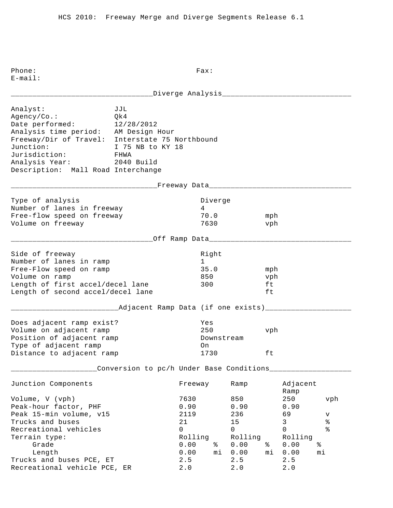\_\_\_\_\_\_\_\_\_\_\_\_\_\_\_\_\_\_\_\_\_\_\_\_\_\_\_\_\_\_\_\_\_Diverge Analysis\_\_\_\_\_\_\_\_\_\_\_\_\_\_\_\_\_\_\_\_\_\_\_\_\_\_\_\_\_\_ Analyst: JJL Agency/Co.: Qk4 Date performed: 12/28/2012 Analysis time period: AM Design Hour Freeway/Dir of Travel: Interstate 75 Northbound Junction: I 75 NB to KY 18 Jurisdiction: FHWA Analysis Year: 2040 Build Description: Mall Road Interchange \_\_\_\_\_\_\_\_\_\_\_\_\_\_\_\_\_\_\_\_\_\_\_\_\_\_\_\_\_\_\_\_\_\_Freeway Data\_\_\_\_\_\_\_\_\_\_\_\_\_\_\_\_\_\_\_\_\_\_\_\_\_\_\_\_\_\_\_\_\_ Type of analysis and the Diverge of analysis and the Diverge Number of lanes in freeway 14 Free-flow speed on freeway 70.0 mph Volume on freeway 1630 vph \_\_\_\_\_\_\_\_\_\_\_\_\_\_\_\_\_\_\_\_\_\_\_\_\_\_\_\_\_\_\_\_\_Off Ramp Data\_\_\_\_\_\_\_\_\_\_\_\_\_\_\_\_\_\_\_\_\_\_\_\_\_\_\_\_\_\_\_\_\_ Side of freeway and the state of the state of the state of the state of the state of the state of the state of Number of lanes in ramp 1 Free-Flow speed on ramp 35.0 mph Volume on ramp and the set of the set of the set of the set of the set of the set of the set of the set of the set of the set of the set of the set of the set of the set of the set of the set of the set of the set of the s Length of first accel/decel lane 300 ft Length of second accel/decel lane ft \_\_\_\_\_\_\_\_\_\_\_\_\_\_\_\_\_\_\_\_\_\_\_\_\_Adjacent Ramp Data (if one exists)\_\_\_\_\_\_\_\_\_\_\_\_\_\_\_\_\_\_\_\_ Does adjacent ramp exist? Yes Volume on adjacent ramp 250 vph Position of adjacent ramp  $\qquad \qquad$  Downstream Type of adjacent ramp on Distance to adjacent ramp 1730 ft \_\_\_\_\_\_\_\_\_\_\_\_\_\_\_\_\_\_\_\_Conversion to pc/h Under Base Conditions\_\_\_\_\_\_\_\_\_\_\_\_\_\_\_\_\_\_\_ Junction Components Freeway Ramp Adjacent Ramp Volume, V (vph) 7630 850 250 vph Peak-hour factor, PHF 0.90 0.90 0.90 Peak 15-min volume, v15 12119 236 69 v Trucks and buses  $21$  and buses  $21$  and  $21$  and  $21$  and  $21$  and  $21$  and  $21$  and  $21$  and  $21$  and  $21$  and  $21$  and  $21$  and  $21$  and  $21$  and  $21$  and  $21$  and  $21$  and  $21$  and  $21$  and  $21$  and  $21$  and  $21$  and Recreational vehicles and the control of the control of  $\sim$  0 0 0 % Terrain type: Terrain type: Terrain type: Rolling Rolling Rolling Grade 0.00 % 0.00 % 0.00 % Length 0.00 mi 0.00 mi 0.00 mi Trucks and buses PCE, ET 2.5 2.5 2.5 Recreational vehicle PCE, ER 2.0 2.0 2.0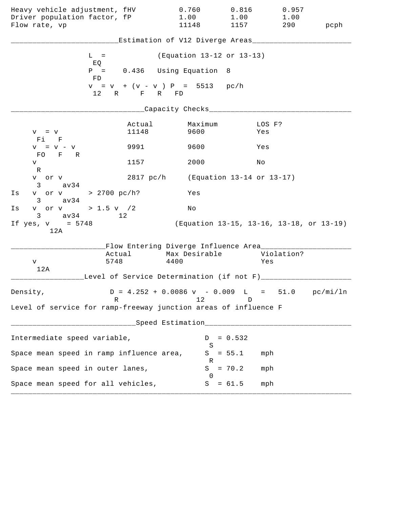| Heavy vehicle adjustment, fHV                                   |                                                  | 0.760                                                                     | 0.816                                    | 0.957      |      |
|-----------------------------------------------------------------|--------------------------------------------------|---------------------------------------------------------------------------|------------------------------------------|------------|------|
| Driver population factor, fP                                    |                                                  | 1.00                                                                      | 1.00                                     | 1.00       |      |
| Flow rate, vp                                                   |                                                  | 11148                                                                     | 1157                                     | 290        | pcph |
|                                                                 |                                                  | Estimation of V12 Diverge Areas__________                                 |                                          |            |      |
|                                                                 | $L =$                                            | (Equation 13-12 or 13-13)                                                 |                                          |            |      |
|                                                                 | EQ                                               |                                                                           |                                          |            |      |
|                                                                 | $P =$<br>FD                                      | 0.436 Using Equation 8                                                    |                                          |            |      |
|                                                                 | $v = v + (v - v) P = 5513 pc/h$<br>12 R F R FD   |                                                                           |                                          |            |      |
|                                                                 |                                                  | ____Capacity Checks__________                                             |                                          |            |      |
|                                                                 | Actual                                           | Maximum                                                                   |                                          | LOS F?     |      |
| $V = V$<br>Fi F                                                 | 11148                                            | 9600                                                                      |                                          | Yes        |      |
| $V = V - V$                                                     | 9991                                             | 9600                                                                      | Yes                                      |            |      |
| FO F R<br>V                                                     | 1157                                             | 2000                                                                      | Νo                                       |            |      |
| $\mathbb R$<br>v or v                                           |                                                  | 2817 pc/h (Equation 13-14 or 13-17)                                       |                                          |            |      |
| $3 \sim$<br>av34                                                |                                                  |                                                                           |                                          |            |      |
| v or v > 2700 pc/h?<br>Is<br>av34<br>$3 \sim$                   |                                                  | Yes                                                                       |                                          |            |      |
| v or v > 1.5 v $/2$<br>Is<br>$3 \text{ av } 34$                 | 12                                               | Νo                                                                        |                                          |            |      |
| If $yes, v = 5748$<br>12A                                       |                                                  |                                                                           | (Equation 13-15, 13-16, 13-18, or 13-19) |            |      |
|                                                                 | Flow Entering Diverge Influence Area________     |                                                                           |                                          |            |      |
|                                                                 | Actual Max Desirable<br>5748                     | 4400                                                                      |                                          | Violation? |      |
| V<br>12A                                                        |                                                  |                                                                           |                                          | Yes        |      |
|                                                                 | Level of Service Determination (if not F)_______ |                                                                           |                                          |            |      |
| Density,                                                        |                                                  | $D = 4.252 + 0.0086 \text{ v} - 0.009 \text{ L} = 51.0 \text{ pc/min/ln}$ |                                          |            |      |
| Level of service for ramp-freeway junction areas of influence F | R                                                | 12                                                                        | D                                        |            |      |
|                                                                 |                                                  | ___Speed Estimation_____________________                                  |                                          |            |      |
|                                                                 |                                                  |                                                                           |                                          |            |      |
| Intermediate speed variable,                                    |                                                  | D<br>S                                                                    | $= 0.532$                                |            |      |
| Space mean speed in ramp influence area,                        |                                                  | S<br>R                                                                    | $= 55.1$                                 | mph        |      |
| Space mean speed in outer lanes,                                |                                                  | S                                                                         | $= 70.2$                                 | mph        |      |
| Space mean speed for all vehicles,                              |                                                  | $\Omega$<br>S                                                             | $= 61.5$                                 | mph        |      |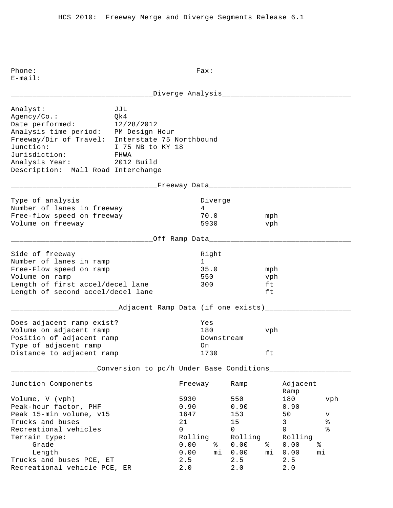\_\_\_\_\_\_\_\_\_\_\_\_\_\_\_\_\_\_\_\_\_\_\_\_\_\_\_\_\_\_\_\_\_Diverge Analysis\_\_\_\_\_\_\_\_\_\_\_\_\_\_\_\_\_\_\_\_\_\_\_\_\_\_\_\_\_\_ Analyst: JJL Agency/Co.: Qk4 Date performed: 12/28/2012 Analysis time period: PM Design Hour Freeway/Dir of Travel: Interstate 75 Northbound Junction: I 75 NB to KY 18 Jurisdiction: FHWA Analysis Year: 2012 Build Description: Mall Road Interchange \_\_\_\_\_\_\_\_\_\_\_\_\_\_\_\_\_\_\_\_\_\_\_\_\_\_\_\_\_\_\_\_\_\_Freeway Data\_\_\_\_\_\_\_\_\_\_\_\_\_\_\_\_\_\_\_\_\_\_\_\_\_\_\_\_\_\_\_\_\_ Type of analysis and the Diverge of analysis and the Diverge Number of lanes in freeway 14 Free-flow speed on freeway 70.0 mph Volume on freeway 5930 vph \_\_\_\_\_\_\_\_\_\_\_\_\_\_\_\_\_\_\_\_\_\_\_\_\_\_\_\_\_\_\_\_\_Off Ramp Data\_\_\_\_\_\_\_\_\_\_\_\_\_\_\_\_\_\_\_\_\_\_\_\_\_\_\_\_\_\_\_\_\_ Side of freeway and the state of the state of the state of the state of the state of the state of the state of Number of lanes in ramp 1 Free-Flow speed on ramp 35.0 mph Volume on ramp 550 vph Length of first accel/decel lane 300 ft Length of second accel/decel lane ft \_\_\_\_\_\_\_\_\_\_\_\_\_\_\_\_\_\_\_\_\_\_\_\_\_Adjacent Ramp Data (if one exists)\_\_\_\_\_\_\_\_\_\_\_\_\_\_\_\_\_\_\_\_ Does adjacent ramp exist? Yes Volume on adjacent ramp 180 vph Position of adjacent ramp  $\qquad \qquad$  Downstream Type of adjacent ramp on Distance to adjacent ramp 1730 ft \_\_\_\_\_\_\_\_\_\_\_\_\_\_\_\_\_\_\_\_Conversion to pc/h Under Base Conditions\_\_\_\_\_\_\_\_\_\_\_\_\_\_\_\_\_\_\_ Junction Components Freeway Ramp Adjacent Ramp Volume, V (vph) 5930 550 180 vph Peak-hour factor, PHF 0.90 0.90 0.90 Peak 15-min volume, v15 1647 153 50 v Prucks and buses and buses and buses and buses and the service of  $21$  and  $15$  and  $3$  and  $8$  and  $21$  and  $15$  and  $3$  and  $8$ Recreational vehicles and the control of the control of  $\sim$  0 0 0 % Terrain type: Terrain type: Terrain type: Rolling Rolling Rolling Grade 0.00 % 0.00 % 0.00 % Length 0.00 mi 0.00 mi 0.00 mi Trucks and buses PCE, ET 2.5 2.5 2.5 Recreational vehicle PCE, ER 2.0 2.0 2.0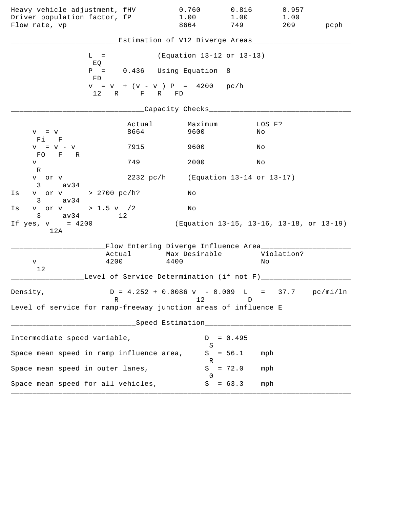| Heavy vehicle adjustment, fHV<br>Driver population factor, fP   |                                                 | 0.760<br>1.00<br>8664                                                     | 0.816<br>1.00<br>749                     | 0.957<br>1.00<br>209 |      |
|-----------------------------------------------------------------|-------------------------------------------------|---------------------------------------------------------------------------|------------------------------------------|----------------------|------|
| Flow rate, vp                                                   |                                                 |                                                                           |                                          |                      | pcph |
|                                                                 |                                                 | Estimation of V12 Diverge Areas________                                   |                                          |                      |      |
| $L =$<br>EQ                                                     |                                                 | (Equation 13-12 or 13-13)                                                 |                                          |                      |      |
| FD                                                              | $P =$                                           | 0.436 Using Equation 8                                                    |                                          |                      |      |
|                                                                 | $v = v + (v - v) P = 4200 pc/h$<br>12 R F R FD  |                                                                           |                                          |                      |      |
|                                                                 |                                                 | ____Capacity Checks____                                                   |                                          |                      |      |
| $V = V$<br>Fi F                                                 | Actual<br>8664                                  | Maximum<br>9600                                                           | Νo                                       | LOS F?               |      |
| $V = V - V$<br>FO F R                                           | 7915                                            | 9600                                                                      | Νo                                       |                      |      |
| V<br>R                                                          | 749                                             | 2000                                                                      | No                                       |                      |      |
| v or v<br>$3 \text{ av } 34$                                    |                                                 | 2232 pc/h (Equation 13-14 or 13-17)                                       |                                          |                      |      |
| v or v > 2700 pc/h?<br>Is<br>$3 \text{ av } 34$                 |                                                 | Νo                                                                        |                                          |                      |      |
| v or v > 1.5 v / 2<br>Is<br>$3 \text{ av } 34$                  | 12                                              | No                                                                        |                                          |                      |      |
| If $yes, v = 4200$<br>12A                                       |                                                 |                                                                           | (Equation 13-15, 13-16, 13-18, or 13-19) |                      |      |
|                                                                 | Flow Entering Diverge Influence Area________    |                                                                           |                                          |                      |      |
| V                                                               | Actual<br>4200                                  | Max Desirable<br>4400                                                     | Νo                                       | Violation?           |      |
| 12                                                              | Level of Service Determination (if not F)______ |                                                                           |                                          |                      |      |
| Density,                                                        |                                                 | $D = 4.252 + 0.0086 \text{ v} - 0.009 \text{ L} = 37.7 \text{ pc/min/ln}$ |                                          |                      |      |
| Level of service for ramp-freeway junction areas of influence E | R                                               | 12                                                                        | D                                        |                      |      |
|                                                                 |                                                 | Speed Estimation____________                                              |                                          |                      |      |
| Intermediate speed variable,                                    |                                                 | D                                                                         | $= 0.495$                                |                      |      |
| Space mean speed in ramp influence area,                        |                                                 | S<br>S                                                                    | $= 56.1$                                 | mph                  |      |
| Space mean speed in outer lanes,                                |                                                 | R<br>S                                                                    | $= 72.0$<br>mph                          |                      |      |
| Space mean speed for all vehicles,                              |                                                 | $\Omega$<br>S                                                             | $= 63.3$                                 | mph                  |      |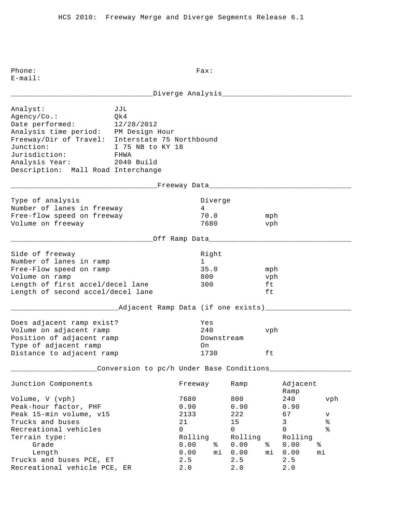\_\_\_\_\_\_\_\_\_\_\_\_\_\_\_\_\_\_\_\_\_\_\_\_\_\_\_\_\_\_\_\_\_Diverge Analysis\_\_\_\_\_\_\_\_\_\_\_\_\_\_\_\_\_\_\_\_\_\_\_\_\_\_\_\_\_\_ Analyst: JJL Agency/Co.: Qk4 Date performed: 12/28/2012 Analysis time period: PM Design Hour Freeway/Dir of Travel: Interstate 75 Northbound Junction: I 75 NB to KY 18 Jurisdiction: FHWA Analysis Year: 2040 Build Description: Mall Road Interchange \_\_\_\_\_\_\_\_\_\_\_\_\_\_\_\_\_\_\_\_\_\_\_\_\_\_\_\_\_\_\_\_\_\_Freeway Data\_\_\_\_\_\_\_\_\_\_\_\_\_\_\_\_\_\_\_\_\_\_\_\_\_\_\_\_\_\_\_\_\_ Type of analysis and the Diverge of analysis and the Diverge Number of lanes in freeway 14 Free-flow speed on freeway 70.0 mph Volume on freeway 1680 vph \_\_\_\_\_\_\_\_\_\_\_\_\_\_\_\_\_\_\_\_\_\_\_\_\_\_\_\_\_\_\_\_\_Off Ramp Data\_\_\_\_\_\_\_\_\_\_\_\_\_\_\_\_\_\_\_\_\_\_\_\_\_\_\_\_\_\_\_\_\_ Side of freeway and the state of the state of the state of the state of the state of the state of the state of Number of lanes in ramp 1 Free-Flow speed on ramp 35.0 mph Volume on ramp and the set of the set of the set of the set of the set of the set of the set of the set of the set of the set of the set of the set of the set of the set of the set of the set of the set of the set of the s Length of first accel/decel lane 300 ft Length of second accel/decel lane ft \_\_\_\_\_\_\_\_\_\_\_\_\_\_\_\_\_\_\_\_\_\_\_\_\_Adjacent Ramp Data (if one exists)\_\_\_\_\_\_\_\_\_\_\_\_\_\_\_\_\_\_\_\_ Does adjacent ramp exist? Yes Volume on adjacent ramp 240 vph Position of adjacent ramp  $\qquad \qquad$  Downstream Type of adjacent ramp on Distance to adjacent ramp 1730 ft \_\_\_\_\_\_\_\_\_\_\_\_\_\_\_\_\_\_\_\_Conversion to pc/h Under Base Conditions\_\_\_\_\_\_\_\_\_\_\_\_\_\_\_\_\_\_\_ Junction Components Freeway Ramp Adjacent Ramp Volume, V (vph) 7680 800 240 vph Peak-hour factor, PHF 0.90 0.90 0.90 Peak 15-min volume, v15 2133 222 67 v Trucks and buses  $21$  and  $3$   $3$   $3$   $3$   $4$ <br>Recreational vehicles  $0$  and  $0$  and  $0$  and  $2$   $15$  and  $2$   $2$ Recreational vehicles and the control of the control of  $\sim$  0 0 0 % Terrain type: Terrain type: Terrain type: Rolling Rolling Rolling Grade 0.00 % 0.00 % 0.00 % Length 0.00 mi 0.00 mi 0.00 mi Trucks and buses PCE, ET 2.5 2.5 2.5 Recreational vehicle PCE, ER 2.0 2.0 2.0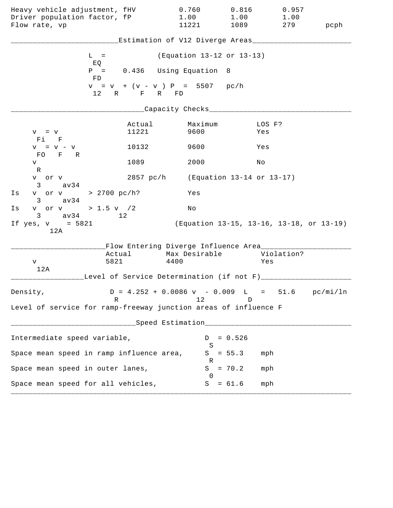| Heavy vehicle adjustment, fHV<br>Driver population factor, fP   |                                                 | 0.760<br>1.00                                                             | 0.816<br>1.00                            | 0.957<br>1.00 |      |
|-----------------------------------------------------------------|-------------------------------------------------|---------------------------------------------------------------------------|------------------------------------------|---------------|------|
| Flow rate, vp                                                   |                                                 | 11221                                                                     | 1089                                     | 279           | pcph |
|                                                                 |                                                 | Estimation of V12 Diverge Areas___                                        |                                          |               |      |
|                                                                 | $L =$<br>EQ                                     | (Equation 13-12 or 13-13)                                                 |                                          |               |      |
|                                                                 | $P =$<br>FD                                     | 0.436 Using Equation 8                                                    |                                          |               |      |
|                                                                 | $v = v + (v - v) P = 5507 pc/h$<br>12 R F R FD  |                                                                           |                                          |               |      |
|                                                                 |                                                 | ____Capacity Checks____                                                   |                                          |               |      |
| $V = V$<br>Fi F                                                 | Actual<br>11221                                 | Maximum<br>9600                                                           | Yes                                      | LOS F?        |      |
| $V = V - V$<br>FO F R                                           | 10132                                           | 9600                                                                      | Yes                                      |               |      |
| V<br>R                                                          | 1089                                            | 2000                                                                      | Νo                                       |               |      |
| v or v<br>$3 \text{ av } 34$                                    |                                                 | 2857 pc/h (Equation 13-14 or 13-17)                                       |                                          |               |      |
| v or v > 2700 pc/h?<br>Is<br>$3 \text{ av } 34$                 |                                                 | Yes                                                                       |                                          |               |      |
| v or v > 1.5 v /2<br>Is<br>$3 \text{ av } 34$                   | 12 <sup>°</sup>                                 | No                                                                        |                                          |               |      |
| If $yes, v = 5821$<br>12A                                       |                                                 |                                                                           | (Equation 13-15, 13-16, 13-18, or 13-19) |               |      |
|                                                                 | Flow Entering Diverge Influence Area________    |                                                                           |                                          |               |      |
| v                                                               | Actual<br>5821                                  | Max Desirable<br>4400                                                     | Yes                                      | Violation?    |      |
| 12A                                                             | Level of Service Determination (if not F)______ |                                                                           |                                          |               |      |
| Density,                                                        |                                                 | $D = 4.252 + 0.0086 \text{ v} - 0.009 \text{ L} = 51.6 \text{ pc/min/ln}$ |                                          |               |      |
| Level of service for ramp-freeway junction areas of influence F | R                                               | 12                                                                        | D                                        |               |      |
|                                                                 |                                                 | Speed Estimation                                                          |                                          |               |      |
| Intermediate speed variable,                                    |                                                 | D                                                                         | $= 0.526$                                |               |      |
| Space mean speed in ramp influence area,                        |                                                 | S<br>S                                                                    | $= 55.3$<br>mph                          |               |      |
| Space mean speed in outer lanes,                                |                                                 | R<br>S                                                                    | $= 70.2$<br>mph                          |               |      |
| Space mean speed for all vehicles,                              |                                                 | $\Omega$<br>S                                                             | $= 61.6$<br>mph                          |               |      |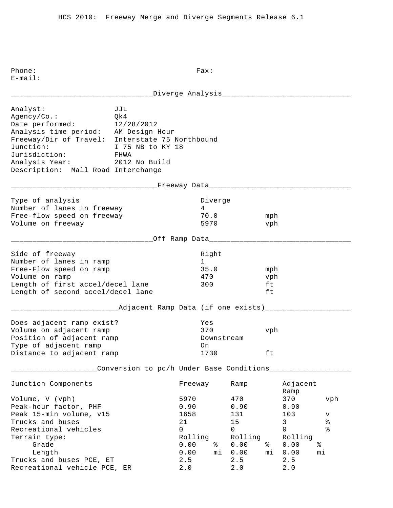| Analyst:<br>Agency/Co.:<br>Date performed:<br>Analysis time period: AM Design Hour<br>Freeway/Dir of Travel: Interstate 75 Northbound<br>Junction:<br>Jurisdiction:<br>Analysis Year: 2012 No Build<br>Description: Mall Road Interchange | JJL<br>Qk4<br>12/28/2012<br>I 75 NB to KY 18<br>FHWA |                                                                   |                         |                                                                            |                        |                                                                                     |                                     |
|-------------------------------------------------------------------------------------------------------------------------------------------------------------------------------------------------------------------------------------------|------------------------------------------------------|-------------------------------------------------------------------|-------------------------|----------------------------------------------------------------------------|------------------------|-------------------------------------------------------------------------------------|-------------------------------------|
|                                                                                                                                                                                                                                           | ___________Freeway Data_____________________         |                                                                   |                         |                                                                            |                        |                                                                                     |                                     |
| Type of analysis<br>Number of lanes in freeway<br>Free-flow speed on freeway<br>Volume on freeway                                                                                                                                         |                                                      | 4                                                                 | Diverge<br>70.0<br>5970 |                                                                            | mph<br>vph             |                                                                                     |                                     |
|                                                                                                                                                                                                                                           | __________Off Ramp Data____________                  |                                                                   |                         |                                                                            |                        |                                                                                     |                                     |
| Side of freeway<br>Number of lanes in ramp<br>Free-Flow speed on ramp<br>Volume on ramp<br>Length of first accel/decel lane<br>Length of second accel/decel lane                                                                          |                                                      | $1 \quad \blacksquare$<br>300                                     | Right<br>35.0<br>470    |                                                                            | mph<br>vph<br>ft<br>ft |                                                                                     |                                     |
|                                                                                                                                                                                                                                           | ____Adjacent Ramp Data (if one exists)______         |                                                                   |                         |                                                                            |                        |                                                                                     |                                     |
| Does adjacent ramp exist?<br>Volume on adjacent ramp<br>Position of adjacent ramp<br>Type of adjacent ramp<br>Distance to adjacent ramp                                                                                                   |                                                      | Yes<br>370<br>On                                                  | 1730                    | Downstream                                                                 | vph<br>ft              |                                                                                     |                                     |
|                                                                                                                                                                                                                                           | Conversion to pc/h Under Base Conditions             |                                                                   |                         |                                                                            |                        |                                                                                     |                                     |
| Junction Components                                                                                                                                                                                                                       |                                                      | Freeway                                                           |                         | Ramp                                                                       |                        | Adjacent<br>Ramp                                                                    |                                     |
| Volume, V (vph)<br>Peak-hour factor, PHF<br>Peak 15-min volume, v15<br>Trucks and buses<br>Recreational vehicles<br>Terrain type:<br>Grade<br>Length<br>Trucks and buses PCE, ET                                                          |                                                      | 5970<br>0.90<br>1658<br>21<br>0<br>Rolling<br>0.00<br>0.00<br>2.5 | ႜ<br>mi                 | 470<br>0.90<br>131<br>15<br>$\mathsf{O}$<br>Rolling<br>0.00<br>0.00<br>2.5 | ႜ<br>mi                | 370<br>0.90<br>103<br>$\mathsf{3}$<br>$\mathbf 0$<br>Rolling<br>0.00<br>0.00<br>2.5 | vph<br>v<br>ి<br>ە<br>ج<br>နွ<br>mi |
| Recreational vehicle PCE, ER                                                                                                                                                                                                              |                                                      | 2.0                                                               |                         | 2.0                                                                        |                        | 2.0                                                                                 |                                     |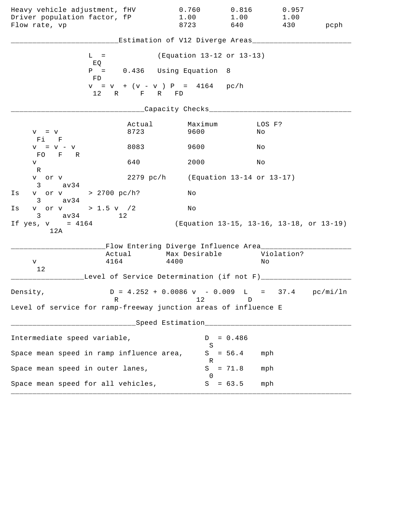| Heavy vehicle adjustment, fHV<br>Driver population factor, fP<br>Flow rate, vp |                                                                 | 0.760<br>1.00<br>8723                                                           | 0.816<br>1.00<br>640                     | 0.957<br>1.00<br>430 | pcph |
|--------------------------------------------------------------------------------|-----------------------------------------------------------------|---------------------------------------------------------------------------------|------------------------------------------|----------------------|------|
|                                                                                |                                                                 | Estimation of V12 Diverge Areas__________                                       |                                          |                      |      |
|                                                                                | $L =$                                                           | (Equation 13-12 or 13-13)                                                       |                                          |                      |      |
|                                                                                | EQ<br>$P = 0.436$ Using Equation 8<br>FD                        |                                                                                 |                                          |                      |      |
|                                                                                | $v = v + (v - v) P = 4164 pc/h$<br>12 R F R FD                  |                                                                                 |                                          |                      |      |
|                                                                                |                                                                 | ___Capacity Checks____                                                          |                                          |                      |      |
| $V = V$<br>Fi F                                                                | Actual<br>8723                                                  | Maximum<br>9600                                                                 | No                                       | LOS F?               |      |
| $V = V - V$                                                                    | 8083                                                            | 9600                                                                            | Νo                                       |                      |      |
| FO F R<br>V                                                                    | 640                                                             | 2000                                                                            | Νo                                       |                      |      |
| R<br>v or v<br>av34<br>3                                                       |                                                                 | 2279 pc/h (Equation 13-14 or 13-17)                                             |                                          |                      |      |
| Is<br>av34<br>$3 \sim$                                                         | v or v > 2700 pc/h?                                             | Νo                                                                              |                                          |                      |      |
| Is                                                                             | v or v > 1.5 v /2                                               | No                                                                              |                                          |                      |      |
| $3 \text{ av } 34$<br>If $yes, v = 4164$<br>12A                                | 12                                                              |                                                                                 | (Equation 13-15, 13-16, 13-18, or 13-19) |                      |      |
|                                                                                |                                                                 | Flow Entering Diverge Influence Area________                                    |                                          |                      |      |
| V                                                                              | Actual<br>4164                                                  | Max Desirable<br>4400                                                           | Νo                                       | Violation?           |      |
| 12                                                                             | Level of Service Determination (if not F)_________              |                                                                                 |                                          |                      |      |
| Density,                                                                       | R                                                               | $D = 4.252 + 0.0086 \text{ v} - 0.009 \text{ L} = 37.4 \text{ pc/min/ln}$<br>12 | D                                        |                      |      |
|                                                                                | Level of service for ramp-freeway junction areas of influence E |                                                                                 |                                          |                      |      |
|                                                                                |                                                                 | Speed Estimation__________________                                              |                                          |                      |      |
| Intermediate speed variable,                                                   |                                                                 | D                                                                               | $= 0.486$                                |                      |      |
|                                                                                | Space mean speed in ramp influence area,                        | S                                                                               | $S = 56.4$                               | mph                  |      |
| Space mean speed in outer lanes,                                               |                                                                 | R<br>S                                                                          | $= 71.8$                                 | mph                  |      |
|                                                                                | Space mean speed for all vehicles,                              | 0<br>S                                                                          | $= 63.5$                                 | mph                  |      |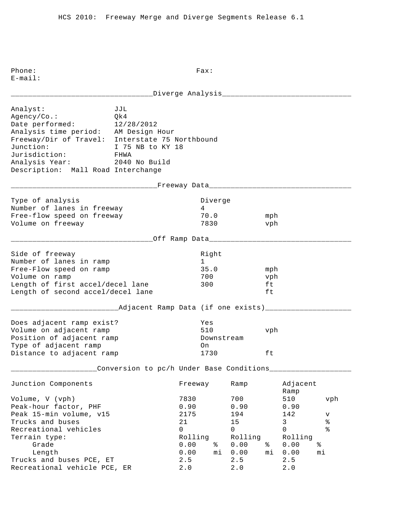\_\_\_\_\_\_\_\_\_\_\_\_\_\_\_\_\_\_\_\_\_\_\_\_\_\_\_\_\_\_\_\_\_Diverge Analysis\_\_\_\_\_\_\_\_\_\_\_\_\_\_\_\_\_\_\_\_\_\_\_\_\_\_\_\_\_\_ Analyst: JJL Agency/Co.: Qk4 Date performed: 12/28/2012 Analysis time period: AM Design Hour Freeway/Dir of Travel: Interstate 75 Northbound Junction: I 75 NB to KY 18 Jurisdiction: FHWA Analysis Year: 2040 No Build Description: Mall Road Interchange \_\_\_\_\_\_\_\_\_\_\_\_\_\_\_\_\_\_\_\_\_\_\_\_\_\_\_\_\_\_\_\_\_\_Freeway Data\_\_\_\_\_\_\_\_\_\_\_\_\_\_\_\_\_\_\_\_\_\_\_\_\_\_\_\_\_\_\_\_\_ Type of analysis and the Diverge of analysis and the Diverge Number of lanes in freeway 14 Free-flow speed on freeway 70.0 mph Volume on freeway 1830 vph \_\_\_\_\_\_\_\_\_\_\_\_\_\_\_\_\_\_\_\_\_\_\_\_\_\_\_\_\_\_\_\_\_Off Ramp Data\_\_\_\_\_\_\_\_\_\_\_\_\_\_\_\_\_\_\_\_\_\_\_\_\_\_\_\_\_\_\_\_\_ Side of freeway and the state of the state of the state of the state of the state of the state of the state of Number of lanes in ramp 1 Free-Flow speed on ramp 35.0 mph Volume on ramp 700 vph Length of first accel/decel lane 300 ft Length of second accel/decel lane ft \_\_\_\_\_\_\_\_\_\_\_\_\_\_\_\_\_\_\_\_\_\_\_\_\_Adjacent Ramp Data (if one exists)\_\_\_\_\_\_\_\_\_\_\_\_\_\_\_\_\_\_\_\_ Does adjacent ramp exist? Yes Volume on adjacent ramp 510 vph Position of adjacent ramp  $\qquad \qquad$  Downstream Type of adjacent ramp on Distance to adjacent ramp 1730 ft \_\_\_\_\_\_\_\_\_\_\_\_\_\_\_\_\_\_\_\_Conversion to pc/h Under Base Conditions\_\_\_\_\_\_\_\_\_\_\_\_\_\_\_\_\_\_\_ Junction Components Freeway Ramp Adjacent Ramp Volume, V (vph) 7830 700 510 vph Peak-hour factor, PHF 0.90 0.90 0.90 0.90 Peak 15-min volume, v15 1975 194 142 v Trucks and buses  $21$  and  $3$   $3$   $3$   $3$   $4$ <br>Recreational vehicles  $0$  and  $0$  and  $0$  and  $2$   $15$  and  $2$   $2$ Recreational vehicles and the control of the control of  $\sim$  0 0 0 % Terrain type: Terrain type: Terrain type: Rolling Rolling Rolling Grade 0.00 % 0.00 % 0.00 % Length 0.00 mi 0.00 mi 0.00 mi Trucks and buses PCE, ET 2.5 2.5 2.5 Recreational vehicle PCE, ER 2.0 2.0 2.0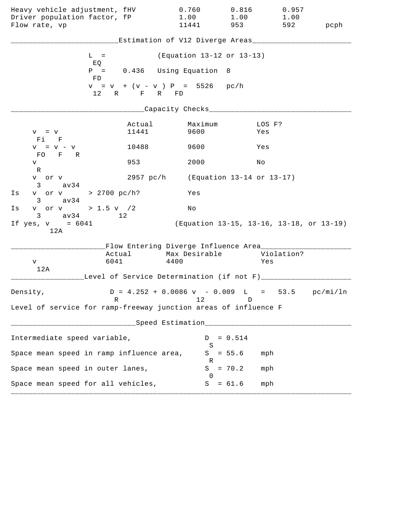| Heavy vehicle adjustment, fHV                                   |                                                  | 0.760                                                                     | 0.816                                    | 0.957      |      |
|-----------------------------------------------------------------|--------------------------------------------------|---------------------------------------------------------------------------|------------------------------------------|------------|------|
| Driver population factor, fP                                    |                                                  | 1.00                                                                      | 1.00                                     | 1.00       |      |
| Flow rate, vp                                                   |                                                  | 11441                                                                     | 953                                      | 592        | pcph |
|                                                                 |                                                  | Estimation of V12 Diverge Areas_________                                  |                                          |            |      |
| $L =$                                                           |                                                  | (Equation 13-12 or 13-13)                                                 |                                          |            |      |
| EQ<br>$P =$<br>FD                                               |                                                  | 0.436 Using Equation 8                                                    |                                          |            |      |
|                                                                 | $v = v + (v - v) P = 5526 pc/h$<br>12 R F R FD   |                                                                           |                                          |            |      |
|                                                                 |                                                  | __Capacity Checks_______________                                          |                                          |            |      |
|                                                                 | Actual                                           | Maximum                                                                   |                                          | LOS F?     |      |
| $V = V$<br>Fi F                                                 | 11441                                            | 9600                                                                      | Yes                                      |            |      |
| $V = V - V$<br>FO F R                                           | 10488                                            | 9600                                                                      | Yes                                      |            |      |
| V<br>R                                                          | 953                                              | 2000                                                                      | Νo                                       |            |      |
| v or v<br>$3 \sim$<br>av34                                      |                                                  | 2957 pc/h (Equation 13-14 or 13-17)                                       |                                          |            |      |
| v or v > 2700 pc/h?<br>Is<br>av34<br>$3 \sim$                   |                                                  | Yes                                                                       |                                          |            |      |
| v or v > 1.5 v $/2$<br>Is<br>$3 \text{ av } 34$                 | 12                                               | No                                                                        |                                          |            |      |
| If $yes, v = 6041$<br>12A                                       |                                                  |                                                                           | (Equation 13-15, 13-16, 13-18, or 13-19) |            |      |
|                                                                 | Flow Entering Diverge Influence Area________     |                                                                           |                                          |            |      |
|                                                                 | Actual                                           | Max Desirable                                                             |                                          | Violation? |      |
| V<br>12A                                                        | 6041                                             | 4400                                                                      |                                          | Yes        |      |
|                                                                 | Level of Service Determination (if not F)_______ |                                                                           |                                          |            |      |
| Density,                                                        |                                                  | $D = 4.252 + 0.0086 \text{ v} - 0.009 \text{ L} = 53.5 \text{ pc/min/ln}$ |                                          |            |      |
| Level of service for ramp-freeway junction areas of influence F | R                                                | 12                                                                        | D                                        |            |      |
|                                                                 |                                                  | ___Speed Estimation_______________________                                |                                          |            |      |
| Intermediate speed variable,                                    |                                                  | D                                                                         | $= 0.514$                                |            |      |
| Space mean speed in ramp influence area,                        |                                                  | S<br>S                                                                    | $= 55.6$                                 | mph        |      |
| Space mean speed in outer lanes,                                |                                                  | R<br>S                                                                    | $= 70.2$                                 | mph        |      |
| Space mean speed for all vehicles,                              |                                                  | $\Omega$<br>S                                                             | $= 61.6$                                 | mph        |      |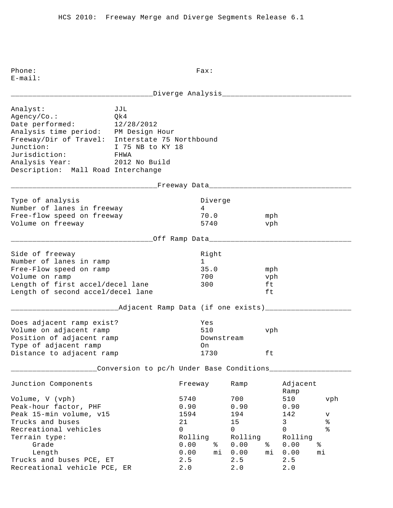|                                                                                                                                                                                                                                                           | ________Diverge Analysis______________                          |                                                      |                                               |                                                     |                        |                                                              |                                 |
|-----------------------------------------------------------------------------------------------------------------------------------------------------------------------------------------------------------------------------------------------------------|-----------------------------------------------------------------|------------------------------------------------------|-----------------------------------------------|-----------------------------------------------------|------------------------|--------------------------------------------------------------|---------------------------------|
| Analyst:<br>Agency/Co.:<br>Date performed: 12/28/2012<br>Analysis time period: PM Design Hour<br>Freeway/Dir of Travel: Interstate 75 Northbound<br>Junction:<br>Jurisdiction: FHWA<br>Analysis Year: 2012 No Build<br>Description: Mall Road Interchange | JJL<br>Qk4<br>I 75 NB to KY 18                                  |                                                      |                                               |                                                     |                        |                                                              |                                 |
|                                                                                                                                                                                                                                                           | ____________________Freeway Data_______________________________ |                                                      |                                               |                                                     |                        |                                                              |                                 |
| Type of analysis<br>Number of lanes in freeway<br>Free-flow speed on freeway<br>Volume on freeway                                                                                                                                                         |                                                                 | 4                                                    | Diverge<br>70.0<br>5740                       |                                                     | mph<br>vph             |                                                              |                                 |
|                                                                                                                                                                                                                                                           | ___________Off Ramp Data_____________________                   |                                                      |                                               |                                                     |                        |                                                              |                                 |
| Side of freeway<br>Number of lanes in ramp<br>Free-Flow speed on ramp<br>Volume on ramp<br>Length of first accel/decel lane<br>Length of second accel/decel lane                                                                                          |                                                                 |                                                      | Right<br>$1 \quad \Box$<br>35.0<br>700<br>300 |                                                     | mph<br>vph<br>ft<br>ft |                                                              |                                 |
|                                                                                                                                                                                                                                                           | ________Adjacent Ramp Data (if one exists)_______________       |                                                      |                                               |                                                     |                        |                                                              |                                 |
| Does adjacent ramp exist?<br>Volume on adjacent ramp<br>Position of adjacent ramp<br>Type of adjacent ramp<br>Distance to adjacent ramp                                                                                                                   |                                                                 | On                                                   | Yes<br>510<br>Downstream<br>1730              |                                                     | vph<br>ft              |                                                              |                                 |
|                                                                                                                                                                                                                                                           | Conversion to pc/h Under Base Conditions____                    |                                                      |                                               |                                                     |                        |                                                              |                                 |
| Junction Components                                                                                                                                                                                                                                       |                                                                 | Freeway                                              |                                               | Ramp                                                |                        | Adjacent<br>Ramp                                             |                                 |
| Volume, V (vph)<br>Peak-hour factor, PHF<br>Peak 15-min volume, v15<br>Trucks and buses<br>Recreational vehicles<br>Terrain type:                                                                                                                         |                                                                 | 5740<br>0.90<br>1594<br>21<br>$\mathbf 0$<br>Rolling |                                               | 700<br>0.90<br>194<br>15<br>$\mathsf{O}$<br>Rolling |                        | 510<br>0.90<br>142<br>$\mathsf{3}$<br>$\mathbf 0$<br>Rolling | vph<br>v<br>$\,$ $\,$<br>ి<br>ఄ |
| Grade<br>Length<br>Trucks and buses PCE, ET<br>Recreational vehicle PCE, ER                                                                                                                                                                               |                                                                 | 0.00<br>0.00<br>2.5<br>2.0                           | နွ<br>mi                                      | 0.00<br>0.00<br>2.5<br>2.0                          | ႜ<br>mi                | 0.00<br>0.00<br>2.5<br>$2.0$                                 | mi                              |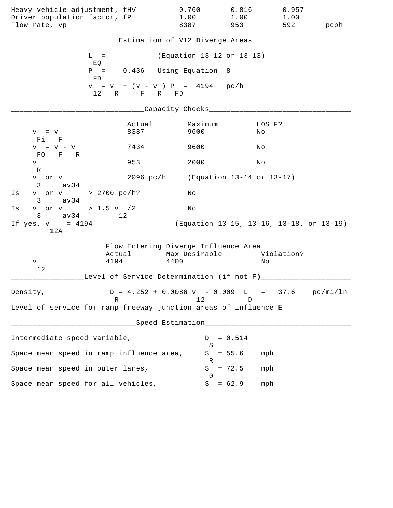| Heavy vehicle adjustment, fHV<br>Driver population factor, fP<br>Flow rate, vp |                                                                 | 0.760<br>1.00<br>8387                                                           | 0.816<br>1.00<br>953                     | 0.957<br>1.00<br>592 | pcph |
|--------------------------------------------------------------------------------|-----------------------------------------------------------------|---------------------------------------------------------------------------------|------------------------------------------|----------------------|------|
|                                                                                |                                                                 | Estimation of V12 Diverge Areas__________                                       |                                          |                      |      |
|                                                                                | $L =$                                                           | (Equation 13-12 or 13-13)                                                       |                                          |                      |      |
|                                                                                | EQ<br>$P = 0.436$ Using Equation 8<br>FD                        |                                                                                 |                                          |                      |      |
|                                                                                | $v = v + (v - v) P = 4194$ pc/h<br>12 R F R FD                  |                                                                                 |                                          |                      |      |
|                                                                                |                                                                 | ____Capacity Checks____                                                         |                                          |                      |      |
| $V = V$<br>Fi F                                                                | Actual<br>8387                                                  | Maximum<br>9600                                                                 | No                                       | LOS F?               |      |
| $V = V - V$                                                                    | 7434                                                            | 9600                                                                            | Νo                                       |                      |      |
| FO F R<br>V                                                                    | 953                                                             | 2000                                                                            | Νo                                       |                      |      |
| R<br>v or v<br>av34<br>3                                                       |                                                                 | 2096 pc/h (Equation 13-14 or 13-17)                                             |                                          |                      |      |
| Is<br>av34<br>$3 \sim$                                                         | v or v > 2700 pc/h?                                             | Νo                                                                              |                                          |                      |      |
| Is                                                                             | v or v > 1.5 v /2                                               | No                                                                              |                                          |                      |      |
| $3 \text{ av } 34$<br>If $yes, v = 4194$<br>12A                                | 12                                                              |                                                                                 | (Equation 13-15, 13-16, 13-18, or 13-19) |                      |      |
|                                                                                |                                                                 | Flow Entering Diverge Influence Area________                                    |                                          |                      |      |
| V                                                                              | Actual<br>4194                                                  | Max Desirable<br>4400                                                           | Νo                                       | Violation?           |      |
| 12                                                                             | Level of Service Determination (if not F) _________             |                                                                                 |                                          |                      |      |
| Density,                                                                       | R                                                               | $D = 4.252 + 0.0086 \text{ v} - 0.009 \text{ L} = 37.6 \text{ pc/min/ln}$<br>12 | D                                        |                      |      |
|                                                                                | Level of service for ramp-freeway junction areas of influence E |                                                                                 |                                          |                      |      |
|                                                                                |                                                                 | Speed Estimation__________________                                              |                                          |                      |      |
| Intermediate speed variable,                                                   |                                                                 | D                                                                               | $= 0.514$                                |                      |      |
|                                                                                | Space mean speed in ramp influence area,                        | S                                                                               | $S = 55.6$                               | mph                  |      |
| Space mean speed in outer lanes,                                               |                                                                 | R<br>S                                                                          | $= 72.5$                                 | mph                  |      |
|                                                                                | Space mean speed for all vehicles,                              | $\Omega$<br>S                                                                   | $= 62.9$                                 | mph                  |      |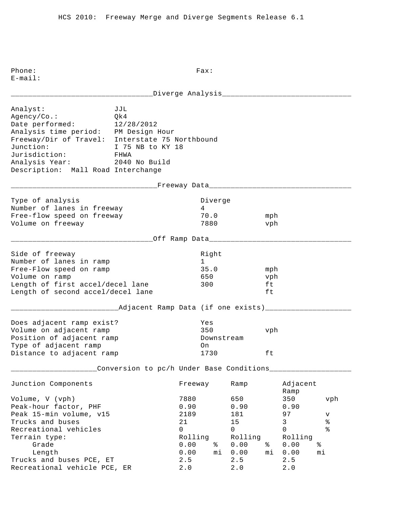\_\_\_\_\_\_\_\_\_\_\_\_\_\_\_\_\_\_\_\_\_\_\_\_\_\_\_\_\_\_\_\_\_Diverge Analysis\_\_\_\_\_\_\_\_\_\_\_\_\_\_\_\_\_\_\_\_\_\_\_\_\_\_\_\_\_\_ Analyst: JJL Agency/Co.: Qk4 Date performed: 12/28/2012 Analysis time period: PM Design Hour Freeway/Dir of Travel: Interstate 75 Northbound Junction: I 75 NB to KY 18 Jurisdiction: FHWA Analysis Year: 2040 No Build Description: Mall Road Interchange \_\_\_\_\_\_\_\_\_\_\_\_\_\_\_\_\_\_\_\_\_\_\_\_\_\_\_\_\_\_\_\_\_\_Freeway Data\_\_\_\_\_\_\_\_\_\_\_\_\_\_\_\_\_\_\_\_\_\_\_\_\_\_\_\_\_\_\_\_\_ Type of analysis and the Diverge of analysis and the Diverge Number of lanes in freeway 14 Free-flow speed on freeway 70.0 mph Volume on freeway 1880 vph \_\_\_\_\_\_\_\_\_\_\_\_\_\_\_\_\_\_\_\_\_\_\_\_\_\_\_\_\_\_\_\_\_Off Ramp Data\_\_\_\_\_\_\_\_\_\_\_\_\_\_\_\_\_\_\_\_\_\_\_\_\_\_\_\_\_\_\_\_\_ Side of freeway and the state of the state of the state of the state of the state of the state of the state of Number of lanes in ramp 1 Free-Flow speed on ramp 35.0 mph Volume on ramp and the contract of the contract of the contract of the contract of the vibration of the vibration of the vibration of the vibration of the vibration of the vibration of the vibration of the vibration of the Length of first accel/decel lane 300 ft Length of second accel/decel lane ft \_\_\_\_\_\_\_\_\_\_\_\_\_\_\_\_\_\_\_\_\_\_\_\_\_Adjacent Ramp Data (if one exists)\_\_\_\_\_\_\_\_\_\_\_\_\_\_\_\_\_\_\_\_ Does adjacent ramp exist? Yes Volume on adjacent ramp 350 vph Position of adjacent ramp  $\qquad \qquad$  Downstream Type of adjacent ramp on Distance to adjacent ramp 1730 ft \_\_\_\_\_\_\_\_\_\_\_\_\_\_\_\_\_\_\_\_Conversion to pc/h Under Base Conditions\_\_\_\_\_\_\_\_\_\_\_\_\_\_\_\_\_\_\_ Junction Components Freeway Ramp Adjacent Ramp Volume, V (vph) 7880 650 350 vph Peak-hour factor, PHF 0.90 0.90 0.90 Peak 15-min volume, v15 181 2189 181 181 97 v Trucks and buses  $21$  and buses  $21$  and  $21$  and  $21$  and  $21$  and  $21$  and  $21$  and  $21$  and  $21$  and  $21$  and  $21$  and  $21$  and  $21$  and  $21$  and  $21$  and  $21$  and  $21$  and  $21$  and  $21$  and  $21$  and  $21$  and  $21$  and Recreational vehicles and the control of the control of  $\sim$  0 0 0 % Terrain type: Terrain type: Terrain type: Rolling Rolling Rolling Grade 0.00 % 0.00 % 0.00 % Length 0.00 mi 0.00 mi 0.00 mi Trucks and buses PCE, ET 2.5 2.5 2.5 Recreational vehicle PCE, ER 2.0 2.0 2.0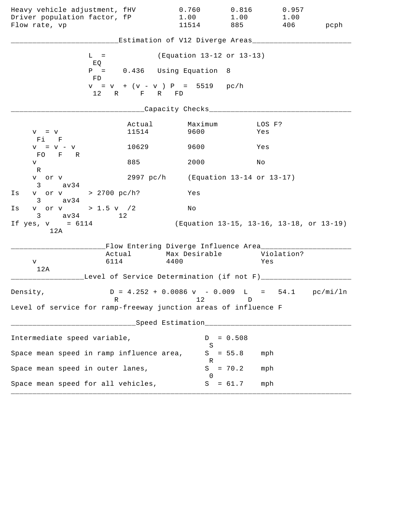| Heavy vehicle adjustment, fHV                                   |                                                  | 0.760                                                                     | 0.816                                    | 0.957             |      |
|-----------------------------------------------------------------|--------------------------------------------------|---------------------------------------------------------------------------|------------------------------------------|-------------------|------|
| Driver population factor, fP<br>Flow rate, vp                   |                                                  | 1.00<br>11514                                                             | 1.00<br>885                              | 1.00<br>406       | pcph |
|                                                                 |                                                  |                                                                           |                                          |                   |      |
|                                                                 |                                                  | Estimation of V12 Diverge Areas__________                                 |                                          |                   |      |
|                                                                 | $L =$                                            | (Equation 13-12 or 13-13)                                                 |                                          |                   |      |
|                                                                 | EQ<br>$P =$                                      | 0.436 Using Equation 8                                                    |                                          |                   |      |
|                                                                 | FD                                               |                                                                           |                                          |                   |      |
|                                                                 | $v = v + (v - v) P = 5519 pc/h$<br>12 R F R FD   |                                                                           |                                          |                   |      |
|                                                                 |                                                  | ____Capacity Checks__________                                             |                                          |                   |      |
| $V = V$                                                         | Actual<br>11514                                  | Maximum<br>9600                                                           | Yes                                      | LOS F?            |      |
| Fi F<br>$V = V - V$                                             | 10629                                            | 9600                                                                      | Yes                                      |                   |      |
| FO F R<br>V                                                     | 885                                              | 2000                                                                      | Νo                                       |                   |      |
| $\mathbb R$<br>v or v                                           |                                                  | 2997 pc/h (Equation 13-14 or 13-17)                                       |                                          |                   |      |
| $3 \sim$<br>av34<br>Is                                          | v or v > 2700 pc/h?                              | Yes                                                                       |                                          |                   |      |
| $3 \text{ av } 34$<br>v or v > 1.5 v $/2$<br>Is                 |                                                  | Νo                                                                        |                                          |                   |      |
| $3 \text{ av } 34$<br>If $yes, v = 6114$<br>12A                 | 12 <sup>°</sup>                                  |                                                                           | (Equation 13-15, 13-16, 13-18, or 13-19) |                   |      |
|                                                                 | Flow Entering Diverge Influence Area________     |                                                                           |                                          |                   |      |
| V                                                               | 6114                                             | Actual Max Desirable<br>4400                                              |                                          | Violation?<br>Yes |      |
| 12A                                                             | Level of Service Determination (if not F)_______ |                                                                           |                                          |                   |      |
| Density,                                                        |                                                  | $D = 4.252 + 0.0086 \text{ v} - 0.009 \text{ L} = 54.1 \text{ pc/min/ln}$ |                                          |                   |      |
| Level of service for ramp-freeway junction areas of influence F | R                                                | 12                                                                        | D                                        |                   |      |
|                                                                 |                                                  | ___Speed Estimation_____________________                                  |                                          |                   |      |
| Intermediate speed variable,                                    |                                                  | D                                                                         | $= 0.508$                                |                   |      |
|                                                                 |                                                  | S                                                                         |                                          |                   |      |
|                                                                 | Space mean speed in ramp influence area,         | S<br>R                                                                    | $= 55.8$                                 | mph               |      |
| Space mean speed in outer lanes,                                |                                                  | S<br>$\Omega$                                                             | $= 70.2$                                 | mph               |      |
| Space mean speed for all vehicles,                              |                                                  | S                                                                         | $= 61.7$                                 | mph               |      |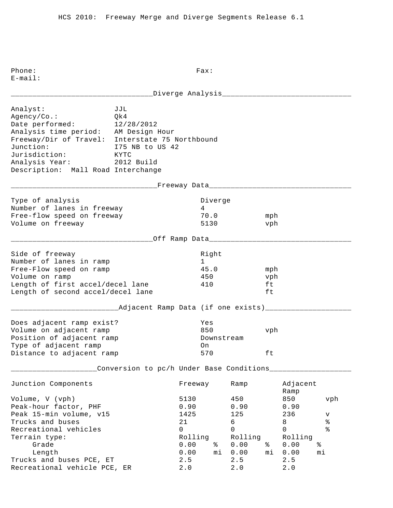\_\_\_\_\_\_\_\_\_\_\_\_\_\_\_\_\_\_\_\_\_\_\_\_\_\_\_\_\_\_\_\_\_Diverge Analysis\_\_\_\_\_\_\_\_\_\_\_\_\_\_\_\_\_\_\_\_\_\_\_\_\_\_\_\_\_\_ Analyst: JJL Agency/Co.: Qk4 Date performed: 12/28/2012 Analysis time period: AM Design Hour Freeway/Dir of Travel: Interstate 75 Northbound Junction: I75 NB to US 42<br>Jurisdiction: KYTC Jurisdiction: Analysis Year: 2012 Build Description: Mall Road Interchange \_\_\_\_\_\_\_\_\_\_\_\_\_\_\_\_\_\_\_\_\_\_\_\_\_\_\_\_\_\_\_\_\_\_Freeway Data\_\_\_\_\_\_\_\_\_\_\_\_\_\_\_\_\_\_\_\_\_\_\_\_\_\_\_\_\_\_\_\_\_ Type of analysis and the Diverge of analysis and the Diverge Number of lanes in freeway 14 Free-flow speed on freeway 70.0 mph Volume on freeway 5130 vph \_\_\_\_\_\_\_\_\_\_\_\_\_\_\_\_\_\_\_\_\_\_\_\_\_\_\_\_\_\_\_\_\_Off Ramp Data\_\_\_\_\_\_\_\_\_\_\_\_\_\_\_\_\_\_\_\_\_\_\_\_\_\_\_\_\_\_\_\_\_ Side of freeway and the state of the state of the state of the state of the state of the state of the state of Number of lanes in ramp 1 Free-Flow speed on ramp and the set of 45.0 mph Volume on ramp  $\sim$  450 vph Length of first accel/decel lane 410 ft Length of second accel/decel lane ft \_\_\_\_\_\_\_\_\_\_\_\_\_\_\_\_\_\_\_\_\_\_\_\_\_Adjacent Ramp Data (if one exists)\_\_\_\_\_\_\_\_\_\_\_\_\_\_\_\_\_\_\_\_ Does adjacent ramp exist? Yes Volume on adjacent ramp and the set of  $\lambda$  850 vph Position of adjacent ramp  $\qquad \qquad$  Downstream Type of adjacent ramp on Distance to adjacent ramp 570 ft \_\_\_\_\_\_\_\_\_\_\_\_\_\_\_\_\_\_\_\_Conversion to pc/h Under Base Conditions\_\_\_\_\_\_\_\_\_\_\_\_\_\_\_\_\_\_\_ Junction Components Freeway Ramp Adjacent Ramp Volume, V (vph) 5130 450 850 vph Peak-hour factor, PHF 0.90 0.90 0.90 0.90 Peak 15-min volume, v15 1425 125 125 236 v Trucks and buses<br>
Recreational vehicles<br>
Recreational vehicles<br>
8<br>
8<br>
8<br>
8<br>
8<br>
8<br>
8<br>
8<br>
8<br>
8<br>
8<br>
8 Recreational vehicles and the control of the control of  $\sim$  0 0 0 % Terrain type: Terrain type: Terrain type: Rolling Rolling Rolling Grade 0.00 % 0.00 % 0.00 % Length 0.00 mi 0.00 mi 0.00 mi Trucks and buses PCE, ET 2.5 2.5 2.5 Recreational vehicle PCE, ER 2.0 2.0 2.0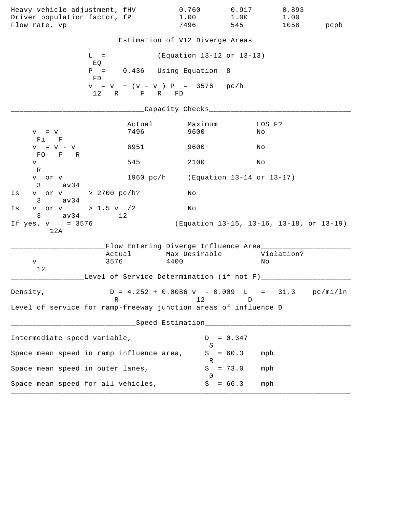| Heavy vehicle adjustment, fHV<br>Driver population factor, fP<br>Flow rate, vp |                | 0.760<br>1.00<br>7496                                                     | 0.917<br>1.00<br>545                     | 0.893<br>1.00<br>1058 | pcph |
|--------------------------------------------------------------------------------|----------------|---------------------------------------------------------------------------|------------------------------------------|-----------------------|------|
|                                                                                |                | Estimation of V12 Diverge Areas____________                               |                                          |                       |      |
| $L =$                                                                          |                | (Equation 13-12 or 13-13)                                                 |                                          |                       |      |
| EQ<br>FD                                                                       |                | $P = 0.436$ Using Equation 8                                              |                                          |                       |      |
|                                                                                | 12 R F R FD    | $v = v + (v - v) P = 3576 p c/h$                                          |                                          |                       |      |
|                                                                                |                | _Capacity Checks_________                                                 |                                          |                       |      |
| $V = V$<br>Fi F                                                                | Actual<br>7496 | Maximum<br>9600                                                           | No                                       | LOS F?                |      |
| $V = V - V$                                                                    | 6951           | 9600                                                                      | Νo                                       |                       |      |
| FO F R<br>V                                                                    | 545            | 2100                                                                      | Νo                                       |                       |      |
| R<br>v or v<br>$3 \text{ av34}$                                                |                | 1960 pc/h (Equation 13-14 or 13-17)                                       |                                          |                       |      |
| v or v > 2700 pc/h?<br>Is<br>$3 \text{ av } 34$                                |                | Νo                                                                        |                                          |                       |      |
| v or v > 1.5 v / 2<br>Is<br>$3 \text{ av } 34$                                 | 12             | No                                                                        |                                          |                       |      |
| If $yes, v = 3576$<br>12A                                                      |                |                                                                           | (Equation 13-15, 13-16, 13-18, or 13-19) |                       |      |
|                                                                                | Actual         | Flow Entering Diverge Influence Area________<br>Max Desirable             |                                          | Violation?            |      |
| 3576<br>V<br>12                                                                |                | 4400<br>Level of Service Determination (if not F)_________                |                                          | Νo                    |      |
| Density,                                                                       |                | $D = 4.252 + 0.0086 \text{ v} - 0.009 \text{ L} = 31.3 \text{ pc/min/ln}$ |                                          |                       |      |
| R<br>Level of service for ramp-freeway junction areas of influence D           |                | 12                                                                        | D                                        |                       |      |
|                                                                                |                | Speed Estimation____________________                                      |                                          |                       |      |
| Intermediate speed variable,                                                   |                | D                                                                         | $= 0.347$                                |                       |      |
| Space mean speed in ramp influence area,                                       |                | S<br>S                                                                    | $= 60.3$                                 | mph                   |      |
| Space mean speed in outer lanes,                                               |                | R<br>S                                                                    | $= 73.0$                                 | mph                   |      |
| Space mean speed for all vehicles,                                             |                | $\Omega$<br>S                                                             | $= 66.3$                                 | mph                   |      |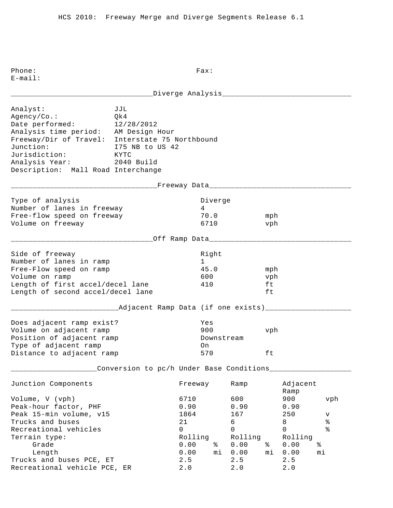\_\_\_\_\_\_\_\_\_\_\_\_\_\_\_\_\_\_\_\_\_\_\_\_\_\_\_\_\_\_\_\_\_Diverge Analysis\_\_\_\_\_\_\_\_\_\_\_\_\_\_\_\_\_\_\_\_\_\_\_\_\_\_\_\_\_\_ Analyst: JJL Agency/Co.: Qk4 Date performed: 12/28/2012 Analysis time period: AM Design Hour Freeway/Dir of Travel: Interstate 75 Northbound Junction: I75 NB to US 42<br>Jurisdiction: KYTC Jurisdiction: Analysis Year: 2040 Build Description: Mall Road Interchange \_\_\_\_\_\_\_\_\_\_\_\_\_\_\_\_\_\_\_\_\_\_\_\_\_\_\_\_\_\_\_\_\_\_Freeway Data\_\_\_\_\_\_\_\_\_\_\_\_\_\_\_\_\_\_\_\_\_\_\_\_\_\_\_\_\_\_\_\_\_ Type of analysis and the Diverge of analysis and the Diverge Number of lanes in freeway 14 Free-flow speed on freeway 70.0 mph Volume on freeway and the control of the control of the vehicle of the vehicle of the vehicle of the vehicle of the vehicle of the vehicle of the vehicle of the vehicle of the vehicle of the vehicle of the vehicle of the v \_\_\_\_\_\_\_\_\_\_\_\_\_\_\_\_\_\_\_\_\_\_\_\_\_\_\_\_\_\_\_\_\_Off Ramp Data\_\_\_\_\_\_\_\_\_\_\_\_\_\_\_\_\_\_\_\_\_\_\_\_\_\_\_\_\_\_\_\_\_ Side of freeway and the state of the state of the state of the state of the state of the state of the state of Number of lanes in ramp 1 Free-Flow speed on ramp and the set of 45.0 mph Volume on ramp 600 vph Length of first accel/decel lane 410 ft Length of second accel/decel lane ft \_\_\_\_\_\_\_\_\_\_\_\_\_\_\_\_\_\_\_\_\_\_\_\_\_Adjacent Ramp Data (if one exists)\_\_\_\_\_\_\_\_\_\_\_\_\_\_\_\_\_\_\_\_ Does adjacent ramp exist? Yes Volume on adjacent ramp 900 vph Position of adjacent ramp  $\qquad \qquad$  Downstream Type of adjacent ramp on Distance to adjacent ramp 570 ft \_\_\_\_\_\_\_\_\_\_\_\_\_\_\_\_\_\_\_\_Conversion to pc/h Under Base Conditions\_\_\_\_\_\_\_\_\_\_\_\_\_\_\_\_\_\_\_ Junction Components Freeway Ramp Adjacent Ramp Volume, V (vph) 6710 600 900 vph Peak-hour factor, PHF 0.90 0.90 0.90 0.90 Peak 15-min volume, v15 1864 167 250 v Trucks and buses<br>
Recreational vehicles<br>
Recreational vehicles<br>
8<br>
8<br>
8<br>
8<br>
8<br>
8<br>
8<br>
8<br>
8<br>
8<br>
8<br>
8 Recreational vehicles and the control of the control of  $\sim$  0 0 0 % Terrain type: Terrain type: Terrain type: Rolling Rolling Rolling Grade 0.00 % 0.00 % 0.00 % Length 0.00 mi 0.00 mi 0.00 mi Trucks and buses PCE, ET 2.5 2.5 2.5 Recreational vehicle PCE, ER 2.0 2.0 2.0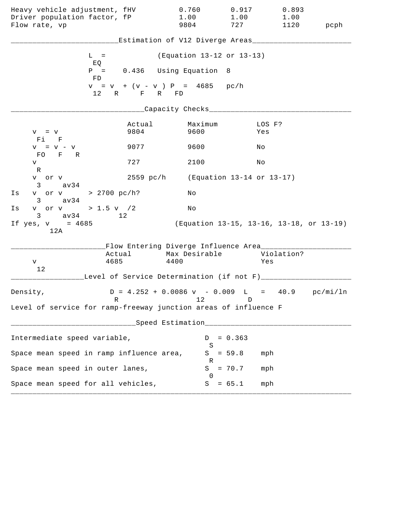| Heavy vehicle adjustment, fHV<br>Driver population factor, fP<br>Flow rate, vp |                | 0.760<br>1.00<br>9804                                                           | 0.917<br>1.00<br>727 | 0.893<br>1.00<br>1120                    | pcph |
|--------------------------------------------------------------------------------|----------------|---------------------------------------------------------------------------------|----------------------|------------------------------------------|------|
|                                                                                |                | Estimation of V12 Diverge Areas___________                                      |                      |                                          |      |
| $L =$                                                                          |                | (Equation 13-12 or 13-13)                                                       |                      |                                          |      |
| EQ<br>FD                                                                       |                | $P = 0.436$ Using Equation 8                                                    |                      |                                          |      |
|                                                                                | 12 R F R FD    | $v = v + (v - v) P = 4685 pc/h$                                                 |                      |                                          |      |
|                                                                                |                | _Capacity Checks____                                                            |                      |                                          |      |
| $V = V$<br>Fi F                                                                | Actual<br>9804 | Maximum<br>9600                                                                 |                      | LOS F?<br>Yes                            |      |
| $V = V - V$                                                                    | 9077           | 9600                                                                            | Νo                   |                                          |      |
| FO F R<br>V<br>R                                                               | 727            | 2100                                                                            | Νo                   |                                          |      |
| v or v<br>$3 \text{ av34}$                                                     |                | 2559 pc/h (Equation 13-14 or 13-17)                                             |                      |                                          |      |
| v or v > 2700 pc/h?<br>Is<br>$3 \text{ av } 34$                                |                | Νo                                                                              |                      |                                          |      |
| v or v > 1.5 v / 2<br>Is<br>$3 \text{ av } 34$                                 | 12             | No                                                                              |                      |                                          |      |
| If $yes, v = 4685$<br>12A                                                      |                |                                                                                 |                      | (Equation 13-15, 13-16, 13-18, or 13-19) |      |
|                                                                                |                | Flow Entering Diverge Influence Area________                                    |                      |                                          |      |
| 4685<br>V                                                                      | Actual         | Max Desirable<br>4400                                                           |                      | Violation?<br>Yes                        |      |
| 12                                                                             |                | Level of Service Determination (if not F)________                               |                      |                                          |      |
| Density,<br>R                                                                  |                | $D = 4.252 + 0.0086 \text{ v} - 0.009 \text{ L} = 40.9 \text{ pc/min/ln}$<br>12 | D                    |                                          |      |
| Level of service for ramp-freeway junction areas of influence F                |                |                                                                                 |                      |                                          |      |
|                                                                                |                | Speed Estimation____________________                                            |                      |                                          |      |
| Intermediate speed variable,                                                   |                | D                                                                               | $= 0.363$            |                                          |      |
| Space mean speed in ramp influence area,                                       |                | S<br>S                                                                          | $= 59.8$             | mph                                      |      |
| Space mean speed in outer lanes,                                               |                | R<br>S                                                                          | $= 70.7$             | mph                                      |      |
| Space mean speed for all vehicles,                                             |                | $\Omega$<br>S                                                                   | $= 65.1$             | mph                                      |      |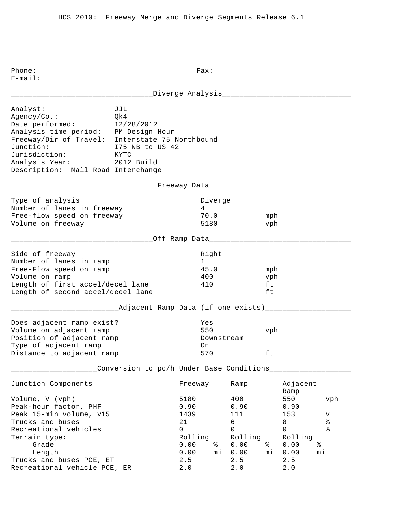\_\_\_\_\_\_\_\_\_\_\_\_\_\_\_\_\_\_\_\_\_\_\_\_\_\_\_\_\_\_\_\_\_Diverge Analysis\_\_\_\_\_\_\_\_\_\_\_\_\_\_\_\_\_\_\_\_\_\_\_\_\_\_\_\_\_\_ Analyst: JJL Agency/Co.: Qk4 Date performed: 12/28/2012 Analysis time period: PM Design Hour Freeway/Dir of Travel: Interstate 75 Northbound Junction: I75 NB to US 42<br>Jurisdiction: KYTC Jurisdiction: Analysis Year: 2012 Build Description: Mall Road Interchange \_\_\_\_\_\_\_\_\_\_\_\_\_\_\_\_\_\_\_\_\_\_\_\_\_\_\_\_\_\_\_\_\_\_Freeway Data\_\_\_\_\_\_\_\_\_\_\_\_\_\_\_\_\_\_\_\_\_\_\_\_\_\_\_\_\_\_\_\_\_ Type of analysis and the Diverge of analysis and the Diverge Number of lanes in freeway 1988 1989 Free-flow speed on freeway 70.0 mph Volume on freeway 5180 vph \_\_\_\_\_\_\_\_\_\_\_\_\_\_\_\_\_\_\_\_\_\_\_\_\_\_\_\_\_\_\_\_\_Off Ramp Data\_\_\_\_\_\_\_\_\_\_\_\_\_\_\_\_\_\_\_\_\_\_\_\_\_\_\_\_\_\_\_\_\_ Side of freeway and the state of the state of the state of the state of the state of the state of the state of Number of lanes in ramp 1 Free-Flow speed on ramp and the set of 45.0 mph Volume on ramp  $\begin{array}{ccc} 400 & & \text{vph} \end{array}$ Length of first accel/decel lane 410 ft Length of second accel/decel lane ft \_\_\_\_\_\_\_\_\_\_\_\_\_\_\_\_\_\_\_\_\_\_\_\_\_Adjacent Ramp Data (if one exists)\_\_\_\_\_\_\_\_\_\_\_\_\_\_\_\_\_\_\_\_ Does adjacent ramp exist? Yes Volume on adjacent ramp 550 vph Position of adjacent ramp  $\qquad \qquad$  Downstream Type of adjacent ramp on Distance to adjacent ramp 570 ft \_\_\_\_\_\_\_\_\_\_\_\_\_\_\_\_\_\_\_\_Conversion to pc/h Under Base Conditions\_\_\_\_\_\_\_\_\_\_\_\_\_\_\_\_\_\_\_ Junction Components Freeway Ramp Adjacent Ramp Volume, V (vph) 5180 400 550 vph Peak-hour factor, PHF 0.90 0.90 0.90 0.90 Peak 15-min volume, v15 1439 111 153 v Trucks and buses 21 6 8 % Recreational vehicles and the control of the control of  $\sim$  0 0 0 % Terrain type: Terrain type: Terrain type: Rolling Rolling Rolling Grade 0.00 % 0.00 % 0.00 % Length 0.00 mi 0.00 mi 0.00 mi Trucks and buses PCE, ET 2.5 2.5 2.5 Recreational vehicle PCE, ER 2.0 2.0 2.0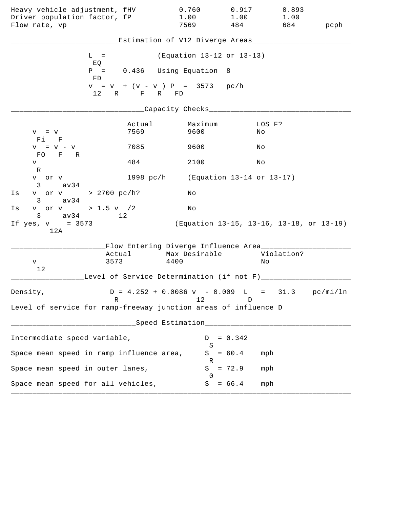| Heavy vehicle adjustment, fHV<br>Driver population factor, fP   |                                                 | 0.760<br>1.00                                                             | 0.917<br>1.00                            | 0.893<br>1.00 |      |
|-----------------------------------------------------------------|-------------------------------------------------|---------------------------------------------------------------------------|------------------------------------------|---------------|------|
| Flow rate, vp                                                   |                                                 | 7569                                                                      | 484                                      | 684           | pcph |
|                                                                 |                                                 | Estimation of V12 Diverge Areas________                                   |                                          |               |      |
| $L =$                                                           |                                                 | (Equation 13-12 or 13-13)                                                 |                                          |               |      |
| EQ<br>$P =$<br>FD                                               |                                                 | 0.436 Using Equation 8                                                    |                                          |               |      |
|                                                                 | $v = v + (v - v) P = 3573 pc/h$<br>12 R F R FD  |                                                                           |                                          |               |      |
|                                                                 |                                                 | ____Capacity Checks____                                                   |                                          |               |      |
| $V = V$<br>Fi F                                                 | Actual<br>7569                                  | Maximum<br>9600                                                           | Νo                                       | LOS F?        |      |
| $V = V - V$<br>FO F R                                           | 7085                                            | 9600                                                                      | Νo                                       |               |      |
| V<br>R                                                          | 484                                             | 2100                                                                      | No                                       |               |      |
| v or v<br>$3 \text{ av } 34$                                    |                                                 | 1998 pc/h (Equation 13-14 or 13-17)                                       |                                          |               |      |
| v or v > 2700 pc/h?<br>Is<br>$3 \text{ av } 34$                 |                                                 | Νo                                                                        |                                          |               |      |
| v or v > 1.5 v / 2<br>Is<br>$3 \text{ av } 34$                  | 12 <sup>°</sup>                                 | No                                                                        |                                          |               |      |
| If $yes, v = 3573$<br>12A                                       |                                                 |                                                                           | (Equation 13-15, 13-16, 13-18, or 13-19) |               |      |
|                                                                 | Flow Entering Diverge Influence Area________    |                                                                           |                                          |               |      |
| V                                                               | Actual<br>3573                                  | Max Desirable<br>4400                                                     | Νo                                       | Violation?    |      |
| 12                                                              | Level of Service Determination (if not F)______ |                                                                           |                                          |               |      |
| Density,                                                        |                                                 | $D = 4.252 + 0.0086 \text{ v} - 0.009 \text{ L} = 31.3 \text{ pc/min/ln}$ |                                          |               |      |
| Level of service for ramp-freeway junction areas of influence D | R                                               | 12                                                                        | D                                        |               |      |
|                                                                 |                                                 |                                                                           |                                          |               |      |
| Intermediate speed variable,                                    |                                                 | D                                                                         | $= 0.342$                                |               |      |
| Space mean speed in ramp influence area,                        |                                                 | S<br>S                                                                    | $= 60.4$                                 | mph           |      |
| Space mean speed in outer lanes,                                |                                                 | R<br>S                                                                    | $= 72.9$                                 | mph           |      |
| Space mean speed for all vehicles,                              |                                                 | $\Omega$<br>S                                                             | $= 66.4$                                 | mph           |      |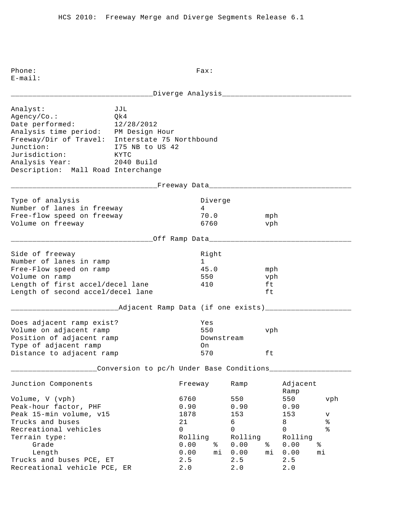\_\_\_\_\_\_\_\_\_\_\_\_\_\_\_\_\_\_\_\_\_\_\_\_\_\_\_\_\_\_\_\_\_Diverge Analysis\_\_\_\_\_\_\_\_\_\_\_\_\_\_\_\_\_\_\_\_\_\_\_\_\_\_\_\_\_\_ Analyst: JJL Agency/Co.: Qk4 Date performed: 12/28/2012 Analysis time period: PM Design Hour Freeway/Dir of Travel: Interstate 75 Northbound Junction: I75 NB to US 42<br>Jurisdiction: KYTC Jurisdiction: Analysis Year: 2040 Build Description: Mall Road Interchange \_\_\_\_\_\_\_\_\_\_\_\_\_\_\_\_\_\_\_\_\_\_\_\_\_\_\_\_\_\_\_\_\_\_Freeway Data\_\_\_\_\_\_\_\_\_\_\_\_\_\_\_\_\_\_\_\_\_\_\_\_\_\_\_\_\_\_\_\_\_ Type of analysis and the Diverge of analysis and the Diverge Number of lanes in freeway 1988 1989 Free-flow speed on freeway 70.0 mph Volume on freeway and the control of  $\sim$  6760 vph \_\_\_\_\_\_\_\_\_\_\_\_\_\_\_\_\_\_\_\_\_\_\_\_\_\_\_\_\_\_\_\_\_Off Ramp Data\_\_\_\_\_\_\_\_\_\_\_\_\_\_\_\_\_\_\_\_\_\_\_\_\_\_\_\_\_\_\_\_\_ Side of freeway and the state of the state of the state of the state of the state of the state of the state of Number of lanes in ramp 1 Free-Flow speed on ramp and the set of 45.0 mph Volume on ramp 550 vph Length of first accel/decel lane 410 ft Length of second accel/decel lane ft \_\_\_\_\_\_\_\_\_\_\_\_\_\_\_\_\_\_\_\_\_\_\_\_\_Adjacent Ramp Data (if one exists)\_\_\_\_\_\_\_\_\_\_\_\_\_\_\_\_\_\_\_\_ Does adjacent ramp exist? Yes Volume on adjacent ramp 550 vph Position of adjacent ramp  $\qquad \qquad$  Downstream Type of adjacent ramp on Distance to adjacent ramp 570 ft \_\_\_\_\_\_\_\_\_\_\_\_\_\_\_\_\_\_\_\_Conversion to pc/h Under Base Conditions\_\_\_\_\_\_\_\_\_\_\_\_\_\_\_\_\_\_\_ Junction Components Freeway Ramp Adjacent Ramp Volume, V (vph) 6760 550 550 vph Peak-hour factor, PHF 0.90 0.90 0.90 0.90 Peak 15-min volume, v15 1878 1878 153 v Trucks and buses 21 6 8 % Recreational vehicles and the control of the control of  $\sim$  0 0 0 % Terrain type: Terrain type: Terrain type: Rolling Rolling Rolling Grade 0.00 % 0.00 % 0.00 % Length 0.00 mi 0.00 mi 0.00 mi Trucks and buses PCE, ET 2.5 2.5 2.5 Recreational vehicle PCE, ER 2.0 2.0 2.0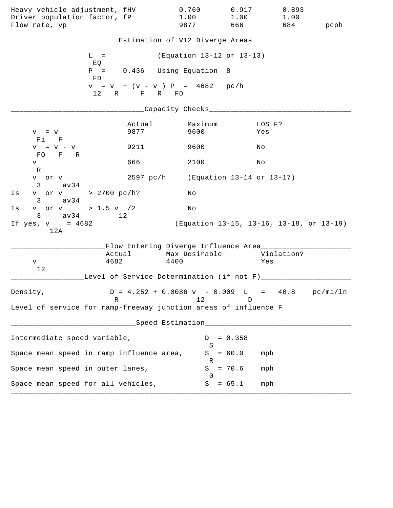| Heavy vehicle adjustment, fHV<br>Driver population factor, fP<br>Flow rate, vp |                                                                           | 0.760<br>1.00<br>9877                   | 0.917<br>1.00<br>666 11                  | 0.893<br>1.00<br>684 | pcph |
|--------------------------------------------------------------------------------|---------------------------------------------------------------------------|-----------------------------------------|------------------------------------------|----------------------|------|
|                                                                                |                                                                           | Estimation of V12 Diverge Areas________ |                                          |                      |      |
|                                                                                | $L =$                                                                     | (Equation 13-12 or 13-13)               |                                          |                      |      |
|                                                                                | EQ<br>$P =$                                                               | 0.436 Using Equation 8                  |                                          |                      |      |
|                                                                                | FD<br>$v = v + (v - v) P = 4682$ pc/h<br>12 R F R FD                      |                                         |                                          |                      |      |
|                                                                                |                                                                           | ____Capacity Checks____                 |                                          |                      |      |
| $V = V$<br>Fi F                                                                | Actual<br>9877                                                            | Maximum<br>9600                         | Yes                                      | LOS F?               |      |
| $V = V - V$<br>FO F R                                                          | 9211                                                                      | 9600                                    | Νo                                       |                      |      |
| V                                                                              | 666                                                                       | 2100                                    | No                                       |                      |      |
| R<br>v or v<br>$3 \text{ av } 34$                                              |                                                                           | 2597 pc/h (Equation 13-14 or 13-17)     |                                          |                      |      |
| v or v > 2700 pc/h?<br>Is                                                      |                                                                           | Νo                                      |                                          |                      |      |
| $3 \text{ av } 34$<br>v or v > 1.5 v / 2<br>Is                                 |                                                                           | No                                      |                                          |                      |      |
| $3 \text{ av } 34$<br>If $yes, v = 4682$<br>12A                                | 12 <sup>°</sup>                                                           |                                         | (Equation 13-15, 13-16, 13-18, or 13-19) |                      |      |
|                                                                                | Flow Entering Diverge Influence Area________                              |                                         |                                          |                      |      |
| V                                                                              | Actual<br>4682                                                            | Max Desirable<br>4400                   |                                          | Violation?<br>Yes    |      |
| 12                                                                             | Level of Service Determination (if not F)______                           |                                         |                                          |                      |      |
| Density,                                                                       | $D = 4.252 + 0.0086 \text{ v} - 0.009 \text{ L} = 40.8 \text{ pc/min/ln}$ |                                         |                                          |                      |      |
| Level of service for ramp-freeway junction areas of influence F                | R                                                                         | 12                                      | D                                        |                      |      |
|                                                                                |                                                                           | Speed Estimation ____________           |                                          |                      |      |
| Intermediate speed variable,                                                   |                                                                           | D                                       | $= 0.358$                                |                      |      |
| Space mean speed in ramp influence area,                                       |                                                                           | S<br>S                                  | $= 60.0$                                 | mph                  |      |
| Space mean speed in outer lanes,                                               |                                                                           | R<br>S                                  | $= 70.6$                                 | mph                  |      |
| Space mean speed for all vehicles,                                             |                                                                           | $\Omega$<br>S                           | $= 65.1$                                 | mph                  |      |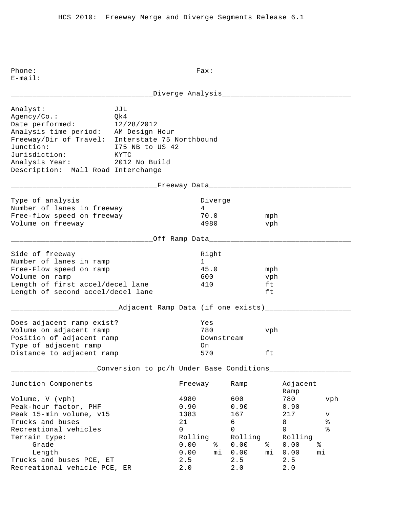\_\_\_\_\_\_\_\_\_\_\_\_\_\_\_\_\_\_\_\_\_\_\_\_\_\_\_\_\_\_\_\_\_Diverge Analysis\_\_\_\_\_\_\_\_\_\_\_\_\_\_\_\_\_\_\_\_\_\_\_\_\_\_\_\_\_\_ Analyst: JJL Agency/Co.: Qk4 Date performed: 12/28/2012 Analysis time period: AM Design Hour Freeway/Dir of Travel: Interstate 75 Northbound Junction: I75 NB to US 42<br>Jurisdiction: KYTC Jurisdiction: Analysis Year: 2012 No Build Description: Mall Road Interchange \_\_\_\_\_\_\_\_\_\_\_\_\_\_\_\_\_\_\_\_\_\_\_\_\_\_\_\_\_\_\_\_\_\_Freeway Data\_\_\_\_\_\_\_\_\_\_\_\_\_\_\_\_\_\_\_\_\_\_\_\_\_\_\_\_\_\_\_\_\_ Type of analysis and the Diverge of analysis and the Diverge Number of lanes in freeway 1988 1989 Free-flow speed on freeway 70.0 mph Volume on freeway and the settlement of the settlement of the 4980 vph \_\_\_\_\_\_\_\_\_\_\_\_\_\_\_\_\_\_\_\_\_\_\_\_\_\_\_\_\_\_\_\_\_Off Ramp Data\_\_\_\_\_\_\_\_\_\_\_\_\_\_\_\_\_\_\_\_\_\_\_\_\_\_\_\_\_\_\_\_\_ Side of freeway and the state of the state of the state of the state of the state of the state of the state of Number of lanes in ramp 1 Free-Flow speed on ramp and the set of 45.0 mph Volume on ramp 600 vph Length of first accel/decel lane 410 ft Length of second accel/decel lane ft \_\_\_\_\_\_\_\_\_\_\_\_\_\_\_\_\_\_\_\_\_\_\_\_\_Adjacent Ramp Data (if one exists)\_\_\_\_\_\_\_\_\_\_\_\_\_\_\_\_\_\_\_\_ Does adjacent ramp exist? Yes Volume on adjacent ramp 780 vph Position of adjacent ramp  $\qquad \qquad$  Downstream Type of adjacent ramp on Distance to adjacent ramp 570 ft \_\_\_\_\_\_\_\_\_\_\_\_\_\_\_\_\_\_\_\_Conversion to pc/h Under Base Conditions\_\_\_\_\_\_\_\_\_\_\_\_\_\_\_\_\_\_\_ Junction Components Freeway Ramp Adjacent Ramp Volume, V (vph) 4980 600 780 vph Peak-hour factor, PHF 0.90 0.90 0.90 0.90 Peak 15-min volume, v15 1383 167 217 v Trucks and buses  $21$  6<br>Recreational vehicles 6 8 8 % Recreational vehicles and the control of the control of  $\sim$  0 0 0 % Terrain type: Terrain type: Terrain type: Rolling Rolling Rolling Grade 0.00 % 0.00 % 0.00 % Length 0.00 mi 0.00 mi 0.00 mi Trucks and buses PCE, ET 2.5 2.5 2.5 Recreational vehicle PCE, ER 2.0 2.0 2.0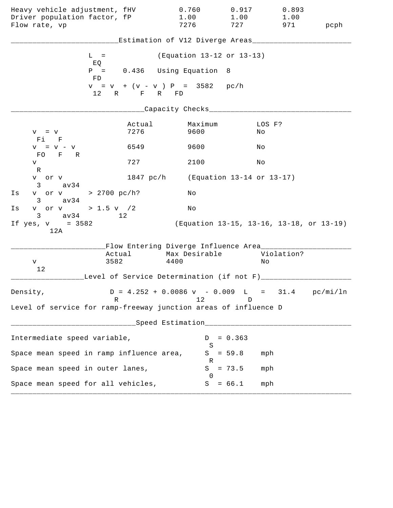| Heavy vehicle adjustment, fHV<br>Driver population factor, fP<br>Flow rate, vp |                | 0.760<br>1.00<br>7276                                  | 0.917<br>1.00<br>727                     | 0.893<br>1.00<br>971 | pcph |
|--------------------------------------------------------------------------------|----------------|--------------------------------------------------------|------------------------------------------|----------------------|------|
|                                                                                |                | Estimation of V12 Diverge Areas___                     |                                          |                      |      |
| $L =$                                                                          |                | (Equation 13-12 or 13-13)                              |                                          |                      |      |
| EQ<br>FD.                                                                      |                | $P = 0.436$ Using Equation                             | - 8                                      |                      |      |
|                                                                                | 12 R F R FD    | $v = v + (v - v) P = 3582$ pc/h                        |                                          |                      |      |
|                                                                                |                | __Capacity Checks__                                    |                                          |                      |      |
| $V = V$<br>Fi F                                                                | Actual<br>7276 | Maximum<br>9600                                        | Νo                                       | LOS F?               |      |
| $V = V - V$                                                                    | 6549           | 9600                                                   | Νo                                       |                      |      |
| FO F R<br>V                                                                    | 727            | 2100                                                   | Νo                                       |                      |      |
| R<br>v or v<br>$3 \text{ av } 34$                                              | 1847 pc/h      |                                                        | (Equation 13-14 or 13-17)                |                      |      |
| v or v > 2700 pc/h?<br>Is<br>$3 \text{ av}34$                                  |                | Νo                                                     |                                          |                      |      |
| v or v > 1.5 v / 2<br>Is<br>$3 \text{ av } 34$                                 | 12             | Νo                                                     |                                          |                      |      |
| If $yes, v = 3582$<br>12A                                                      |                |                                                        | (Equation 13-15, 13-16, 13-18, or 13-19) |                      |      |
|                                                                                |                | Flow Entering Diverge Influence Area                   |                                          |                      |      |
| V                                                                              | Actual<br>3582 | Max Desirable<br>4400                                  | Νo                                       | Violation?           |      |
| 12                                                                             |                | Level of Service Determination (if not F)______        |                                          |                      |      |
| Density,                                                                       | R              | $D = 4.252 + 0.0086$ v - 0.009 L = 31.4 pc/mi/ln<br>12 | D                                        |                      |      |
| Level of service for ramp-freeway junction areas of influence D                |                |                                                        |                                          |                      |      |
|                                                                                |                | ____Speed Estimation_________________                  |                                          |                      |      |
| Intermediate speed variable,                                                   |                | D                                                      | $= 0.363$                                |                      |      |
| Space mean speed in ramp influence area,                                       |                | S                                                      | $S = 59.8$                               | mph                  |      |
| Space mean speed in outer lanes,                                               |                | R<br>S                                                 | $= 73.5$                                 | mph                  |      |
| Space mean speed for all vehicles,                                             |                | $\Omega$                                               | $S = 66.1$                               | mph                  |      |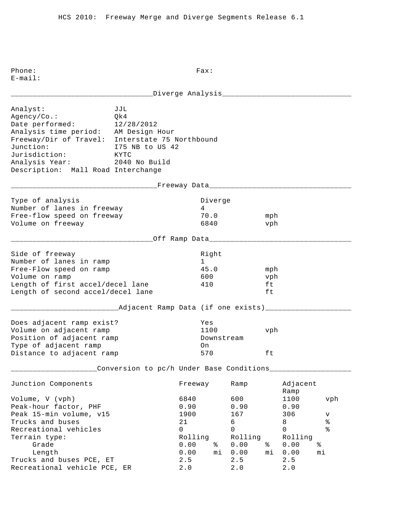\_\_\_\_\_\_\_\_\_\_\_\_\_\_\_\_\_\_\_\_\_\_\_\_\_\_\_\_\_\_\_\_\_Diverge Analysis\_\_\_\_\_\_\_\_\_\_\_\_\_\_\_\_\_\_\_\_\_\_\_\_\_\_\_\_\_\_ Analyst: JJL Agency/Co.: Qk4 Date performed: 12/28/2012 Analysis time period: AM Design Hour Freeway/Dir of Travel: Interstate 75 Northbound Junction: I75 NB to US 42<br>Jurisdiction: KYTC Jurisdiction: Analysis Year: 2040 No Build Description: Mall Road Interchange \_\_\_\_\_\_\_\_\_\_\_\_\_\_\_\_\_\_\_\_\_\_\_\_\_\_\_\_\_\_\_\_\_\_Freeway Data\_\_\_\_\_\_\_\_\_\_\_\_\_\_\_\_\_\_\_\_\_\_\_\_\_\_\_\_\_\_\_\_\_ Type of analysis and the Diverge of analysis and the Diverge Number of lanes in freeway 1988 1989 Free-flow speed on freeway 70.0 mph Volume on freeway and the control of the control of the control of the control of the vehicle of the vehicle of the vehicle of the vehicle of the vehicle of the vehicle of the vehicle of the vehicle of the vehicle of the v \_\_\_\_\_\_\_\_\_\_\_\_\_\_\_\_\_\_\_\_\_\_\_\_\_\_\_\_\_\_\_\_\_Off Ramp Data\_\_\_\_\_\_\_\_\_\_\_\_\_\_\_\_\_\_\_\_\_\_\_\_\_\_\_\_\_\_\_\_\_ Side of freeway and the state of the state of the state of the state of the state of the state of the state of Number of lanes in ramp 1 Free-Flow speed on ramp and the set of 45.0 mph Volume on ramp 600 vph Length of first accel/decel lane 410 ft Length of second accel/decel lane ft \_\_\_\_\_\_\_\_\_\_\_\_\_\_\_\_\_\_\_\_\_\_\_\_\_Adjacent Ramp Data (if one exists)\_\_\_\_\_\_\_\_\_\_\_\_\_\_\_\_\_\_\_\_ Does adjacent ramp exist? Yes Volume on adjacent ramp 1100 vph Position of adjacent ramp  $\qquad \qquad$  Downstream Type of adjacent ramp on Distance to adjacent ramp 570 ft \_\_\_\_\_\_\_\_\_\_\_\_\_\_\_\_\_\_\_\_Conversion to pc/h Under Base Conditions\_\_\_\_\_\_\_\_\_\_\_\_\_\_\_\_\_\_\_ Junction Components Freeway Ramp Adjacent Ramp Volume, V (vph) 6840 600 1100 vph Peak-hour factor, PHF 0.90 0.90 0.90 0.90 Peak 15-min volume, v15 1900 167 306 v Trucks and buses<br>
Recreational vehicles<br>
Recreational vehicles<br>
8<br>
8<br>
8<br>
8<br>
8<br>
8<br>
8<br>
8<br>
8<br>
8<br>
8<br>
8 Recreational vehicles and the control of the control of  $\sim$  0 0 0 % Terrain type: Terrain type: Terrain type: Rolling Rolling Rolling Grade 0.00 % 0.00 % 0.00 % Length 0.00 mi 0.00 mi 0.00 mi Trucks and buses PCE, ET 2.5 2.5 2.5 Recreational vehicle PCE, ER 2.0 2.0 2.0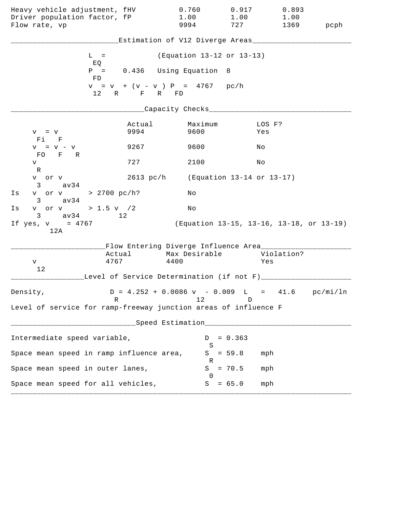| Heavy vehicle adjustment, fHV<br>Driver population factor, fP<br>Flow rate, vp |                | 0.760<br>1.00<br>9994                                                           | 0.917<br>1.00<br>727 | 0.893<br>1.00                            | 1369 pcph |
|--------------------------------------------------------------------------------|----------------|---------------------------------------------------------------------------------|----------------------|------------------------------------------|-----------|
|                                                                                |                | Estimation of V12 Diverge Areas___________                                      |                      |                                          |           |
| $L =$                                                                          |                | (Equation 13-12 or 13-13)                                                       |                      |                                          |           |
| EQ<br>FD                                                                       |                | $P = 0.436$ Using Equation 8                                                    |                      |                                          |           |
|                                                                                | 12 R F R FD    | $v = v + (v - v) P = 4767 pc/h$                                                 |                      |                                          |           |
|                                                                                |                | _Capacity Checks____                                                            |                      |                                          |           |
| $V = V$<br>Fi F                                                                | Actual<br>9994 | Maximum<br>9600                                                                 |                      | LOS F?<br>Yes                            |           |
| $V = V - V$                                                                    | 9267           | 9600                                                                            |                      | Νo                                       |           |
| FO F R<br>V<br>R                                                               | 727            | 2100                                                                            |                      | Νo                                       |           |
| v or v<br>$3 \text{ av34}$                                                     |                | 2613 pc/h (Equation 13-14 or 13-17)                                             |                      |                                          |           |
| v or v > 2700 pc/h?<br>Is<br>$3 \text{ av } 34$                                |                | Νo                                                                              |                      |                                          |           |
| v or v > 1.5 v / 2<br>Is<br>$3 \text{ av } 34$                                 | 12             | No                                                                              |                      |                                          |           |
| If yes, $v = 4767$<br>12A                                                      |                |                                                                                 |                      | (Equation 13-15, 13-16, 13-18, or 13-19) |           |
|                                                                                |                | Flow Entering Diverge Influence Area_______                                     |                      |                                          |           |
| 4767<br>V                                                                      | Actual         | Max Desirable<br>4400                                                           |                      | Violation?<br>Yes                        |           |
| 12                                                                             |                | Level of Service Determination (if not F)________                               |                      |                                          |           |
| Density,<br>R                                                                  |                | $D = 4.252 + 0.0086 \text{ v} - 0.009 \text{ L} = 41.6 \text{ pc/min/ln}$<br>12 | D                    |                                          |           |
| Level of service for ramp-freeway junction areas of influence F                |                |                                                                                 |                      |                                          |           |
|                                                                                |                | Speed Estimation____________________                                            |                      |                                          |           |
| Intermediate speed variable,                                                   |                | D                                                                               | $= 0.363$            |                                          |           |
| Space mean speed in ramp influence area,                                       |                | S<br>S                                                                          | $= 59.8$             | mph                                      |           |
| Space mean speed in outer lanes,                                               |                | R<br>S<br>$\Omega$                                                              | $= 70.5$             | mph                                      |           |
| Space mean speed for all vehicles,                                             |                | S                                                                               | $= 65.0$             | mph                                      |           |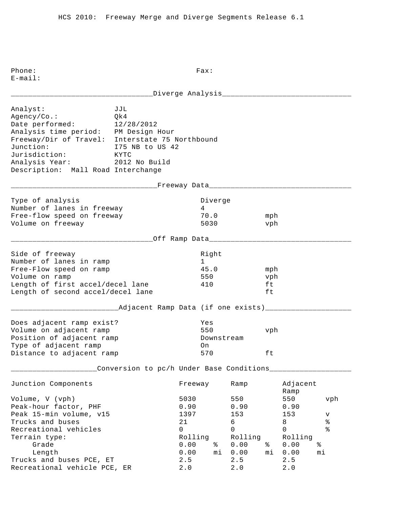\_\_\_\_\_\_\_\_\_\_\_\_\_\_\_\_\_\_\_\_\_\_\_\_\_\_\_\_\_\_\_\_\_Diverge Analysis\_\_\_\_\_\_\_\_\_\_\_\_\_\_\_\_\_\_\_\_\_\_\_\_\_\_\_\_\_\_ Analyst: JJL Agency/Co.: Qk4 Date performed: 12/28/2012 Analysis time period: PM Design Hour Freeway/Dir of Travel: Interstate 75 Northbound Junction: I75 NB to US 42<br>Jurisdiction: KYTC Jurisdiction: Analysis Year: 2012 No Build Description: Mall Road Interchange \_\_\_\_\_\_\_\_\_\_\_\_\_\_\_\_\_\_\_\_\_\_\_\_\_\_\_\_\_\_\_\_\_\_Freeway Data\_\_\_\_\_\_\_\_\_\_\_\_\_\_\_\_\_\_\_\_\_\_\_\_\_\_\_\_\_\_\_\_\_ Type of analysis and the Diverge of analysis and the Diverge Number of lanes in freeway 1988 1989 Free-flow speed on freeway 70.0 mph Volume on freeway 5030 vph \_\_\_\_\_\_\_\_\_\_\_\_\_\_\_\_\_\_\_\_\_\_\_\_\_\_\_\_\_\_\_\_\_Off Ramp Data\_\_\_\_\_\_\_\_\_\_\_\_\_\_\_\_\_\_\_\_\_\_\_\_\_\_\_\_\_\_\_\_\_ Side of freeway and the state of the state of the state of the state of the state of the state of the state of Number of lanes in ramp 1 Free-Flow speed on ramp and the set of 45.0 mph Volume on ramp 550 vph Length of first accel/decel lane 410 ft Length of second accel/decel lane ft \_\_\_\_\_\_\_\_\_\_\_\_\_\_\_\_\_\_\_\_\_\_\_\_\_Adjacent Ramp Data (if one exists)\_\_\_\_\_\_\_\_\_\_\_\_\_\_\_\_\_\_\_\_ Does adjacent ramp exist? Yes Volume on adjacent ramp 550 vph Position of adjacent ramp  $\qquad \qquad$  Downstream Type of adjacent ramp on Distance to adjacent ramp 570 ft \_\_\_\_\_\_\_\_\_\_\_\_\_\_\_\_\_\_\_\_Conversion to pc/h Under Base Conditions\_\_\_\_\_\_\_\_\_\_\_\_\_\_\_\_\_\_\_ Junction Components Freeway Ramp Adjacent Ramp Volume, V (vph) 5030 550 550 vph Peak-hour factor, PHF 0.90 0.90 0.90 0.90 Peak 15-min volume, v15 1397 153 153 v Trucks and buses 21 6 8 % Recreational vehicles and the control of the control of  $\sim$  0 0 0 % Terrain type: Terrain type: Terrain type: Rolling Rolling Rolling Grade 0.00 % 0.00 % 0.00 % Length 0.00 mi 0.00 mi 0.00 mi Trucks and buses PCE, ET 2.5 2.5 2.5 Recreational vehicle PCE, ER 2.0 2.0 2.0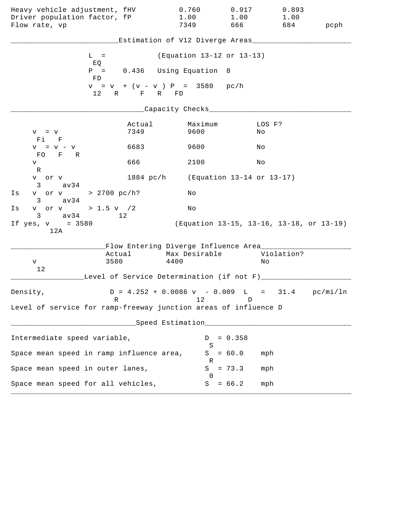| Heavy vehicle adjustment, fHV<br>Driver population factor, fP<br>Flow rate, vp |                                                    | 0.760<br>1.00<br>7349                                                     | 0.917<br>1.00<br>666 10                  | 0.893<br>1.00 | 684 pcph |
|--------------------------------------------------------------------------------|----------------------------------------------------|---------------------------------------------------------------------------|------------------------------------------|---------------|----------|
|                                                                                |                                                    | Estimation of V12 Diverge Areas_________                                  |                                          |               |          |
|                                                                                | $L =$                                              | (Equation 13-12 or 13-13)                                                 |                                          |               |          |
|                                                                                | EQ<br>$P = 0.436$ Using Equation<br>FD             |                                                                           | 8                                        |               |          |
|                                                                                | $v = v + (v - v) P = 3580 pc/h$<br>12 R F R FD     |                                                                           |                                          |               |          |
|                                                                                |                                                    | __Capacity Checks____                                                     |                                          |               |          |
| $V = V$<br>Fi F                                                                | Actual<br>7349                                     | Maximum<br>9600                                                           | No                                       | LOS F?        |          |
| $V = V - V$                                                                    | 6683                                               | 9600                                                                      | Νo                                       |               |          |
| FO F R<br>V                                                                    | 666                                                | 2100                                                                      | Νo                                       |               |          |
| R<br>v or v<br>av34<br>3                                                       |                                                    | 1884 pc/h (Equation 13-14 or 13-17)                                       |                                          |               |          |
| v or v > 2700 pc/h?<br>Is<br>av34<br>$3 \sim$                                  |                                                    | Νo                                                                        |                                          |               |          |
| v or v > 1.5 v $/2$<br>Is                                                      |                                                    | No                                                                        |                                          |               |          |
| $3 \text{ av}34$<br>If $yes, v = 3580$<br>12A                                  | 12                                                 |                                                                           | (Equation 13-15, 13-16, 13-18, or 13-19) |               |          |
|                                                                                | Flow Entering Diverge Influence Area________       |                                                                           |                                          |               |          |
| V                                                                              | Actual<br>3580                                     | Max Desirable<br>4400                                                     | Νo                                       | Violation?    |          |
| 12                                                                             | Level of Service Determination (if not F)_________ |                                                                           |                                          |               |          |
| Density,                                                                       |                                                    | $D = 4.252 + 0.0086 \text{ v} - 0.009 \text{ L} = 31.4 \text{ pc/min/ln}$ |                                          |               |          |
| Level of service for ramp-freeway junction areas of influence D                | R                                                  | 12                                                                        | D                                        |               |          |
|                                                                                |                                                    | Speed Estimation__________________                                        |                                          |               |          |
| Intermediate speed variable,                                                   |                                                    | D                                                                         | $= 0.358$                                |               |          |
|                                                                                | Space mean speed in ramp influence area,           | S<br>S                                                                    | $= 60.0$                                 | mph           |          |
| Space mean speed in outer lanes,                                               |                                                    | R<br>S                                                                    | $= 73.3$                                 | mph           |          |
| Space mean speed for all vehicles,                                             |                                                    | $\Omega$<br>S                                                             | $= 66.2$                                 | mph           |          |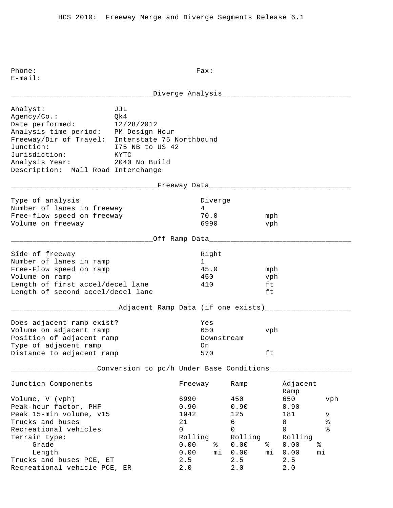\_\_\_\_\_\_\_\_\_\_\_\_\_\_\_\_\_\_\_\_\_\_\_\_\_\_\_\_\_\_\_\_\_Diverge Analysis\_\_\_\_\_\_\_\_\_\_\_\_\_\_\_\_\_\_\_\_\_\_\_\_\_\_\_\_\_\_ Analyst: JJL Agency/Co.: Qk4 Date performed: 12/28/2012 Analysis time period: PM Design Hour Freeway/Dir of Travel: Interstate 75 Northbound Junction: I75 NB to US 42<br>Jurisdiction: KYTC Jurisdiction: Analysis Year: 2040 No Build Description: Mall Road Interchange \_\_\_\_\_\_\_\_\_\_\_\_\_\_\_\_\_\_\_\_\_\_\_\_\_\_\_\_\_\_\_\_\_\_Freeway Data\_\_\_\_\_\_\_\_\_\_\_\_\_\_\_\_\_\_\_\_\_\_\_\_\_\_\_\_\_\_\_\_\_ Type of analysis and the Diverge of analysis and the Diverge Number of lanes in freeway 1988 1989 Free-flow speed on freeway  $\begin{array}{ccc} 70.0 & \text{mph} \\ \text{Volume on frequency} & 6990 & \text{vph} \end{array}$ Volume on freeway and the control of the control of the control of the control of the vehicle of the vehicle of the vehicle of the vehicle of the vehicle of the vehicle of the vehicle of the vehicle of the vehicle of the v \_\_\_\_\_\_\_\_\_\_\_\_\_\_\_\_\_\_\_\_\_\_\_\_\_\_\_\_\_\_\_\_\_Off Ramp Data\_\_\_\_\_\_\_\_\_\_\_\_\_\_\_\_\_\_\_\_\_\_\_\_\_\_\_\_\_\_\_\_\_ Side of freeway and the state of the state of the state of the state of the state of the state of the state of Number of lanes in ramp 1 Free-Flow speed on ramp and the set of 45.0 mph Volume on ramp  $\sim$  450 vph Length of first accel/decel lane 410 ft Length of second accel/decel lane ft \_\_\_\_\_\_\_\_\_\_\_\_\_\_\_\_\_\_\_\_\_\_\_\_\_Adjacent Ramp Data (if one exists)\_\_\_\_\_\_\_\_\_\_\_\_\_\_\_\_\_\_\_\_ Does adjacent ramp exist? Yes Volume on adjacent ramp 650 vph Position of adjacent ramp  $\qquad \qquad$  Downstream Type of adjacent ramp on Distance to adjacent ramp 570 ft \_\_\_\_\_\_\_\_\_\_\_\_\_\_\_\_\_\_\_\_Conversion to pc/h Under Base Conditions\_\_\_\_\_\_\_\_\_\_\_\_\_\_\_\_\_\_\_ Junction Components Freeway Ramp Adjacent Ramp Volume, V (vph) 6990 450 650 vph Peak-hour factor, PHF 0.90 0.90 0.90 0.90 Peak 15-min volume, v15 1942 125 181 v Trucks and buses 21 6 8 % Recreational vehicles and the control of the control of  $\sim$  0 0 0 % Terrain type: Terrain type: Terrain type: Rolling Rolling Rolling Grade 0.00 % 0.00 % 0.00 % Length 0.00 mi 0.00 mi 0.00 mi Trucks and buses PCE, ET 2.5 2.5 2.5 Recreational vehicle PCE, ER 2.0 2.0 2.0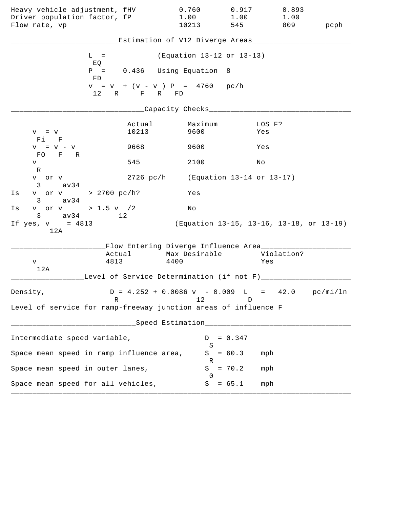| Heavy vehicle adjustment, fHV<br>Driver population factor, fP<br>Flow rate, vp |                                                      | 0.760<br>1.00<br>10213                                                    | 0.917<br>1.00<br>545 | 0.893<br>1.00<br>809 | pcph |
|--------------------------------------------------------------------------------|------------------------------------------------------|---------------------------------------------------------------------------|----------------------|----------------------|------|
|                                                                                |                                                      | Estimation of V12 Diverge Areas________                                   |                      |                      |      |
|                                                                                | $L =$                                                | (Equation 13-12 or 13-13)                                                 |                      |                      |      |
|                                                                                | EQ<br>$P =$                                          | 0.436 Using Equation 8                                                    |                      |                      |      |
|                                                                                | FD<br>$v = v + (v - v) P = 4760 pc/h$<br>12 R F R FD |                                                                           |                      |                      |      |
|                                                                                |                                                      | ____Capacity Checks____                                                   |                      |                      |      |
| $V = V$<br>Fi F                                                                | Actual<br>10213                                      | Maximum<br>9600                                                           | Yes                  | LOS F?               |      |
| $V = V - V$<br>FO F R                                                          | 9668                                                 | 9600                                                                      | Yes                  |                      |      |
| V                                                                              | 545                                                  | 2100                                                                      | Νo                   |                      |      |
| R<br>v or v                                                                    |                                                      | 2726 pc/h (Equation 13-14 or 13-17)                                       |                      |                      |      |
| $3 \text{ av } 34$<br>v or v > 2700 pc/h?<br>Is<br>$3 \text{ av } 34$          |                                                      | Yes                                                                       |                      |                      |      |
| v or v > 1.5 v /2<br>Is<br>$3 \text{ av } 34$                                  | 12 <sup>°</sup>                                      | No                                                                        |                      |                      |      |
| If $yes, v = 4813$<br>12A                                                      |                                                      | (Equation 13-15, 13-16, 13-18, or 13-19)                                  |                      |                      |      |
|                                                                                | Flow Entering Diverge Influence Area________         |                                                                           |                      |                      |      |
| v                                                                              | Actual<br>4813                                       | Max Desirable<br>4400                                                     |                      | Violation?<br>Yes    |      |
| 12A                                                                            | Level of Service Determination (if not F)______      |                                                                           |                      |                      |      |
| Density,                                                                       |                                                      | $D = 4.252 + 0.0086 \text{ v} - 0.009 \text{ L} = 42.0 \text{ pc/min/ln}$ |                      |                      |      |
| Level of service for ramp-freeway junction areas of influence F                | R                                                    | 12                                                                        | D                    |                      |      |
|                                                                                |                                                      | Speed Estimation ___________                                              |                      |                      |      |
| Intermediate speed variable,                                                   |                                                      | D                                                                         | $= 0.347$            |                      |      |
| Space mean speed in ramp influence area,                                       |                                                      | S<br>S                                                                    | $= 60.3$             | mph                  |      |
| Space mean speed in outer lanes,                                               |                                                      | R<br>S                                                                    | $= 70.2$             | mph                  |      |
| Space mean speed for all vehicles,                                             |                                                      | $\Omega$<br>S                                                             | $= 65.1$             | mph                  |      |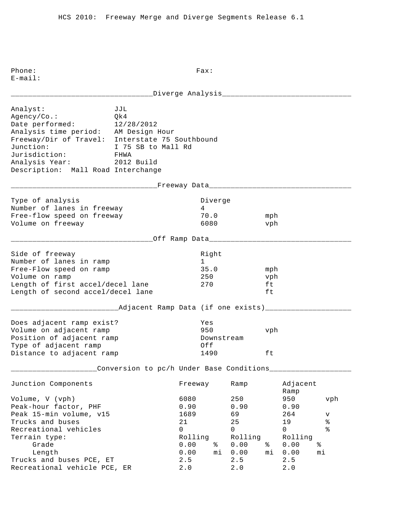| Analyst:<br>Agency/Co.:<br>Date performed:<br>Analysis time period: AM Design Hour<br>Freeway/Dir of Travel: Interstate 75 Southbound<br>Junction:<br>Jurisdiction: FHWA<br>Analysis Year: 2012 Build<br>Description: Mall Road Interchange | JJL<br>Qk4<br>12/28/2012<br>I 75 SB to Mall Rd     |                                                                      |                                                |                                                                    |                        |                                                          |                                                              |
|---------------------------------------------------------------------------------------------------------------------------------------------------------------------------------------------------------------------------------------------|----------------------------------------------------|----------------------------------------------------------------------|------------------------------------------------|--------------------------------------------------------------------|------------------------|----------------------------------------------------------|--------------------------------------------------------------|
|                                                                                                                                                                                                                                             | _____________Freeway Data______________________    |                                                                      |                                                |                                                                    |                        |                                                          |                                                              |
| Type of analysis<br>Number of lanes in freeway<br>Free-flow speed on freeway<br>Volume on freeway                                                                                                                                           |                                                    | 4                                                                    | Diverge<br>70.0<br>6080                        |                                                                    | mph<br>vph             |                                                          |                                                              |
|                                                                                                                                                                                                                                             | _________Off Ramp Data__________________           |                                                                      |                                                |                                                                    |                        |                                                          |                                                              |
| Side of freeway<br>Number of lanes in ramp<br>Free-Flow speed on ramp<br>Volume on ramp<br>Length of first accel/decel lane<br>Length of second accel/decel lane                                                                            |                                                    | 270                                                                  | Right<br>$1 \quad \blacksquare$<br>35.0<br>250 |                                                                    | mph<br>vph<br>ft<br>ft |                                                          |                                                              |
|                                                                                                                                                                                                                                             | _____Adjacent Ramp Data (if one exists)___________ |                                                                      |                                                |                                                                    |                        |                                                          |                                                              |
| Does adjacent ramp exist?<br>Volume on adjacent ramp<br>Position of adjacent ramp<br>Type of adjacent ramp<br>Distance to adjacent ramp                                                                                                     |                                                    | Yes<br>950<br>Off                                                    | 1490                                           | Downstream                                                         | vph<br>ft              |                                                          |                                                              |
|                                                                                                                                                                                                                                             | Conversion to pc/h Under Base Conditions___        |                                                                      |                                                |                                                                    |                        |                                                          |                                                              |
| Junction Components                                                                                                                                                                                                                         |                                                    | Freeway                                                              |                                                | Ramp                                                               |                        | Adjacent<br>Ramp                                         |                                                              |
| Volume, V (vph)<br>Peak-hour factor, PHF<br>Peak 15-min volume, v15<br>Trucks and buses<br>Recreational vehicles<br>Terrain type:<br>Grade<br>Length                                                                                        |                                                    | 6080<br>0.90<br>1689<br>21<br>$\mathbf 0$<br>Rolling<br>0.00<br>0.00 | နွ<br>mi                                       | 250<br>0.90<br>69<br>25<br>$\mathsf{O}$<br>Rolling<br>0.00<br>0.00 | ႜ<br>mi                | 950<br>0.90<br>264<br>19<br>0<br>Rolling<br>0.00<br>0.00 | vph<br>v<br>$\,$ $\,$<br>$\,{}^{\circ}\!\!\delta$<br>ఄ<br>mi |
| Trucks and buses PCE, ET<br>Recreational vehicle PCE, ER                                                                                                                                                                                    |                                                    | 2.5<br>2.0                                                           |                                                | 2.5<br>2.0                                                         |                        | 2.5<br>$2.0$                                             |                                                              |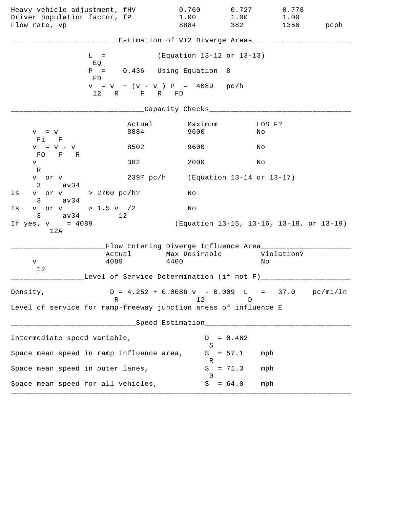| Heavy vehicle adjustment, fHV<br>Driver population factor, fP<br>Flow rate, vp   |                | 0.760<br>1.00<br>8884                                                           | 0.727<br>1.00<br>382                     | 0.778<br>1.00<br>1356 | pcph |
|----------------------------------------------------------------------------------|----------------|---------------------------------------------------------------------------------|------------------------------------------|-----------------------|------|
|                                                                                  |                | Estimation of V12 Diverge Areas___                                              |                                          |                       |      |
| $L =$                                                                            |                | (Equation 13-12 or 13-13)                                                       |                                          |                       |      |
| EQ<br>FD.                                                                        |                | $P = 0.436$ Using Equation                                                      | - 8                                      |                       |      |
|                                                                                  | 12 R F R FD    | $v = v + (v - v) P = 4089 pc/h$                                                 |                                          |                       |      |
|                                                                                  |                | ____Capacity Checks______________                                               |                                          |                       |      |
| $V = V$<br>Fi F                                                                  | Actual<br>8884 | Maximum<br>9600                                                                 | No                                       | LOS F?                |      |
| $V = V - V$<br>FO F R                                                            | 8502           | 9600                                                                            | Νo                                       |                       |      |
| V                                                                                | 382            | 2000                                                                            | Νo                                       |                       |      |
| R<br>v or v<br>av34<br>3                                                         | 2397 pc/h      | (Equation 13-14 or 13-17)                                                       |                                          |                       |      |
| v or v > 2700 pc/h?<br>Is<br>$3 \text{ av } 34$                                  |                | Νo                                                                              |                                          |                       |      |
| v or v > 1.5 v $/2$<br>Is<br>$3 \text{ av } 34$                                  | 12             | Νo                                                                              |                                          |                       |      |
| If $yes, v = 4089$<br>12A                                                        |                |                                                                                 | (Equation 13-15, 13-16, 13-18, or 13-19) |                       |      |
|                                                                                  |                | Flow Entering Diverge Influence Area________                                    |                                          |                       |      |
| V                                                                                | Actual<br>4089 | Max Desirable<br>4400                                                           | Νo                                       | Violation?            |      |
| 12                                                                               |                | Level of Service Determination (if not F)______                                 |                                          |                       |      |
| Density,                                                                         | R              | $D = 4.252 + 0.0086 \text{ v} - 0.009 \text{ L} = 37.0 \text{ pc/min/ln}$<br>12 | D                                        |                       |      |
| Level of service for ramp-freeway junction areas of influence E                  |                |                                                                                 |                                          |                       |      |
| ______________________________Speed Estimation__________________________________ |                |                                                                                 |                                          |                       |      |
| Intermediate speed variable,                                                     |                |                                                                                 | $D = 0.462$                              |                       |      |
| Space mean speed in ramp influence area,                                         |                | S                                                                               | $S = 57.1$<br>mph                        |                       |      |
| Space mean speed in outer lanes,                                                 |                | R                                                                               | $S = 71.3$<br>mph                        |                       |      |
| Space mean speed for all vehicles,                                               |                | 0                                                                               | $S = 64.0$                               | mph                   |      |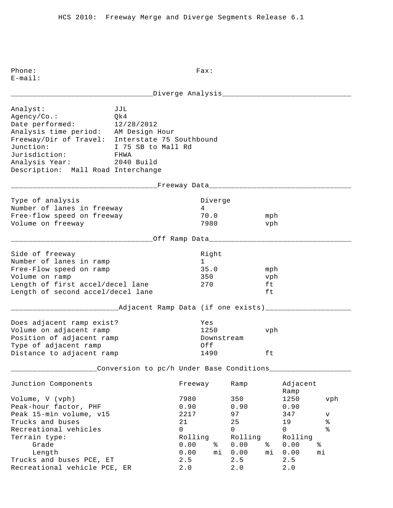| ________Diverge Analysis______________                                                                                                                                                                                                                 |                                                                   |                                                      |                                               |                                                    |                        |                                           |                                                   |
|--------------------------------------------------------------------------------------------------------------------------------------------------------------------------------------------------------------------------------------------------------|-------------------------------------------------------------------|------------------------------------------------------|-----------------------------------------------|----------------------------------------------------|------------------------|-------------------------------------------|---------------------------------------------------|
| Analyst:<br>Agency/Co.:<br>Date performed: 12/28/2012<br>Analysis time period: AM Design Hour<br>Freeway/Dir of Travel: Interstate 75 Southbound<br>Junction:<br>Jurisdiction: FHWA<br>Analysis Year: 2040 Build<br>Description: Mall Road Interchange | JJL<br>Qk4<br>I 75 SB to Mall Rd                                  |                                                      |                                               |                                                    |                        |                                           |                                                   |
|                                                                                                                                                                                                                                                        | _____________________Freeway Data________________________________ |                                                      |                                               |                                                    |                        |                                           |                                                   |
| Type of analysis<br>Number of lanes in freeway<br>Free-flow speed on freeway<br>Volume on freeway                                                                                                                                                      |                                                                   | 4                                                    | Diverge<br>70.0<br>7980                       |                                                    | mph<br>vph             |                                           |                                                   |
|                                                                                                                                                                                                                                                        | _________Off Ramp Data________________________                    |                                                      |                                               |                                                    |                        |                                           |                                                   |
| Side of freeway<br>Number of lanes in ramp<br>Free-Flow speed on ramp<br>Volume on ramp<br>Length of first accel/decel lane<br>Length of second accel/decel lane                                                                                       |                                                                   |                                                      | Right<br>$1 \quad \Box$<br>35.0<br>350<br>270 |                                                    | mph<br>vph<br>ft<br>ft |                                           |                                                   |
|                                                                                                                                                                                                                                                        | _______Adjacent Ramp Data (if one exists)_______________          |                                                      |                                               |                                                    |                        |                                           |                                                   |
| Does adjacent ramp exist?<br>Volume on adjacent ramp<br>Position of adjacent ramp<br>Type of adjacent ramp<br>Distance to adjacent ramp                                                                                                                |                                                                   | Yes<br>Off                                           | Downstream<br>1490                            | 1250                                               | vph<br>ft              |                                           |                                                   |
|                                                                                                                                                                                                                                                        | Conversion to pc/h Under Base Conditions____                      |                                                      |                                               |                                                    |                        |                                           |                                                   |
| Junction Components                                                                                                                                                                                                                                    |                                                                   | Freeway                                              |                                               | Ramp                                               |                        | Adjacent<br>Ramp                          |                                                   |
| Volume, V (vph)<br>Peak-hour factor, PHF<br>Peak 15-min volume, v15<br>Trucks and buses<br>Recreational vehicles<br>Terrain type:                                                                                                                      |                                                                   | 7980<br>0.90<br>2217<br>21<br>$\mathbf 0$<br>Rolling |                                               | 350<br>0.90<br>97<br>25<br>$\mathsf{O}$<br>Rolling |                        | 1250<br>0.90<br>347<br>19<br>0<br>Rolling | vph<br>v<br>$\,$ $\,$<br>$\,{}^{\circ}\!\!\delta$ |
| Grade<br>Length<br>Trucks and buses PCE, ET<br>Recreational vehicle PCE, ER                                                                                                                                                                            |                                                                   | 0.00<br>0.00<br>2.5<br>2.0                           | နွ<br>mi                                      | 0.00<br>0.00<br>2.5<br>2.0                         | ႜ<br>mi                | 0.00<br>0.00<br>2.5<br>$2.0$              | ఄ<br>mi                                           |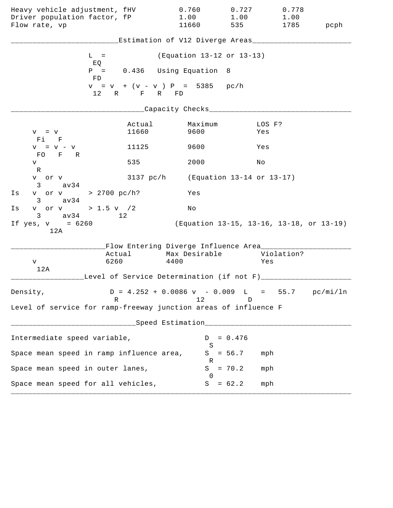| Heavy vehicle adjustment, fHV                                   |                                                  | 0.760                                                                     | 0.727                                    | 0.778             |      |
|-----------------------------------------------------------------|--------------------------------------------------|---------------------------------------------------------------------------|------------------------------------------|-------------------|------|
| Driver population factor, fP<br>Flow rate, vp                   |                                                  | 1.00<br>11660                                                             | 1.00<br>535                              | 1.00<br>1785      | pcph |
|                                                                 |                                                  |                                                                           |                                          |                   |      |
|                                                                 |                                                  | Estimation of V12 Diverge Areas_________                                  |                                          |                   |      |
|                                                                 | $L =$                                            | (Equation 13-12 or 13-13)                                                 |                                          |                   |      |
|                                                                 | EQ<br>$P =$<br>FD                                | 0.436 Using Equation 8                                                    |                                          |                   |      |
|                                                                 | $v = v + (v - v) P = 5385 pc/h$<br>12 R F R FD   |                                                                           |                                          |                   |      |
|                                                                 |                                                  | __Capacity Checks_______________                                          |                                          |                   |      |
| $V = V$<br>Fi F                                                 | Actual<br>11660                                  | Maximum<br>9600                                                           |                                          | LOS F?<br>Yes     |      |
| $V = V - V$<br>FO F R                                           | 11125                                            | 9600                                                                      |                                          | Yes               |      |
| V<br>R                                                          | 535                                              | 2000                                                                      | Νo                                       |                   |      |
| v or v<br>$3 \sim$<br>av34                                      |                                                  | 3137 pc/h (Equation 13-14 or 13-17)                                       |                                          |                   |      |
| Is<br>av34<br>$3 \sim$                                          | v or v > 2700 pc/h?                              | Yes                                                                       |                                          |                   |      |
| v or v > 1.5 v $/2$<br>Is<br>$3 \text{ av } 34$                 | 12                                               | No                                                                        |                                          |                   |      |
| If $yes, v = 6260$<br>12A                                       |                                                  |                                                                           | (Equation 13-15, 13-16, 13-18, or 13-19) |                   |      |
|                                                                 |                                                  | Flow Entering Diverge Influence Area________                              |                                          |                   |      |
| V                                                               | Actual<br>6260                                   | Max Desirable<br>4400                                                     |                                          | Violation?<br>Yes |      |
| 12A                                                             | Level of Service Determination (if not F)_______ |                                                                           |                                          |                   |      |
| Density,                                                        |                                                  | $D = 4.252 + 0.0086 \text{ v} - 0.009 \text{ L} = 55.7 \text{ pc/min/ln}$ |                                          |                   |      |
| Level of service for ramp-freeway junction areas of influence F | R                                                | 12                                                                        | D                                        |                   |      |
|                                                                 |                                                  | ___Speed Estimation_______________________                                |                                          |                   |      |
| Intermediate speed variable,                                    |                                                  | D                                                                         | $= 0.476$                                |                   |      |
|                                                                 | Space mean speed in ramp influence area,         | S<br>S<br>R                                                               | $= 56.7$                                 | mph               |      |
| Space mean speed in outer lanes,                                |                                                  | S<br>$\Omega$                                                             | $= 70.2$                                 | mph               |      |
| Space mean speed for all vehicles,                              |                                                  | S                                                                         | $= 62.2$                                 | mph               |      |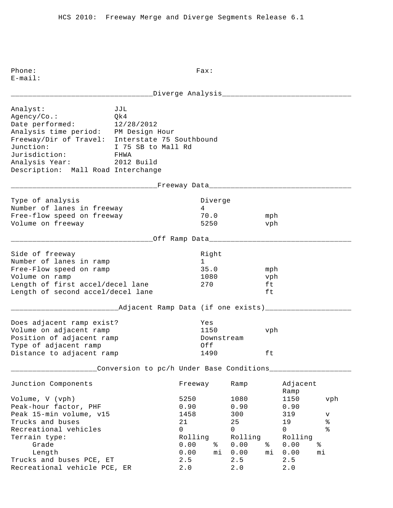| Analyst:<br>Agency/Co.:<br>Date performed:<br>Analysis time period: PM Design Hour<br>Freeway/Dir of Travel: Interstate 75 Southbound<br>Junction:<br>Jurisdiction: FHWA<br>Analysis Year: 2012 Build<br>Description: Mall Road Interchange | JJL<br>Qk4<br>12/28/2012<br>I 75 SB to Mall Rd     |                                                              |                                                 |                                                              |                        |                                                   |                                             |
|---------------------------------------------------------------------------------------------------------------------------------------------------------------------------------------------------------------------------------------------|----------------------------------------------------|--------------------------------------------------------------|-------------------------------------------------|--------------------------------------------------------------|------------------------|---------------------------------------------------|---------------------------------------------|
|                                                                                                                                                                                                                                             | _____________Freeway Data______________________    |                                                              |                                                 |                                                              |                        |                                                   |                                             |
| Type of analysis<br>Number of lanes in freeway<br>Free-flow speed on freeway<br>Volume on freeway                                                                                                                                           |                                                    | 4                                                            | Diverge<br>70.0<br>5250                         |                                                              | mph<br>vph             |                                                   |                                             |
|                                                                                                                                                                                                                                             | _____________Off Ramp Data________________________ |                                                              |                                                 |                                                              |                        |                                                   |                                             |
| Side of freeway<br>Number of lanes in ramp<br>Free-Flow speed on ramp<br>Volume on ramp<br>Length of first accel/decel lane<br>Length of second accel/decel lane                                                                            |                                                    | 270                                                          | Right<br>$1 \quad \blacksquare$<br>35.0<br>1080 |                                                              | mph<br>vph<br>ft<br>ft |                                                   |                                             |
|                                                                                                                                                                                                                                             | _____Adjacent Ramp Data (if one exists)___________ |                                                              |                                                 |                                                              |                        |                                                   |                                             |
| Does adjacent ramp exist?<br>Volume on adjacent ramp<br>Position of adjacent ramp<br>Type of adjacent ramp<br>Distance to adjacent ramp                                                                                                     |                                                    | Yes<br>Off                                                   | 1150<br>1490                                    | Downstream                                                   | vph<br>ft              |                                                   |                                             |
|                                                                                                                                                                                                                                             | Conversion to pc/h Under Base Conditions___        |                                                              |                                                 |                                                              |                        |                                                   |                                             |
| Junction Components                                                                                                                                                                                                                         |                                                    | Freeway                                                      |                                                 | Ramp                                                         |                        | Adjacent<br>Ramp                                  |                                             |
| Volume, V (vph)<br>Peak-hour factor, PHF<br>Peak 15-min volume, v15<br>Trucks and buses<br>Recreational vehicles<br>Terrain type:<br>Grade                                                                                                  |                                                    | 5250<br>0.90<br>1458<br>21<br>$\mathbf 0$<br>Rolling<br>0.00 | နွ                                              | 1080<br>0.90<br>300<br>25<br>$\mathsf{O}$<br>Rolling<br>0.00 | ႜ                      | 1150<br>0.90<br>319<br>19<br>0<br>Rolling<br>0.00 | vph<br>v<br>$\,$ %<br>$\,{}^{\circ}\!$<br>ఄ |
| Length<br>Trucks and buses PCE, ET<br>Recreational vehicle PCE, ER                                                                                                                                                                          |                                                    | 0.00<br>2.5<br>2.0                                           | mi                                              | 0.00<br>2.5<br>2.0                                           | mi                     | 0.00<br>2.5<br>$2.0$                              | mi                                          |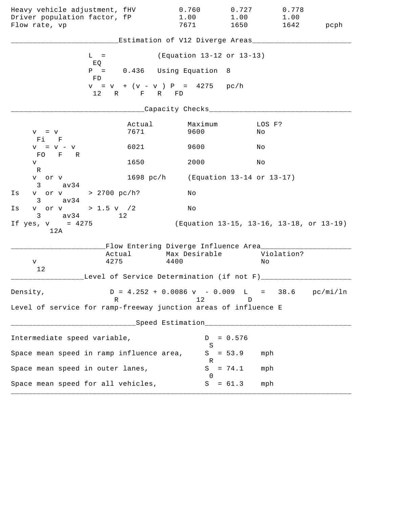| Heavy vehicle adjustment, fHV<br>Driver population factor, fP<br>Flow rate, vp |                | 0.760<br>1.00<br>7671                                                     | 0.727<br>1.00<br>1650                    | 0.778<br>1.00 | 1642 pcph |
|--------------------------------------------------------------------------------|----------------|---------------------------------------------------------------------------|------------------------------------------|---------------|-----------|
|                                                                                |                | Estimation of V12 Diverge Areas___________                                |                                          |               |           |
| $L =$                                                                          |                | (Equation 13-12 or 13-13)                                                 |                                          |               |           |
| EQ<br>FD                                                                       |                | $P = 0.436$ Using Equation 8                                              |                                          |               |           |
|                                                                                | 12 R F R FD    | $v = v + (v - v) P = 4275 pc/h$                                           |                                          |               |           |
|                                                                                |                | _Capacity Checks_________                                                 |                                          |               |           |
| $V = V$<br>Fi F                                                                | Actual<br>7671 | Maximum<br>9600                                                           | No                                       | LOS F?        |           |
| $V = V - V$<br>FO F R                                                          | 6021           | 9600                                                                      | Νo                                       |               |           |
| V                                                                              | 1650           | 2000                                                                      | Νo                                       |               |           |
| R<br>v or v<br>$3 \text{ av } 34$                                              |                | 1698 pc/h (Equation 13-14 or 13-17)                                       |                                          |               |           |
| v or v > 2700 pc/h?<br>Is<br>$3 \text{ av } 34$                                |                | Νo                                                                        |                                          |               |           |
| v or v > 1.5 v / 2<br>Is                                                       |                | No                                                                        |                                          |               |           |
| $3 \text{ av } 34$<br>If $yes, v = 4275$<br>12A                                | 12             |                                                                           | (Equation 13-15, 13-16, 13-18, or 13-19) |               |           |
|                                                                                |                | Flow Entering Diverge Influence Area________                              |                                          |               |           |
| V                                                                              | Actual<br>4275 | Max Desirable<br>4400                                                     | Νo                                       | Violation?    |           |
| 12                                                                             |                | Level of Service Determination (if not F)_________                        |                                          |               |           |
| Density,                                                                       |                | $D = 4.252 + 0.0086 \text{ v} - 0.009 \text{ L} = 38.6 \text{ pc/min/ln}$ |                                          |               |           |
| Level of service for ramp-freeway junction areas of influence E                | R              | 12                                                                        | D                                        |               |           |
|                                                                                |                | Speed Estimation___________________                                       |                                          |               |           |
| Intermediate speed variable,                                                   |                | D                                                                         | $= 0.576$                                |               |           |
| Space mean speed in ramp influence area,                                       |                | S<br>S                                                                    | $= 53.9$                                 | mph           |           |
| Space mean speed in outer lanes,                                               |                | R<br>S                                                                    | $= 74.1$                                 | mph           |           |
| Space mean speed for all vehicles,                                             |                | $\Omega$<br>S                                                             | $= 61.3$                                 | mph           |           |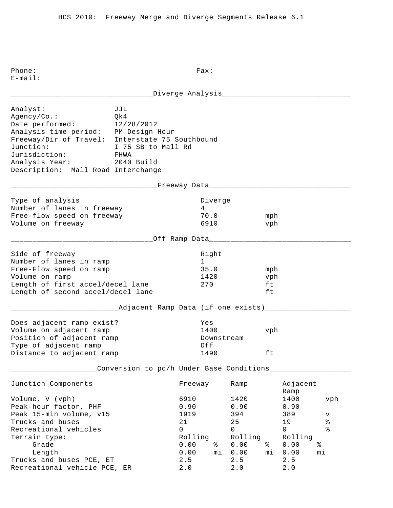|                                                                                                                                                                                                                             |                                                                      |                                                                   |                                          | Diverge Analysis________________                                 |                        |                                                           |                                                        |
|-----------------------------------------------------------------------------------------------------------------------------------------------------------------------------------------------------------------------------|----------------------------------------------------------------------|-------------------------------------------------------------------|------------------------------------------|------------------------------------------------------------------|------------------------|-----------------------------------------------------------|--------------------------------------------------------|
| Analyst:<br>Agency/Co.:<br>Date performed:<br>Analysis time period: PM Design Hour<br>Freeway/Dir of Travel: Interstate 75 Southbound<br>Junction:<br>Jurisdiction:<br>Analysis Year:<br>Description: Mall Road Interchange | JJL<br>Qk4<br>12/28/2012<br>I 75 SB to Mall Rd<br>FHWA<br>2040 Build |                                                                   |                                          |                                                                  |                        |                                                           |                                                        |
|                                                                                                                                                                                                                             | __________Freeway Data______________________                         |                                                                   |                                          |                                                                  |                        |                                                           |                                                        |
| Type of analysis<br>Number of lanes in freeway<br>Free-flow speed on freeway<br>Volume on freeway                                                                                                                           |                                                                      |                                                                   | Diverge<br>$4 \quad$<br>70.0<br>6910     |                                                                  | mph<br>vph             |                                                           |                                                        |
|                                                                                                                                                                                                                             | _____________Off Ramp Data____________________                       |                                                                   |                                          |                                                                  |                        |                                                           |                                                        |
| Side of freeway<br>Number of lanes in ramp<br>Free-Flow speed on ramp<br>Volume on ramp<br>Length of first accel/decel lane<br>Length of second accel/decel lane                                                            |                                                                      |                                                                   | Right<br>1<br>35.0<br>1420<br>270        |                                                                  | mph<br>vph<br>ft<br>ft |                                                           |                                                        |
|                                                                                                                                                                                                                             | _Adjacent Ramp Data (if one exists)______                            |                                                                   |                                          |                                                                  |                        |                                                           |                                                        |
| Does adjacent ramp exist?<br>Volume on adjacent ramp<br>Position of adjacent ramp<br>Type of adjacent ramp<br>Distance to adjacent ramp                                                                                     |                                                                      |                                                                   | Yes<br>1400<br>Downstream<br>Off<br>1490 |                                                                  | vph<br>ft              |                                                           |                                                        |
|                                                                                                                                                                                                                             | Conversion to pc/h Under Base Conditions____                         |                                                                   |                                          |                                                                  |                        |                                                           |                                                        |
| Junction Components                                                                                                                                                                                                         |                                                                      | Freeway                                                           |                                          | Ramp                                                             |                        | Adjacent<br>Ramp                                          |                                                        |
| Volume, V (vph)<br>Peak-hour factor, PHF<br>Peak 15-min volume, v15<br>Trucks and buses<br>Recreational vehicles<br>Terrain type:<br>Grade<br>Length                                                                        |                                                                      | 6910<br>0.90<br>1919<br>21<br>$\Omega$<br>Rolling<br>0.00<br>0.00 | ႜ<br>mi                                  | 1420<br>0.90<br>394<br>25<br>$\Omega$<br>Rolling<br>0.00<br>0.00 | ႜ<br>mi                | 1400<br>0.90<br>389<br>19<br>0<br>Rolling<br>0.00<br>0.00 | vph<br>v<br>$\,{}^{\circ}\!\!\delta$<br>နွ<br>နွ<br>mi |
| Trucks and buses PCE, ET<br>Recreational vehicle PCE, ER                                                                                                                                                                    |                                                                      | 2.5<br>2.0                                                        |                                          | 2.5<br>2.0                                                       |                        | 2.5<br>2.0                                                |                                                        |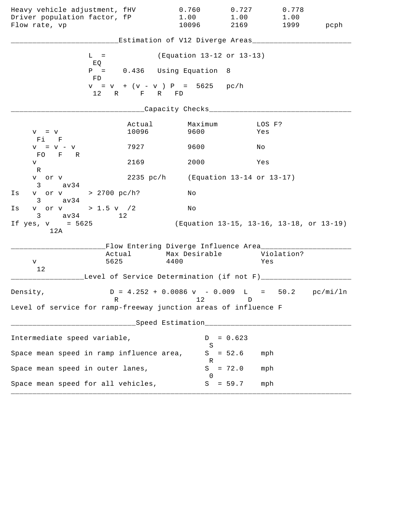| Heavy vehicle adjustment, fHV<br>Driver population factor, fP<br>Flow rate, vp |                 | 0.760<br>1.00<br>10096                            | 0.727<br>2169             | 0.778<br>1.00<br>1.00<br>1999                                             | pcph |
|--------------------------------------------------------------------------------|-----------------|---------------------------------------------------|---------------------------|---------------------------------------------------------------------------|------|
|                                                                                |                 |                                                   |                           | Estimation of V12 Diverge Areas____________                               |      |
| $L =$                                                                          |                 | (Equation 13-12 or 13-13)                         |                           |                                                                           |      |
| EQ<br>FD                                                                       |                 | $P = 0.436$ Using Equation 8                      |                           |                                                                           |      |
|                                                                                | 12 R F R FD     | $v = v + (v - v) P = 5625 pc/h$                   |                           |                                                                           |      |
|                                                                                |                 | _Capacity Checks____                              |                           |                                                                           |      |
| $V = V$<br>Fi F                                                                | Actual<br>10096 | Maximum<br>9600                                   |                           | LOS F?<br>Yes                                                             |      |
| $V = V - V$                                                                    | 7927            | 9600                                              |                           | No                                                                        |      |
| FO F R<br>V                                                                    | 2169            | 2000                                              |                           | Yes                                                                       |      |
| R<br>v or v<br>$3 \text{ av34}$                                                |                 | 2235 pc/h (Equation 13-14 or 13-17)               |                           |                                                                           |      |
| v or v > 2700 pc/h?<br>Is<br>$3 \text{ av } 34$                                |                 | Νo                                                |                           |                                                                           |      |
| v or v > 1.5 v / 2<br>Is<br>$3 \text{ av } 34$                                 | 12              | No                                                |                           |                                                                           |      |
| If $yes, v = 5625$<br>12A                                                      |                 |                                                   |                           | (Equation 13-15, 13-16, 13-18, or 13-19)                                  |      |
|                                                                                |                 | Flow Entering Diverge Influence Area________      |                           |                                                                           |      |
| 5625<br>V                                                                      |                 | Actual Max Desirable<br>4400                      |                           | Violation?<br>Yes                                                         |      |
| 12                                                                             |                 | Level of Service Determination (if not F)________ |                           |                                                                           |      |
| Density,<br>R                                                                  |                 | 12                                                | D                         | $D = 4.252 + 0.0086 \text{ v} - 0.009 \text{ L} = 50.2 \text{ pc/min/ln}$ |      |
| Level of service for ramp-freeway junction areas of influence F                |                 |                                                   |                           |                                                                           |      |
|                                                                                |                 | Speed Estimation_________________                 |                           |                                                                           |      |
| Intermediate speed variable,                                                   |                 |                                                   | $= 0.623$<br>D            |                                                                           |      |
| Space mean speed in ramp influence area,                                       |                 |                                                   | S<br>$S = 52.6$           | mph                                                                       |      |
| Space mean speed in outer lanes,                                               |                 | S                                                 | R<br>$= 72.0$             | mph                                                                       |      |
| Space mean speed for all vehicles,                                             |                 |                                                   | $\Omega$<br>$= 59.7$<br>S | mph                                                                       |      |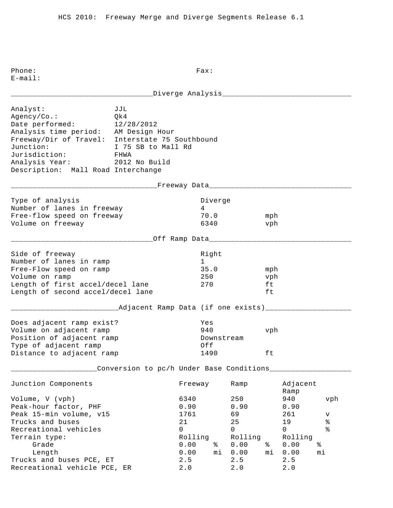|                                                                                                                                                                                                                                           | ________Diverge Analysis_________________              |                                                                             |                         |                                                                           |                        |                                                                            |                                                  |
|-------------------------------------------------------------------------------------------------------------------------------------------------------------------------------------------------------------------------------------------|--------------------------------------------------------|-----------------------------------------------------------------------------|-------------------------|---------------------------------------------------------------------------|------------------------|----------------------------------------------------------------------------|--------------------------------------------------|
| Analyst:<br>Agency/Co.:<br>Date performed:<br>Analysis time period: AM Design Hour<br>Freeway/Dir of Travel: Interstate 75 Southbound<br>Junction:<br>Jurisdiction:<br>Analysis Year: 2012 No Build<br>Description: Mall Road Interchange | JJL<br>Qk4<br>12/28/2012<br>I 75 SB to Mall Rd<br>FHWA |                                                                             |                         |                                                                           |                        |                                                                            |                                                  |
|                                                                                                                                                                                                                                           | ___________Freeway Data_____________________           |                                                                             |                         |                                                                           |                        |                                                                            |                                                  |
| Type of analysis<br>Number of lanes in freeway<br>Free-flow speed on freeway<br>Volume on freeway                                                                                                                                         |                                                        | $4\degree$                                                                  | Diverge<br>70.0<br>6340 |                                                                           | mph<br>vph             |                                                                            |                                                  |
|                                                                                                                                                                                                                                           | _______Off Ramp Data_____________                      |                                                                             |                         |                                                                           |                        |                                                                            |                                                  |
| Side of freeway<br>Number of lanes in ramp<br>Free-Flow speed on ramp<br>Volume on ramp<br>Length of first accel/decel lane<br>Length of second accel/decel lane                                                                          |                                                        | $1 \quad \Box$<br>270                                                       | Right<br>35.0<br>250    |                                                                           | mph<br>vph<br>ft<br>ft |                                                                            |                                                  |
|                                                                                                                                                                                                                                           | ____Adjacent Ramp Data (if one exists)_____            |                                                                             |                         |                                                                           |                        |                                                                            |                                                  |
| Does adjacent ramp exist?<br>Volume on adjacent ramp<br>Position of adjacent ramp<br>Type of adjacent ramp<br>Distance to adjacent ramp                                                                                                   |                                                        | Yes<br>940<br>Off                                                           | 1490                    | Downstream                                                                | vph<br>ft              |                                                                            |                                                  |
|                                                                                                                                                                                                                                           | Conversion to pc/h Under Base Conditions               |                                                                             |                         |                                                                           |                        |                                                                            |                                                  |
| Junction Components                                                                                                                                                                                                                       |                                                        | Freeway                                                                     |                         | Ramp                                                                      |                        | Adjacent<br>Ramp                                                           |                                                  |
| Volume, V (vph)<br>Peak-hour factor, PHF<br>Peak 15-min volume, v15<br>Trucks and buses<br>Recreational vehicles<br>Terrain type:<br>Grade<br>Length<br>Trucks and buses PCE, ET                                                          |                                                        | 6340<br>0.90<br>1761<br>21<br>$\mathbf 0$<br>Rolling<br>0.00<br>0.00<br>2.5 | ႜႜ<br>mi                | 250<br>0.90<br>69<br>25<br>$\mathsf{O}$<br>Rolling<br>0.00<br>0.00<br>2.5 | ႜ<br>mi                | 940<br>0.90<br>261<br>19<br>$\mathsf{O}$<br>Rolling<br>0.00<br>0.00<br>2.5 | vph<br>V<br>$\, \mathrm{e}$<br>ە<br>ج<br>ి<br>mi |
| Recreational vehicle PCE, ER                                                                                                                                                                                                              |                                                        | 2.0                                                                         |                         | 2.0                                                                       |                        | 2.0                                                                        |                                                  |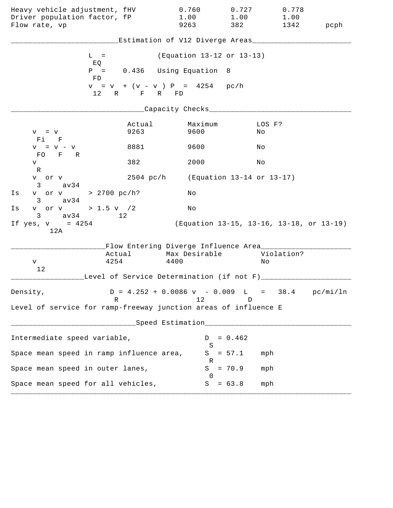| Heavy vehicle adjustment, fHV<br>Driver population factor, fP<br>Flow rate, vp |                                                 | 0.760<br>1.00<br>9263                                                           | 0.727<br>1.00<br>382 | 0.778<br>1.00<br>1342                    | pcph |
|--------------------------------------------------------------------------------|-------------------------------------------------|---------------------------------------------------------------------------------|----------------------|------------------------------------------|------|
|                                                                                |                                                 | Estimation of V12 Diverge Areas____                                             |                      |                                          |      |
|                                                                                | $L =$                                           | (Equation 13-12 or 13-13)                                                       |                      |                                          |      |
|                                                                                | EQ<br>$P = 0.436$ Using Equation 8<br>FD.       |                                                                                 |                      |                                          |      |
|                                                                                | $v = v + (v - v) P = 4254 p c/h$<br>12 R F R FD |                                                                                 |                      |                                          |      |
|                                                                                |                                                 | ____Capacity Checks___                                                          |                      |                                          |      |
| $V = V$<br>$Fi$ $F$                                                            | Actual<br>9263                                  | Maximum<br>9600                                                                 | No                   | LOS F?                                   |      |
| $V = V - V$<br>FO F R                                                          | 8881                                            | 9600                                                                            | Νo                   |                                          |      |
| V<br>R                                                                         | 382                                             | 2000                                                                            | Νo                   |                                          |      |
| v or v<br>$3 \text{ av } 34$                                                   |                                                 | 2504 pc/h (Equation 13-14 or 13-17)                                             |                      |                                          |      |
| v or v > 2700 pc/h?<br>Is<br>av34<br>$3 \sim$                                  |                                                 | Νo                                                                              |                      |                                          |      |
| v or v > 1.5 v $/2$<br>Is<br>$3 \text{ av } 34$ 12                             |                                                 | Νo                                                                              |                      |                                          |      |
| If $yes, v = 4254$<br>12A                                                      |                                                 |                                                                                 |                      | (Equation 13-15, 13-16, 13-18, or 13-19) |      |
|                                                                                | Flow Entering Diverge Influence Area________    | Max Desirable                                                                   |                      |                                          |      |
| V                                                                              | Actual<br>4254                                  | 4400                                                                            |                      | Violation?<br>Νo                         |      |
| 12                                                                             | Level of Service Determination (if not F)______ |                                                                                 |                      |                                          |      |
| Density,                                                                       | R                                               | $D = 4.252 + 0.0086 \text{ v} - 0.009 \text{ L} = 38.4 \text{ pc/min/ln}$<br>12 | D                    |                                          |      |
| Level of service for ramp-freeway junction areas of influence E                |                                                 |                                                                                 |                      |                                          |      |
|                                                                                |                                                 | ___Speed Estimation_________________                                            |                      |                                          |      |
| Intermediate speed variable,                                                   |                                                 | D<br>S                                                                          | $= 0.462$            |                                          |      |
| Space mean speed in ramp influence area,                                       |                                                 | R                                                                               | $S = 57.1$           | mph                                      |      |
| Space mean speed in outer lanes,                                               |                                                 | S<br>$\Omega$                                                                   | $= 70.9$             | mph                                      |      |
| Space mean speed for all vehicles,                                             |                                                 |                                                                                 | $S = 63.8$           | mph                                      |      |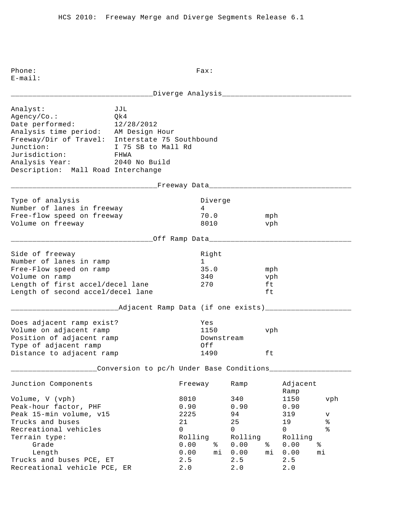\_\_\_\_\_\_\_\_\_\_\_\_\_\_\_\_\_\_\_\_\_\_\_\_\_\_\_\_\_\_\_\_\_Diverge Analysis\_\_\_\_\_\_\_\_\_\_\_\_\_\_\_\_\_\_\_\_\_\_\_\_\_\_\_\_\_\_ Analyst: JJL Agency/Co.: Qk4 Date performed: 12/28/2012 Analysis time period: AM Design Hour Freeway/Dir of Travel: Interstate 75 Southbound Junction: I 75 SB to Mall Rd Jurisdiction: FHWA Analysis Year: 2040 No Build Description: Mall Road Interchange \_\_\_\_\_\_\_\_\_\_\_\_\_\_\_\_\_\_\_\_\_\_\_\_\_\_\_\_\_\_\_\_\_\_Freeway Data\_\_\_\_\_\_\_\_\_\_\_\_\_\_\_\_\_\_\_\_\_\_\_\_\_\_\_\_\_\_\_\_\_ Type of analysis and the Diverge of analysis and the Diverge Number of lanes in freeway 1988 1989 Free-flow speed on freeway 70.0 mph Volume on freeway and the settlement of the settlement of the settlement of the settlement of the vehicle  $\mathcal{B}010$ \_\_\_\_\_\_\_\_\_\_\_\_\_\_\_\_\_\_\_\_\_\_\_\_\_\_\_\_\_\_\_\_\_Off Ramp Data\_\_\_\_\_\_\_\_\_\_\_\_\_\_\_\_\_\_\_\_\_\_\_\_\_\_\_\_\_\_\_\_\_ Side of freeway and the state of the state of the state of the state of the state of the state of the state of Number of lanes in ramp 1 Free-Flow speed on ramp 35.0 mph Volume on ramp  $340$  vph Length of first accel/decel lane 270 ft Length of second accel/decel lane ft \_\_\_\_\_\_\_\_\_\_\_\_\_\_\_\_\_\_\_\_\_\_\_\_\_Adjacent Ramp Data (if one exists)\_\_\_\_\_\_\_\_\_\_\_\_\_\_\_\_\_\_\_\_ Does adjacent ramp exist? Yes Volume on adjacent ramp 1150 vph Position of adjacent ramp  $\qquad \qquad$  Downstream Type of adjacent ramp  $Off$ Distance to adjacent ramp 1490 ft \_\_\_\_\_\_\_\_\_\_\_\_\_\_\_\_\_\_\_\_Conversion to pc/h Under Base Conditions\_\_\_\_\_\_\_\_\_\_\_\_\_\_\_\_\_\_\_ Junction Components Freeway Ramp Adjacent Ramp Ramp and the state of the state of the state of the state of the state of the state of the state of the state of the state of the state of the state of the state of the state of the state of the state of the state of Volume, V (vph) 8010 340 1150 vph Peak-hour factor, PHF 0.90 0.90 0.90 0.90 Peak 15-min volume, v15 2225 94 319 v Trucks and buses 21 25 19 % Recreational vehicles and the control of the control of  $\sim$  0 0 0 % Terrain type: Terrain type: Terrain type: Rolling Rolling Rolling Grade 0.00 % 0.00 % 0.00 % Length 0.00 mi 0.00 mi 0.00 mi Trucks and buses PCE, ET 2.5 2.5 2.5 Recreational vehicle PCE, ER 2.0 2.0 2.0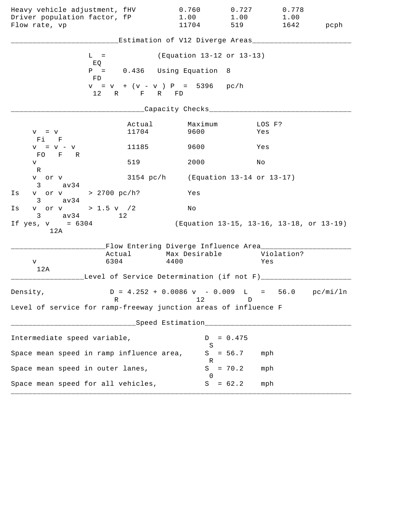| Heavy vehicle adjustment, fHV<br>Driver population factor, fP<br>Flow rate, vp |                                                 | 0.760<br>1.00<br>11704                                                          | 0.727<br>1.00<br>519                     | 0.778<br>1.00<br>1642 | pcph |
|--------------------------------------------------------------------------------|-------------------------------------------------|---------------------------------------------------------------------------------|------------------------------------------|-----------------------|------|
|                                                                                |                                                 | Estimation of V12 Diverge Areas___                                              |                                          |                       |      |
|                                                                                |                                                 |                                                                                 |                                          |                       |      |
|                                                                                | $L =$<br>EQ                                     | (Equation 13-12 or 13-13)                                                       |                                          |                       |      |
|                                                                                | $P =$<br>FD                                     | 0.436 Using Equation 8                                                          |                                          |                       |      |
|                                                                                | $v = v + (v - v) P = 5396 pc/h$<br>12 R F R FD  |                                                                                 |                                          |                       |      |
|                                                                                |                                                 | ____Capacity Checks____                                                         |                                          |                       |      |
| $V = V$<br>Fi F                                                                | Actual<br>11704                                 | Maximum<br>9600                                                                 | Yes                                      | LOS F?                |      |
| $V = V - V$                                                                    | 11185                                           | 9600                                                                            | Yes                                      |                       |      |
| FO F R<br>V                                                                    | 519                                             | 2000                                                                            | Νo                                       |                       |      |
| R<br>v or v<br>$3 \text{ av } 34$                                              |                                                 | 3154 pc/h (Equation 13-14 or 13-17)                                             |                                          |                       |      |
| Is                                                                             | v or v > 2700 pc/h?                             | Yes                                                                             |                                          |                       |      |
| $3 \text{ av } 34$<br>v or v > 1.5 v /2<br>Is                                  |                                                 | No                                                                              |                                          |                       |      |
| $3 \text{ av } 34$<br>If $yes, v = 6304$<br>12A                                | 12 <sup>°</sup>                                 |                                                                                 | (Equation 13-15, 13-16, 13-18, or 13-19) |                       |      |
|                                                                                |                                                 | Flow Entering Diverge Influence Area________                                    |                                          |                       |      |
| V                                                                              | 6304                                            | Actual Max Desirable<br>4400                                                    |                                          | Violation?<br>Yes     |      |
| 12A                                                                            | Level of Service Determination (if not F)______ |                                                                                 |                                          |                       |      |
| Density,                                                                       | R                                               | $D = 4.252 + 0.0086 \text{ v} - 0.009 \text{ L} = 56.0 \text{ pc/min/ln}$<br>12 | D                                        |                       |      |
| Level of service for ramp-freeway junction areas of influence F                |                                                 |                                                                                 |                                          |                       |      |
|                                                                                |                                                 | Speed Estimation___________                                                     |                                          |                       |      |
| Intermediate speed variable,                                                   |                                                 | D                                                                               | $= 0.475$                                |                       |      |
| Space mean speed in ramp influence area,                                       |                                                 | S<br>S                                                                          | $= 56.7$                                 | mph                   |      |
| Space mean speed in outer lanes,                                               |                                                 | R<br>S                                                                          | $= 70.2$                                 | mph                   |      |
| Space mean speed for all vehicles,                                             |                                                 | $\Omega$<br>S                                                                   | $= 62.2$                                 | mph                   |      |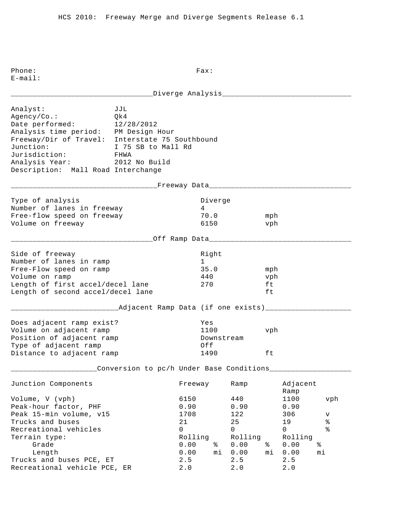\_\_\_\_\_\_\_\_\_\_\_\_\_\_\_\_\_\_\_\_\_\_\_\_\_\_\_\_\_\_\_\_\_Diverge Analysis\_\_\_\_\_\_\_\_\_\_\_\_\_\_\_\_\_\_\_\_\_\_\_\_\_\_\_\_\_\_ Analyst: JJL Agency/Co.: Qk4 Date performed: 12/28/2012 Analysis time period: PM Design Hour Freeway/Dir of Travel: Interstate 75 Southbound Junction: I 75 SB to Mall Rd Jurisdiction: FHWA Analysis Year: 2012 No Build Description: Mall Road Interchange \_\_\_\_\_\_\_\_\_\_\_\_\_\_\_\_\_\_\_\_\_\_\_\_\_\_\_\_\_\_\_\_\_\_Freeway Data\_\_\_\_\_\_\_\_\_\_\_\_\_\_\_\_\_\_\_\_\_\_\_\_\_\_\_\_\_\_\_\_\_ Type of analysis and the Diverge of analysis and the Diverge Number of lanes in freeway 1988 1989 Free-flow speed on freeway 70.0 mph Volume on freeway and the settlement of the settlement of the settlement of the vehicle  $\gamma$ \_\_\_\_\_\_\_\_\_\_\_\_\_\_\_\_\_\_\_\_\_\_\_\_\_\_\_\_\_\_\_\_\_Off Ramp Data\_\_\_\_\_\_\_\_\_\_\_\_\_\_\_\_\_\_\_\_\_\_\_\_\_\_\_\_\_\_\_\_\_ Side of freeway and the state of the state of the state of the state of the state of the state of the state of Number of lanes in ramp 1 Free-Flow speed on ramp 35.0 mph Volume on ramp 440 vph Length of first accel/decel lane 270 ft Length of second accel/decel lane ft \_\_\_\_\_\_\_\_\_\_\_\_\_\_\_\_\_\_\_\_\_\_\_\_\_Adjacent Ramp Data (if one exists)\_\_\_\_\_\_\_\_\_\_\_\_\_\_\_\_\_\_\_\_ Does adjacent ramp exist? Yes Volume on adjacent ramp 1100 vph Position of adjacent ramp  $\qquad \qquad$  Downstream Type of adjacent ramp  $Off$ Distance to adjacent ramp 1490 ft \_\_\_\_\_\_\_\_\_\_\_\_\_\_\_\_\_\_\_\_Conversion to pc/h Under Base Conditions\_\_\_\_\_\_\_\_\_\_\_\_\_\_\_\_\_\_\_ Junction Components Freeway Ramp Adjacent Ramp Ramp and the state of the state of the state of the state of the state of the state of the state of the state of the state of the state of the state of the state of the state of the state of the state of the state of Volume, V (vph) 6150 440 1100 vph Peak-hour factor, PHF 0.90 0.90 0.90 0.90 Peak 15-min volume, v15 1708 122 306 v Trucks and buses 21 25 19 % Recreational vehicles and the control of the control of  $\sim$  0 0 0 % Terrain type: Terrain type: Terrain type: Rolling Rolling Rolling Grade 0.00 % 0.00 % 0.00 % Length 0.00 mi 0.00 mi 0.00 mi Trucks and buses PCE, ET 2.5 2.5 2.5 Recreational vehicle PCE, ER 2.0 2.0 2.0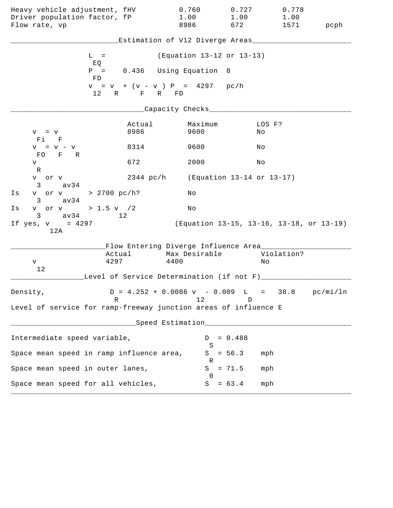| Heavy vehicle adjustment, fHV<br>Driver population factor, fP<br>Flow rate, vp |                                                                                | 0.760<br>1.00<br>8986                | 0.727<br>1.00<br>672 | 0.778<br>1.00<br>1571                    | pcph |
|--------------------------------------------------------------------------------|--------------------------------------------------------------------------------|--------------------------------------|----------------------|------------------------------------------|------|
|                                                                                |                                                                                | Estimation of V12 Diverge Areas___   |                      |                                          |      |
|                                                                                | $L =$                                                                          | (Equation 13-12 or 13-13)            |                      |                                          |      |
|                                                                                | EQ<br>$P = 0.436$ Using Equation<br>FD.                                        |                                      | - 8                  |                                          |      |
|                                                                                | $v = v + (v - v) P = 4297 pc/h$<br>12 R F R FD                                 |                                      |                      |                                          |      |
|                                                                                |                                                                                | ____Capacity Checks___               |                      |                                          |      |
| $V = V$<br>$Fi$ $F$                                                            | Actual<br>8986                                                                 | Maximum<br>9600                      | No                   | LOS F?                                   |      |
| $V = V - V$<br>FO F R                                                          | 8314                                                                           | 9600                                 | Νo                   |                                          |      |
| V<br>R                                                                         | 672                                                                            | 2000                                 | No                   |                                          |      |
| v or v<br>$3 \text{ av } 34$                                                   |                                                                                | 2344 pc/h (Equation 13-14 or 13-17)  |                      |                                          |      |
| v or v > 2700 pc/h?<br>Is<br>av34<br>$3 \sim$                                  |                                                                                | Νo                                   |                      |                                          |      |
| v or v > 1.5 v $/2$<br>Is<br>$3 \text{ av } 34$                                | $\sim$ 12                                                                      | Νo                                   |                      |                                          |      |
| If $yes, v = 4297$<br>12A                                                      |                                                                                |                                      |                      | (Equation 13-15, 13-16, 13-18, or 13-19) |      |
|                                                                                | Flow Entering Diverge Influence Area_______                                    |                                      |                      | Violation?                               |      |
| V                                                                              | Actual<br>4297                                                                 | Max Desirable<br>4400                |                      | Νo                                       |      |
| 12                                                                             | Level of Service Determination (if not F)_____                                 |                                      |                      |                                          |      |
| Density,                                                                       | $D = 4.252 + 0.0086 \text{ v} - 0.009 \text{ L} = 38.8 \text{ pc/min/ln}$<br>R | 12                                   | D                    |                                          |      |
| Level of service for ramp-freeway junction areas of influence E                |                                                                                |                                      |                      |                                          |      |
|                                                                                |                                                                                | ___Speed Estimation_________________ |                      |                                          |      |
| Intermediate speed variable,                                                   |                                                                                | D<br>S                               | $= 0.488$            |                                          |      |
| Space mean speed in ramp influence area,                                       |                                                                                |                                      | $S = 56.3$           | mph                                      |      |
| Space mean speed in outer lanes,                                               |                                                                                | R<br>S                               | $= 71.5$             | mph                                      |      |
| Space mean speed for all vehicles,                                             |                                                                                | $\Omega$                             | $S = 63.4$           | mph                                      |      |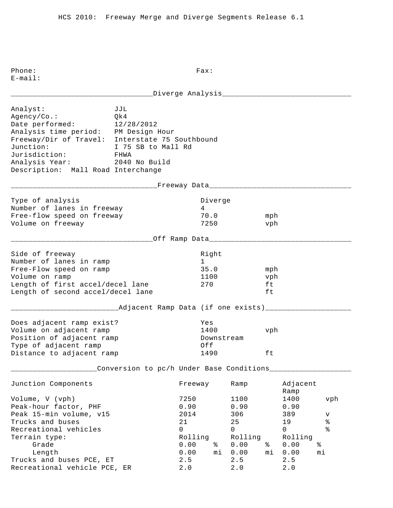\_\_\_\_\_\_\_\_\_\_\_\_\_\_\_\_\_\_\_\_\_\_\_\_\_\_\_\_\_\_\_\_\_Diverge Analysis\_\_\_\_\_\_\_\_\_\_\_\_\_\_\_\_\_\_\_\_\_\_\_\_\_\_\_\_\_\_ Analyst: JJL Agency/Co.: Qk4 Date performed: 12/28/2012 Analysis time period: PM Design Hour Freeway/Dir of Travel: Interstate 75 Southbound Junction: I 75 SB to Mall Rd Jurisdiction: FHWA Analysis Year: 2040 No Build Description: Mall Road Interchange \_\_\_\_\_\_\_\_\_\_\_\_\_\_\_\_\_\_\_\_\_\_\_\_\_\_\_\_\_\_\_\_\_\_Freeway Data\_\_\_\_\_\_\_\_\_\_\_\_\_\_\_\_\_\_\_\_\_\_\_\_\_\_\_\_\_\_\_\_\_ Type of analysis and the Diverge of analysis and the Diverge Number of lanes in freeway 1988 1989 Free-flow speed on freeway 70.0 mph Volume on freeway 7250 vph \_\_\_\_\_\_\_\_\_\_\_\_\_\_\_\_\_\_\_\_\_\_\_\_\_\_\_\_\_\_\_\_\_Off Ramp Data\_\_\_\_\_\_\_\_\_\_\_\_\_\_\_\_\_\_\_\_\_\_\_\_\_\_\_\_\_\_\_\_\_ Side of freeway and the state of the state of the state of the state of the state of the state of the state of Number of lanes in ramp 1 Free-Flow speed on ramp 35.0 mph Volume on ramp  $1100$  vph Length of first accel/decel lane 270 ft Length of second accel/decel lane ft \_\_\_\_\_\_\_\_\_\_\_\_\_\_\_\_\_\_\_\_\_\_\_\_\_Adjacent Ramp Data (if one exists)\_\_\_\_\_\_\_\_\_\_\_\_\_\_\_\_\_\_\_\_ Does adjacent ramp exist? Yes Volume on adjacent ramp 1400 vph Position of adjacent ramp  $\qquad \qquad$  Downstream Type of adjacent ramp  $Off$ Distance to adjacent ramp 1490 ft \_\_\_\_\_\_\_\_\_\_\_\_\_\_\_\_\_\_\_\_Conversion to pc/h Under Base Conditions\_\_\_\_\_\_\_\_\_\_\_\_\_\_\_\_\_\_\_ Junction Components Freeway Ramp Adjacent Ramp Ramp and the state of the state of the state of the state of the state of the state of the state of the state of the state of the state of the state of the state of the state of the state of the state of the state of Volume, V (vph) 7250 1100 1400 vph Peak-hour factor, PHF 0.90 0.90 0.90 0.90 Peak 15-min volume, v15 2014 306 389 v Trucks and buses 21 25 19 % Recreational vehicles and the control of the control of  $\sim$  0 0 0 % Terrain type: Terrain type: Terrain type: Rolling Rolling Rolling Grade 0.00 % 0.00 % 0.00 % Length 0.00 mi 0.00 mi 0.00 mi Trucks and buses PCE, ET 2.5 2.5 2.5 Recreational vehicle PCE, ER 2.0 2.0 2.0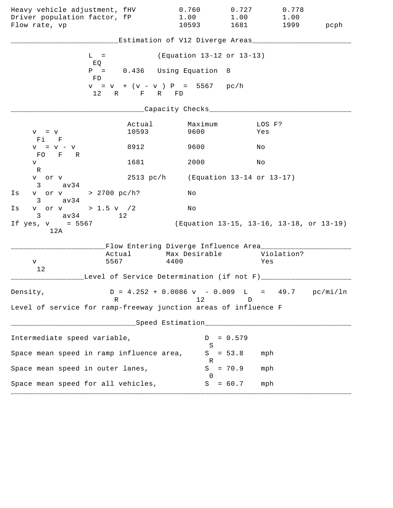| Heavy vehicle adjustment, fHV<br>Driver population factor, fP<br>Flow rate, vp |                                                                 | 0.760<br>1.00<br>10593                                                          | 0.727<br>1.00<br>1681                    | 0.778<br>1.00     | 1999 pcph |
|--------------------------------------------------------------------------------|-----------------------------------------------------------------|---------------------------------------------------------------------------------|------------------------------------------|-------------------|-----------|
|                                                                                |                                                                 | Estimation of V12 Diverge Areas___________                                      |                                          |                   |           |
|                                                                                | $L =$                                                           | (Equation 13-12 or 13-13)                                                       |                                          |                   |           |
|                                                                                | EQ<br>$P = 0.436$ Using Equation<br>FD                          |                                                                                 | - 8                                      |                   |           |
|                                                                                | $v = v + (v - v) P = 5567 pc/h$<br>12 R F R FD                  |                                                                                 |                                          |                   |           |
|                                                                                |                                                                 | ___Capacity Checks____                                                          |                                          |                   |           |
| $V = V$<br>Fi F                                                                | Actual<br>10593                                                 | Maximum<br>9600                                                                 | Yes                                      | LOS F?            |           |
| $V = V - V$                                                                    | 8912                                                            | 9600                                                                            | Νo                                       |                   |           |
| FO F R<br>V                                                                    | 1681                                                            | 2000                                                                            | Νo                                       |                   |           |
| R<br>v or v<br>av34<br>$3 \sim$                                                |                                                                 | 2513 pc/h (Equation 13-14 or 13-17)                                             |                                          |                   |           |
| Is                                                                             | v or v > 2700 pc/h?                                             | Νo                                                                              |                                          |                   |           |
| av34<br>$3 \sim$<br>v or v > 1.5 v /2<br>Is                                    |                                                                 | Νo                                                                              |                                          |                   |           |
| $3 \text{ av } 34$<br>If $yes, v = 5567$<br>12A                                | 12                                                              |                                                                                 | (Equation 13-15, 13-16, 13-18, or 13-19) |                   |           |
|                                                                                |                                                                 | Flow Entering Diverge Influence Area________                                    |                                          |                   |           |
| V                                                                              | Actual<br>5567                                                  | Max Desirable<br>4400                                                           |                                          | Violation?<br>Yes |           |
| 12                                                                             | Level of Service Determination (if not F)________               |                                                                                 |                                          |                   |           |
| Density,                                                                       | R                                                               | $D = 4.252 + 0.0086 \text{ v} - 0.009 \text{ L} = 49.7 \text{ pc/min/ln}$<br>12 | D                                        |                   |           |
|                                                                                | Level of service for ramp-freeway junction areas of influence F |                                                                                 |                                          |                   |           |
|                                                                                |                                                                 | Speed Estimation_________________                                               |                                          |                   |           |
| Intermediate speed variable,                                                   |                                                                 | D                                                                               | $= 0.579$                                |                   |           |
|                                                                                | Space mean speed in ramp influence area,                        | S<br>S                                                                          | $= 53.8$                                 | mph               |           |
| Space mean speed in outer lanes,                                               |                                                                 | R<br>S                                                                          | $= 70.9$                                 | mph               |           |
| Space mean speed for all vehicles,                                             |                                                                 | $\Omega$<br>S                                                                   | $= 60.7$                                 | mph               |           |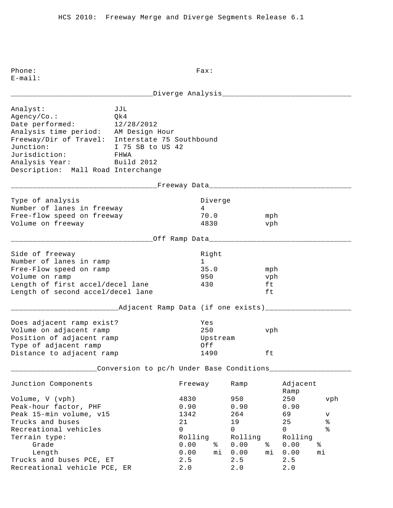\_\_\_\_\_\_\_\_\_\_\_\_\_\_\_\_\_\_\_\_\_\_\_\_\_\_\_\_\_\_\_\_\_Diverge Analysis\_\_\_\_\_\_\_\_\_\_\_\_\_\_\_\_\_\_\_\_\_\_\_\_\_\_\_\_\_\_ Analyst: JJL Agency/Co.: Qk4 Date performed: 12/28/2012 Analysis time period: AM Design Hour Freeway/Dir of Travel: Interstate 75 Southbound Junction: I 75 SB to US 42 Jurisdiction: FHWA Analysis Year: Build 2012 Description: Mall Road Interchange \_\_\_\_\_\_\_\_\_\_\_\_\_\_\_\_\_\_\_\_\_\_\_\_\_\_\_\_\_\_\_\_\_\_Freeway Data\_\_\_\_\_\_\_\_\_\_\_\_\_\_\_\_\_\_\_\_\_\_\_\_\_\_\_\_\_\_\_\_\_ Type of analysis and the Diverge of analysis and the Diverge Number of lanes in freeway 1988 1989 Free-flow speed on freeway 70.0 mph Volume on freeway and the settlement of the settlement of the settlement of the vehicle  $4830$  vph \_\_\_\_\_\_\_\_\_\_\_\_\_\_\_\_\_\_\_\_\_\_\_\_\_\_\_\_\_\_\_\_\_Off Ramp Data\_\_\_\_\_\_\_\_\_\_\_\_\_\_\_\_\_\_\_\_\_\_\_\_\_\_\_\_\_\_\_\_\_ Side of freeway and the state of the state of the state of the state of the state of the state of the state of Number of lanes in ramp 1 Free-Flow speed on ramp 35.0 mph Volume on ramp 950 vph Length of first accel/decel lane 430 ft Length of second accel/decel lane ft \_\_\_\_\_\_\_\_\_\_\_\_\_\_\_\_\_\_\_\_\_\_\_\_\_Adjacent Ramp Data (if one exists)\_\_\_\_\_\_\_\_\_\_\_\_\_\_\_\_\_\_\_\_ Does adjacent ramp exist? Yes Volume on adjacent ramp 250 vph Position of adjacent ramp and the Upstream Type of adjacent ramp  $Off$ Distance to adjacent ramp 1490 ft \_\_\_\_\_\_\_\_\_\_\_\_\_\_\_\_\_\_\_\_Conversion to pc/h Under Base Conditions\_\_\_\_\_\_\_\_\_\_\_\_\_\_\_\_\_\_\_ Junction Components Freeway Ramp Adjacent Ramp Ramp and the state of the state of the state of the state of the state of the state of the state of the state of the state of the state of the state of the state of the state of the state of the state of the state of Volume, V (vph) 4830 950 250 vph Peak-hour factor, PHF 0.90 0.90 0.90 Peak 15-min volume, v15 1342 69 v Prucks and buses and buses and buses the control of the control of the control of the control of the control o<br>
The control of the control of the control of the control of the control of the control of the control of the c Recreational vehicles and the control of the control of  $\sim$  0 0 0 % Terrain type: Terrain type: Terrain type: Rolling Rolling Rolling Grade 0.00 % 0.00 % 0.00 % Length 0.00 mi 0.00 mi 0.00 mi Trucks and buses PCE, ET 2.5 2.5 2.5 Recreational vehicle PCE, ER 2.0 2.0 2.0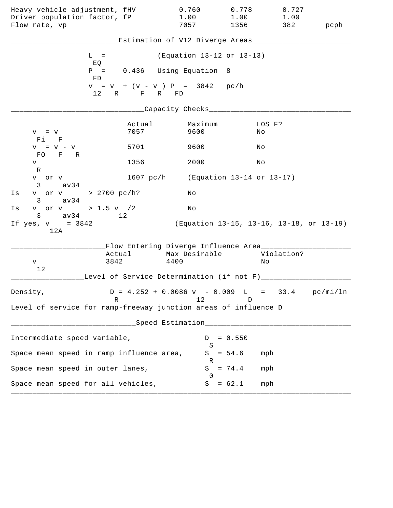| Heavy vehicle adjustment, fHV<br>Driver population factor, fP<br>Flow rate, vp |                | 0.760<br>1.00<br>7057                                                     | 0.778<br>1.00<br>1356                    | 0.727<br>1.00<br>382 | pcph |
|--------------------------------------------------------------------------------|----------------|---------------------------------------------------------------------------|------------------------------------------|----------------------|------|
|                                                                                |                | Estimation of V12 Diverge Areas___________                                |                                          |                      |      |
| $L =$                                                                          |                | (Equation 13-12 or 13-13)                                                 |                                          |                      |      |
| EQ<br>FD                                                                       |                | $P = 0.436$ Using Equation 8                                              |                                          |                      |      |
|                                                                                | 12 R F R FD    | $v = v + (v - v) P = 3842$ pc/h                                           |                                          |                      |      |
|                                                                                |                | _Capacity Checks_________                                                 |                                          |                      |      |
| $V = V$<br>Fi F                                                                | Actual<br>7057 | Maximum<br>9600                                                           | No                                       | LOS F?               |      |
| $V = V - V$                                                                    | 5701           | 9600                                                                      | Νo                                       |                      |      |
| FO F R<br>V                                                                    | 1356           | 2000                                                                      | Νo                                       |                      |      |
| R<br>v or v<br>$3 \text{ av34}$                                                |                | 1607 pc/h (Equation 13-14 or 13-17)                                       |                                          |                      |      |
| v or v > 2700 pc/h?<br>Is<br>$3 \text{ av } 34$                                |                | Νo                                                                        |                                          |                      |      |
| v or v > 1.5 v / 2<br>Is                                                       |                | No                                                                        |                                          |                      |      |
| $3 \text{ av } 34$<br>If $yes, v = 3842$<br>12A                                | 12             |                                                                           | (Equation 13-15, 13-16, 13-18, or 13-19) |                      |      |
|                                                                                |                | Flow Entering Diverge Influence Area________                              |                                          |                      |      |
| V                                                                              | Actual<br>3842 | Max Desirable<br>4400                                                     | Νo                                       | Violation?           |      |
| 12                                                                             |                | Level of Service Determination (if not F)_________                        |                                          |                      |      |
| Density,                                                                       |                | $D = 4.252 + 0.0086 \text{ v} - 0.009 \text{ L} = 33.4 \text{ pc/min/ln}$ |                                          |                      |      |
| Level of service for ramp-freeway junction areas of influence D                | R              | 12                                                                        | D                                        |                      |      |
|                                                                                |                | Speed Estimation___________________                                       |                                          |                      |      |
| Intermediate speed variable,                                                   |                | D                                                                         | $= 0.550$                                |                      |      |
| Space mean speed in ramp influence area,                                       |                | S<br>S                                                                    | $= 54.6$                                 | mph                  |      |
| Space mean speed in outer lanes,                                               |                | R<br>S                                                                    | $= 74.4$                                 | mph                  |      |
| Space mean speed for all vehicles,                                             |                | $\Omega$<br>S                                                             | $= 62.1$                                 | mph                  |      |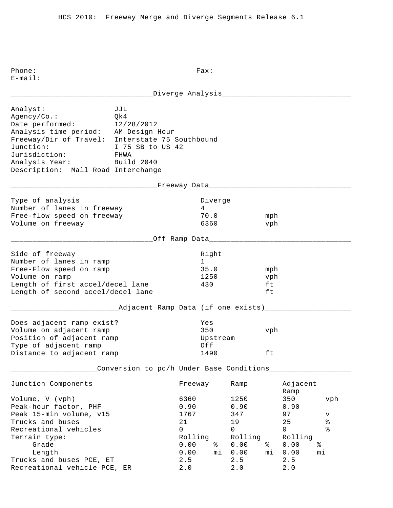| JJL<br>Qk4<br>12/28/2012<br>FHWA<br>Analysis Year: Build 2040<br>Description: Mall Road Interchange |                                                                  |                         |                                                                                                                                                                                                                    |                                                                     |                                                                                |                                                                                                                                        |
|-----------------------------------------------------------------------------------------------------|------------------------------------------------------------------|-------------------------|--------------------------------------------------------------------------------------------------------------------------------------------------------------------------------------------------------------------|---------------------------------------------------------------------|--------------------------------------------------------------------------------|----------------------------------------------------------------------------------------------------------------------------------------|
|                                                                                                     |                                                                  |                         |                                                                                                                                                                                                                    |                                                                     |                                                                                |                                                                                                                                        |
| Number of lanes in freeway<br>Free-flow speed on freeway                                            |                                                                  |                         |                                                                                                                                                                                                                    |                                                                     |                                                                                |                                                                                                                                        |
|                                                                                                     |                                                                  |                         |                                                                                                                                                                                                                    |                                                                     |                                                                                |                                                                                                                                        |
| Length of first accel/decel lane<br>Length of second accel/decel lane                               |                                                                  |                         |                                                                                                                                                                                                                    | ft<br>ft                                                            |                                                                                |                                                                                                                                        |
|                                                                                                     |                                                                  |                         |                                                                                                                                                                                                                    |                                                                     |                                                                                |                                                                                                                                        |
| Does adjacent ramp exist?<br>Position of adjacent ramp<br>Distance to adjacent ramp                 |                                                                  |                         |                                                                                                                                                                                                                    | ft                                                                  |                                                                                |                                                                                                                                        |
|                                                                                                     |                                                                  |                         |                                                                                                                                                                                                                    |                                                                     |                                                                                |                                                                                                                                        |
|                                                                                                     |                                                                  |                         | Ramp                                                                                                                                                                                                               |                                                                     | Ramp                                                                           |                                                                                                                                        |
| Trucks and buses PCE, ET                                                                            | 6360<br>0.90<br>1767<br>21<br>$\mathbf 0$<br>0.00<br>0.00<br>2.5 | ႜ<br>mi                 | 1250<br>0.90<br>347<br>19<br>$\Omega$<br>Rolling<br>0.00<br>0.00<br>2.5                                                                                                                                            | ∻<br>mi                                                             | 350<br>0.90<br>97<br>25<br>$\mathsf{O}$<br>Rolling<br>0.00<br>0.00<br>2.5      | vph<br>v<br>ి<br>န့<br>နွ<br>mi                                                                                                        |
|                                                                                                     | Recreational vehicle PCE, ER                                     | I 75 SB to US 42<br>2.0 | Analysis time period: AM Design Hour<br>Freeway/Dir of Travel: Interstate 75 Southbound<br>$4\degree$<br>6360<br>Right<br>$1 \quad \blacksquare$<br>35.0<br>1250<br>430<br>Yes<br>350<br>Off<br>Freeway<br>Rolling | Diverge<br>70.0<br>_Off Ramp Data_______<br>Upstream<br>1490<br>2.0 | ________Freeway Data_____________<br>Conversion to pc/h Under Base Conditions_ | ____Diverge Analysis______________<br>mph<br>vph<br>mph<br>vph<br>____Adjacent Ramp Data (if one exists)____<br>vph<br>Adjacent<br>2.0 |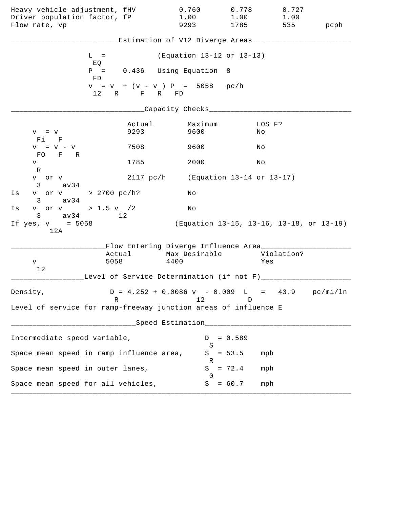| Heavy vehicle adjustment, fHV<br>Driver population factor, fP<br>Flow rate, vp   |                | 0.760<br>1.00<br>9293                                                           | 0.778<br>1.00<br>1785                    | 0.727<br>1.00<br>535 | pcph |
|----------------------------------------------------------------------------------|----------------|---------------------------------------------------------------------------------|------------------------------------------|----------------------|------|
|                                                                                  |                | Estimation of V12 Diverge Areas___                                              |                                          |                      |      |
| $L =$                                                                            |                | (Equation 13-12 or 13-13)                                                       |                                          |                      |      |
| EQ<br>FD.                                                                        |                | $P = 0.436$ Using Equation                                                      | - 8                                      |                      |      |
|                                                                                  | 12 R F R FD    | $v = v + (v - v) P = 5058 pc/h$                                                 |                                          |                      |      |
|                                                                                  |                | ____Capacity Checks__________                                                   |                                          |                      |      |
| $V = V$<br>$F1$ F                                                                | Actual<br>9293 | Maximum<br>9600                                                                 | Νo                                       | LOS F?               |      |
| $V = V - V$<br>FO F R                                                            | 7508           | 9600                                                                            | Νo                                       |                      |      |
| V                                                                                | 1785           | 2000                                                                            | Νo                                       |                      |      |
| R<br>v or v<br>av34<br>3                                                         | 2117~pc/h      |                                                                                 | (Equation 13-14 or 13-17)                |                      |      |
| v or v > 2700 pc/h?<br>Is<br>$3 \text{ av } 34$                                  |                | Νo                                                                              |                                          |                      |      |
| v or v > 1.5 v /2<br>Is<br>$3 \text{ av } 34$                                    | 12             | Νo                                                                              |                                          |                      |      |
| If $yes, v = 5058$<br>12A                                                        |                |                                                                                 | (Equation 13-15, 13-16, 13-18, or 13-19) |                      |      |
|                                                                                  |                | Flow Entering Diverge Influence Area_______                                     |                                          |                      |      |
| V                                                                                | Actual<br>5058 | Max Desirable<br>4400                                                           |                                          | Violation?<br>Yes    |      |
| 12                                                                               |                | Level of Service Determination (if not F)_____                                  |                                          |                      |      |
| Density,                                                                         | R              | $D = 4.252 + 0.0086 \text{ v} - 0.009 \text{ L} = 43.9 \text{ pc/min/ln}$<br>12 | D                                        |                      |      |
| Level of service for ramp-freeway junction areas of influence E                  |                |                                                                                 |                                          |                      |      |
| ------------------------------Speed Estimation__________________________________ |                |                                                                                 |                                          |                      |      |
| Intermediate speed variable,                                                     |                | S                                                                               | $D = 0.589$                              |                      |      |
| Space mean speed in ramp influence area,                                         |                |                                                                                 | $S = 53.5$<br>mph                        |                      |      |
| Space mean speed in outer lanes,                                                 |                | R                                                                               | $S = 72.4$<br>mph                        |                      |      |
| Space mean speed for all vehicles,                                               |                | $\Omega$                                                                        | $S = 60.7$                               | mph                  |      |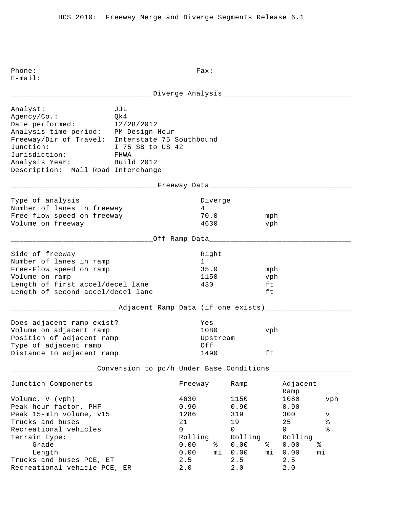Phone: Fax: E-mail: \_\_\_\_\_\_\_\_\_\_\_\_\_\_\_\_\_\_\_\_\_\_\_\_\_\_\_\_\_\_\_\_\_Diverge Analysis\_\_\_\_\_\_\_\_\_\_\_\_\_\_\_\_\_\_\_\_\_\_\_\_\_\_\_\_\_\_ Analyst: JJL Agency/Co.: Qk4 Date performed: 12/28/2012 Analysis time period: PM Design Hour Freeway/Dir of Travel: Interstate 75 Southbound Junction: I 75 SB to US 42 Jurisdiction: FHWA Analysis Year: Build 2012 Description: Mall Road Interchange \_\_\_\_\_\_\_\_\_\_\_\_\_\_\_\_\_\_\_\_\_\_\_\_\_\_\_\_\_\_\_\_\_\_Freeway Data\_\_\_\_\_\_\_\_\_\_\_\_\_\_\_\_\_\_\_\_\_\_\_\_\_\_\_\_\_\_\_\_\_ Type of analysis and a set of the Diverge Number of lanes in freeway 4 Free-flow speed on freeway 70.0 mph Volume on freeway 4630 vph \_\_\_\_\_\_\_\_\_\_\_\_\_\_\_\_\_\_\_\_\_\_\_\_\_\_\_\_\_\_\_\_\_Off Ramp Data\_\_\_\_\_\_\_\_\_\_\_\_\_\_\_\_\_\_\_\_\_\_\_\_\_\_\_\_\_\_\_\_\_

| Right |     |
|-------|-----|
|       |     |
| 35.0  | mph |
| 1150  | vph |
| 430   | ft  |
|       | ft. |
|       |     |

## \_\_\_\_\_\_\_\_\_\_\_\_\_\_\_\_\_\_\_\_\_\_\_\_\_Adjacent Ramp Data (if one exists)\_\_\_\_\_\_\_\_\_\_\_\_\_\_\_\_\_\_\_\_

| Does adjacent ramp exist? | Yes      |     |
|---------------------------|----------|-----|
| Volume on adjacent ramp   | 1080     | vph |
| Position of adjacent ramp | Upstream |     |
| Type of adjacent ramp     | Of f     |     |
| Distance to adjacent ramp | 1490     | ft  |

\_\_\_\_\_\_\_\_\_\_\_\_\_Conversion to pc/h Under Base Conditions\_\_\_\_\_\_\_\_\_\_\_\_\_\_\_\_\_\_\_\_\_\_\_\_\_\_\_

| Junction Components          | Freeway |    | Ramp    |    | Adjacent<br>Ramp |             |
|------------------------------|---------|----|---------|----|------------------|-------------|
| Volume, V (vph)              | 4630    |    | 1150    |    | 1080             | vph         |
| Peak-hour factor, PHF        | 0.90    |    | 0.90    |    | 0.90             |             |
| Peak 15-min volume, v15      | 1286    |    | 319     |    | 300              | $\mathbf v$ |
| Trucks and buses             | 21      |    | 19      |    | 25               | %           |
| Recreational vehicles        | 0       |    | 0       |    | 0                | န့          |
| Terrain type:                | Rolling |    | Rolling |    | Rolling          |             |
| Grade                        | 0.00    | ႜ  | 0.00    | ႜ  | 0.00             | ిన          |
| Length                       | 0.00    | mi | 0.00    | mi | 0.00             | mi          |
| Trucks and buses PCE, ET     | 2.5     |    | 2.5     |    | 2.5              |             |
| Recreational vehicle PCE, ER | 2.0     |    | 2.0     |    | 2.0              |             |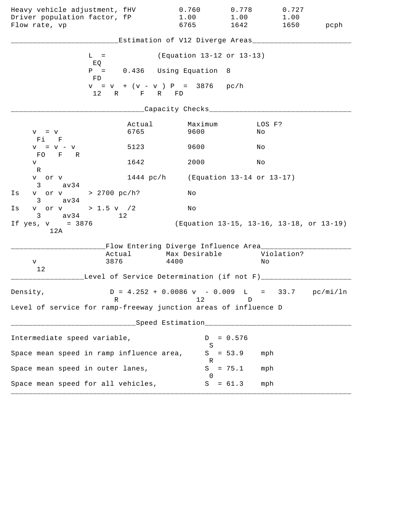| Heavy vehicle adjustment, fHV<br>Driver population factor, fP<br>Flow rate, vp |                | 0.760<br>1.00<br>6765                                                           | 0.778<br>1.00<br>1642                    | 0.727<br>1.00<br>1650 | pcph |
|--------------------------------------------------------------------------------|----------------|---------------------------------------------------------------------------------|------------------------------------------|-----------------------|------|
|                                                                                |                | Estimation of V12 Diverge Areas___________                                      |                                          |                       |      |
| $L =$                                                                          |                | (Equation 13-12 or 13-13)                                                       |                                          |                       |      |
| EQ<br>FD                                                                       |                | $P = 0.436$ Using Equation 8                                                    |                                          |                       |      |
|                                                                                | 12 R F R FD    | $v = v + (v - v) P = 3876$ pc/h                                                 |                                          |                       |      |
|                                                                                |                | _Capacity Checks____                                                            |                                          |                       |      |
| $V = V$<br>Fi F                                                                | Actual<br>6765 | Maximum<br>9600                                                                 | No                                       | LOS F?                |      |
| $V = V - V$<br>FO F R                                                          | 5123           | 9600                                                                            | Νo                                       |                       |      |
| V                                                                              | 1642           | 2000                                                                            | Νo                                       |                       |      |
| R<br>v or v<br>$3 \text{ av34}$                                                |                | 1444 pc/h (Equation 13-14 or 13-17)                                             |                                          |                       |      |
| v or v > 2700 pc/h?<br>Is<br>$3 \text{ av } 34$                                |                | Νo                                                                              |                                          |                       |      |
| v or v > 1.5 v / 2<br>Is                                                       |                | No                                                                              |                                          |                       |      |
| $3 \text{ av } 34$<br>If $yes, v = 3876$<br>12A                                | 12             |                                                                                 | (Equation 13-15, 13-16, 13-18, or 13-19) |                       |      |
|                                                                                |                | Flow Entering Diverge Influence Area________                                    |                                          |                       |      |
| V                                                                              | Actual<br>3876 | Max Desirable<br>4400                                                           | Νo                                       | Violation?            |      |
| 12                                                                             |                | Level of Service Determination (if not F)_________                              |                                          |                       |      |
| Density,                                                                       | R              | $D = 4.252 + 0.0086 \text{ v} - 0.009 \text{ L} = 33.7 \text{ pc/min/ln}$<br>12 | D                                        |                       |      |
| Level of service for ramp-freeway junction areas of influence D                |                |                                                                                 |                                          |                       |      |
|                                                                                |                | Speed Estimation___________________                                             |                                          |                       |      |
| Intermediate speed variable,                                                   |                | D                                                                               | $= 0.576$                                |                       |      |
| Space mean speed in ramp influence area,                                       |                | S<br>S                                                                          | $= 53.9$                                 | mph                   |      |
| Space mean speed in outer lanes,                                               |                | R<br>S                                                                          | $= 75.1$                                 | mph                   |      |
| Space mean speed for all vehicles,                                             |                | $\Omega$<br>S                                                                   | $= 61.3$                                 | mph                   |      |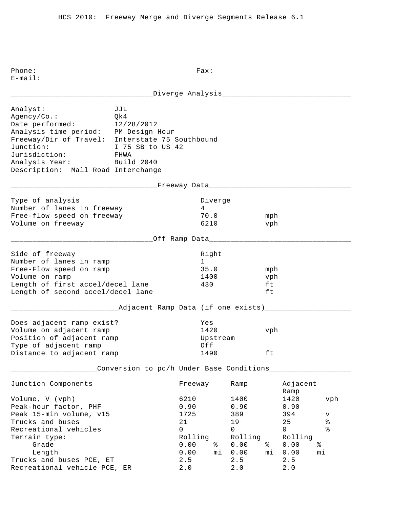|                                                                                                                                                                                                                                             |                                                   |                                                                   |                                        | _Diverge Analysis____________________                            |                        |                                                           |                                                |
|---------------------------------------------------------------------------------------------------------------------------------------------------------------------------------------------------------------------------------------------|---------------------------------------------------|-------------------------------------------------------------------|----------------------------------------|------------------------------------------------------------------|------------------------|-----------------------------------------------------------|------------------------------------------------|
| Analyst:<br>Agency/Co.:<br>Date performed:<br>Analysis time period: PM Design Hour<br>Freeway/Dir of Travel: Interstate 75 Southbound<br>Junction:<br>Jurisdiction: FHWA<br>Analysis Year: Build 2040<br>Description: Mall Road Interchange | JJL<br>Qk4<br>12/28/2012<br>I 75 SB to US 42      |                                                                   |                                        |                                                                  |                        |                                                           |                                                |
|                                                                                                                                                                                                                                             | _________Freeway Data__________________________   |                                                                   |                                        |                                                                  |                        |                                                           |                                                |
| Type of analysis<br>Number of lanes in freeway<br>Free-flow speed on freeway<br>Volume on freeway                                                                                                                                           |                                                   | 4                                                                 | Diverge<br>70.0<br>6210                |                                                                  | mph<br>vph             |                                                           |                                                |
|                                                                                                                                                                                                                                             | ___________Off Ramp Data_________________________ |                                                                   |                                        |                                                                  |                        |                                                           |                                                |
| Side of freeway<br>Number of lanes in ramp<br>Free-Flow speed on ramp<br>Volume on ramp<br>Length of first accel/decel lane<br>Length of second accel/decel lane                                                                            |                                                   | 1                                                                 | Right<br>35.0<br>1400<br>430           |                                                                  | mph<br>vph<br>ft<br>ft |                                                           |                                                |
|                                                                                                                                                                                                                                             | _Adjacent Ramp Data (if one exists)________       |                                                                   |                                        |                                                                  |                        |                                                           |                                                |
| Does adjacent ramp exist?<br>Volume on adjacent ramp<br>Position of adjacent ramp<br>Type of adjacent ramp<br>Distance to adjacent ramp                                                                                                     |                                                   |                                                                   | Yes<br>1420<br>Upstream<br>Off<br>1490 |                                                                  | vph<br>ft              |                                                           |                                                |
|                                                                                                                                                                                                                                             | Conversion to pc/h Under Base Conditions__        |                                                                   |                                        |                                                                  |                        |                                                           |                                                |
| Junction Components                                                                                                                                                                                                                         |                                                   | Freeway                                                           |                                        | Ramp                                                             |                        | Adjacent<br>Ramp                                          |                                                |
| Volume, V (vph)<br>Peak-hour factor, PHF<br>Peak 15-min volume, v15<br>Trucks and buses<br>Recreational vehicles<br>Terrain type:<br>Grade<br>Length                                                                                        |                                                   | 6210<br>0.90<br>1725<br>21<br>$\Omega$<br>Rolling<br>0.00<br>0.00 | နွ<br>mi                               | 1400<br>0.90<br>389<br>19<br>$\Omega$<br>Rolling<br>0.00<br>0.00 | နွ<br>mi               | 1420<br>0.90<br>394<br>25<br>0<br>Rolling<br>0.00<br>0.00 | vph<br>v<br>$\,$ %<br>$\frac{8}{6}$<br>ႜ<br>mi |
| Trucks and buses PCE, ET<br>Recreational vehicle PCE, ER                                                                                                                                                                                    |                                                   | 2.5<br>2.0                                                        |                                        | 2.5<br>2.0                                                       |                        | 2.5<br>$2 \cdot 0$                                        |                                                |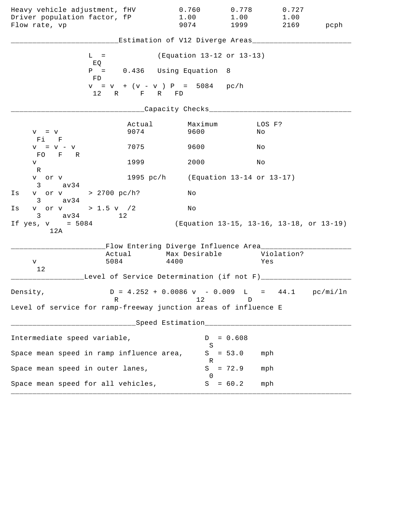| Heavy vehicle adjustment, fHV<br>Driver population factor, fP<br>Flow rate, vp   |                | 0.760<br>1.00<br>9074                                  | 0.778<br>1.00<br>1999 | 0.727<br>1.00<br>2169                    | pcph |
|----------------------------------------------------------------------------------|----------------|--------------------------------------------------------|-----------------------|------------------------------------------|------|
|                                                                                  |                | Estimation of V12 Diverge Areas___                     |                       |                                          |      |
| $L =$                                                                            |                | (Equation 13-12 or 13-13)                              |                       |                                          |      |
| EQ<br>FD.                                                                        |                | $P = 0.436$ Using Equation                             | - 8                   |                                          |      |
|                                                                                  | 12 R F R FD    | $v = v + (v - v) P = 5084$ pc/h                        |                       |                                          |      |
|                                                                                  |                | ____Capacity Checks___________                         |                       |                                          |      |
| $V = V$<br>$F1$ F                                                                | Actual<br>9074 | Maximum<br>9600                                        |                       | LOS F?<br>Νo                             |      |
| $V = V - V$<br>FO F R                                                            | 7075           | 9600                                                   |                       | Νo                                       |      |
| V<br>R                                                                           | 1999           | 2000                                                   |                       | Νo                                       |      |
| v or v<br>$3 \text{ av } 34$                                                     | 1995 $pc/h$    | (Equation 13-14 or 13-17)                              |                       |                                          |      |
| v or v > 2700 pc/h?<br>Is<br>$3 \text{ av } 34$                                  |                | Νo                                                     |                       |                                          |      |
| v or v > 1.5 v /2<br>Is<br>$3 \text{ av } 34$                                    | 12             | Νo                                                     |                       |                                          |      |
| If $yes, v = 5084$<br>12A                                                        |                |                                                        |                       | (Equation 13-15, 13-16, 13-18, or 13-19) |      |
|                                                                                  |                | Flow Entering Diverge Influence Area_______            |                       |                                          |      |
| 5084<br>V                                                                        | Actual         | Max Desirable<br>4400                                  |                       | Violation?<br>Yes                        |      |
| 12                                                                               |                | Level of Service Determination (if not F)______        |                       |                                          |      |
| Density,<br>R                                                                    |                | $D = 4.252 + 0.0086$ v - 0.009 L = 44.1 pc/mi/ln<br>12 | D                     |                                          |      |
| Level of service for ramp-freeway junction areas of influence E                  |                |                                                        |                       |                                          |      |
| ------------------------------Speed Estimation__________________________________ |                |                                                        |                       |                                          |      |
| Intermediate speed variable,                                                     |                | S                                                      | $D = 0.608$           |                                          |      |
| Space mean speed in ramp influence area,                                         |                | R                                                      | $S = 53.0$            | mph                                      |      |
| Space mean speed in outer lanes,                                                 |                | $\Omega$                                               | $S = 72.9$            | mph                                      |      |
| Space mean speed for all vehicles,                                               |                |                                                        | $S = 60.2$            | mph                                      |      |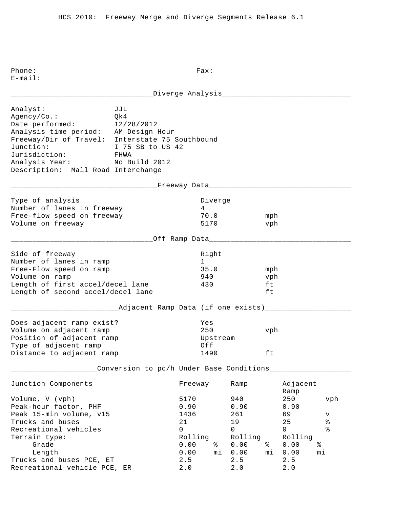|                                                                                                                                                                                                                                           |                                                      | Diverge Analysis_____________________________                                 |                                                                            |                        |                                                                           |                                                          |
|-------------------------------------------------------------------------------------------------------------------------------------------------------------------------------------------------------------------------------------------|------------------------------------------------------|-------------------------------------------------------------------------------|----------------------------------------------------------------------------|------------------------|---------------------------------------------------------------------------|----------------------------------------------------------|
| Analyst:<br>Agency/Co.:<br>Date performed:<br>Analysis time period: AM Design Hour<br>Freeway/Dir of Travel: Interstate 75 Southbound<br>Junction:<br>Jurisdiction:<br>Analysis Year: No Build 2012<br>Description: Mall Road Interchange | JJL<br>Qk4<br>12/28/2012<br>I 75 SB to US 42<br>FHWA |                                                                               |                                                                            |                        |                                                                           |                                                          |
|                                                                                                                                                                                                                                           | _________________Freeway Data___________________     |                                                                               |                                                                            |                        |                                                                           |                                                          |
| Type of analysis<br>Number of lanes in freeway<br>Free-flow speed on freeway<br>Volume on freeway                                                                                                                                         |                                                      | Diverge<br>4<br>70.0<br>5170                                                  |                                                                            | mph<br>vph             |                                                                           |                                                          |
|                                                                                                                                                                                                                                           |                                                      |                                                                               |                                                                            |                        |                                                                           |                                                          |
| Side of freeway<br>Number of lanes in ramp<br>Free-Flow speed on ramp<br>Volume on ramp<br>Length of first accel/decel lane<br>Length of second accel/decel lane                                                                          |                                                      | Right<br>$\mathbf{1}$<br>35.0<br>940<br>430                                   |                                                                            | mph<br>vph<br>ft<br>ft |                                                                           |                                                          |
|                                                                                                                                                                                                                                           | __Adjacent Ramp Data (if one exists)_______          |                                                                               |                                                                            |                        |                                                                           |                                                          |
| Does adjacent ramp exist?<br>Volume on adjacent ramp<br>Position of adjacent ramp<br>Type of adjacent ramp<br>Distance to adjacent ramp                                                                                                   |                                                      | Yes<br>250<br>Off<br>1490                                                     | Upstream                                                                   | vph<br>ft              |                                                                           |                                                          |
|                                                                                                                                                                                                                                           | Conversion to pc/h Under Base Conditions___          |                                                                               |                                                                            |                        |                                                                           |                                                          |
| Junction Components                                                                                                                                                                                                                       |                                                      | Freeway                                                                       | Ramp                                                                       |                        | Adjacent<br>Ramp                                                          |                                                          |
| Volume, V (vph)<br>Peak-hour factor, PHF<br>Peak 15-min volume, v15<br>Trucks and buses<br>Recreational vehicles<br>Terrain type:<br>Grade<br>Length<br>Trucks and buses PCE, ET                                                          |                                                      | 5170<br>0.90<br>1436<br>21<br>0<br>Rolling<br>0.00<br>နွ<br>0.00<br>mi<br>2.5 | 940<br>0.90<br>261<br>19<br>$\mathsf{O}$<br>Rolling<br>0.00<br>0.00<br>2.5 | နွ<br>mi               | 250<br>0.90<br>69<br>25<br>$\mathsf{O}$<br>Rolling<br>0.00<br>0.00<br>2.5 | vph<br>v<br>$\, \mathrm{e}$<br>$\frac{8}{6}$<br>ిం<br>mi |
| Recreational vehicle PCE, ER                                                                                                                                                                                                              |                                                      | 2.0                                                                           | $2.0$                                                                      |                        | 2.0                                                                       |                                                          |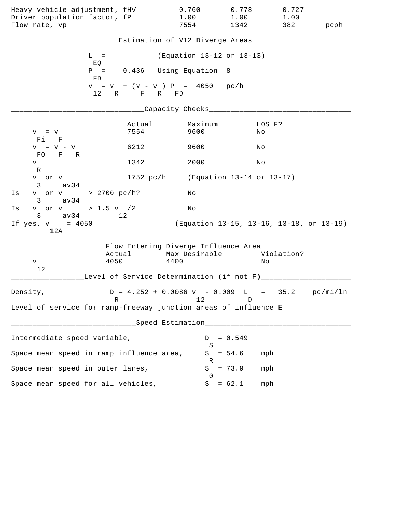| Heavy vehicle adjustment, fHV<br>Driver population factor, fP<br>Flow rate, vp |                                                | 0.760<br>1.00<br>7554                                                           | 0.778<br>1.00<br>1342                    | 0.727<br>1.00<br>382 | pcph |
|--------------------------------------------------------------------------------|------------------------------------------------|---------------------------------------------------------------------------------|------------------------------------------|----------------------|------|
|                                                                                |                                                | Estimation of V12 Diverge Areas___                                              |                                          |                      |      |
|                                                                                | $L =$                                          | (Equation 13-12 or 13-13)                                                       |                                          |                      |      |
|                                                                                | EQ<br>$P = 0.436$ Using Equation<br>FD.        |                                                                                 | - 8                                      |                      |      |
|                                                                                | $v = v + (v - v) P = 4050 pc/h$<br>12 R F R FD |                                                                                 |                                          |                      |      |
|                                                                                |                                                | ____Capacity Checks___                                                          |                                          |                      |      |
| $V = V$<br>$Fi$ $F$                                                            | Actual<br>7554                                 | Maximum<br>9600                                                                 | No                                       | LOS F?               |      |
| $V = V - V$<br>FO F R                                                          | 6212                                           | 9600                                                                            | Νo                                       |                      |      |
| V<br>R                                                                         | 1342                                           | 2000                                                                            | Νo                                       |                      |      |
| v or v<br>$3 \text{ av } 34$                                                   |                                                | 1752 pc/h (Equation 13-14 or 13-17)                                             |                                          |                      |      |
| v or v > 2700 pc/h?<br>Is<br>av34<br>$3 \sim$                                  |                                                | Νo                                                                              |                                          |                      |      |
| v or v > 1.5 v $/2$<br>Is<br>$3 \text{ av } 34$                                | 12                                             | Νo                                                                              |                                          |                      |      |
| If $yes, v = 4050$<br>12A                                                      |                                                |                                                                                 | (Equation 13-15, 13-16, 13-18, or 13-19) |                      |      |
|                                                                                | Flow Entering Diverge Influence Area________   | Max Desirable                                                                   |                                          | Violation?           |      |
| V<br>12                                                                        | Actual<br>4050                                 | 4400                                                                            | Νo                                       |                      |      |
|                                                                                | Level of Service Determination (if not F)_____ |                                                                                 |                                          |                      |      |
| Density,                                                                       | R                                              | $D = 4.252 + 0.0086 \text{ v} - 0.009 \text{ L} = 35.2 \text{ pc/min/ln}$<br>12 | D                                        |                      |      |
| Level of service for ramp-freeway junction areas of influence E                |                                                |                                                                                 |                                          |                      |      |
|                                                                                |                                                | ___Speed Estimation_________________                                            |                                          |                      |      |
| Intermediate speed variable,                                                   |                                                | D<br>S                                                                          | $= 0.549$                                |                      |      |
| Space mean speed in ramp influence area,                                       |                                                |                                                                                 | $S = 54.6$                               | mph                  |      |
| Space mean speed in outer lanes,                                               |                                                | R<br>S                                                                          | $= 73.9$                                 | mph                  |      |
| Space mean speed for all vehicles,                                             |                                                | $\Omega$                                                                        | $S = 62.1$                               | mph                  |      |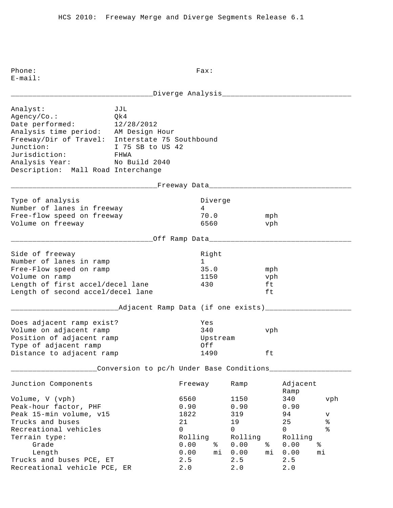\_\_\_\_\_\_\_\_\_\_\_\_\_\_\_\_\_\_\_\_\_\_\_\_\_\_\_\_\_\_\_\_\_Diverge Analysis\_\_\_\_\_\_\_\_\_\_\_\_\_\_\_\_\_\_\_\_\_\_\_\_\_\_\_\_\_\_ Analyst: JJL Agency/Co.: Qk4 Date performed: 12/28/2012 Analysis time period: AM Design Hour Freeway/Dir of Travel: Interstate 75 Southbound Junction: I 75 SB to US 42 Jurisdiction: FHWA Analysis Year: No Build 2040 Description: Mall Road Interchange \_\_\_\_\_\_\_\_\_\_\_\_\_\_\_\_\_\_\_\_\_\_\_\_\_\_\_\_\_\_\_\_\_\_Freeway Data\_\_\_\_\_\_\_\_\_\_\_\_\_\_\_\_\_\_\_\_\_\_\_\_\_\_\_\_\_\_\_\_\_ Type of analysis and the Diverge of analysis and the Diverge Number of lanes in freeway 1988 1989 Free-flow speed on freeway 70.0 mph Volume on freeway and the control of the control of the control of the vehicle of the vehicle of the vehicle of the vehicle of the vehicle of the vehicle of the vehicle of the vehicle of the vehicle of the vehicle of the v \_\_\_\_\_\_\_\_\_\_\_\_\_\_\_\_\_\_\_\_\_\_\_\_\_\_\_\_\_\_\_\_\_Off Ramp Data\_\_\_\_\_\_\_\_\_\_\_\_\_\_\_\_\_\_\_\_\_\_\_\_\_\_\_\_\_\_\_\_\_ Side of freeway and the state of the state of the state of the state of the state of the state of the state of Number of lanes in ramp 1 Free-Flow speed on ramp 35.0 mph Volume on ramp  $1150$  vph Length of first accel/decel lane 430 ft Length of second accel/decel lane ft \_\_\_\_\_\_\_\_\_\_\_\_\_\_\_\_\_\_\_\_\_\_\_\_\_Adjacent Ramp Data (if one exists)\_\_\_\_\_\_\_\_\_\_\_\_\_\_\_\_\_\_\_\_ Does adjacent ramp exist? Yes Volume on adjacent ramp 340 vph Position of adjacent ramp and the Upstream Type of adjacent ramp  $Off$ Distance to adjacent ramp 1490 ft \_\_\_\_\_\_\_\_\_\_\_\_\_\_\_\_\_\_\_\_Conversion to pc/h Under Base Conditions\_\_\_\_\_\_\_\_\_\_\_\_\_\_\_\_\_\_\_ Junction Components Freeway Ramp Adjacent Ramp Ramp and the state of the state of the state of the state of the state of the state of the state of the state of the state of the state of the state of the state of the state of the state of the state of the state of Volume, V (vph) 6560 1150 340 vph Peak-hour factor, PHF 0.90 0.90 0.90 Peak 15-min volume, v15 1822 319 94 v Prucks and buses and buses and buses the control of the control of the control of the control of the control o<br>
The control of the control of the control of the control of the control of the control of the control of the c Recreational vehicles and the control of the control of  $\sim$  0 0 0 % Terrain type: Terrain type: Terrain type: Rolling Rolling Rolling Grade 0.00 % 0.00 % 0.00 % Length 0.00 mi 0.00 mi 0.00 mi Trucks and buses PCE, ET 2.5 2.5 2.5 Recreational vehicle PCE, ER 2.0 2.0 2.0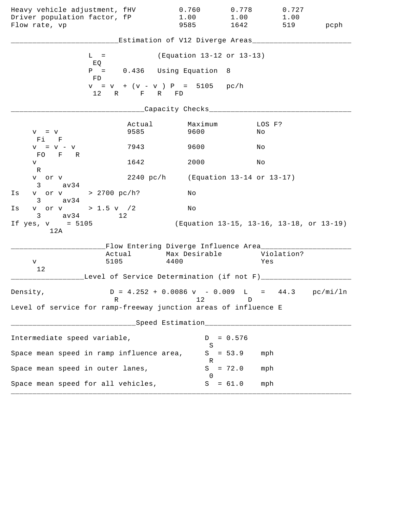| Heavy vehicle adjustment, fHV<br>Driver population factor, fP<br>Flow rate, vp |                | 0.760<br>1.00<br>9585                                                           | 0.778<br>1.00<br>1642                    | 0.727<br>1.00<br>519 | pcph |
|--------------------------------------------------------------------------------|----------------|---------------------------------------------------------------------------------|------------------------------------------|----------------------|------|
|                                                                                |                | Estimation of V12 Diverge Areas___________                                      |                                          |                      |      |
| $L =$                                                                          |                | (Equation 13-12 or 13-13)                                                       |                                          |                      |      |
| EQ<br>FD                                                                       |                | $P = 0.436$ Using Equation 8                                                    |                                          |                      |      |
|                                                                                | 12 R F R FD    | $v = v + (v - v) P = 5105 pc/h$                                                 |                                          |                      |      |
|                                                                                |                | _Capacity Checks____                                                            |                                          |                      |      |
| $V = V$<br>Fi F                                                                | Actual<br>9585 | Maximum<br>9600                                                                 | No                                       | LOS F?               |      |
| $V = V - V$                                                                    | 7943           | 9600                                                                            | Νo                                       |                      |      |
| FO F R<br>V                                                                    | 1642           | 2000                                                                            | Νo                                       |                      |      |
| R<br>v or v<br>$3 \text{ av34}$                                                |                | 2240 pc/h (Equation 13-14 or 13-17)                                             |                                          |                      |      |
| v or v > 2700 pc/h?<br>Is<br>$3 \text{ av } 34$                                |                | Νo                                                                              |                                          |                      |      |
| v or v > 1.5 v / 2<br>Is                                                       |                | No                                                                              |                                          |                      |      |
| $3 \text{ av } 34$<br>If $yes, v = 5105$<br>12A                                | 12             |                                                                                 | (Equation 13-15, 13-16, 13-18, or 13-19) |                      |      |
|                                                                                |                | Flow Entering Diverge Influence Area________                                    |                                          |                      |      |
| V                                                                              | 5105           | Actual Max Desirable<br>4400                                                    | Yes                                      | Violation?           |      |
| 12                                                                             |                | Level of Service Determination (if not F)________                               |                                          |                      |      |
| Density,                                                                       | R              | $D = 4.252 + 0.0086 \text{ v} - 0.009 \text{ L} = 44.3 \text{ pc/min/ln}$<br>12 | D                                        |                      |      |
| Level of service for ramp-freeway junction areas of influence E                |                |                                                                                 |                                          |                      |      |
|                                                                                |                | Speed Estimation____________________                                            |                                          |                      |      |
| Intermediate speed variable,                                                   |                | D                                                                               | $= 0.576$                                |                      |      |
| Space mean speed in ramp influence area,                                       |                | S<br>S                                                                          | $= 53.9$<br>mph                          |                      |      |
| Space mean speed in outer lanes,                                               |                | R<br>S                                                                          | $= 72.0$<br>mph                          |                      |      |
| Space mean speed for all vehicles,                                             |                | $\Omega$<br>S                                                                   | $= 61.0$<br>mph                          |                      |      |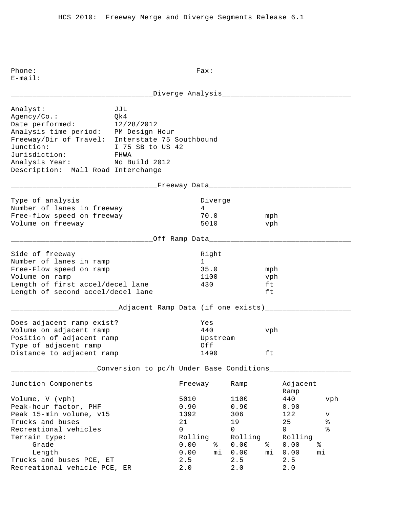|                                                                                                                                                                                                                                           |                                                      |                                                                       |                              | Diverge Analysis_____________________________                        |                        |                                                          |                                                 |
|-------------------------------------------------------------------------------------------------------------------------------------------------------------------------------------------------------------------------------------------|------------------------------------------------------|-----------------------------------------------------------------------|------------------------------|----------------------------------------------------------------------|------------------------|----------------------------------------------------------|-------------------------------------------------|
| Analyst:<br>Agency/Co.:<br>Date performed:<br>Analysis time period: PM Design Hour<br>Freeway/Dir of Travel: Interstate 75 Southbound<br>Junction:<br>Jurisdiction:<br>Analysis Year: No Build 2012<br>Description: Mall Road Interchange | JJL<br>Qk4<br>12/28/2012<br>I 75 SB to US 42<br>FHWA |                                                                       |                              |                                                                      |                        |                                                          |                                                 |
|                                                                                                                                                                                                                                           | __________________Freeway Data____________________   |                                                                       |                              |                                                                      |                        |                                                          |                                                 |
| Type of analysis<br>Number of lanes in freeway<br>Free-flow speed on freeway<br>Volume on freeway                                                                                                                                         |                                                      | 4                                                                     | Diverge<br>70.0<br>5010      |                                                                      | mph<br>vph             |                                                          |                                                 |
|                                                                                                                                                                                                                                           |                                                      |                                                                       |                              |                                                                      |                        |                                                          |                                                 |
| Side of freeway<br>Number of lanes in ramp<br>Free-Flow speed on ramp<br>Volume on ramp<br>Length of first accel/decel lane<br>Length of second accel/decel lane                                                                          |                                                      | 1                                                                     | Right<br>35.0<br>1100<br>430 |                                                                      | mph<br>vph<br>ft<br>ft |                                                          |                                                 |
|                                                                                                                                                                                                                                           | __Adjacent Ramp Data (if one exists)______           |                                                                       |                              |                                                                      |                        |                                                          |                                                 |
| Does adjacent ramp exist?<br>Volume on adjacent ramp<br>Position of adjacent ramp<br>Type of adjacent ramp<br>Distance to adjacent ramp                                                                                                   |                                                      | Yes<br>440<br>Off                                                     | Upstream<br>1490             |                                                                      | vph<br>ft              |                                                          |                                                 |
|                                                                                                                                                                                                                                           | Conversion to pc/h Under Base Conditions___          |                                                                       |                              |                                                                      |                        |                                                          |                                                 |
| Junction Components                                                                                                                                                                                                                       |                                                      | Freeway                                                               |                              | Ramp                                                                 |                        | Adjacent<br>Ramp                                         |                                                 |
| Volume, V (vph)<br>Peak-hour factor, PHF<br>Peak 15-min volume, v15<br>Trucks and buses<br>Recreational vehicles<br>Terrain type:<br>Grade                                                                                                |                                                      | 5010<br>0.90<br>1392<br>21<br>$\mathsf{O}$<br>Rolling<br>0.00<br>0.00 | နွ<br>mi                     | 1100<br>0.90<br>306<br>19<br>$\mathsf{O}$<br>Rolling<br>0.00<br>0.00 | နွ<br>mi               | 440<br>0.90<br>122<br>25<br>0<br>Rolling<br>0.00<br>0.00 | vph<br>v<br>$\,$ %<br>$\frac{8}{6}$<br>ిం<br>mi |
| Length<br>Trucks and buses PCE, ET<br>Recreational vehicle PCE, ER                                                                                                                                                                        |                                                      | 2.5<br>2.0                                                            |                              | 2.5<br>$2.0$                                                         |                        | 2.5<br>2.0                                               |                                                 |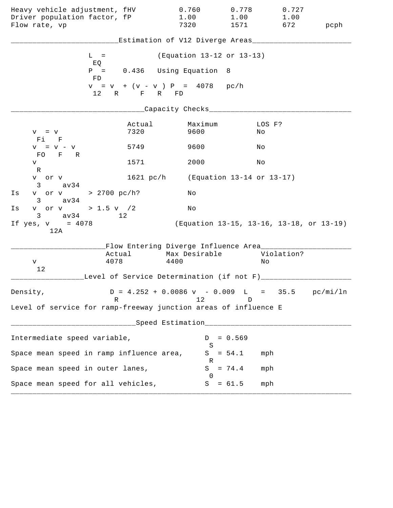| Heavy vehicle adjustment, fHV<br>Driver population factor, fP<br>Flow rate, vp   |                | 0.760<br>1.00<br>7320                                                           | 0.778<br>1.00<br>1571     | 0.727<br>1.00<br>672                     | pcph |
|----------------------------------------------------------------------------------|----------------|---------------------------------------------------------------------------------|---------------------------|------------------------------------------|------|
|                                                                                  |                | Estimation of V12 Diverge Areas___                                              |                           |                                          |      |
| $L =$                                                                            |                | (Equation 13-12 or 13-13)                                                       |                           |                                          |      |
| EQ<br>FD.                                                                        |                | $P = 0.436$ Using Equation                                                      | - 8                       |                                          |      |
|                                                                                  | 12 R F R FD    | $v = v + (v - v) P = 4078 pc/h$                                                 |                           |                                          |      |
|                                                                                  |                | __Capacity Checks__________                                                     |                           |                                          |      |
| $V = V$<br>Fi F                                                                  | Actual<br>7320 | Maximum<br>9600                                                                 |                           | LOS F?<br>Νo                             |      |
| $V = V - V$<br>FO F R                                                            | 5749           | 9600                                                                            |                           | Νo                                       |      |
| V                                                                                | 1571           | 2000                                                                            |                           | Νo                                       |      |
| R<br>v or v<br>av34<br>3                                                         | 1621~pc/h      |                                                                                 | (Equation 13-14 or 13-17) |                                          |      |
| v or v > 2700 pc/h?<br>Is<br>$3 \text{ av } 34$                                  |                | Νo                                                                              |                           |                                          |      |
| v or v > 1.5 v $/2$<br>Is<br>$3 \text{ av } 34$                                  | 12             | Νo                                                                              |                           |                                          |      |
| If $yes, v = 4078$<br>12A                                                        |                |                                                                                 |                           | (Equation 13-15, 13-16, 13-18, or 13-19) |      |
|                                                                                  |                | Flow Entering Diverge Influence Area_______                                     |                           |                                          |      |
| 4078<br>V<br>12                                                                  | Actual         | Max Desirable<br>4400                                                           |                           | Violation?<br>Νo                         |      |
|                                                                                  |                | Level of Service Determination (if not F)______                                 |                           |                                          |      |
| Density,<br>R                                                                    |                | $D = 4.252 + 0.0086 \text{ v} - 0.009 \text{ L} = 35.5 \text{ pc/min/ln}$<br>12 | D                         |                                          |      |
| Level of service for ramp-freeway junction areas of influence E                  |                |                                                                                 |                           |                                          |      |
| ______________________________Speed Estimation__________________________________ |                |                                                                                 |                           |                                          |      |
| Intermediate speed variable,                                                     |                |                                                                                 | $D = 0.569$               |                                          |      |
| Space mean speed in ramp influence area,                                         |                | S                                                                               | $S = 54.1$                | mph                                      |      |
| Space mean speed in outer lanes,                                                 |                | R<br>S                                                                          | $= 74.4$                  | mph                                      |      |
| Space mean speed for all vehicles,                                               |                | $\Omega$                                                                        | $S = 61.5$                | mph                                      |      |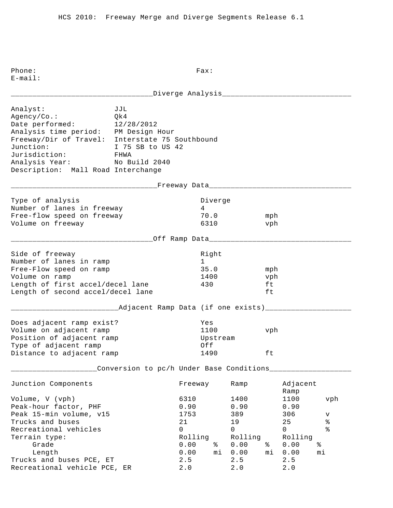| Analyst:<br>Agency/Co.:<br>Date performed:<br>Analysis time period: PM Design Hour<br>Freeway/Dir of Travel: Interstate 75 Southbound<br>Junction:<br>Jurisdiction:<br>Analysis Year: No Build 2040<br>Description: Mall Road Interchange | JJL<br>Qk4<br>12/28/2012<br>I 75 SB to US 42<br>FHWA    |                                                                   |                   |                         |                                                                             |                        |                                                                             |                                                              |
|-------------------------------------------------------------------------------------------------------------------------------------------------------------------------------------------------------------------------------------------|---------------------------------------------------------|-------------------------------------------------------------------|-------------------|-------------------------|-----------------------------------------------------------------------------|------------------------|-----------------------------------------------------------------------------|--------------------------------------------------------------|
|                                                                                                                                                                                                                                           | _______________________Freeway Data____________________ |                                                                   |                   |                         |                                                                             |                        |                                                                             |                                                              |
| Type of analysis<br>Number of lanes in freeway<br>Free-flow speed on freeway<br>Volume on freeway                                                                                                                                         |                                                         |                                                                   | $4\overline{ }$   | Diverge<br>70.0<br>6310 |                                                                             | mph<br>vph             |                                                                             |                                                              |
|                                                                                                                                                                                                                                           |                                                         |                                                                   |                   |                         |                                                                             |                        |                                                                             |                                                              |
| Side of freeway<br>Number of lanes in ramp<br>Free-Flow speed on ramp<br>Volume on ramp<br>Length of first accel/decel lane<br>Length of second accel/decel lane                                                                          |                                                         |                                                                   | Right<br>1<br>430 | 35.0<br>1400            |                                                                             | mph<br>vph<br>ft<br>ft |                                                                             |                                                              |
| _____________________________Adjacent Ramp Data (if one exists)___________<br>Does adjacent ramp exist?<br>Volume on adjacent ramp<br>Position of adjacent ramp<br>Type of adjacent ramp<br>Distance to adjacent ramp                     |                                                         |                                                                   | Yes<br>Off        | 1100<br>Upstream        | 1490                                                                        | vph<br>ft              |                                                                             |                                                              |
|                                                                                                                                                                                                                                           | Conversion to pc/h Under Base Conditions__________      |                                                                   |                   |                         |                                                                             |                        |                                                                             |                                                              |
| Junction Components                                                                                                                                                                                                                       |                                                         | Freeway                                                           |                   |                         | Ramp                                                                        |                        | Adjacent<br>Ramp                                                            |                                                              |
| Volume, V (vph)<br>Peak-hour factor, PHF<br>Peak 15-min volume, v15<br>Trucks and buses<br>Recreational vehicles<br>Terrain type:<br>Grade<br>Length<br>Trucks and buses PCE, ET                                                          |                                                         | 6310<br>0.90<br>1753<br>21<br>0<br>Rolling<br>0.00<br>0.00<br>2.5 |                   | နွ<br>mi                | 1400<br>0.90<br>389<br>19<br>$\mathsf{O}$<br>Rolling<br>0.00<br>0.00<br>2.5 | နွ<br>mi               | 1100<br>0.90<br>306<br>25<br>$\mathsf{O}$<br>Rolling<br>0.00<br>0.00<br>2.5 | vph<br>v<br>$\, \,{}^{\circ}\!$<br>$\frac{8}{6}$<br>ిం<br>mi |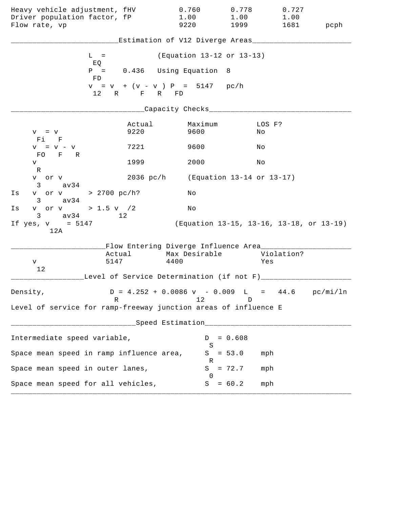| Heavy vehicle adjustment, fHV<br>Driver population factor, fP<br>Flow rate, vp   |                | 0.760<br>1.00<br>9220                                                           | 0.778<br>1.00<br>1999                    | 0.727<br>1.00<br>1681 | pcph |  |  |
|----------------------------------------------------------------------------------|----------------|---------------------------------------------------------------------------------|------------------------------------------|-----------------------|------|--|--|
| Estimation of V12 Diverge Areas___                                               |                |                                                                                 |                                          |                       |      |  |  |
| $L =$                                                                            |                | (Equation 13-12 or 13-13)                                                       |                                          |                       |      |  |  |
| EQ<br>FD.                                                                        |                | $P = 0.436$ Using Equation                                                      | 8 <sup>8</sup>                           |                       |      |  |  |
|                                                                                  | 12 R F R FD    | $v = v + (v - v) P = 5147 pc/h$                                                 |                                          |                       |      |  |  |
|                                                                                  |                | ____Capacity Checks__________                                                   |                                          |                       |      |  |  |
| $V = V$<br>Fi F                                                                  | Actual<br>9220 | Maximum<br>9600                                                                 | Νo                                       | LOS F?                |      |  |  |
| $V = V - V$<br>FO F R                                                            | 7221           | 9600                                                                            | Νo                                       |                       |      |  |  |
| V                                                                                | 1999           | 2000                                                                            | Νo                                       |                       |      |  |  |
| R<br>v or v<br>$3 \text{ av } 34$                                                | 2036~pc/h      | (Equation 13-14 or 13-17)                                                       |                                          |                       |      |  |  |
| v or v > 2700 pc/h?<br>Is<br>$3 \text{ av } 34$                                  |                | Νo                                                                              |                                          |                       |      |  |  |
| v or v > 1.5 v $/2$<br>Is<br>$3 \text{ av } 34$<br>12                            |                | Νo                                                                              |                                          |                       |      |  |  |
| If yes, $v = 5147$<br>12A                                                        |                |                                                                                 | (Equation 13-15, 13-16, 13-18, or 13-19) |                       |      |  |  |
|                                                                                  |                | Flow Entering Diverge Influence Area_______                                     |                                          |                       |      |  |  |
| V<br>12                                                                          | Actual<br>5147 | Max Desirable<br>4400                                                           |                                          | Violation?<br>Yes     |      |  |  |
| Level of Service Determination (if not F)______                                  |                |                                                                                 |                                          |                       |      |  |  |
| Density,                                                                         | R              | $D = 4.252 + 0.0086 \text{ v} - 0.009 \text{ L} = 44.6 \text{ pc/min/ln}$<br>12 | D                                        |                       |      |  |  |
| Level of service for ramp-freeway junction areas of influence E                  |                |                                                                                 |                                          |                       |      |  |  |
| ------------------------------Speed Estimation__________________________________ |                |                                                                                 |                                          |                       |      |  |  |
| Intermediate speed variable,                                                     |                | S                                                                               | $D = 0.608$                              |                       |      |  |  |
| Space mean speed in ramp influence area,                                         |                |                                                                                 | $S = 53.0$                               | mph                   |      |  |  |
| Space mean speed in outer lanes,                                                 |                | R                                                                               | $S = 72.7$                               | mph                   |      |  |  |
| Space mean speed for all vehicles,                                               |                | $\Omega$                                                                        | $S = 60.2$                               | mph                   |      |  |  |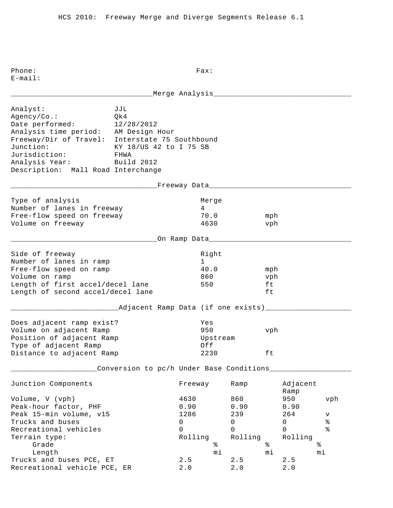Phone: Fax: E-mail: \_\_\_\_\_\_\_\_\_\_\_\_\_\_\_\_\_\_\_\_\_\_\_\_\_\_\_\_\_\_\_\_\_Merge Analysis\_\_\_\_\_\_\_\_\_\_\_\_\_\_\_\_\_\_\_\_\_\_\_\_\_\_\_\_\_\_\_\_ Analyst: JJL Agency/Co.: Qk4 Date performed: 12/28/2012 Analysis time period: AM Design Hour Freeway/Dir of Travel: Interstate 75 Southbound Junction: KY 18/US 42 to I 75 SB Jurisdiction: FHWA Analysis Year: Build 2012 Description: Mall Road Interchange \_\_\_\_\_\_\_\_\_\_\_\_\_\_\_\_\_\_\_\_\_\_\_\_\_\_\_\_\_\_\_\_\_\_Freeway Data\_\_\_\_\_\_\_\_\_\_\_\_\_\_\_\_\_\_\_\_\_\_\_\_\_\_\_\_\_\_\_\_\_ Type of analysis and a series of analysis and a series of the Merge Number of lanes in freeway 14 Free-flow speed on freeway 70.0 mph Volume on freeway 4630 vph \_\_\_\_\_\_\_\_\_\_\_\_\_\_\_\_\_\_\_\_\_\_\_\_\_\_\_\_\_\_\_\_\_\_On Ramp Data\_\_\_\_\_\_\_\_\_\_\_\_\_\_\_\_\_\_\_\_\_\_\_\_\_\_\_\_\_\_\_\_\_ Side of freeway and the state of the state of the state of the state of the state of the state of the state of Number of lanes in ramp 1 Free-flow speed on ramp  $40.0$  mph Volume on ramp  $860$  vph Length of first accel/decel lane 550 ft Length of second accel/decel lane ft \_\_\_\_\_\_\_\_\_\_\_\_\_\_\_\_\_\_\_\_\_\_\_\_\_Adjacent Ramp Data (if one exists)\_\_\_\_\_\_\_\_\_\_\_\_\_\_\_\_\_\_\_\_ Does adjacent ramp exist? Yes Volume on adjacent Ramp 950 vph Position of adjacent Ramp and Upstream Type of adjacent Ramp  $Off$ Distance to adjacent Ramp  $2230$  ft \_\_\_\_\_\_\_\_\_\_\_\_\_\_\_\_\_\_\_\_Conversion to pc/h Under Base Conditions\_\_\_\_\_\_\_\_\_\_\_\_\_\_\_\_\_\_\_ Junction Components Freeway Ramp Adjacent Ramp Ramp and the state of the state of the state of the state of the state of the state of the state of the state of the state of the state of the state of the state of the state of the state of the state of the state of Volume, V (vph) 4630 860 950 vph Peak-hour factor, PHF 0.90 0.90 0.90 0.90 Peak 15-min volume, v15 1286 239 264 v Trucks and buses  $\begin{array}{ccccccc}\n & & & & & & 0 & & & 0 & & 0 & & 8 \\
\text{Recreational vehicles} & & & & & & 0 & & 0 & & 0 & & \frac{9}{2}\n\end{array}$ Recreational vehicles and the control of the control of  $\sim$  0 0 0 % Terrain type: Terrain type: Terrain type: Rolling Rolling Rolling Grade  $\frac{1}{2}$  Grade  $\frac{1}{2}$   $\frac{1}{2}$   $\frac{1}{2}$   $\frac{1}{2}$   $\frac{1}{2}$   $\frac{1}{2}$   $\frac{1}{2}$   $\frac{1}{2}$   $\frac{1}{2}$   $\frac{1}{2}$   $\frac{1}{2}$   $\frac{1}{2}$   $\frac{1}{2}$   $\frac{1}{2}$   $\frac{1}{2}$   $\frac{1}{2}$   $\frac{1}{2}$   $\frac{1}{2}$   $\frac{1}{2}$   $\frac{1}{2}$ and buses PCE, ET and the contract of the contract of the contract of the contract of the contract of the contra<br>
cs and buses PCE, ET and the contract of the contract of the contract of the contract of the contract of the Trucks and buses PCE, ET 2.5 2.5 2.5 Recreational vehicle PCE, ER 2.0 2.0 2.0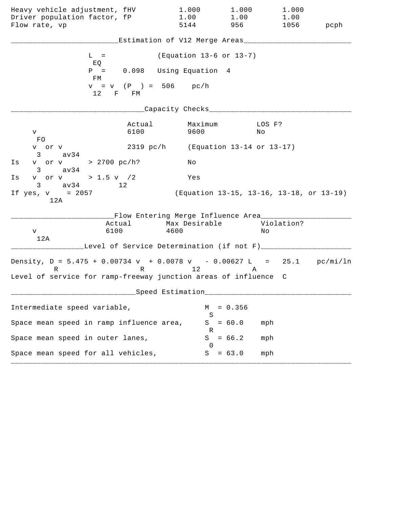| Heavy vehicle adjustment, fHV<br>Driver population factor, fP                                                                                    |                                               | 1.000<br>1.00                       | 1.000<br>1.00 | 1.000<br>1.00                            |      |
|--------------------------------------------------------------------------------------------------------------------------------------------------|-----------------------------------------------|-------------------------------------|---------------|------------------------------------------|------|
| Flow rate, vp                                                                                                                                    |                                               | 5144                                | 956 —         | 1056                                     | pcph |
|                                                                                                                                                  | Estimation of V12 Merge Areas___              |                                     |               |                                          |      |
| $L =$<br>EQ                                                                                                                                      |                                               | (Equation 13-6 or 13-7)             |               |                                          |      |
| $P =$<br>FМ                                                                                                                                      | 0.098 Using Equation 4                        |                                     |               |                                          |      |
| 12                                                                                                                                               | $v = v (P) = 506$<br>$F =$<br>FM              | pc/h                                |               |                                          |      |
|                                                                                                                                                  |                                               | Capacity Checks___                  |               |                                          |      |
| V<br>FO.                                                                                                                                         | Actual<br>6100                                | Maximum<br>9600                     |               | LOS F?<br>Νo                             |      |
| v or v<br>3<br>av34                                                                                                                              |                                               | 2319 pc/h (Equation 13-14 or 13-17) |               |                                          |      |
| v or v > 2700 pc/h?<br>Is<br>$3 \text{ av34}$                                                                                                    |                                               | Νo                                  |               |                                          |      |
| v or v > 1.5 v /2<br>Ιs<br>$3 \text{ av } 34$<br>12                                                                                              |                                               | Yes                                 |               |                                          |      |
| If $yes, v = 2057$<br>12A                                                                                                                        |                                               |                                     |               | (Equation 13-15, 13-16, 13-18, or 13-19) |      |
| Actual<br>6100<br>v<br>12A                                                                                                                       | __Flow Entering Merge Influence Area________  | Max Desirable<br>4600               |               | Violation?<br>Νo                         |      |
|                                                                                                                                                  | Level of Service Determination (if not F)____ |                                     |               |                                          |      |
| Density, $D = 5.475 + 0.00734 v + 0.0078 v - 0.00627 L = 25.1 pc/min/ln$<br>R<br>Level of service for ramp-freeway junction areas of influence C | R 12                                          |                                     | Α             |                                          |      |
|                                                                                                                                                  | Speed Estimation                              |                                     |               |                                          |      |
| Intermediate speed variable,                                                                                                                     |                                               | М                                   | $= 0.356$     |                                          |      |
| Space mean speed in ramp influence area,                                                                                                         |                                               | S<br>S                              | $= 60.0$      | mph                                      |      |
| Space mean speed in outer lanes,                                                                                                                 |                                               | ĸ<br>S<br>$\left( \right)$          | $= 66.2$      | mph                                      |      |
| Space mean speed for all vehicles,                                                                                                               |                                               | S                                   | $= 63.0$      | mph                                      |      |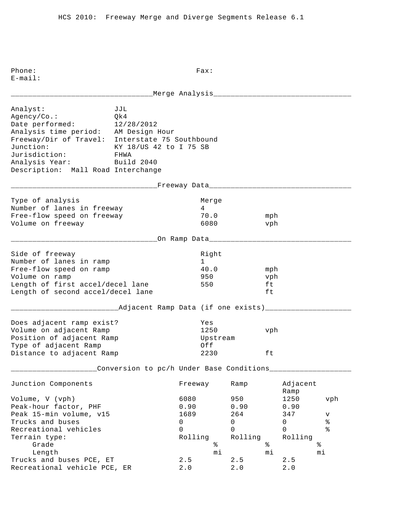Phone: Fax: E-mail: \_\_\_\_\_\_\_\_\_\_\_\_\_\_\_\_\_\_\_\_\_\_\_\_\_\_\_\_\_\_\_\_\_Merge Analysis\_\_\_\_\_\_\_\_\_\_\_\_\_\_\_\_\_\_\_\_\_\_\_\_\_\_\_\_\_\_\_\_ Analyst: JJL Agency/Co.: Qk4 Date performed: 12/28/2012 Analysis time period: AM Design Hour Freeway/Dir of Travel: Interstate 75 Southbound Junction: KY 18/US 42 to I 75 SB Jurisdiction: FHWA Analysis Year: Build 2040 Description: Mall Road Interchange \_\_\_\_\_\_\_\_\_\_\_\_\_\_\_\_\_\_\_\_\_\_\_\_\_\_\_\_\_\_\_\_\_\_Freeway Data\_\_\_\_\_\_\_\_\_\_\_\_\_\_\_\_\_\_\_\_\_\_\_\_\_\_\_\_\_\_\_\_\_ Type of analysis and a series of analysis and a series of the Merge Number of lanes in freeway 14 Free-flow speed on freeway 70.0 mph Volume on freeway 6080 vph \_\_\_\_\_\_\_\_\_\_\_\_\_\_\_\_\_\_\_\_\_\_\_\_\_\_\_\_\_\_\_\_\_\_On Ramp Data\_\_\_\_\_\_\_\_\_\_\_\_\_\_\_\_\_\_\_\_\_\_\_\_\_\_\_\_\_\_\_\_\_ Side of freeway and the state of the state of the state of the state of the state of the state of the state of Number of lanes in ramp 1 Free-flow speed on ramp  $40.0$  mph Volume on ramp 950 vph Length of first accel/decel lane 550 ft Length of second accel/decel lane ft \_\_\_\_\_\_\_\_\_\_\_\_\_\_\_\_\_\_\_\_\_\_\_\_\_Adjacent Ramp Data (if one exists)\_\_\_\_\_\_\_\_\_\_\_\_\_\_\_\_\_\_\_\_ Does adjacent ramp exist? Yes Volume on adjacent Ramp 1250 vph Position of adjacent Ramp and Upstream Type of adjacent Ramp  $Off$ Distance to adjacent Ramp  $2230$  ft \_\_\_\_\_\_\_\_\_\_\_\_\_\_\_\_\_\_\_\_Conversion to pc/h Under Base Conditions\_\_\_\_\_\_\_\_\_\_\_\_\_\_\_\_\_\_\_ Junction Components Freeway Ramp Adjacent Ramp Ramp and the state of the state of the state of the state of the state of the state of the state of the state of the state of the state of the state of the state of the state of the state of the state of the state of Volume, V (vph) 6080 950 1250 vph Peak-hour factor, PHF 0.90 0.90 0.90 0.90 Peak 15-min volume, v15 1689 264 347 v Trucks and buses 0 0 0 % Recreational vehicles and the control of the control of  $\sim$  0 0 0 % ncereacromar venicies<br>Terrain type: Terrain type: Rolling Rolling Rolling Rolling Grade  $\frac{1}{2}$  Grade  $\frac{1}{2}$   $\frac{1}{2}$   $\frac{1}{2}$   $\frac{1}{2}$   $\frac{1}{2}$   $\frac{1}{2}$   $\frac{1}{2}$   $\frac{1}{2}$   $\frac{1}{2}$   $\frac{1}{2}$   $\frac{1}{2}$   $\frac{1}{2}$   $\frac{1}{2}$   $\frac{1}{2}$   $\frac{1}{2}$   $\frac{1}{2}$   $\frac{1}{2}$   $\frac{1}{2}$   $\frac{1}{2}$   $\frac{1}{2}$ and buses PCE, ET and the contract of the contract of the contract of the contract of the contract of the contra<br>
cs and buses PCE, ET and the contract of the contract of the contract of the contract of the contract of the Trucks and buses PCE, ET 2.5 2.5 Recreational vehicle PCE, ER 2.0 2.0 2.0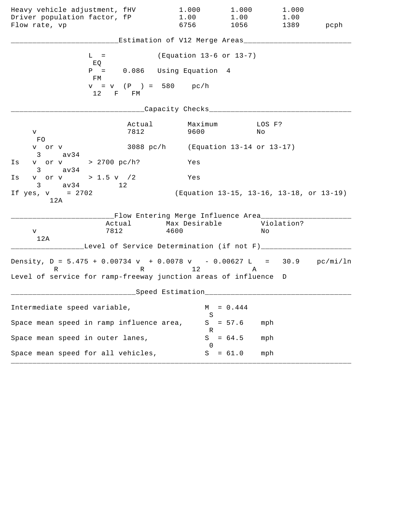| Heavy vehicle adjustment, fHV<br>Driver population factor, fP<br>Flow rate, vp                                                                            |                | 1.000<br>1.00<br>6756                                              | 1.000<br>1.00<br>1056 700 | 1.000<br>1.00<br>1389                    | pcph |
|-----------------------------------------------------------------------------------------------------------------------------------------------------------|----------------|--------------------------------------------------------------------|---------------------------|------------------------------------------|------|
|                                                                                                                                                           |                | Estimation of V12 Merge Areas___                                   |                           |                                          |      |
| $L =$                                                                                                                                                     |                | (Equation 13-6 or 13-7)                                            |                           |                                          |      |
| EQ<br>$P =$<br>FM                                                                                                                                         |                | 0.086 Using Equation 4                                             |                           |                                          |      |
| 12                                                                                                                                                        | F FM           | $v = v$ (P) = 580 pc/h                                             |                           |                                          |      |
|                                                                                                                                                           |                | Capacity Checks___                                                 |                           |                                          |      |
| V –<br>FO                                                                                                                                                 | Actual<br>7812 | Maximum<br>9600                                                    |                           | LOS F?<br>Νo                             |      |
| v or v<br>3 av34                                                                                                                                          |                | 3088 pc/h (Equation 13-14 or 13-17)                                |                           |                                          |      |
| v or v > 2700 pc/h?<br>Is<br>$3 \text{ av34}$                                                                                                             |                | Yes                                                                |                           |                                          |      |
| v or v > 1.5 v $/2$<br>Is<br>$3 \text{ av } 34$<br>$\sim$ 12                                                                                              |                | Yes                                                                |                           |                                          |      |
| If $yes, v = 2702$<br>12A                                                                                                                                 |                |                                                                    |                           | (Equation 13-15, 13-16, 13-18, or 13-19) |      |
| Actual<br>7812<br>V<br>12A                                                                                                                                |                | __Flow Entering Merge Influence Area_____<br>Max Desirable<br>4600 |                           | Violation?<br>Νo                         |      |
|                                                                                                                                                           |                | Level of Service Determination (if not F)___                       |                           |                                          |      |
| Density, $D = 5.475 + 0.00734 v + 0.0078 v - 0.00627 L = 30.9 pc/min/ln$<br>$R \sim 1$<br>Level of service for ramp-freeway junction areas of influence D |                | R 12                                                               | A                         |                                          |      |
|                                                                                                                                                           |                | ___Speed Estimation_                                               |                           |                                          |      |
| Intermediate speed variable,                                                                                                                              |                | M                                                                  | $= 0.444$                 |                                          |      |
| Space mean speed in ramp influence area,                                                                                                                  |                | S                                                                  | $S = 57.6$                | mph                                      |      |
| Space mean speed in outer lanes,                                                                                                                          |                | R<br>S<br>$\Omega$                                                 | $= 64.5$                  | mph                                      |      |
| Space mean speed for all vehicles,                                                                                                                        |                |                                                                    | $S = 61.0$                | mph                                      |      |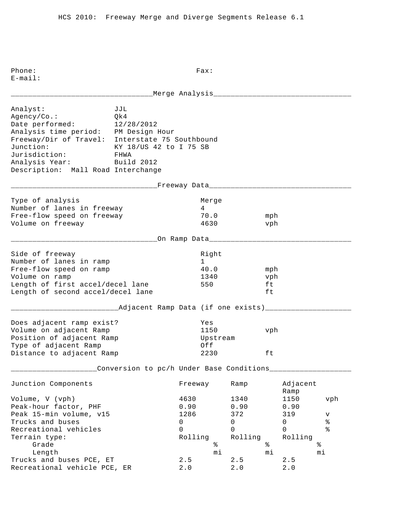Phone: Fax: E-mail: \_\_\_\_\_\_\_\_\_\_\_\_\_\_\_\_\_\_\_\_\_\_\_\_\_\_\_\_\_\_\_\_\_Merge Analysis\_\_\_\_\_\_\_\_\_\_\_\_\_\_\_\_\_\_\_\_\_\_\_\_\_\_\_\_\_\_\_\_ Analyst: JJL Agency/Co.: Qk4 Date performed: 12/28/2012 Analysis time period: PM Design Hour Freeway/Dir of Travel: Interstate 75 Southbound Junction: KY 18/US 42 to I 75 SB Jurisdiction: FHWA Analysis Year: Build 2012 Description: Mall Road Interchange \_\_\_\_\_\_\_\_\_\_\_\_\_\_\_\_\_\_\_\_\_\_\_\_\_\_\_\_\_\_\_\_\_\_Freeway Data\_\_\_\_\_\_\_\_\_\_\_\_\_\_\_\_\_\_\_\_\_\_\_\_\_\_\_\_\_\_\_\_\_ Type of analysis and a series of analysis and a series of the Merge Number of lanes in freeway 14 Free-flow speed on freeway 70.0 mph Volume on freeway 4630 vph \_\_\_\_\_\_\_\_\_\_\_\_\_\_\_\_\_\_\_\_\_\_\_\_\_\_\_\_\_\_\_\_\_\_On Ramp Data\_\_\_\_\_\_\_\_\_\_\_\_\_\_\_\_\_\_\_\_\_\_\_\_\_\_\_\_\_\_\_\_\_ Side of freeway and the state of the state of the state of the state of the state of the state of the state of Number of lanes in ramp 1 Free-flow speed on ramp  $40.0$  mph Volume on ramp  $1340$  vph Length of first accel/decel lane 550 ft Length of second accel/decel lane ft \_\_\_\_\_\_\_\_\_\_\_\_\_\_\_\_\_\_\_\_\_\_\_\_\_Adjacent Ramp Data (if one exists)\_\_\_\_\_\_\_\_\_\_\_\_\_\_\_\_\_\_\_\_ Does adjacent ramp exist? Yes Volume on adjacent Ramp 1150 vph Position of adjacent Ramp and Upstream Type of adjacent Ramp  $Off$ Distance to adjacent Ramp  $2230$  ft \_\_\_\_\_\_\_\_\_\_\_\_\_\_\_\_\_\_\_\_Conversion to pc/h Under Base Conditions\_\_\_\_\_\_\_\_\_\_\_\_\_\_\_\_\_\_\_ Junction Components Freeway Ramp Adjacent Ramp Ramp and the state of the state of the state of the state of the state of the state of the state of the state of the state of the state of the state of the state of the state of the state of the state of the state of Volume, V (vph) 4630 1340 1150 vph Peak-hour factor, PHF 0.90 0.90 0.90 0.90 Peak 15-min volume, v15 1286 372 319 v Trucks and buses 0 0 0 % Recreational vehicles and the control of the control of  $\sim$  0 0 0 % Terrain type: Rolling Rolling Rolling Grade  $\frac{1}{2}$  Grade  $\frac{1}{2}$   $\frac{1}{2}$   $\frac{1}{2}$   $\frac{1}{2}$   $\frac{1}{2}$   $\frac{1}{2}$   $\frac{1}{2}$   $\frac{1}{2}$   $\frac{1}{2}$   $\frac{1}{2}$   $\frac{1}{2}$   $\frac{1}{2}$   $\frac{1}{2}$   $\frac{1}{2}$   $\frac{1}{2}$   $\frac{1}{2}$   $\frac{1}{2}$   $\frac{1}{2}$   $\frac{1}{2}$   $\frac{1}{2}$  Length mi mi mi Trucks and buses PCE,  $ET$  2.5 2.5 2.5 Recreational vehicle PCE, ER 2.0 2.0 2.0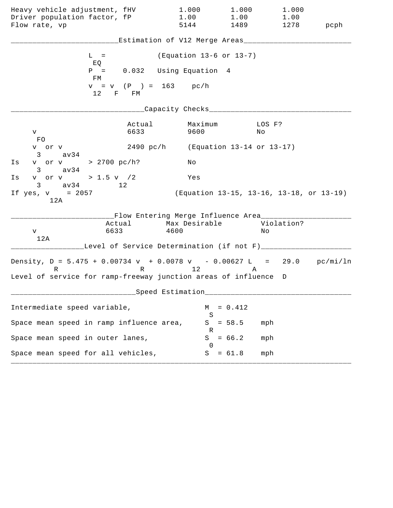| Heavy vehicle adjustment, fHV<br>Driver population factor, fP                                                                                    | 1.000<br>1.00                                                         |                                          | 1.000<br>1.00 | 1.000<br>1.00 |      |
|--------------------------------------------------------------------------------------------------------------------------------------------------|-----------------------------------------------------------------------|------------------------------------------|---------------|---------------|------|
| Flow rate, vp                                                                                                                                    | 5144                                                                  |                                          | 1489          | 1278          | pcph |
|                                                                                                                                                  | Estimation of V12 Merge Areas__                                       |                                          |               |               |      |
| $L =$<br>EQ                                                                                                                                      |                                                                       | (Equation 13-6 or 13-7)                  |               |               |      |
| $P =$<br>FМ                                                                                                                                      | 0.032 Using Equation 4                                                |                                          |               |               |      |
| 12<br>F FM                                                                                                                                       | $v = v$ (P) = 163 pc/h                                                |                                          |               |               |      |
|                                                                                                                                                  | Capacity Checks___                                                    |                                          |               |               |      |
| V<br>FO.                                                                                                                                         | Actual<br>6633                                                        | Maximum<br>9600                          | LOS F?<br>Νo  |               |      |
| v or v<br>3<br>av34                                                                                                                              | 2490 pc/h (Equation 13-14 or 13-17)                                   |                                          |               |               |      |
| v or v > 2700 pc/h?<br>Is<br>$3 \text{ av34}$                                                                                                    |                                                                       | Νo                                       |               |               |      |
| v or v > 1.5 v $/2$<br>Ιs<br>$3 \text{ av } 34$<br>12                                                                                            |                                                                       | Yes                                      |               |               |      |
| If $yes, v = 2057$<br>12A                                                                                                                        |                                                                       | (Equation 13-15, 13-16, 13-18, or 13-19) |               |               |      |
| Actual<br>6633<br>V<br>12A                                                                                                                       | __Flow Entering Merge Influence Area________<br>Max Desirable<br>4600 |                                          | Νo            | Violation?    |      |
|                                                                                                                                                  | Level of Service Determination (if not F)____                         |                                          |               |               |      |
| Density, $D = 5.475 + 0.00734 v + 0.0078 v - 0.00627 L = 29.0 pc/min/ln$<br>R<br>Level of service for ramp-freeway junction areas of influence D | R 12                                                                  |                                          | Α             |               |      |
|                                                                                                                                                  | Speed Estimation                                                      |                                          |               |               |      |
| Intermediate speed variable,                                                                                                                     |                                                                       | М                                        | $= 0.412$     |               |      |
| Space mean speed in ramp influence area,                                                                                                         |                                                                       | S<br>S<br>$= 58.5$                       | mph           |               |      |
| Space mean speed in outer lanes,                                                                                                                 |                                                                       | ĸ<br>$= 66.2$<br>S<br>$\left( \right)$   | mph           |               |      |
| Space mean speed for all vehicles,                                                                                                               |                                                                       | S<br>$= 61.8$                            | mph           |               |      |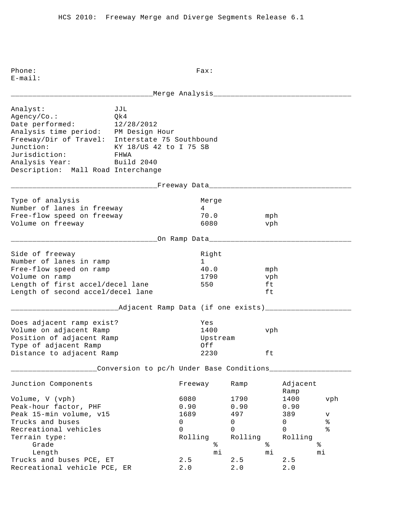Phone: Fax: E-mail: \_\_\_\_\_\_\_\_\_\_\_\_\_\_\_\_\_\_\_\_\_\_\_\_\_\_\_\_\_\_\_\_\_Merge Analysis\_\_\_\_\_\_\_\_\_\_\_\_\_\_\_\_\_\_\_\_\_\_\_\_\_\_\_\_\_\_\_\_ Analyst: JJL Agency/Co.: Qk4 Date performed: 12/28/2012 Analysis time period: PM Design Hour Freeway/Dir of Travel: Interstate 75 Southbound Junction: KY 18/US 42 to I 75 SB Jurisdiction: FHWA Analysis Year: Build 2040 Description: Mall Road Interchange \_\_\_\_\_\_\_\_\_\_\_\_\_\_\_\_\_\_\_\_\_\_\_\_\_\_\_\_\_\_\_\_\_\_Freeway Data\_\_\_\_\_\_\_\_\_\_\_\_\_\_\_\_\_\_\_\_\_\_\_\_\_\_\_\_\_\_\_\_\_ Type of analysis and a series of analysis and a series of the Merge Number of lanes in freeway 14 Free-flow speed on freeway 70.0 mph Volume on freeway 6080 vph \_\_\_\_\_\_\_\_\_\_\_\_\_\_\_\_\_\_\_\_\_\_\_\_\_\_\_\_\_\_\_\_\_\_On Ramp Data\_\_\_\_\_\_\_\_\_\_\_\_\_\_\_\_\_\_\_\_\_\_\_\_\_\_\_\_\_\_\_\_\_ Side of freeway and the state of the state of the state of the state of the state of the state of the state of Number of lanes in ramp 1 Free-flow speed on ramp  $40.0$  mph Volume on ramp 1790 vph Length of first accel/decel lane 550 ft Length of second accel/decel lane ft \_\_\_\_\_\_\_\_\_\_\_\_\_\_\_\_\_\_\_\_\_\_\_\_\_Adjacent Ramp Data (if one exists)\_\_\_\_\_\_\_\_\_\_\_\_\_\_\_\_\_\_\_\_ Does adjacent ramp exist? Yes Volume on adjacent Ramp 1400 vph Position of adjacent Ramp and Upstream Type of adjacent Ramp  $Off$ Distance to adjacent Ramp  $2230$  ft \_\_\_\_\_\_\_\_\_\_\_\_\_\_\_\_\_\_\_\_Conversion to pc/h Under Base Conditions\_\_\_\_\_\_\_\_\_\_\_\_\_\_\_\_\_\_\_ Junction Components Freeway Ramp Adjacent Ramp Ramp and the state of the state of the state of the state of the state of the state of the state of the state of the state of the state of the state of the state of the state of the state of the state of the state of Volume, V (vph) 6080 1790 1400 vph Peak-hour factor, PHF 0.90 0.90 0.90 Peak 15-min volume, v15 1689 1689 1997 1998 1999 v Trucks and buses 0 0 0 % Recreational vehicles and the control of the control of  $\sim$  0 0 0 % ncereacromar venicies<br>Terrain type: Terrain type: Rolling Rolling Rolling Rolling Grade  $\frac{1}{2}$  Grade  $\frac{1}{2}$   $\frac{1}{2}$   $\frac{1}{2}$   $\frac{1}{2}$   $\frac{1}{2}$   $\frac{1}{2}$   $\frac{1}{2}$   $\frac{1}{2}$   $\frac{1}{2}$   $\frac{1}{2}$   $\frac{1}{2}$   $\frac{1}{2}$   $\frac{1}{2}$   $\frac{1}{2}$   $\frac{1}{2}$   $\frac{1}{2}$   $\frac{1}{2}$   $\frac{1}{2}$   $\frac{1}{2}$   $\frac{1}{2}$  Length mi mi mi Trucks and buses PCE,  $ET$  2.5 2.5 2.5 Recreational vehicle PCE, ER 2.0 2.0 2.0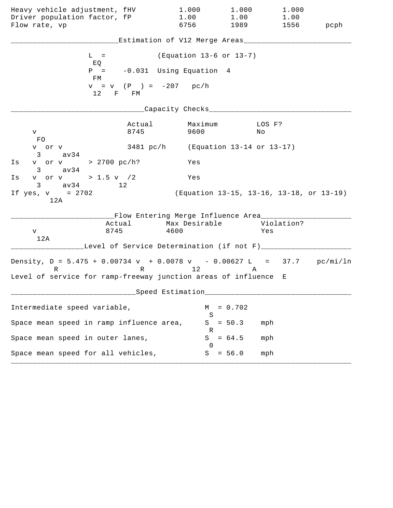| Heavy vehicle adjustment, fHV                                                 |                          | 1.000                                                | 1.000               | 1.000                                    |      |
|-------------------------------------------------------------------------------|--------------------------|------------------------------------------------------|---------------------|------------------------------------------|------|
| Driver population factor, fP<br>Flow rate, vp                                 |                          | 1.00<br>6756                                         | 1.00<br>1989   1989 | 1.00<br>1556                             | pcph |
|                                                                               |                          | Estimation of V12 Merge Areas___                     |                     |                                          |      |
| $L =$<br>EQ                                                                   |                          | (Equation 13-6 or 13-7)                              |                     |                                          |      |
| $P =$<br>FM                                                                   |                          | -0.031 Using Equation 4                              |                     |                                          |      |
| 12 F FM                                                                       | $v = v$ (P ) = -207 pc/h |                                                      |                     |                                          |      |
|                                                                               |                          | Capacity Checks________                              |                     |                                          |      |
| V<br>FO                                                                       | Actual<br>8745           | Maximum<br>9600                                      |                     | LOS F?<br>No                             |      |
| v or v<br>$3 \text{ av34}$                                                    |                          | 3481 pc/h (Equation 13-14 or 13-17)                  |                     |                                          |      |
| v or v > 2700 pc/h?<br>Is<br>$3 \text{ av}34$                                 |                          | Yes                                                  |                     |                                          |      |
| v or v > 1.5 v / 2<br>Is<br>$3 \text{ av } 34$ 12                             |                          | Yes                                                  |                     |                                          |      |
| If $yes, v = 2702$<br>12A                                                     |                          |                                                      |                     | (Equation 13-15, 13-16, 13-18, or 13-19) |      |
| Actual<br>8745<br>V<br>12A                                                    |                          | __Flow Entering Merge Influence Area________<br>4600 |                     | Max Desirable Violation?<br>Yes          |      |
|                                                                               |                          | Level of Service Determination (if not F)___         |                     |                                          |      |
| Density, $D = 5.475 + 0.00734 v + 0.0078 v - 0.00627 L = 37.7 pc/min/ln$<br>R |                          | R 12                                                 | A                   |                                          |      |
| Level of service for ramp-freeway junction areas of influence E               |                          |                                                      |                     |                                          |      |
|                                                                               |                          | Speed Estimation                                     |                     |                                          |      |
| Intermediate speed variable,                                                  |                          | М<br>S                                               | $= 0.702$           |                                          |      |
| Space mean speed in ramp influence area,                                      |                          | S<br>R                                               | $= 50.3$            | mph                                      |      |
| Space mean speed in outer lanes,                                              |                          | S<br>$\cup$                                          | $= 64.5$            | mph                                      |      |
| Space mean speed for all vehicles,                                            |                          | S                                                    | $= 56.0$            | mph                                      |      |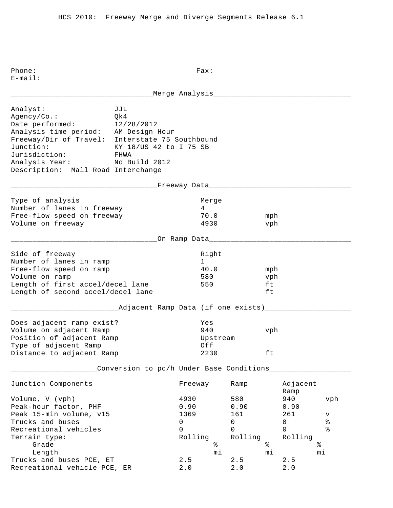E-mail: \_\_\_\_\_\_\_\_\_\_\_\_\_\_\_\_\_\_\_\_\_\_\_\_\_\_\_\_\_\_\_\_\_Merge Analysis\_\_\_\_\_\_\_\_\_\_\_\_\_\_\_\_\_\_\_\_\_\_\_\_\_\_\_\_\_\_\_\_ Analyst: JJL Agency/Co.: Qk4 Date performed: 12/28/2012 Analysis time period: AM Design Hour Freeway/Dir of Travel: Interstate 75 Southbound Junction: KY 18/US 42 to I 75 SB Jurisdiction: FHWA Analysis Year: No Build 2012 Description: Mall Road Interchange \_\_\_\_\_\_\_\_\_\_\_\_\_\_\_\_\_\_\_\_\_\_\_\_\_\_\_\_\_\_\_\_\_\_Freeway Data\_\_\_\_\_\_\_\_\_\_\_\_\_\_\_\_\_\_\_\_\_\_\_\_\_\_\_\_\_\_\_\_\_ Type of analysis and a series of the Merge Number of lanes in freeway 14 Free-flow speed on freeway 70.0 mph Volume on freeway 4930 vph \_\_\_\_\_\_\_\_\_\_\_\_\_\_\_\_\_\_\_\_\_\_\_\_\_\_\_\_\_\_\_\_\_\_On Ramp Data\_\_\_\_\_\_\_\_\_\_\_\_\_\_\_\_\_\_\_\_\_\_\_\_\_\_\_\_\_\_\_\_\_ Side of freeway and the state of the state of the state of the state of the state of the state of the state of Number of lanes in ramp 1 Free-flow speed on ramp  $40.0$  mph Volume on ramp 580 vph Length of first accel/decel lane 550 ft Length of second accel/decel lane ft \_\_\_\_\_\_\_\_\_\_\_\_\_\_\_\_\_\_\_\_\_\_\_\_\_Adjacent Ramp Data (if one exists)\_\_\_\_\_\_\_\_\_\_\_\_\_\_\_\_\_\_\_\_ Does adjacent ramp exist? Yes Volume on adjacent Ramp 940 vph Position of adjacent Ramp and Upstream Type of adjacent Ramp  $Off$ Distance to adjacent Ramp  $2230$  ft \_\_\_\_\_\_\_\_\_\_\_\_\_\_\_\_\_\_\_\_Conversion to pc/h Under Base Conditions\_\_\_\_\_\_\_\_\_\_\_\_\_\_\_\_\_\_\_ Junction Components Freeway Ramp Adjacent Ramp Ramp and the state of the state of the state of the state of the state of the state of the state of the state of the state of the state of the state of the state of the state of the state of the state of the state of Volume, V (vph) 4930 580 940 vph Peak-hour factor, PHF 0.90 0.90 0.90 0.90 Peak 15-min volume, v15 1369 161 261 v Trucks and buses 0 0 0 % Recreational vehicles and the control of the control of  $\sim$  0 0 0 % Terrain type: Terrain type: Terrain type: Rolling Rolling Rolling Grade  $\frac{1}{2}$  Grade  $\frac{1}{2}$   $\frac{1}{2}$   $\frac{1}{2}$   $\frac{1}{2}$   $\frac{1}{2}$   $\frac{1}{2}$   $\frac{1}{2}$   $\frac{1}{2}$   $\frac{1}{2}$   $\frac{1}{2}$   $\frac{1}{2}$   $\frac{1}{2}$   $\frac{1}{2}$   $\frac{1}{2}$   $\frac{1}{2}$   $\frac{1}{2}$   $\frac{1}{2}$   $\frac{1}{2}$   $\frac{1}{2}$   $\frac{1}{2}$ and buses PCE, ET and the contract of the contract of the contract of the contract of the contract of the contra<br>
cs and buses PCE, ET and the contract of the contract of the contract of the contract of the contract of the Trucks and buses PCE, ET 2.5 2.5 2.5 Recreational vehicle PCE, ER 2.0 2.0 2.0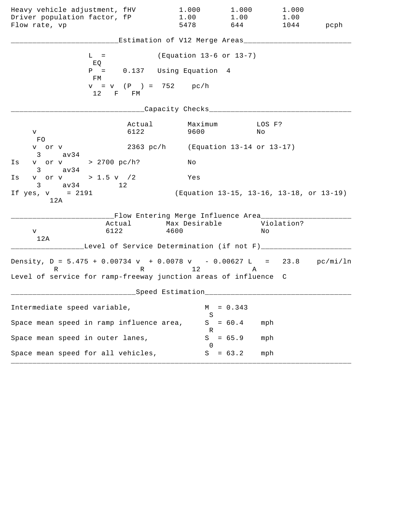| Heavy vehicle adjustment, fHV<br>Driver population factor, fP<br>Flow rate, vp                                                                            |                | 1.000<br>1.00<br>5478                                                                                              | 1.000<br>1.00<br>644                     | 1.000<br>1.00<br>1044 | pcph |
|-----------------------------------------------------------------------------------------------------------------------------------------------------------|----------------|--------------------------------------------------------------------------------------------------------------------|------------------------------------------|-----------------------|------|
|                                                                                                                                                           |                | Estimation of V12 Merge Areas___                                                                                   |                                          |                       |      |
| $L =$<br>EQ                                                                                                                                               |                | (Equation 13-6 or 13-7)                                                                                            |                                          |                       |      |
| $P =$<br>FМ                                                                                                                                               |                | 0.137 Using Equation 4                                                                                             |                                          |                       |      |
| 12 F FM                                                                                                                                                   |                | $v = v$ (P) = 752 pc/h                                                                                             |                                          |                       |      |
|                                                                                                                                                           |                | Capacity Checks___                                                                                                 |                                          |                       |      |
| V –<br>FO                                                                                                                                                 | Actual<br>6122 | Maximum<br>9600                                                                                                    | Νo                                       | LOS F?                |      |
| v or v<br>3 av34                                                                                                                                          |                | 2363 pc/h (Equation 13-14 or 13-17)                                                                                |                                          |                       |      |
| v or v > 2700 pc/h?<br>Is<br>$3 \text{ av34}$                                                                                                             |                | Νo                                                                                                                 |                                          |                       |      |
| v or v > 1.5 v $/2$<br>Is<br>$3 \text{ av } 34$<br>12                                                                                                     |                | Yes                                                                                                                |                                          |                       |      |
| If $yes, v = 2191$<br>12A                                                                                                                                 |                |                                                                                                                    | (Equation 13-15, 13-16, 13-18, or 13-19) |                       |      |
| Actual<br>6122<br>V<br>12A                                                                                                                                |                | __Flow Entering Merge Influence Area_____<br>Max Desirable<br>4600<br>Level of Service Determination (if not F)___ |                                          | Violation?<br>Νo      |      |
| Density, $D = 5.475 + 0.00734 v + 0.0078 v - 0.00627 L = 23.8 pc/min/ln$<br>$R \sim 1$<br>Level of service for ramp-freeway junction areas of influence C |                | R 12                                                                                                               | A                                        |                       |      |
|                                                                                                                                                           |                | ___Speed Estimation_                                                                                               |                                          |                       |      |
| Intermediate speed variable,                                                                                                                              |                | M                                                                                                                  | $= 0.343$                                |                       |      |
| Space mean speed in ramp influence area,                                                                                                                  |                | S                                                                                                                  | $S = 60.4$                               | mph                   |      |
| Space mean speed in outer lanes,                                                                                                                          |                | R<br>S<br>$\Omega$                                                                                                 | $= 65.9$                                 | mph                   |      |
| Space mean speed for all vehicles,                                                                                                                        |                |                                                                                                                    | $S = 63.2$                               | mph                   |      |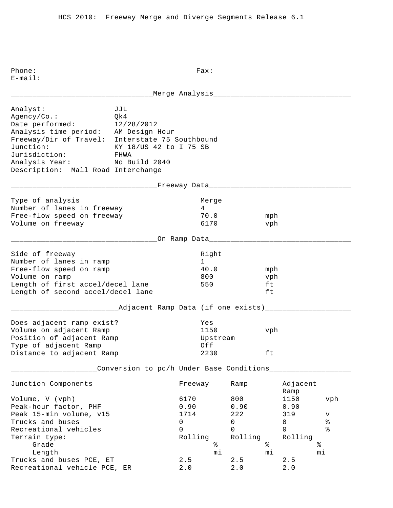E-mail: \_\_\_\_\_\_\_\_\_\_\_\_\_\_\_\_\_\_\_\_\_\_\_\_\_\_\_\_\_\_\_\_\_Merge Analysis\_\_\_\_\_\_\_\_\_\_\_\_\_\_\_\_\_\_\_\_\_\_\_\_\_\_\_\_\_\_\_\_ Analyst: JJL Agency/Co.: Qk4 Date performed: 12/28/2012 Analysis time period: AM Design Hour Freeway/Dir of Travel: Interstate 75 Southbound Junction: KY 18/US 42 to I 75 SB Jurisdiction: FHWA Analysis Year: No Build 2040 Description: Mall Road Interchange \_\_\_\_\_\_\_\_\_\_\_\_\_\_\_\_\_\_\_\_\_\_\_\_\_\_\_\_\_\_\_\_\_\_Freeway Data\_\_\_\_\_\_\_\_\_\_\_\_\_\_\_\_\_\_\_\_\_\_\_\_\_\_\_\_\_\_\_\_\_ Type of analysis and a series of the Merge Number of lanes in freeway 14 Free-flow speed on freeway 70.0 mph Volume on freeway 6170 vph \_\_\_\_\_\_\_\_\_\_\_\_\_\_\_\_\_\_\_\_\_\_\_\_\_\_\_\_\_\_\_\_\_\_On Ramp Data\_\_\_\_\_\_\_\_\_\_\_\_\_\_\_\_\_\_\_\_\_\_\_\_\_\_\_\_\_\_\_\_\_ Side of freeway and the state of the state of the state of the state of the state of the state of the state of Number of lanes in ramp 1 Free-flow speed on ramp  $40.0$  mph Volume on ramp and the set of the set of the set of the set of the set of the set of the set of the set of the set of the set of the set of the set of the set of the set of the set of the set of the set of the set of the s Length of first accel/decel lane 550 ft Length of second accel/decel lane ft \_\_\_\_\_\_\_\_\_\_\_\_\_\_\_\_\_\_\_\_\_\_\_\_\_Adjacent Ramp Data (if one exists)\_\_\_\_\_\_\_\_\_\_\_\_\_\_\_\_\_\_\_\_ Does adjacent ramp exist? Yes Volume on adjacent Ramp 1150 vph Position of adjacent Ramp and Upstream Type of adjacent Ramp  $Off$ Distance to adjacent Ramp  $2230$  ft \_\_\_\_\_\_\_\_\_\_\_\_\_\_\_\_\_\_\_\_Conversion to pc/h Under Base Conditions\_\_\_\_\_\_\_\_\_\_\_\_\_\_\_\_\_\_\_ Junction Components Freeway Ramp Adjacent Ramp Ramp and the state of the state of the state of the state of the state of the state of the state of the state of the state of the state of the state of the state of the state of the state of the state of the state of Volume, V (vph) 6170 800 1150 vph Peak-hour factor, PHF 0.90 0.90 0.90 0.90 Peak 15-min volume, v15 1714 222 319 v Trucks and buses 0 0 0 % Recreational vehicles and the control of the control of  $\sim$  0 0 0 % Terrain type:<br>
Grade<br>
Length<br>
Terrain type:<br>  $\begin{matrix}\n\text{Grade} \\
\text{length}\n\end{matrix}$  Rolling<br>
Rolling<br>  $\begin{matrix}\n\text{R}\end{matrix}$  Rolling<br>  $\begin{matrix}\n\text{R}\end{matrix}$  Rolling<br>  $\begin{matrix}\n\text{R}\end{matrix}$  Rolling<br>  $\begin{matrix}\n\text{R}\end{matrix}$  Rolling<br>  $\begin{matrix}\n\text{R}\end{matrix}$  Rollin Grade  $\frac{1}{2}$  Grade  $\frac{1}{2}$   $\frac{1}{2}$   $\frac{1}{2}$   $\frac{1}{2}$   $\frac{1}{2}$   $\frac{1}{2}$   $\frac{1}{2}$   $\frac{1}{2}$   $\frac{1}{2}$   $\frac{1}{2}$   $\frac{1}{2}$   $\frac{1}{2}$   $\frac{1}{2}$   $\frac{1}{2}$   $\frac{1}{2}$   $\frac{1}{2}$   $\frac{1}{2}$   $\frac{1}{2}$   $\frac{1}{2}$   $\frac{1}{2}$  Length mi mi mi Trucks and buses PCE,  $ET$  2.5 2.5 2.5 Recreational vehicle PCE, ER 2.0 2.0 2.0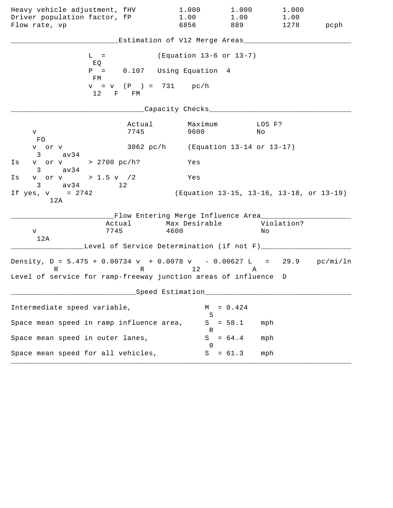| Heavy vehicle adjustment, fHV<br>Driver population factor, fP<br>Flow rate, vp |                                               | 1.000<br>1.00<br>6856   | 1.000<br>1.00<br>889 | 1.000<br>1.00<br>1278                    | pcph |
|--------------------------------------------------------------------------------|-----------------------------------------------|-------------------------|----------------------|------------------------------------------|------|
|                                                                                |                                               |                         |                      |                                          |      |
|                                                                                | Estimation of V12 Merge Areas___              |                         |                      |                                          |      |
| $L =$<br>EQ                                                                    |                                               | (Equation 13-6 or 13-7) |                      |                                          |      |
| $P =$<br>FМ                                                                    | 0.107 Using Equation 4                        |                         |                      |                                          |      |
| 12                                                                             | $v = v$ (P) = 731 pc/h<br>F FM                |                         |                      |                                          |      |
|                                                                                |                                               | Capacity Checks___      |                      |                                          |      |
| V<br>FO.                                                                       | Actual<br>7745                                | Maximum<br>9600         |                      | LOS F?<br>Νo                             |      |
| v or v<br>$3 \text{ av34}$                                                     | 3062 pc/h (Equation 13-14 or 13-17)           |                         |                      |                                          |      |
| v or v > 2700 pc/h?<br>Is<br>$3 \text{ av34}$                                  |                                               | Yes                     |                      |                                          |      |
| v or v > 1.5 v $/2$<br>Ιs<br>$3 \text{ av } 34$                                | 12                                            | Yes                     |                      |                                          |      |
| If $yes, v = 2742$<br>12A                                                      |                                               |                         |                      | (Equation 13-15, 13-16, 13-18, or 13-19) |      |
|                                                                                | __Flow Entering Merge Influence Area________  |                         |                      |                                          |      |
| Actual<br>7745<br>v                                                            |                                               | Max Desirable<br>4600   |                      | Violation?<br>Νo                         |      |
| 12A                                                                            | Level of Service Determination (if not F)____ |                         |                      |                                          |      |
| Density, $D = 5.475 + 0.00734 v + 0.0078 v - 0.00627 L = 29.9 pc/min/ln$<br>R  | R 12                                          |                         | Α                    |                                          |      |
| Level of service for ramp-freeway junction areas of influence D                |                                               |                         |                      |                                          |      |
|                                                                                | Speed Estimation                              |                         |                      |                                          |      |
| Intermediate speed variable,                                                   |                                               | М<br>S                  | $= 0.424$            |                                          |      |
| Space mean speed in ramp influence area,                                       |                                               | S<br>К                  | $= 58.1$             | mph                                      |      |
| Space mean speed in outer lanes,                                               |                                               | S<br>$\left( \right)$   | $= 64.4$             | mph                                      |      |
| Space mean speed for all vehicles,                                             |                                               | S                       | $= 61.3$             | mph                                      |      |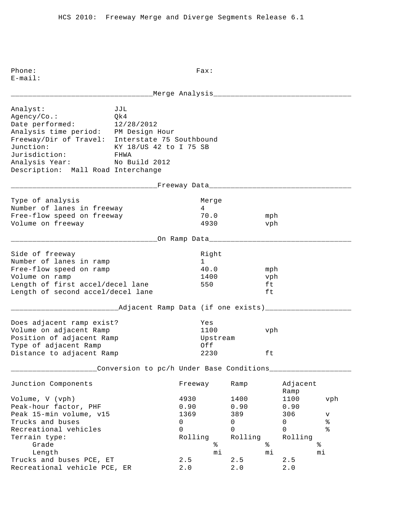E-mail: \_\_\_\_\_\_\_\_\_\_\_\_\_\_\_\_\_\_\_\_\_\_\_\_\_\_\_\_\_\_\_\_\_Merge Analysis\_\_\_\_\_\_\_\_\_\_\_\_\_\_\_\_\_\_\_\_\_\_\_\_\_\_\_\_\_\_\_\_ Analyst: JJL Agency/Co.: Qk4 Date performed: 12/28/2012 Analysis time period: PM Design Hour Freeway/Dir of Travel: Interstate 75 Southbound Junction: KY 18/US 42 to I 75 SB Jurisdiction: FHWA Analysis Year: No Build 2012 Description: Mall Road Interchange \_\_\_\_\_\_\_\_\_\_\_\_\_\_\_\_\_\_\_\_\_\_\_\_\_\_\_\_\_\_\_\_\_\_Freeway Data\_\_\_\_\_\_\_\_\_\_\_\_\_\_\_\_\_\_\_\_\_\_\_\_\_\_\_\_\_\_\_\_\_ Type of analysis and a series of the Merge Number of lanes in freeway 14 Free-flow speed on freeway 70.0 mph Volume on freeway 4930 vph \_\_\_\_\_\_\_\_\_\_\_\_\_\_\_\_\_\_\_\_\_\_\_\_\_\_\_\_\_\_\_\_\_\_On Ramp Data\_\_\_\_\_\_\_\_\_\_\_\_\_\_\_\_\_\_\_\_\_\_\_\_\_\_\_\_\_\_\_\_\_ Side of freeway and the state of the state of the state of the state of the state of the state of the state of Number of lanes in ramp 1 Free-flow speed on ramp  $40.0$  mph Volume on ramp  $1400$  vph Length of first accel/decel lane 550 ft Length of second accel/decel lane ft \_\_\_\_\_\_\_\_\_\_\_\_\_\_\_\_\_\_\_\_\_\_\_\_\_Adjacent Ramp Data (if one exists)\_\_\_\_\_\_\_\_\_\_\_\_\_\_\_\_\_\_\_\_ Does adjacent ramp exist? Yes Volume on adjacent Ramp 1100 vph Position of adjacent Ramp and Upstream Type of adjacent Ramp  $Off$ Distance to adjacent Ramp  $2230$  ft \_\_\_\_\_\_\_\_\_\_\_\_\_\_\_\_\_\_\_\_Conversion to pc/h Under Base Conditions\_\_\_\_\_\_\_\_\_\_\_\_\_\_\_\_\_\_\_ Junction Components Freeway Ramp Adjacent Ramp Ramp and the state of the state of the state of the state of the state of the state of the state of the state of the state of the state of the state of the state of the state of the state of the state of the state of Volume, V (vph) 4930 1400 1100 vph Peak-hour factor, PHF 0.90 0.90 0.90 0.90 Peak 15-min volume, v15 1369 389 306 v Trucks and buses  $\begin{array}{ccccccccccc}\n & & & & & & & 0 & & & 0 & & & 0 & & 8 \\
\text{Recreational vehicles} & & & & & & & 0 & & & 0 & & 0 & & 8\n\end{array}$ Recreational vehicles and the control of the control of  $\sim$  0 0 0 % ncereacromar venicies<br>Terrain type: Terrain type: Rolling Rolling Rolling Rolling Grade  $\frac{1}{2}$  Grade  $\frac{1}{2}$   $\frac{1}{2}$   $\frac{1}{2}$   $\frac{1}{2}$   $\frac{1}{2}$   $\frac{1}{2}$   $\frac{1}{2}$   $\frac{1}{2}$   $\frac{1}{2}$   $\frac{1}{2}$   $\frac{1}{2}$   $\frac{1}{2}$   $\frac{1}{2}$   $\frac{1}{2}$   $\frac{1}{2}$   $\frac{1}{2}$   $\frac{1}{2}$   $\frac{1}{2}$   $\frac{1}{2}$   $\frac{1}{2}$  Length mi mi mi Trucks and buses PCE,  $ET$  2.5 2.5 2.5 Recreational vehicle PCE, ER 2.0 2.0 2.0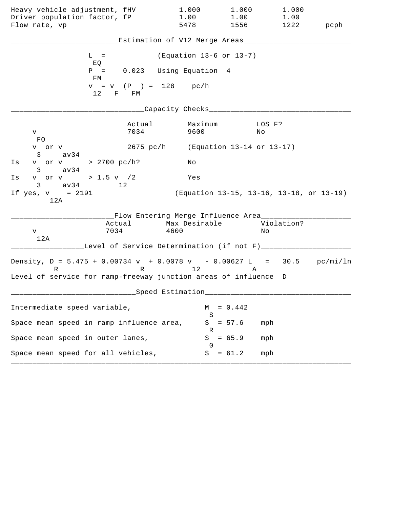| Heavy vehicle adjustment, fHV<br>Driver population factor, fP<br>Flow rate, vp         |                                | 1.000<br>1.00<br>5478                                                                                              | 1.000<br>1.00<br>1556 159                | 1.000<br>1.00<br>1222 | pcph |
|----------------------------------------------------------------------------------------|--------------------------------|--------------------------------------------------------------------------------------------------------------------|------------------------------------------|-----------------------|------|
|                                                                                        |                                | Estimation of V12 Merge Areas___                                                                                   |                                          |                       |      |
| $L =$<br>EQ                                                                            |                                | (Equation 13-6 or 13-7)                                                                                            |                                          |                       |      |
| $P =$<br>FM                                                                            |                                | 0.023 Using Equation 4                                                                                             |                                          |                       |      |
| 12                                                                                     | $v = v$ (P) = 128 pc/h<br>F FM |                                                                                                                    |                                          |                       |      |
|                                                                                        |                                | Capacity Checks___                                                                                                 |                                          |                       |      |
| V –<br>FO                                                                              | Actual<br>7034                 | Maximum<br>9600                                                                                                    | Νo                                       | LOS F?                |      |
| v or v<br>3 av34                                                                       |                                | 2675 pc/h (Equation 13-14 or 13-17)                                                                                |                                          |                       |      |
| v or v > 2700 pc/h?<br>Is<br>$3 \text{ av34}$                                          |                                | Νo                                                                                                                 |                                          |                       |      |
| v or v > 1.5 v $/2$<br>Is<br>$3 \text{ av } 34$<br>12                                  |                                | Yes                                                                                                                |                                          |                       |      |
| If $yes, v = 2191$<br>12A                                                              |                                |                                                                                                                    | (Equation 13-15, 13-16, 13-18, or 13-19) |                       |      |
| 7034<br>V<br>12A                                                                       | Actual                         | __Flow Entering Merge Influence Area_____<br>Max Desirable<br>4600<br>Level of Service Determination (if not F)___ |                                          | Violation?<br>Νo      |      |
| Density, $D = 5.475 + 0.00734 v + 0.0078 v - 0.00627 L = 30.5 pc/min/ln$<br>$R \sim 1$ |                                | R 12                                                                                                               | Α                                        |                       |      |
| Level of service for ramp-freeway junction areas of influence D                        |                                |                                                                                                                    |                                          |                       |      |
|                                                                                        |                                | ___Speed Estimation_                                                                                               |                                          |                       |      |
| Intermediate speed variable,                                                           |                                | M<br>S                                                                                                             | $= 0.442$                                |                       |      |
| Space mean speed in ramp influence area,                                               |                                | R                                                                                                                  | $S = 57.6$                               | mph                   |      |
| Space mean speed in outer lanes,                                                       |                                | S<br>$\Omega$                                                                                                      | $= 65.9$                                 | mph                   |      |
| Space mean speed for all vehicles,                                                     |                                |                                                                                                                    | $S = 61.2$                               | mph                   |      |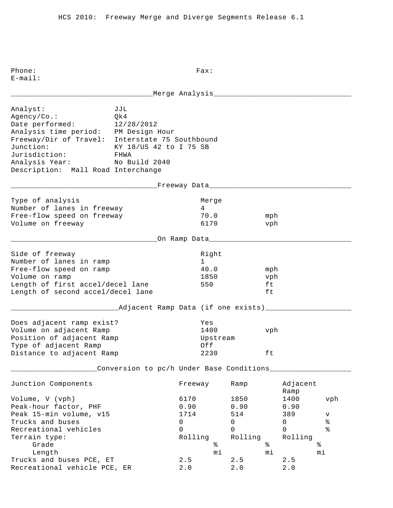E-mail: \_\_\_\_\_\_\_\_\_\_\_\_\_\_\_\_\_\_\_\_\_\_\_\_\_\_\_\_\_\_\_\_\_Merge Analysis\_\_\_\_\_\_\_\_\_\_\_\_\_\_\_\_\_\_\_\_\_\_\_\_\_\_\_\_\_\_\_\_ Analyst: JJL Agency/Co.: Qk4 Date performed: 12/28/2012 Analysis time period: PM Design Hour Freeway/Dir of Travel: Interstate 75 Southbound Junction: KY 18/US 42 to I 75 SB Jurisdiction: FHWA Analysis Year: No Build 2040 Description: Mall Road Interchange \_\_\_\_\_\_\_\_\_\_\_\_\_\_\_\_\_\_\_\_\_\_\_\_\_\_\_\_\_\_\_\_\_\_Freeway Data\_\_\_\_\_\_\_\_\_\_\_\_\_\_\_\_\_\_\_\_\_\_\_\_\_\_\_\_\_\_\_\_\_ Type of analysis and a series of the Merge Number of lanes in freeway 14 Free-flow speed on freeway 70.0 mph Volume on freeway 6170 vph \_\_\_\_\_\_\_\_\_\_\_\_\_\_\_\_\_\_\_\_\_\_\_\_\_\_\_\_\_\_\_\_\_\_On Ramp Data\_\_\_\_\_\_\_\_\_\_\_\_\_\_\_\_\_\_\_\_\_\_\_\_\_\_\_\_\_\_\_\_\_ Side of freeway and the state of the state of the state of the state of the state of the state of the state of Number of lanes in ramp 1 Free-flow speed on ramp  $40.0$  mph Volume on ramp 1850 vph Length of first accel/decel lane 550 ft Length of second accel/decel lane ft \_\_\_\_\_\_\_\_\_\_\_\_\_\_\_\_\_\_\_\_\_\_\_\_\_Adjacent Ramp Data (if one exists)\_\_\_\_\_\_\_\_\_\_\_\_\_\_\_\_\_\_\_\_ Does adjacent ramp exist? Yes Volume on adjacent Ramp 1400 vph Position of adjacent Ramp and Upstream Type of adjacent Ramp  $Off$ Distance to adjacent Ramp  $2230$  ft \_\_\_\_\_\_\_\_\_\_\_\_\_\_\_\_\_\_\_\_Conversion to pc/h Under Base Conditions\_\_\_\_\_\_\_\_\_\_\_\_\_\_\_\_\_\_\_ Junction Components Freeway Ramp Adjacent Ramp Ramp and the state of the state of the state of the state of the state of the state of the state of the state of the state of the state of the state of the state of the state of the state of the state of the state of Volume, V (vph) 6170 1850 1400 vph Peak-hour factor, PHF 0.90 0.90 0.90 Peak 15-min volume, v15 1714 514 514 389 v Trucks and buses 0 0 0 % Recreational vehicles and the control of the control of  $\sim$  0 0 0 % ncereacromar venicies<br>Terrain type: Terrain type: Rolling Rolling Rolling Rolling Grade  $\frac{1}{2}$  Grade  $\frac{1}{2}$   $\frac{1}{2}$   $\frac{1}{2}$   $\frac{1}{2}$   $\frac{1}{2}$   $\frac{1}{2}$   $\frac{1}{2}$   $\frac{1}{2}$   $\frac{1}{2}$   $\frac{1}{2}$   $\frac{1}{2}$   $\frac{1}{2}$   $\frac{1}{2}$   $\frac{1}{2}$   $\frac{1}{2}$   $\frac{1}{2}$   $\frac{1}{2}$   $\frac{1}{2}$   $\frac{1}{2}$   $\frac{1}{2}$  Length mi mi mi Trucks and buses PCE,  $ET$  2.5 2.5 2.5 Recreational vehicle PCE, ER 2.0 2.0 2.0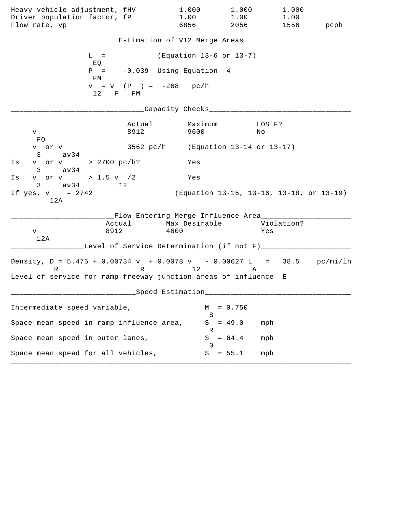| Heavy vehicle adjustment, fHV<br>Driver population factor, fP<br>Flow rate, vp                                                                          |                | 1.000<br>1.00<br>6856                                              | 1.000<br>1.00<br>2056 700 | 1.000<br>1.00<br>1556                    | pcph |
|---------------------------------------------------------------------------------------------------------------------------------------------------------|----------------|--------------------------------------------------------------------|---------------------------|------------------------------------------|------|
|                                                                                                                                                         |                | Estimation of V12 Merge Areas___                                   |                           |                                          |      |
| $L =$<br>EQ                                                                                                                                             |                | (Equation 13-6 or 13-7)                                            |                           |                                          |      |
| $P =$<br>FM                                                                                                                                             |                | -0.039 Using Equation 4                                            |                           |                                          |      |
| 12 F FM                                                                                                                                                 |                | $v = v$ (P ) = -268 pc/h                                           |                           |                                          |      |
|                                                                                                                                                         |                | Capacity Checks___                                                 |                           |                                          |      |
| V –<br>FO.                                                                                                                                              | Actual<br>8912 | Maximum<br>9600                                                    |                           | LOS F?<br>No                             |      |
| v or v<br>$3 \text{ av34}$                                                                                                                              |                | 3562 pc/h (Equation 13-14 or 13-17)                                |                           |                                          |      |
| v or v > 2700 pc/h?<br>Is<br>$3 \text{ av34}$                                                                                                           |                | Yes                                                                |                           |                                          |      |
| v or v > 1.5 v $/2$<br>Is<br>$3 \text{ av } 34$ 12                                                                                                      |                | Yes                                                                |                           |                                          |      |
| If $yes, v = 2742$<br>12A                                                                                                                               |                |                                                                    |                           | (Equation 13-15, 13-16, 13-18, or 13-19) |      |
| Actual<br>8912<br>V<br>12A                                                                                                                              |                | __Flow Entering Merge Influence Area_____<br>Max Desirable<br>4600 |                           | Violation?<br>Yes                        |      |
|                                                                                                                                                         |                | Level of Service Determination (if not F)___                       |                           |                                          |      |
| Density, $D = 5.475 + 0.00734 v + 0.0078 v - 0.00627 L = 38.5 pc/min/ln$<br>$R \sim 1$<br>Level of service for ramp-freeway junction areas of influence |                | R 12                                                               | Α                         | E                                        |      |
|                                                                                                                                                         |                | ___Speed Estimation_                                               |                           |                                          |      |
| Intermediate speed variable,                                                                                                                            |                | M                                                                  | $= 0.750$                 |                                          |      |
| Space mean speed in ramp influence area,                                                                                                                |                | S<br>S                                                             | $= 49.0$                  | mph                                      |      |
| Space mean speed in outer lanes,                                                                                                                        |                | R<br>S<br>$\Omega$                                                 | $= 64.4$                  | mph                                      |      |
| Space mean speed for all vehicles,                                                                                                                      |                | S                                                                  | $= 55.1$                  | mph                                      |      |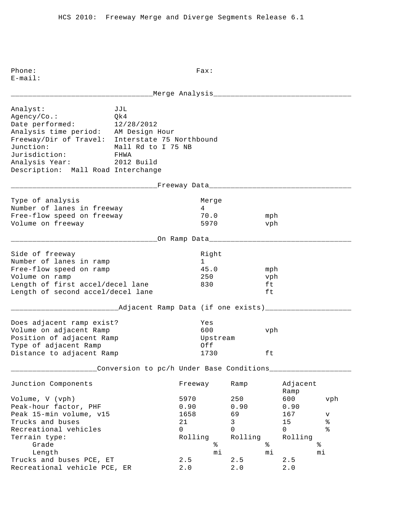E-mail: \_\_\_\_\_\_\_\_\_\_\_\_\_\_\_\_\_\_\_\_\_\_\_\_\_\_\_\_\_\_\_\_\_Merge Analysis\_\_\_\_\_\_\_\_\_\_\_\_\_\_\_\_\_\_\_\_\_\_\_\_\_\_\_\_\_\_\_\_ Analyst: JJL Agency/Co.: Qk4 Date performed: 12/28/2012 Analysis time period: AM Design Hour Freeway/Dir of Travel: Interstate 75 Northbound Junction: Mall Rd to I 75 NB Jurisdiction: FHWA Analysis Year: 2012 Build Description: Mall Road Interchange \_\_\_\_\_\_\_\_\_\_\_\_\_\_\_\_\_\_\_\_\_\_\_\_\_\_\_\_\_\_\_\_\_\_Freeway Data\_\_\_\_\_\_\_\_\_\_\_\_\_\_\_\_\_\_\_\_\_\_\_\_\_\_\_\_\_\_\_\_\_ Type of analysis and a series of the Merge Number of lanes in freeway 14 Free-flow speed on freeway 70.0 mph Volume on freeway 5970 vph \_\_\_\_\_\_\_\_\_\_\_\_\_\_\_\_\_\_\_\_\_\_\_\_\_\_\_\_\_\_\_\_\_\_On Ramp Data\_\_\_\_\_\_\_\_\_\_\_\_\_\_\_\_\_\_\_\_\_\_\_\_\_\_\_\_\_\_\_\_\_ Side of freeway and the state of the state of the state of the state of the state of the state of the state of Number of lanes in ramp 1 Free-flow speed on ramp  $45.0$  mph Volume on ramp 250 vph Length of first accel/decel lane 830 ft Length of second accel/decel lane ft \_\_\_\_\_\_\_\_\_\_\_\_\_\_\_\_\_\_\_\_\_\_\_\_\_Adjacent Ramp Data (if one exists)\_\_\_\_\_\_\_\_\_\_\_\_\_\_\_\_\_\_\_\_ Does adjacent ramp exist? Yes Volume on adjacent Ramp 600 vph Position of adjacent Ramp and Upstream Type of adjacent Ramp  $Off$ Distance to adjacent Ramp 1730 ft \_\_\_\_\_\_\_\_\_\_\_\_\_\_\_\_\_\_\_\_Conversion to pc/h Under Base Conditions\_\_\_\_\_\_\_\_\_\_\_\_\_\_\_\_\_\_\_ Junction Components Freeway Ramp Adjacent Ramp Ramp and the state of the state of the state of the state of the state of the state of the state of the state of the state of the state of the state of the state of the state of the state of the state of the state of Volume, V (vph) 5970 250 600 vph Peak-hour factor, PHF 0.90 0.90 0.90 0.90 Peak 15-min volume, v15 1658 69 167 v Trucks and buses  $21$  and buses  $21$  and  $3$  and  $21$  and  $3$  and  $21$  and  $3$  and  $3$  and  $4$  and  $2$  and  $3$  and  $3$  and  $3$  and  $3$  and  $3$  and  $3$  and  $3$  and  $3$  and  $3$  and  $3$  and  $3$  and  $3$  and  $3$  and  $3$  and  $3$ Recreational vehicles and the control of the control of  $\sim$  0 0 0 % Terrain type: Terrain type: Terrain type: Terrain type: Rolling Rolling Rolling Rolling Grade  $\frac{1}{2}$  Grade  $\frac{1}{2}$   $\frac{1}{2}$   $\frac{1}{2}$   $\frac{1}{2}$   $\frac{1}{2}$   $\frac{1}{2}$   $\frac{1}{2}$   $\frac{1}{2}$   $\frac{1}{2}$   $\frac{1}{2}$   $\frac{1}{2}$   $\frac{1}{2}$   $\frac{1}{2}$   $\frac{1}{2}$   $\frac{1}{2}$   $\frac{1}{2}$   $\frac{1}{2}$   $\frac{1}{2}$   $\frac{1}{2}$   $\frac{1}{2}$  Length mi mi mi Trucks and buses PCE,  $ET$  2.5 2.5 2.5 Recreational vehicle PCE, ER 2.0 2.0 2.0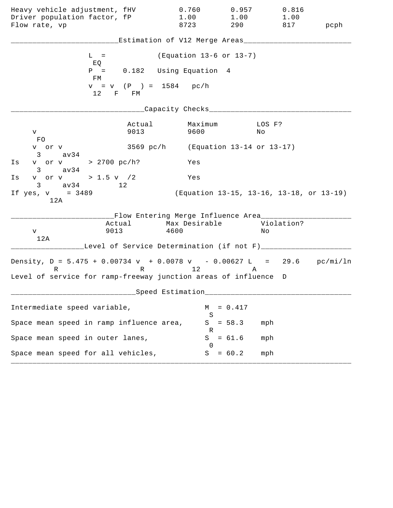| Heavy vehicle adjustment, fHV<br>Driver population factor, fP<br>Flow rate, vp                                                                   |                | 0.760<br>1.00<br>8723                                             | 0.957<br>1.00<br>290 | 0.816<br>1.00<br>817                     | pcph |
|--------------------------------------------------------------------------------------------------------------------------------------------------|----------------|-------------------------------------------------------------------|----------------------|------------------------------------------|------|
|                                                                                                                                                  |                | Estimation of V12 Merge Areas___                                  |                      |                                          |      |
| $L =$<br>EQ                                                                                                                                      |                | (Equation 13-6 or 13-7)                                           |                      |                                          |      |
| $P =$<br>FM                                                                                                                                      |                | 0.182 Using Equation 4                                            |                      |                                          |      |
| 12 F FM                                                                                                                                          |                | $v = v$ (P ) = 1584 pc/h                                          |                      |                                          |      |
|                                                                                                                                                  |                | Capacity Checks___                                                |                      |                                          |      |
| V.<br>FO.                                                                                                                                        | Actual<br>9013 | Maximum<br>9600                                                   | No                   | LOS F?                                   |      |
| v or v<br>$3 \text{ av34}$                                                                                                                       |                | 3569 pc/h (Equation 13-14 or 13-17)                               |                      |                                          |      |
| v or v > 2700 pc/h?<br>Is<br>$3 \text{ av } 34$                                                                                                  |                | Yes                                                               |                      |                                          |      |
| v or v > 1.5 v $/2$<br>Is<br>$3 \text{ av } 34$ 12                                                                                               |                | Yes                                                               |                      |                                          |      |
| If $yes, v = 3489$<br>12A                                                                                                                        |                |                                                                   |                      | (Equation 13-15, 13-16, 13-18, or 13-19) |      |
| Actual<br>9013<br>V<br>12A                                                                                                                       |                | __Flow Entering Merge Influence Area____<br>Max Desirable<br>4600 |                      | Violation?<br>Νo                         |      |
|                                                                                                                                                  |                | Level of Service Determination (if not F)___                      |                      |                                          |      |
| Density, $D = 5.475 + 0.00734 v + 0.0078 v - 0.00627 L = 29.6 pc/min/ln$<br>R<br>Level of service for ramp-freeway junction areas of influence D |                | R 12                                                              | Α                    |                                          |      |
|                                                                                                                                                  |                | ___Speed Estimation_                                              |                      |                                          |      |
| Intermediate speed variable,                                                                                                                     |                | M                                                                 | $= 0.417$            |                                          |      |
| Space mean speed in ramp influence area,                                                                                                         |                | S<br>S                                                            | $= 58.3$             | mph                                      |      |
| Space mean speed in outer lanes,                                                                                                                 |                | R<br>S<br>$\Omega$                                                | $= 61.6$             | mph                                      |      |
| Space mean speed for all vehicles,                                                                                                               |                | S                                                                 | $= 60.2$             | mph                                      |      |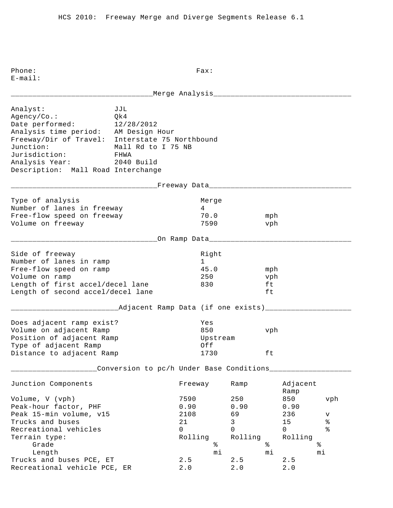E-mail: \_\_\_\_\_\_\_\_\_\_\_\_\_\_\_\_\_\_\_\_\_\_\_\_\_\_\_\_\_\_\_\_\_Merge Analysis\_\_\_\_\_\_\_\_\_\_\_\_\_\_\_\_\_\_\_\_\_\_\_\_\_\_\_\_\_\_\_\_ Analyst: JJL Agency/Co.: Qk4 Date performed: 12/28/2012 Analysis time period: AM Design Hour Freeway/Dir of Travel: Interstate 75 Northbound Junction: Mall Rd to I 75 NB Jurisdiction: FHWA Analysis Year: 2040 Build Description: Mall Road Interchange \_\_\_\_\_\_\_\_\_\_\_\_\_\_\_\_\_\_\_\_\_\_\_\_\_\_\_\_\_\_\_\_\_\_Freeway Data\_\_\_\_\_\_\_\_\_\_\_\_\_\_\_\_\_\_\_\_\_\_\_\_\_\_\_\_\_\_\_\_\_ Type of analysis and a series of analysis and a series of the Merge Number of lanes in freeway 14 Free-flow speed on freeway 70.0 mph Volume on freeway 7590 vph \_\_\_\_\_\_\_\_\_\_\_\_\_\_\_\_\_\_\_\_\_\_\_\_\_\_\_\_\_\_\_\_\_\_On Ramp Data\_\_\_\_\_\_\_\_\_\_\_\_\_\_\_\_\_\_\_\_\_\_\_\_\_\_\_\_\_\_\_\_\_ Side of freeway and the state of the state of the state of the state of the state of the state of the state of Number of lanes in ramp 1 Free-flow speed on ramp  $45.0$  mph Volume on ramp 250 vph Length of first accel/decel lane 830 ft Length of second accel/decel lane ft \_\_\_\_\_\_\_\_\_\_\_\_\_\_\_\_\_\_\_\_\_\_\_\_\_Adjacent Ramp Data (if one exists)\_\_\_\_\_\_\_\_\_\_\_\_\_\_\_\_\_\_\_\_ Does adjacent ramp exist? Yes Volume on adjacent Ramp 850 vph Position of adjacent Ramp and Upstream Type of adjacent Ramp  $Off$ Distance to adjacent Ramp 1730 ft \_\_\_\_\_\_\_\_\_\_\_\_\_\_\_\_\_\_\_\_Conversion to pc/h Under Base Conditions\_\_\_\_\_\_\_\_\_\_\_\_\_\_\_\_\_\_\_ Junction Components Freeway Ramp Adjacent Ramp Ramp and the state of the state of the state of the state of the state of the state of the state of the state of the state of the state of the state of the state of the state of the state of the state of the state of Volume, V (vph) 7590 250 850 vph Peak-hour factor, PHF 0.90 0.90 0.90 0.90 Peak 15-min volume, v15 2108 69 236 v Trucks and buses  $21$  and buses  $21$  and  $3$  and  $21$  and  $3$  and  $3$  and  $3$  and  $3$  and  $3$  and  $3$  and  $3$  and  $3$  and  $3$  and  $3$  and  $3$  and  $3$  and  $3$  and  $3$  and  $3$  and  $3$  and  $3$  and  $3$  and  $3$  and  $3$  and  $3$ Recreational vehicles and the control of the control of  $\sim$  0 0 0 % Terrain type: Terrain type: Terrain type: Rolling Rolling Rolling Grade  $\frac{1}{2}$  Grade  $\frac{1}{2}$   $\frac{1}{2}$   $\frac{1}{2}$   $\frac{1}{2}$   $\frac{1}{2}$   $\frac{1}{2}$   $\frac{1}{2}$   $\frac{1}{2}$   $\frac{1}{2}$   $\frac{1}{2}$   $\frac{1}{2}$   $\frac{1}{2}$   $\frac{1}{2}$   $\frac{1}{2}$   $\frac{1}{2}$   $\frac{1}{2}$   $\frac{1}{2}$   $\frac{1}{2}$   $\frac{1}{2}$   $\frac{1}{2}$  Length mi mi mi Trucks and buses PCE,  $ET$  2.5 2.5 2.5

Recreational vehicle PCE, ER 2.0 2.0 2.0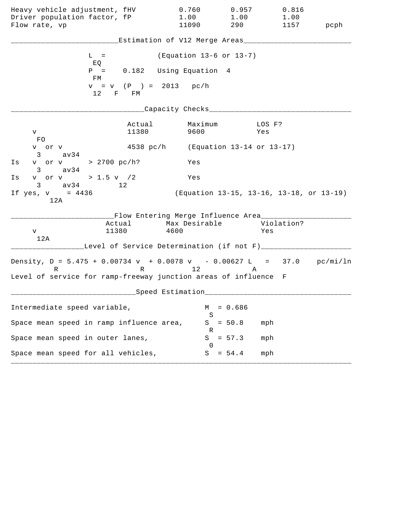| Heavy vehicle adjustment, fHV                                                 |                                     | 0.760                                                                                   | 0.957     | 0.816                                    |      |
|-------------------------------------------------------------------------------|-------------------------------------|-----------------------------------------------------------------------------------------|-----------|------------------------------------------|------|
| Driver population factor, fP                                                  |                                     | 1.00                                                                                    | 1.00      | 1.00                                     |      |
| Flow rate, vp                                                                 |                                     | 11090                                                                                   | 290       | 1157                                     | pcph |
|                                                                               |                                     | Estimation of V12 Merge Areas___                                                        |           |                                          |      |
| $L =$<br>EQ                                                                   |                                     | (Equation 13-6 or 13-7)                                                                 |           |                                          |      |
| FM                                                                            |                                     | $P = 0.182$ Using Equation 4                                                            |           |                                          |      |
|                                                                               | $v = v$ (P ) = 2013 pc/h<br>12 F FM |                                                                                         |           |                                          |      |
|                                                                               |                                     | Capacity Checks_________                                                                |           |                                          |      |
| V                                                                             | Actual<br>11380                     | Maximum<br>9600                                                                         |           | LOS F?<br>Yes                            |      |
| FO.<br>v or v<br>$3 \text{ av34}$                                             |                                     | 4538 pc/h (Equation 13-14 or 13-17)                                                     |           |                                          |      |
| v or v > 2700 pc/h?<br>Is<br>$3 \text{ av } 34$                               |                                     | Yes                                                                                     |           |                                          |      |
| v or v > 1.5 v / 2<br>Is<br>3 av34 12                                         |                                     | Yes                                                                                     |           |                                          |      |
| If yes, $v = 4436$<br>12A                                                     |                                     |                                                                                         |           | (Equation 13-15, 13-16, 13-18, or 13-19) |      |
| V<br>12A                                                                      | 11380                               | __Flow Entering Merge Influence Area________<br>Actual Max Desirable Violation?<br>4600 |           | Yes                                      |      |
|                                                                               |                                     | Level of Service Determination (if not F)___                                            |           |                                          |      |
| Density, $D = 5.475 + 0.00734 v + 0.0078 v - 0.00627 L = 37.0 pc/min/ln$<br>R |                                     | R 12                                                                                    | A         |                                          |      |
| Level of service for ramp-freeway junction areas of influence F               |                                     |                                                                                         |           |                                          |      |
|                                                                               |                                     | Speed Estimation                                                                        |           |                                          |      |
| Intermediate speed variable,                                                  |                                     | М<br>S                                                                                  | $= 0.686$ |                                          |      |
| Space mean speed in ramp influence area,                                      |                                     | S<br>R                                                                                  | $= 50.8$  | mph                                      |      |
| Space mean speed in outer lanes,                                              |                                     | S<br>$\cup$                                                                             | $= 57.3$  | mph                                      |      |
| Space mean speed for all vehicles,                                            |                                     | S                                                                                       | $= 54.4$  | mph                                      |      |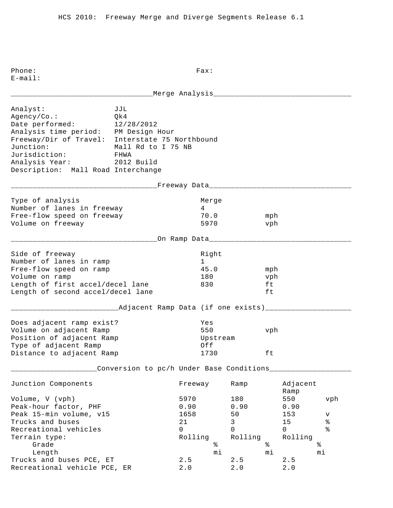E-mail: \_\_\_\_\_\_\_\_\_\_\_\_\_\_\_\_\_\_\_\_\_\_\_\_\_\_\_\_\_\_\_\_\_Merge Analysis\_\_\_\_\_\_\_\_\_\_\_\_\_\_\_\_\_\_\_\_\_\_\_\_\_\_\_\_\_\_\_\_ Analyst: JJL Agency/Co.: Qk4 Date performed: 12/28/2012 Analysis time period: PM Design Hour Freeway/Dir of Travel: Interstate 75 Northbound Junction: Mall Rd to I 75 NB Jurisdiction: FHWA Analysis Year: 2012 Build Description: Mall Road Interchange \_\_\_\_\_\_\_\_\_\_\_\_\_\_\_\_\_\_\_\_\_\_\_\_\_\_\_\_\_\_\_\_\_\_Freeway Data\_\_\_\_\_\_\_\_\_\_\_\_\_\_\_\_\_\_\_\_\_\_\_\_\_\_\_\_\_\_\_\_\_ Type of analysis and a series of analysis and a series of the Merge Number of lanes in freeway 14 Free-flow speed on freeway 70.0 mph Volume on freeway 5970 vph \_\_\_\_\_\_\_\_\_\_\_\_\_\_\_\_\_\_\_\_\_\_\_\_\_\_\_\_\_\_\_\_\_\_On Ramp Data\_\_\_\_\_\_\_\_\_\_\_\_\_\_\_\_\_\_\_\_\_\_\_\_\_\_\_\_\_\_\_\_\_ Side of freeway and the state of the state of the state of the state of the state of the state of the state of Number of lanes in ramp 1 Free-flow speed on ramp  $45.0$  mph Volume on ramp 180 vph Length of first accel/decel lane 830 ft Length of second accel/decel lane ft \_\_\_\_\_\_\_\_\_\_\_\_\_\_\_\_\_\_\_\_\_\_\_\_\_Adjacent Ramp Data (if one exists)\_\_\_\_\_\_\_\_\_\_\_\_\_\_\_\_\_\_\_\_ Does adjacent ramp exist? Yes Volume on adjacent Ramp 550 vph Position of adjacent Ramp and Upstream Type of adjacent Ramp  $Off$ Distance to adjacent Ramp 1730 ft \_\_\_\_\_\_\_\_\_\_\_\_\_\_\_\_\_\_\_\_Conversion to pc/h Under Base Conditions\_\_\_\_\_\_\_\_\_\_\_\_\_\_\_\_\_\_\_ Junction Components Freeway Ramp Adjacent Ramp Ramp and the state of the state of the state of the state of the state of the state of the state of the state of the state of the state of the state of the state of the state of the state of the state of the state of Volume, V (vph) 5970 180 550 vph Peak-hour factor, PHF 0.90 0.90 0.90 0.90 Peak 15-min volume, v15 1658 50 153 v Trucks and buses  $21$  and buses  $21$  and  $3$  and  $21$  and  $3$  and  $21$  and  $3$  and  $3$  and  $4$  and  $2$  and  $3$  and  $3$  and  $3$  and  $3$  and  $3$  and  $3$  and  $3$  and  $3$  and  $3$  and  $3$  and  $3$  and  $3$  and  $3$  and  $3$  and  $3$ Recreational vehicles and the control of the control of  $\sim$  0 0 0 % Terrain type: Rolling Rolling Rolling Grade  $\frac{1}{2}$  Grade  $\frac{1}{2}$   $\frac{1}{2}$   $\frac{1}{2}$   $\frac{1}{2}$   $\frac{1}{2}$   $\frac{1}{2}$   $\frac{1}{2}$   $\frac{1}{2}$   $\frac{1}{2}$   $\frac{1}{2}$   $\frac{1}{2}$   $\frac{1}{2}$   $\frac{1}{2}$   $\frac{1}{2}$   $\frac{1}{2}$   $\frac{1}{2}$   $\frac{1}{2}$   $\frac{1}{2}$   $\frac{1}{2}$   $\frac{1}{2}$  Length mi mi mi Trucks and buses PCE,  $ET$  2.5 2.5 2.5 Recreational vehicle PCE, ER 2.0 2.0 2.0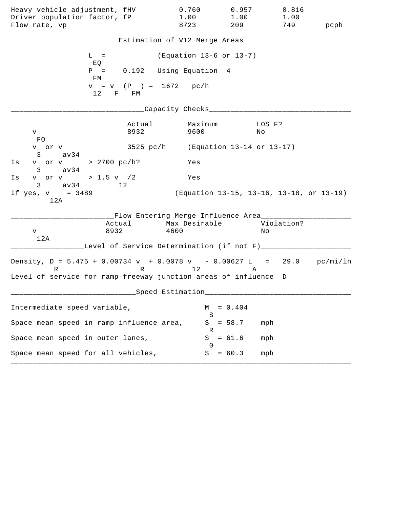| Heavy vehicle adjustment, fHV<br>Driver population factor, fP                                                                                    |                         | 0.760<br>1.00                                                        | 0.957<br>1.00<br>209 | 0.816<br>1.00                            |      |
|--------------------------------------------------------------------------------------------------------------------------------------------------|-------------------------|----------------------------------------------------------------------|----------------------|------------------------------------------|------|
| Flow rate, vp                                                                                                                                    |                         | 8723                                                                 |                      | 749                                      | pcph |
|                                                                                                                                                  |                         | Estimation of V12 Merge Areas___                                     |                      |                                          |      |
| $L =$<br>EQ                                                                                                                                      |                         | (Equation 13-6 or 13-7)                                              |                      |                                          |      |
| $P =$<br>FM                                                                                                                                      |                         | 0.192 Using Equation 4                                               |                      |                                          |      |
| 12 F FM                                                                                                                                          | $v = v$ (P) = 1672 pc/h |                                                                      |                      |                                          |      |
|                                                                                                                                                  |                         | Capacity Checks___                                                   |                      |                                          |      |
| V<br>FO.                                                                                                                                         | Actual<br>8932          | Maximum<br>9600                                                      |                      | LOS F?<br>No                             |      |
| v or v<br>3<br>av34                                                                                                                              |                         | 3525 $pc/h$ (Equation 13-14 or 13-17)                                |                      |                                          |      |
| v or v > 2700 pc/h?<br>Is<br>av34<br>$3 \sim$                                                                                                    |                         | Yes                                                                  |                      |                                          |      |
| v or v > 1.5 v /2<br>Is<br>$3 \text{ av } 34$                                                                                                    | 12                      | Yes                                                                  |                      |                                          |      |
| If $yes, v = 3489$<br>12A                                                                                                                        |                         |                                                                      |                      | (Equation 13-15, 13-16, 13-18, or 13-19) |      |
| 8932<br>V<br>12A                                                                                                                                 | Actual                  | __Flow Entering Merge Influence Area_______<br>Max Desirable<br>4600 |                      | Violation?<br>Νo                         |      |
|                                                                                                                                                  |                         | Level of Service Determination (if not F)_____                       |                      |                                          |      |
| Density, $D = 5.475 + 0.00734 v + 0.0078 v - 0.00627 L = 29.0 pc/min/ln$<br>R<br>Level of service for ramp-freeway junction areas of influence D |                         | R 12                                                                 | A                    |                                          |      |
|                                                                                                                                                  |                         | Speed Estimation                                                     |                      |                                          |      |
|                                                                                                                                                  |                         |                                                                      |                      |                                          |      |
| Intermediate speed variable,                                                                                                                     |                         | М<br>S                                                               | $= 0.404$            |                                          |      |
| Space mean speed in ramp influence area,                                                                                                         |                         | S<br>R                                                               | $= 58.7$             | mph                                      |      |
| Space mean speed in outer lanes,                                                                                                                 |                         | S<br>$\left( \right)$                                                | $= 61.6$             | mph                                      |      |
| Space mean speed for all vehicles,                                                                                                               |                         | S                                                                    | $= 60.3$             | mph                                      |      |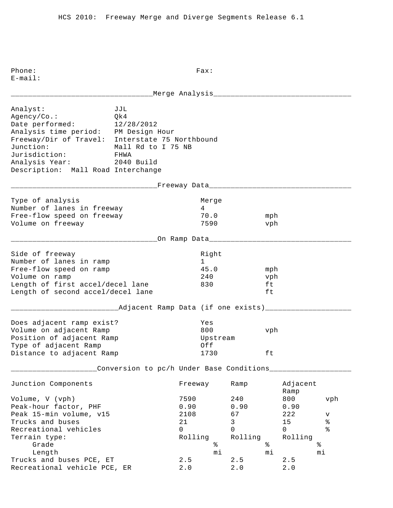E-mail: \_\_\_\_\_\_\_\_\_\_\_\_\_\_\_\_\_\_\_\_\_\_\_\_\_\_\_\_\_\_\_\_\_Merge Analysis\_\_\_\_\_\_\_\_\_\_\_\_\_\_\_\_\_\_\_\_\_\_\_\_\_\_\_\_\_\_\_\_ Analyst: JJL Agency/Co.: Qk4 Date performed: 12/28/2012 Analysis time period: PM Design Hour Freeway/Dir of Travel: Interstate 75 Northbound Junction: Mall Rd to I 75 NB Jurisdiction: FHWA Analysis Year: 2040 Build Description: Mall Road Interchange \_\_\_\_\_\_\_\_\_\_\_\_\_\_\_\_\_\_\_\_\_\_\_\_\_\_\_\_\_\_\_\_\_\_Freeway Data\_\_\_\_\_\_\_\_\_\_\_\_\_\_\_\_\_\_\_\_\_\_\_\_\_\_\_\_\_\_\_\_\_ Type of analysis and a series of analysis and a series of the Merge Number of lanes in freeway 14 Free-flow speed on freeway 70.0 mph Volume on freeway 7590 vph \_\_\_\_\_\_\_\_\_\_\_\_\_\_\_\_\_\_\_\_\_\_\_\_\_\_\_\_\_\_\_\_\_\_On Ramp Data\_\_\_\_\_\_\_\_\_\_\_\_\_\_\_\_\_\_\_\_\_\_\_\_\_\_\_\_\_\_\_\_\_ Side of freeway and the state of the state of the state of the state of the state of the state of the state of Number of lanes in ramp 1 Free-flow speed on ramp  $45.0$  mph Volume on ramp  $240$  vph Length of first accel/decel lane 830 ft Length of second accel/decel lane ft \_\_\_\_\_\_\_\_\_\_\_\_\_\_\_\_\_\_\_\_\_\_\_\_\_Adjacent Ramp Data (if one exists)\_\_\_\_\_\_\_\_\_\_\_\_\_\_\_\_\_\_\_\_ Does adjacent ramp exist? Yes Volume on adjacent Ramp 800 vph Position of adjacent Ramp and Upstream Type of adjacent Ramp  $Off$ Distance to adjacent Ramp 1730 ft \_\_\_\_\_\_\_\_\_\_\_\_\_\_\_\_\_\_\_\_Conversion to pc/h Under Base Conditions\_\_\_\_\_\_\_\_\_\_\_\_\_\_\_\_\_\_\_ Junction Components Freeway Ramp Adjacent Ramp Ramp and the state of the state of the state of the state of the state of the state of the state of the state of the state of the state of the state of the state of the state of the state of the state of the state of Volume, V (vph) 7590 240 800 vph Peak-hour factor, PHF 0.90 0.90 0.90 0.90 Peak 15-min volume, v15 12108 67 222 v Trucks and buses  $21$  and buses  $21$  and  $3$  and  $15$  and  $8$  and  $15$  and  $8$  and  $15$  and  $15$  and  $15$  and  $15$  and  $15$  and  $15$  and  $15$  and  $15$  and  $15$  and  $15$  and  $15$  and  $15$  and  $15$  and  $15$  and  $15$  and  $15$ Recreational vehicles and the control of the control of  $\sim$  0 0 0 % Terrain type:<br>
Terrain type:<br>
Grade<br>
Length<br>
Trusks (sol) Grade  $\frac{1}{2}$  Grade  $\frac{1}{2}$   $\frac{1}{2}$   $\frac{1}{2}$   $\frac{1}{2}$   $\frac{1}{2}$   $\frac{1}{2}$   $\frac{1}{2}$   $\frac{1}{2}$   $\frac{1}{2}$   $\frac{1}{2}$   $\frac{1}{2}$   $\frac{1}{2}$   $\frac{1}{2}$   $\frac{1}{2}$   $\frac{1}{2}$   $\frac{1}{2}$   $\frac{1}{2}$   $\frac{1}{2}$   $\frac{1}{2}$   $\frac{1}{2}$  Length mi mi mi Trucks and buses PCE,  $ET$  2.5 2.5 2.5

Recreational vehicle PCE, ER 2.0 2.0 2.0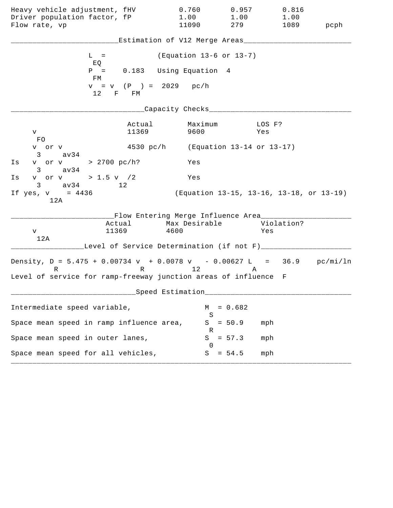| Heavy vehicle adjustment, fHV                                                                                                                    |                                                                             | 0.760                      | 0.957       | 0.816                                    |      |
|--------------------------------------------------------------------------------------------------------------------------------------------------|-----------------------------------------------------------------------------|----------------------------|-------------|------------------------------------------|------|
| Driver population factor, fP<br>Flow rate, vp                                                                                                    |                                                                             | 1.00<br>11090              | 1.00<br>279 | 1.00<br>1089                             | pcph |
|                                                                                                                                                  | Estimation of V12 Merge Areas___                                            |                            |             |                                          |      |
| $L =$<br>EQ                                                                                                                                      |                                                                             | (Equation 13-6 or 13-7)    |             |                                          |      |
| $P =$<br>FM                                                                                                                                      | 0.183 Using Equation 4                                                      |                            |             |                                          |      |
| 12 F FM                                                                                                                                          | $v = v$ (P) = 2029 pc/h                                                     |                            |             |                                          |      |
|                                                                                                                                                  | Capacity Checks___                                                          |                            |             |                                          |      |
| V<br>FO.                                                                                                                                         | Actual<br>11369                                                             | Maximum<br>9600            |             | LOS F?<br>Yes                            |      |
| v or v<br>$3 \sim$<br>av34                                                                                                                       | 4530 pc/h (Equation 13-14 or 13-17)                                         |                            |             |                                          |      |
| v or v > 2700 pc/h?<br>Is<br>av34<br>$3 \sim$                                                                                                    |                                                                             | Yes                        |             |                                          |      |
| v or v > 1.5 v $/2$<br>Is<br>$3 \text{ av } 34$ 12                                                                                               |                                                                             | Yes                        |             |                                          |      |
| If $yes, v = 4436$<br>12A                                                                                                                        |                                                                             |                            |             | (Equation 13-15, 13-16, 13-18, or 13-19) |      |
| 11369<br>V<br>12A                                                                                                                                | __Flow Entering Merge Influence Area_______<br>Actual Max Desirable<br>4600 |                            |             | Violation?<br>Yes                        |      |
|                                                                                                                                                  | Level of Service Determination (if not F)_____                              |                            |             |                                          |      |
| Density, $D = 5.475 + 0.00734 v + 0.0078 v - 0.00627 L = 36.9 pc/min/ln$<br>R<br>Level of service for ramp-freeway junction areas of influence F |                                                                             | R 12                       | A           |                                          |      |
|                                                                                                                                                  | Speed Estimation                                                            |                            |             |                                          |      |
| Intermediate speed variable,                                                                                                                     |                                                                             | М                          | $= 0.682$   |                                          |      |
| Space mean speed in ramp influence area,                                                                                                         |                                                                             | S<br>S                     | $= 50.9$    | mph                                      |      |
| Space mean speed in outer lanes,                                                                                                                 |                                                                             | R<br>S<br>$\left( \right)$ | $= 57.3$    | mph                                      |      |
| Space mean speed for all vehicles,                                                                                                               |                                                                             | S                          | $= 54.5$    | mph                                      |      |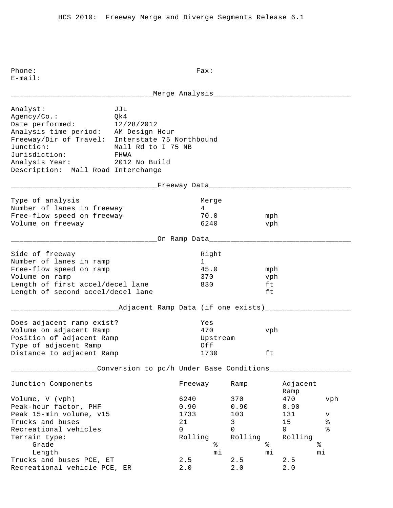Phone: Fax:

E-mail: \_\_\_\_\_\_\_\_\_\_\_\_\_\_\_\_\_\_\_\_\_\_\_\_\_\_\_\_\_\_\_\_\_Merge Analysis\_\_\_\_\_\_\_\_\_\_\_\_\_\_\_\_\_\_\_\_\_\_\_\_\_\_\_\_\_\_\_\_ Analyst: JJL Agency/Co.: Qk4 Date performed: 12/28/2012 Analysis time period: AM Design Hour Freeway/Dir of Travel: Interstate 75 Northbound Junction: Mall Rd to I 75 NB Jurisdiction: FHWA Analysis Year: 2012 No Build Description: Mall Road Interchange \_\_\_\_\_\_\_\_\_\_\_\_\_\_\_\_\_\_\_\_\_\_\_\_\_\_\_\_\_\_\_\_\_\_Freeway Data\_\_\_\_\_\_\_\_\_\_\_\_\_\_\_\_\_\_\_\_\_\_\_\_\_\_\_\_\_\_\_\_\_ Type of analysis and a series of analysis and a series of the Merge Number of lanes in freeway 14 Free-flow speed on freeway 70.0 mph Volume on freeway 6240 vph \_\_\_\_\_\_\_\_\_\_\_\_\_\_\_\_\_\_\_\_\_\_\_\_\_\_\_\_\_\_\_\_\_\_On Ramp Data\_\_\_\_\_\_\_\_\_\_\_\_\_\_\_\_\_\_\_\_\_\_\_\_\_\_\_\_\_\_\_\_\_ Side of freeway and the state of the state of the state of the state of the state of the state of the state of Number of lanes in ramp 1 Free-flow speed on ramp  $45.0$  mph Volume on ramp  $\sim$  370 vph Length of first accel/decel lane 830 ft Length of second accel/decel lane ft \_\_\_\_\_\_\_\_\_\_\_\_\_\_\_\_\_\_\_\_\_\_\_\_\_Adjacent Ramp Data (if one exists)\_\_\_\_\_\_\_\_\_\_\_\_\_\_\_\_\_\_\_\_ Does adjacent ramp exist? Yes Volume on adjacent Ramp 470 vph Position of adjacent Ramp and Upstream Type of adjacent Ramp  $Off$ Distance to adjacent Ramp 1730 ft \_\_\_\_\_\_\_\_\_\_\_\_\_\_\_\_\_\_\_\_Conversion to pc/h Under Base Conditions\_\_\_\_\_\_\_\_\_\_\_\_\_\_\_\_\_\_\_ Junction Components Freeway Ramp Adjacent Ramp Ramp and the state of the state of the state of the state of the state of the state of the state of the state of the state of the state of the state of the state of the state of the state of the state of the state of Volume, V (vph) 6240 370 470 vph Peak-hour factor, PHF 0.90 0.90 0.90 0.90 Peak 15-min volume, v15 1733 103 131 v Trucks and buses 21 3 15 % Recreational vehicles and the control of the control of  $\sim$  0 0 0 % Terrain type:<br>
Grade<br>
Length<br>
The state<br>
The state<br>
The state<br>  $\begin{array}{ccc}\n\text{Rolling} & \text{Rolling} & \text{Rolling} \\
\text{\AA} & \text{\AA} & \text{\AA}\n\end{array}$ Grade  $\begin{matrix}3 \text{ rad} & 1 \end{matrix}$   $\begin{matrix}3 \text{ rad} & 1 \end{matrix}$   $\begin{matrix}3 \text{ rad} & 1 \end{matrix}$   $\begin{matrix}2 \text{ rad} & 1 \end{matrix}$   $\begin{matrix}2 \text{ rad} & 1 \end{matrix}$   $\begin{matrix}2 \text{ rad} & 1 \end{matrix}$   $\begin{matrix}2 \text{ rad} & 1 \end{matrix}$   $\begin{matrix}2 \text{ rad} & 1 \end{matrix}$   $\begin{matrix}2 \text{ rad} & 1 \end{matrix}$   $\begin{matrix}2 \text{ rad} & 1 \end$  Length mi mi mi Trucks and buses PCE,  $ET$  2.5 2.5 2.5 Recreational vehicle PCE, ER 2.0 2.0 2.0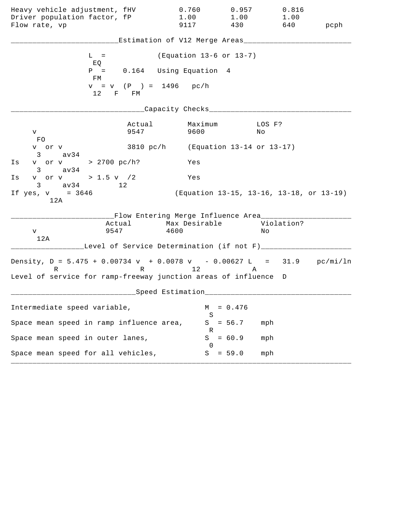| Heavy vehicle adjustment, fHV<br>Driver population factor, fP<br>Flow rate, vp                                                                   |                | 0.760<br>1.00<br>9117                                             | 0.957<br>1.00<br>430 | 0.816<br>1.00<br>640                     | pcph |
|--------------------------------------------------------------------------------------------------------------------------------------------------|----------------|-------------------------------------------------------------------|----------------------|------------------------------------------|------|
|                                                                                                                                                  |                | Estimation of V12 Merge Areas___                                  |                      |                                          |      |
| $L =$<br>EQ                                                                                                                                      |                | (Equation 13-6 or 13-7)                                           |                      |                                          |      |
| $P =$<br>FM                                                                                                                                      |                | 0.164 Using Equation 4                                            |                      |                                          |      |
| 12 F FM                                                                                                                                          |                | $v = v$ (P) = 1496 pc/h                                           |                      |                                          |      |
|                                                                                                                                                  |                | Capacity Checks___                                                |                      |                                          |      |
| V –<br>FO.                                                                                                                                       | Actual<br>9547 | Maximum<br>9600                                                   | No                   | LOS F?                                   |      |
| v or v<br>$3 \text{ av34}$                                                                                                                       |                | 3810 pc/h (Equation 13-14 or 13-17)                               |                      |                                          |      |
| v or v > 2700 pc/h?<br>Is<br>$3 \text{ av } 34$                                                                                                  |                | Yes                                                               |                      |                                          |      |
| v or v > 1.5 v $/2$<br>Is<br>$3 \text{ av } 34$ 12                                                                                               |                | Yes                                                               |                      |                                          |      |
| If $yes, v = 3646$<br>12A                                                                                                                        |                |                                                                   |                      | (Equation 13-15, 13-16, 13-18, or 13-19) |      |
| Actual<br>9547<br>V<br>12A                                                                                                                       |                | __Flow Entering Merge Influence Area____<br>Max Desirable<br>4600 |                      | Violation?<br>Νo                         |      |
|                                                                                                                                                  |                | Level of Service Determination (if not F)___                      |                      |                                          |      |
| Density, $D = 5.475 + 0.00734 v + 0.0078 v - 0.00627 L = 31.9 pc/min/ln$<br>R<br>Level of service for ramp-freeway junction areas of influence D |                | R 12                                                              | Α                    |                                          |      |
|                                                                                                                                                  |                | ___Speed Estimation_                                              |                      |                                          |      |
| Intermediate speed variable,                                                                                                                     |                | M                                                                 | $= 0.476$            |                                          |      |
| Space mean speed in ramp influence area,                                                                                                         |                | S<br>S                                                            | $= 56.7$             | mph                                      |      |
| Space mean speed in outer lanes,                                                                                                                 |                | R<br>S<br>$\Omega$                                                | $= 60.9$             | mph                                      |      |
| Space mean speed for all vehicles,                                                                                                               |                |                                                                   | $S = 59.0$           | mph                                      |      |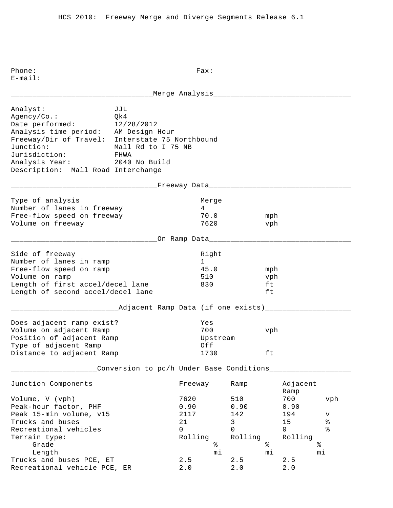E-mail: \_\_\_\_\_\_\_\_\_\_\_\_\_\_\_\_\_\_\_\_\_\_\_\_\_\_\_\_\_\_\_\_\_Merge Analysis\_\_\_\_\_\_\_\_\_\_\_\_\_\_\_\_\_\_\_\_\_\_\_\_\_\_\_\_\_\_\_\_ Analyst: JJL Agency/Co.: Qk4 Date performed: 12/28/2012 Analysis time period: AM Design Hour Freeway/Dir of Travel: Interstate 75 Northbound Junction: Mall Rd to I 75 NB Jurisdiction: FHWA Analysis Year: 2040 No Build Description: Mall Road Interchange \_\_\_\_\_\_\_\_\_\_\_\_\_\_\_\_\_\_\_\_\_\_\_\_\_\_\_\_\_\_\_\_\_\_Freeway Data\_\_\_\_\_\_\_\_\_\_\_\_\_\_\_\_\_\_\_\_\_\_\_\_\_\_\_\_\_\_\_\_\_ Type of analysis and a series of analysis and a series of the Merge Number of lanes in freeway 14 Free-flow speed on freeway 70.0 mph Volume on freeway 1620 vph \_\_\_\_\_\_\_\_\_\_\_\_\_\_\_\_\_\_\_\_\_\_\_\_\_\_\_\_\_\_\_\_\_\_On Ramp Data\_\_\_\_\_\_\_\_\_\_\_\_\_\_\_\_\_\_\_\_\_\_\_\_\_\_\_\_\_\_\_\_\_ Side of freeway and the state of the state of the state of the state of the state of the state of the state of Number of lanes in ramp 1 Free-flow speed on ramp  $45.0$  mph Volume on ramp 510 vph Length of first accel/decel lane 830 ft Length of second accel/decel lane ft \_\_\_\_\_\_\_\_\_\_\_\_\_\_\_\_\_\_\_\_\_\_\_\_\_Adjacent Ramp Data (if one exists)\_\_\_\_\_\_\_\_\_\_\_\_\_\_\_\_\_\_\_\_ Does adjacent ramp exist? Yes Volume on adjacent Ramp 700 vph Position of adjacent Ramp and Upstream Type of adjacent Ramp  $Off$ Distance to adjacent Ramp 1730 ft \_\_\_\_\_\_\_\_\_\_\_\_\_\_\_\_\_\_\_\_Conversion to pc/h Under Base Conditions\_\_\_\_\_\_\_\_\_\_\_\_\_\_\_\_\_\_\_ Junction Components Freeway Ramp Adjacent Ramp Ramp and the state of the state of the state of the state of the state of the state of the state of the state of the state of the state of the state of the state of the state of the state of the state of the state of Volume, V (vph) 7620 510 700 vph Peak-hour factor, PHF 0.90 0.90 0.90 Peak 15-min volume, v15 117 142 194 v Trucks and buses  $21$  and buses  $21$  and  $3$  and  $15$  and  $8$  and  $15$  and  $8$  and  $21$  and  $3$  and  $15$  and  $8$ Recreational vehicles and the control of the control of  $\sim$  0 0 0 % Terrain type:<br>
Grade<br>
Length<br>
The state<br>
The state<br>
The state<br>  $\begin{array}{ccc}\n\text{Rolling} & \text{Rolling} & \text{Rolling} \\
\text{\$} & \text{\$} & \text{\$} \\
\text{Nolling} & \text{Rolling} & \text{Rolling} \\
\text{Nolling} & \text{Rolling} & \text{Rolling} \\
\text{Nolling} & \text{Rolling} & \text{Rolling} \\
\text{Nolling} & \text{Rolling} & \text{Rolling} \\
\text{Nolling} & \text{Rolling$ Grade  $\begin{matrix}3 \end{matrix}$   $\begin{matrix}6 \end{matrix}$   $\begin{matrix}6 \end{matrix}$   $\begin{matrix}6 \end{matrix}$   $\begin{matrix}6 \end{matrix}$   $\begin{matrix}6 \end{matrix}$   $\begin{matrix}6 \end{matrix}$   $\begin{matrix}6 \end{matrix}$   $\begin{matrix}6 \end{matrix}$   $\begin{matrix}6 \end{matrix}$   $\begin{matrix}6 \end{matrix}$   $\begin{matrix}6 \end{matrix}$   $\begin{matrix}6 \end{matrix}$   $\begin{matrix}6 \end{matrix}$   $\begin{matrix}6 \end{matrix}$   $\begin{matrix$  Length mi mi mi Trucks and buses PCE,  $ET$  2.5 2.5 2.5

Recreational vehicle PCE, ER 2.0 2.0 2.0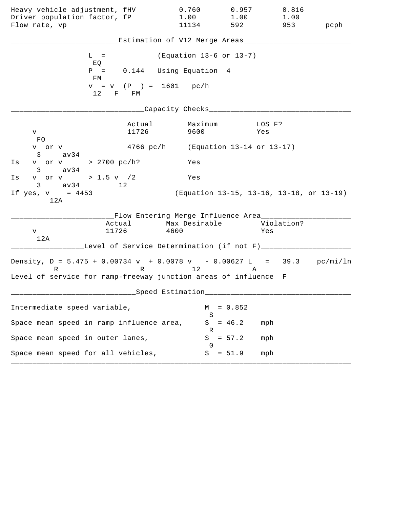| Heavy vehicle adjustment, fHV                                                          |                 | 0.760                                                                                    | 0.957     | 0.816                                    |          |
|----------------------------------------------------------------------------------------|-----------------|------------------------------------------------------------------------------------------|-----------|------------------------------------------|----------|
| Driver population factor, fP<br>Flow rate, vp                                          |                 | 1.00<br>11134                                                                            | 592       | $1.00$ $1.00$                            | 953 pcph |
|                                                                                        |                 |                                                                                          |           |                                          |          |
|                                                                                        |                 | Estimation of V12 Merge Areas___                                                         |           |                                          |          |
| $L =$<br>EQ                                                                            |                 | (Equation 13-6 or 13-7)                                                                  |           |                                          |          |
| FM                                                                                     |                 | $P = 0.144$ Using Equation 4                                                             |           |                                          |          |
| $12$ F FM                                                                              |                 | $v = v$ (P ) = 1601 pc/h                                                                 |           |                                          |          |
|                                                                                        |                 | Capacity Checks___________                                                               |           |                                          |          |
| V<br>FO                                                                                | Actual<br>11726 | Maximum<br>9600                                                                          |           | LOS F?<br>Yes                            |          |
| v or v<br>$3 \text{ av } 34$                                                           |                 | 4766 pc/h (Equation 13-14 or 13-17)                                                      |           |                                          |          |
| v or v > 2700 pc/h?<br>Is<br>$3 \text{ av}34$                                          |                 | Yes                                                                                      |           |                                          |          |
| v or v > 1.5 v $/2$<br>Is<br>$3 \text{ av } 34$ 12                                     |                 | Yes                                                                                      |           |                                          |          |
| If yes, $v = 4453$<br>12A                                                              |                 |                                                                                          |           | (Equation 13-15, 13-16, 13-18, or 13-19) |          |
| V<br>12A                                                                               | 11726           | __Flow Entering Merge Influence Area_________<br>Actual Max Desirable Violation?<br>4600 |           | Yes                                      |          |
|                                                                                        |                 | Level of Service Determination (if not F)___                                             |           |                                          |          |
| Density, $D = 5.475 + 0.00734 v + 0.0078 v - 0.00627 L = 39.3 pc/min/ln$<br>$R \sim 1$ |                 | R 12                                                                                     | A         |                                          |          |
| Level of service for ramp-freeway junction areas of influence F                        |                 |                                                                                          |           |                                          |          |
|                                                                                        |                 | Speed Estimation                                                                         |           |                                          |          |
| Intermediate speed variable,                                                           |                 | М<br>S                                                                                   | $= 0.852$ |                                          |          |
| Space mean speed in ramp influence area,                                               |                 | S<br>R                                                                                   | $= 46.2$  | mph                                      |          |
| Space mean speed in outer lanes,                                                       |                 | S<br>$\cup$                                                                              | $= 57.2$  | mph                                      |          |
| Space mean speed for all vehicles,                                                     |                 | S                                                                                        | $= 51.9$  | mph                                      |          |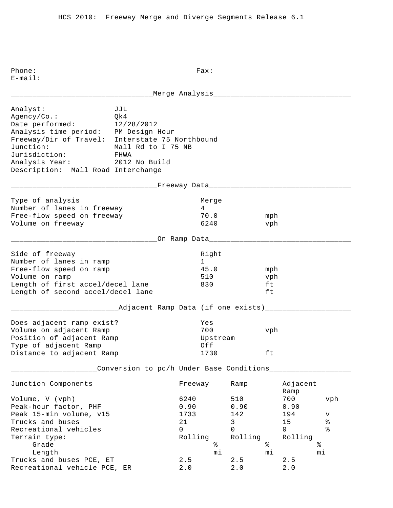E-mail: \_\_\_\_\_\_\_\_\_\_\_\_\_\_\_\_\_\_\_\_\_\_\_\_\_\_\_\_\_\_\_\_\_Merge Analysis\_\_\_\_\_\_\_\_\_\_\_\_\_\_\_\_\_\_\_\_\_\_\_\_\_\_\_\_\_\_\_\_ Analyst: JJL Agency/Co.: Qk4 Date performed: 12/28/2012 Analysis time period: PM Design Hour Freeway/Dir of Travel: Interstate 75 Northbound Junction: Mall Rd to I 75 NB Jurisdiction: FHWA Analysis Year: 2012 No Build Description: Mall Road Interchange \_\_\_\_\_\_\_\_\_\_\_\_\_\_\_\_\_\_\_\_\_\_\_\_\_\_\_\_\_\_\_\_\_\_Freeway Data\_\_\_\_\_\_\_\_\_\_\_\_\_\_\_\_\_\_\_\_\_\_\_\_\_\_\_\_\_\_\_\_\_ Type of analysis and a series of analysis and a series of the Merge Number of lanes in freeway 14 Free-flow speed on freeway 70.0 mph Volume on freeway 6240 vph \_\_\_\_\_\_\_\_\_\_\_\_\_\_\_\_\_\_\_\_\_\_\_\_\_\_\_\_\_\_\_\_\_\_On Ramp Data\_\_\_\_\_\_\_\_\_\_\_\_\_\_\_\_\_\_\_\_\_\_\_\_\_\_\_\_\_\_\_\_\_ Side of freeway and the state of the state of the state of the state of the state of the state of the state of Number of lanes in ramp 1 Free-flow speed on ramp and the set of 45.0 mph Volume on ramp 510 vph Length of first accel/decel lane 830 ft Length of second accel/decel lane ft \_\_\_\_\_\_\_\_\_\_\_\_\_\_\_\_\_\_\_\_\_\_\_\_\_Adjacent Ramp Data (if one exists)\_\_\_\_\_\_\_\_\_\_\_\_\_\_\_\_\_\_\_\_ Does adjacent ramp exist? Yes Volume on adjacent Ramp 700 vph Position of adjacent Ramp and Upstream Type of adjacent Ramp  $Off$ Distance to adjacent Ramp 1730 ft \_\_\_\_\_\_\_\_\_\_\_\_\_\_\_\_\_\_\_\_Conversion to pc/h Under Base Conditions\_\_\_\_\_\_\_\_\_\_\_\_\_\_\_\_\_\_\_ Junction Components Freeway Ramp Adjacent Ramp Ramp and the state of the state of the state of the state of the state of the state of the state of the state of the state of the state of the state of the state of the state of the state of the state of the state of Volume, V (vph) 6240 510 700 vph Peak-hour factor, PHF 0.90 0.90 0.90 Peak 15-min volume, v15 1733 142 194 v Trucks and buses  $21$  and buses  $21$  and  $3$  and  $15$  and  $8$  and  $15$  and  $8$  and  $21$  and  $3$  and  $15$  and  $8$ Recreational vehicles and the control of the control of  $\sim$  0 0 0 % Terrain type:<br>
Grade<br>
Length<br>
The state<br>
The state<br>
The state<br>  $\begin{array}{ccc}\n\text{Rolling} & \text{Rolling} & \text{Rolling} \\
\text{\$} & \text{\$} & \text{\$} \\
\text{Nolling} & \text{Rolling} & \text{Rolling} \\
\text{Nolling} & \text{Rolling} & \text{Rolling} \\
\text{Nolling} & \text{Rolling} & \text{Rolling} \\
\text{Nolling} & \text{Rolling} & \text{Rolling} \\
\text{Nolling} & \text{Rolling$ Grade  $\begin{matrix}3 \end{matrix}$   $\begin{matrix}6 \end{matrix}$   $\begin{matrix}6 \end{matrix}$   $\begin{matrix}6 \end{matrix}$   $\begin{matrix}6 \end{matrix}$   $\begin{matrix}6 \end{matrix}$   $\begin{matrix}6 \end{matrix}$   $\begin{matrix}6 \end{matrix}$   $\begin{matrix}6 \end{matrix}$   $\begin{matrix}6 \end{matrix}$   $\begin{matrix}6 \end{matrix}$   $\begin{matrix}6 \end{matrix}$   $\begin{matrix}6 \end{matrix}$   $\begin{matrix}6 \end{matrix}$   $\begin{matrix}6 \end{matrix}$   $\begin{matrix$  Length mi mi mi Trucks and buses PCE,  $ET$  2.5 2.5 2.5

Recreational vehicle PCE, ER  $2.0$   $2.0$   $2.0$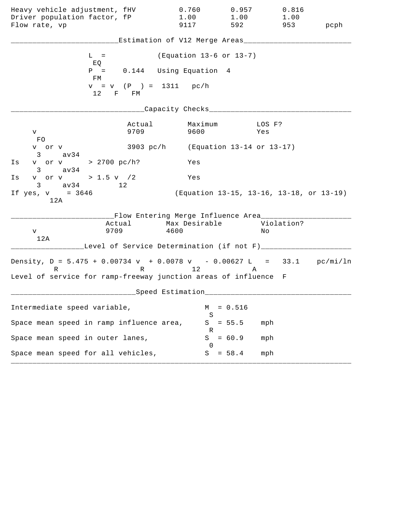| Heavy vehicle adjustment, fHV<br>Driver population factor, fP<br>Flow rate, vp                                                                   | 0.760<br>1.00<br>9117                                                | 0.957<br>1.00<br>592                     | 0.816<br>1.00<br>953 | pcph |
|--------------------------------------------------------------------------------------------------------------------------------------------------|----------------------------------------------------------------------|------------------------------------------|----------------------|------|
|                                                                                                                                                  | Estimation of V12 Merge Areas___                                     |                                          |                      |      |
| $L =$                                                                                                                                            |                                                                      | (Equation 13-6 or 13-7)                  |                      |      |
| EQ<br>$P =$                                                                                                                                      | 0.144 Using Equation 4                                               |                                          |                      |      |
| FM<br>12 F FM                                                                                                                                    | $v = v$ (P) = 1311 pc/h                                              |                                          |                      |      |
|                                                                                                                                                  | Capacity Checks___                                                   |                                          |                      |      |
| 9709<br>V<br>FO.                                                                                                                                 | Actual<br>9600                                                       | Maximum                                  | LOS F?<br>Yes        |      |
| v or v<br>$3 \sim$<br>av34                                                                                                                       | 3903 pc/h (Equation 13-14 or 13-17)                                  |                                          |                      |      |
| v or v > 2700 pc/h?<br>Is<br>av34<br>$3 \sim$                                                                                                    | Yes                                                                  |                                          |                      |      |
| v or v > 1.5 v /2<br>Is<br>$3 \text{ av } 34$<br>12                                                                                              | Yes                                                                  |                                          |                      |      |
| If $yes, v = 3646$<br>12A                                                                                                                        |                                                                      | (Equation 13-15, 13-16, 13-18, or 13-19) |                      |      |
| Actual<br>9709<br>V<br>12A                                                                                                                       | __Flow Entering Merge Influence Area_______<br>Max Desirable<br>4600 |                                          | Violation?<br>Νo     |      |
|                                                                                                                                                  | Level of Service Determination (if not F)_____                       |                                          |                      |      |
| Density, $D = 5.475 + 0.00734 v + 0.0078 v - 0.00627 L = 33.1 pc/min/ln$<br>R<br>Level of service for ramp-freeway junction areas of influence F | R 12                                                                 |                                          | A                    |      |
|                                                                                                                                                  | Speed Estimation                                                     |                                          |                      |      |
| Intermediate speed variable,                                                                                                                     |                                                                      | $= 0.516$<br>М                           |                      |      |
| Space mean speed in ramp influence area,                                                                                                         |                                                                      | S<br>$= 55.5$<br>S<br>R                  | mph                  |      |
| Space mean speed in outer lanes,                                                                                                                 |                                                                      | S<br>$= 60.9$<br>$\left( \right)$        | mph                  |      |
| Space mean speed for all vehicles,                                                                                                               |                                                                      | $= 58.4$<br>S                            | mph                  |      |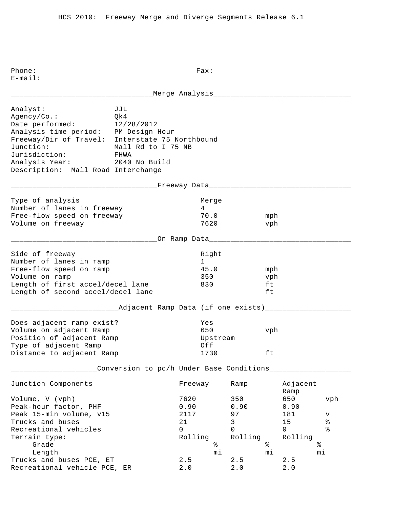E-mail: \_\_\_\_\_\_\_\_\_\_\_\_\_\_\_\_\_\_\_\_\_\_\_\_\_\_\_\_\_\_\_\_\_Merge Analysis\_\_\_\_\_\_\_\_\_\_\_\_\_\_\_\_\_\_\_\_\_\_\_\_\_\_\_\_\_\_\_\_ Analyst: JJL Agency/Co.: Qk4 Date performed: 12/28/2012 Analysis time period: PM Design Hour Freeway/Dir of Travel: Interstate 75 Northbound Junction: Mall Rd to I 75 NB Jurisdiction: FHWA Analysis Year: 2040 No Build Description: Mall Road Interchange \_\_\_\_\_\_\_\_\_\_\_\_\_\_\_\_\_\_\_\_\_\_\_\_\_\_\_\_\_\_\_\_\_\_Freeway Data\_\_\_\_\_\_\_\_\_\_\_\_\_\_\_\_\_\_\_\_\_\_\_\_\_\_\_\_\_\_\_\_\_ Type of analysis and a series of analysis and a series of the Merge Number of lanes in freeway 14 Free-flow speed on freeway 70.0 mph Volume on freeway 1620 vph \_\_\_\_\_\_\_\_\_\_\_\_\_\_\_\_\_\_\_\_\_\_\_\_\_\_\_\_\_\_\_\_\_\_On Ramp Data\_\_\_\_\_\_\_\_\_\_\_\_\_\_\_\_\_\_\_\_\_\_\_\_\_\_\_\_\_\_\_\_\_ Side of freeway and the state of the state of the state of the state of the state of the state of the state of Number of lanes in ramp 1 Free-flow speed on ramp and the set of 45.0 mph Volume on ramp 350 vph Length of first accel/decel lane 830 ft Length of second accel/decel lane ft \_\_\_\_\_\_\_\_\_\_\_\_\_\_\_\_\_\_\_\_\_\_\_\_\_Adjacent Ramp Data (if one exists)\_\_\_\_\_\_\_\_\_\_\_\_\_\_\_\_\_\_\_\_ Does adjacent ramp exist? Yes Volume on adjacent Ramp 650 vph Position of adjacent Ramp and Upstream Type of adjacent Ramp  $Off$ Distance to adjacent Ramp 1730 ft \_\_\_\_\_\_\_\_\_\_\_\_\_\_\_\_\_\_\_\_Conversion to pc/h Under Base Conditions\_\_\_\_\_\_\_\_\_\_\_\_\_\_\_\_\_\_\_ Junction Components Freeway Ramp Adjacent Ramp Ramp and the state of the state of the state of the state of the state of the state of the state of the state of the state of the state of the state of the state of the state of the state of the state of the state of Volume, V (vph) 7620 350 650 vph Peak-hour factor, PHF 0.90 0.90 0.90 0.90 Peak 15-min volume, v15 2117 97 181 v Trucks and buses  $21$  and buses  $21$  and  $3$  and  $21$  and  $3$  and  $3$  and  $3$  and  $3$  and  $3$  and  $3$  and  $3$  and  $3$  and  $3$  and  $3$  and  $3$  and  $3$  and  $3$  and  $3$  and  $3$  and  $3$  and  $3$  and  $3$  and  $3$  and  $3$  and  $3$ Recreational vehicles and the control of the control of  $\sim$  0 0 0 % Terrain type:<br>
Grade<br>
Length<br>
Trusks (1) Grade  $\frac{1}{2}$  Grade  $\frac{1}{2}$   $\frac{1}{2}$   $\frac{1}{2}$   $\frac{1}{2}$   $\frac{1}{2}$   $\frac{1}{2}$   $\frac{1}{2}$   $\frac{1}{2}$   $\frac{1}{2}$   $\frac{1}{2}$   $\frac{1}{2}$   $\frac{1}{2}$   $\frac{1}{2}$   $\frac{1}{2}$   $\frac{1}{2}$   $\frac{1}{2}$   $\frac{1}{2}$   $\frac{1}{2}$   $\frac{1}{2}$   $\frac{1}{2}$  Length mi mi mi Trucks and buses PCE,  $ET$  2.5 2.5 2.5

Recreational vehicle PCE, ER 2.0 2.0 2.0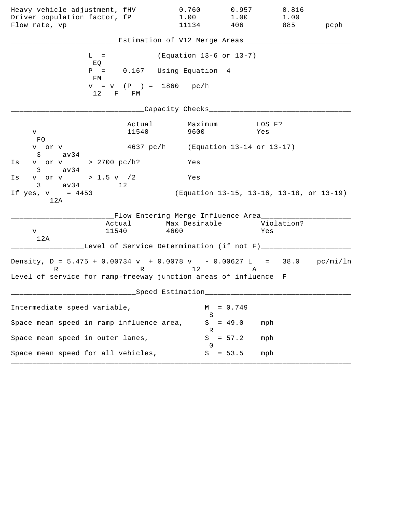| Heavy vehicle adjustment, fHV                                                          |                          | 0.760                                                                                    | 0.957       | 0.816                                    |      |
|----------------------------------------------------------------------------------------|--------------------------|------------------------------------------------------------------------------------------|-------------|------------------------------------------|------|
| Driver population factor, fP<br>Flow rate, vp                                          |                          | 1.00<br>11134                                                                            | 1.00<br>406 | 1.00<br>885                              | pcph |
|                                                                                        |                          |                                                                                          |             |                                          |      |
|                                                                                        |                          | Estimation of V12 Merge Areas___                                                         |             |                                          |      |
| $L =$<br>EQ                                                                            |                          | (Equation 13-6 or 13-7)                                                                  |             |                                          |      |
| FM                                                                                     |                          | $P = 0.167$ Using Equation 4                                                             |             |                                          |      |
| 12 F FM                                                                                | $v = v$ (P ) = 1860 pc/h |                                                                                          |             |                                          |      |
|                                                                                        |                          | _Capacity Checks___________                                                              |             |                                          |      |
| V<br>FO                                                                                | Actual<br>11540          | Maximum<br>9600                                                                          |             | LOS F?<br>Yes                            |      |
| v or v<br>$3 \text{ av } 34$                                                           |                          | 4637 pc/h (Equation 13-14 or 13-17)                                                      |             |                                          |      |
| v or v > 2700 pc/h?<br>Is<br>$3 \text{ av}34$                                          |                          | Yes                                                                                      |             |                                          |      |
| v or v > 1.5 v $/2$<br>Is<br>$3 \text{ av } 34$ 12                                     |                          | Yes                                                                                      |             |                                          |      |
| If yes, $v = 4453$<br>12A                                                              |                          |                                                                                          |             | (Equation 13-15, 13-16, 13-18, or 13-19) |      |
| V<br>12A                                                                               | 11540                    | __Flow Entering Merge Influence Area_________<br>Actual Max Desirable Violation?<br>4600 |             | Yes                                      |      |
|                                                                                        |                          | Level of Service Determination (if not F)___                                             |             |                                          |      |
| Density, $D = 5.475 + 0.00734 v + 0.0078 v - 0.00627 L = 38.0 pc/min/ln$<br>$R \sim 1$ |                          | R 12                                                                                     | A           |                                          |      |
| Level of service for ramp-freeway junction areas of influence F                        |                          |                                                                                          |             |                                          |      |
|                                                                                        |                          | Speed Estimation                                                                         |             |                                          |      |
| Intermediate speed variable,                                                           |                          | М<br>S                                                                                   | $= 0.749$   |                                          |      |
| Space mean speed in ramp influence area,                                               |                          | S<br>R                                                                                   | $= 49.0$    | mph                                      |      |
| Space mean speed in outer lanes,                                                       |                          | S<br>$\cup$                                                                              | $= 57.2$    | mph                                      |      |
| Space mean speed for all vehicles,                                                     |                          | S                                                                                        | $= 53.5$    | mph                                      |      |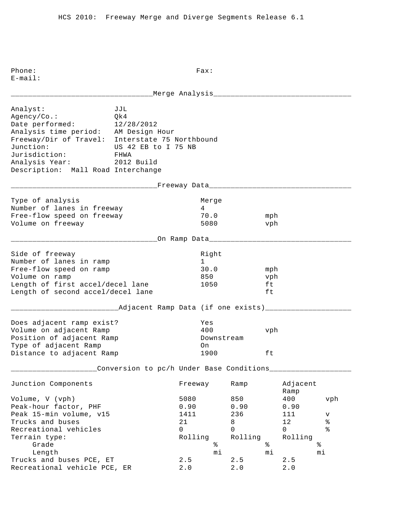Phone: Fax: E-mail: \_\_\_\_\_\_\_\_\_\_\_\_\_\_\_\_\_\_\_\_\_\_\_\_\_\_\_\_\_\_\_\_\_Merge Analysis\_\_\_\_\_\_\_\_\_\_\_\_\_\_\_\_\_\_\_\_\_\_\_\_\_\_\_\_\_\_\_\_ Analyst: JJL Agency/Co.: Qk4 Date performed: 12/28/2012 Analysis time period: AM Design Hour Freeway/Dir of Travel: Interstate 75 Northbound Junction: US 42 EB to I 75 NB Jurisdiction: FHWA Analysis Year: 2012 Build Description: Mall Road Interchange \_\_\_\_\_\_\_\_\_\_\_\_\_\_\_\_\_\_\_\_\_\_\_\_\_\_\_\_\_\_\_\_\_\_Freeway Data\_\_\_\_\_\_\_\_\_\_\_\_\_\_\_\_\_\_\_\_\_\_\_\_\_\_\_\_\_\_\_\_\_ Type of analysis and a series of analysis and a series of the Merge Number of lanes in freeway 14 Free-flow speed on freeway 70.0 mph Volume on freeway 5080 vph \_\_\_\_\_\_\_\_\_\_\_\_\_\_\_\_\_\_\_\_\_\_\_\_\_\_\_\_\_\_\_\_\_\_On Ramp Data\_\_\_\_\_\_\_\_\_\_\_\_\_\_\_\_\_\_\_\_\_\_\_\_\_\_\_\_\_\_\_\_\_ Side of freeway and the state of the state of the state of the state of the state of the state of the state of Number of lanes in ramp 1 Free-flow speed on ramp 30.0 mph Volume on ramp and the set of the set of the set of the set of the set of the set of the set of the set of the set of the set of the set of the set of the set of the set of the set of the set of the set of the set of the s Length of first accel/decel lane 1050 ft Length of second accel/decel lane ft \_\_\_\_\_\_\_\_\_\_\_\_\_\_\_\_\_\_\_\_\_\_\_\_\_Adjacent Ramp Data (if one exists)\_\_\_\_\_\_\_\_\_\_\_\_\_\_\_\_\_\_\_\_ Does adjacent ramp exist? Yes Volume on adjacent Ramp 400 vph Position of adjacent Ramp The Downstream Type of adjacent Ramp on Distance to adjacent Ramp 1900 ft \_\_\_\_\_\_\_\_\_\_\_\_\_\_\_\_\_\_\_\_Conversion to pc/h Under Base Conditions\_\_\_\_\_\_\_\_\_\_\_\_\_\_\_\_\_\_\_ Junction Components Freeway Ramp Adjacent Ramp Ramp and the state of the state of the state of the state of the state of the state of the state of the state of the state of the state of the state of the state of the state of the state of the state of the state of Volume, V (vph) 5080 850 400 vph Peak-hour factor, PHF 0.90 0.90 0.90 Peak 15-min volume, v15 1411 1411 1236 1111 11 Trucks and buses  $21$  and buses  $21$  and  $8$  and  $12$  and  $8$  are  $21$  and  $8$  are  $21$  and  $8$  are  $21$  and  $8$  are  $21$  and  $8$  are  $21$  and  $8$  are  $21$  and  $8$  are  $21$  and  $8$  are  $21$  and  $8$  are  $21$  and  $8$  are  $21$ Recreational vehicles and the control of the control of  $\sim$  0 0 0 % Terrain type:<br>
Grade<br>
Length<br>
The state<br>
The state<br>
The state<br>  $\begin{array}{ccc}\n\text{Rolling} & \text{Rolling} & \text{Rolling} \\
\text{\AA} & \text{\AA} & \text{\AA}\n\end{array}$ Grade  $\begin{matrix}3 \end{matrix}$   $\begin{matrix}6 \end{matrix}$   $\begin{matrix}6 \end{matrix}$   $\begin{matrix}6 \end{matrix}$   $\begin{matrix}6 \end{matrix}$   $\begin{matrix}6 \end{matrix}$   $\begin{matrix}6 \end{matrix}$   $\begin{matrix}6 \end{matrix}$   $\begin{matrix}6 \end{matrix}$   $\begin{matrix}6 \end{matrix}$   $\begin{matrix}6 \end{matrix}$   $\begin{matrix}6 \end{matrix}$   $\begin{matrix}6 \end{matrix}$   $\begin{matrix}6 \end{matrix}$   $\begin{matrix}6 \end{matrix}$   $\begin{matrix$  Length mi mi mi Trucks and buses PCE,  $ET$  2.5 2.5 2.5 Recreational vehicle PCE, ER 2.0 2.0 2.0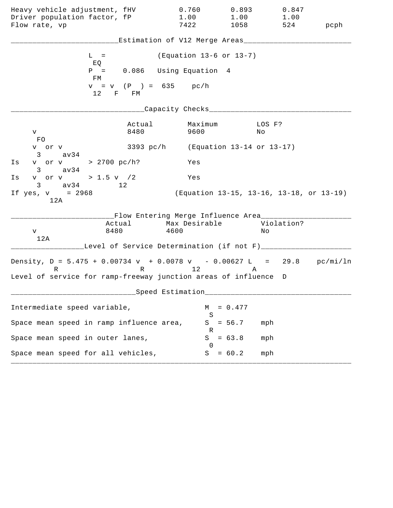| Heavy vehicle adjustment, fHV                                                 |                | 0.760                                                              | 0.893                     | 0.847                                    |      |
|-------------------------------------------------------------------------------|----------------|--------------------------------------------------------------------|---------------------------|------------------------------------------|------|
| Driver population factor, fP<br>Flow rate, vp                                 |                | 1.00<br>7422                                                       | 1.00<br>1058              | 1.00<br>524                              | pcph |
|                                                                               |                | Estimation of V12 Merge Areas_                                     |                           |                                          |      |
| $L =$<br>EQ                                                                   |                | (Equation 13-6 or 13-7)                                            |                           |                                          |      |
| $P =$<br>FМ                                                                   |                | 0.086 Using Equation 4                                             |                           |                                          |      |
| 12                                                                            | F FM           | $v = v$ (P) = 635 pc/h                                             |                           |                                          |      |
|                                                                               |                | Capacity Checks__                                                  |                           |                                          |      |
| V.<br>FO                                                                      | Actual<br>8480 | Maximum<br>9600                                                    |                           | LOS F?<br>Νo                             |      |
| v or v<br>av34<br>3                                                           | 3393 pc/h      |                                                                    | (Equation 13-14 or 13-17) |                                          |      |
| v or v > 2700 pc/h?<br>Is<br>av34<br>$3 \sim$                                 |                | Yes                                                                |                           |                                          |      |
| v or v > 1.5 v / 2<br>Is<br>$3 \text{ av } 34$<br>12                          |                | Yes                                                                |                           |                                          |      |
| If $yes, v = 2968$<br>12A                                                     |                |                                                                    |                           | (Equation 13-15, 13-16, 13-18, or 13-19) |      |
| 8480<br>V<br>12A                                                              | Actual         | __Flow Entering Merge Influence Area_____<br>Max Desirable<br>4600 |                           | Violation?<br>Νo                         |      |
|                                                                               |                | Level of Service Determination (if not F)___                       |                           |                                          |      |
| Density, $D = 5.475 + 0.00734 v + 0.0078 v - 0.00627 L = 29.8 pc/min/ln$<br>R |                | R 12                                                               |                           | Α                                        |      |
| Level of service for ramp-freeway junction areas of influence D               |                |                                                                    |                           |                                          |      |
|                                                                               |                | Speed Estimation                                                   |                           |                                          |      |
| Intermediate speed variable,                                                  |                |                                                                    | $= 0.477$<br>М<br>S       |                                          |      |
| Space mean speed in ramp influence area,                                      |                |                                                                    | S<br>$= 56.7$<br>R        | mph                                      |      |
| Space mean speed in outer lanes,                                              |                |                                                                    | S<br>$= 63.8$<br>$\Omega$ | mph                                      |      |
| Space mean speed for all vehicles,                                            |                |                                                                    | $= 60.2$<br>S             | mph                                      |      |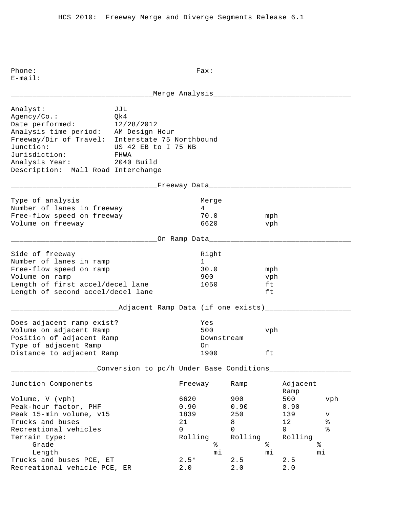Phone: Fax: E-mail: \_\_\_\_\_\_\_\_\_\_\_\_\_\_\_\_\_\_\_\_\_\_\_\_\_\_\_\_\_\_\_\_\_Merge Analysis\_\_\_\_\_\_\_\_\_\_\_\_\_\_\_\_\_\_\_\_\_\_\_\_\_\_\_\_\_\_\_\_ Analyst: JJL Agency/Co.: Qk4 Date performed: 12/28/2012 Analysis time period: AM Design Hour Freeway/Dir of Travel: Interstate 75 Northbound Junction: US 42 EB to I 75 NB Jurisdiction: FHWA Analysis Year: 2040 Build Description: Mall Road Interchange \_\_\_\_\_\_\_\_\_\_\_\_\_\_\_\_\_\_\_\_\_\_\_\_\_\_\_\_\_\_\_\_\_\_Freeway Data\_\_\_\_\_\_\_\_\_\_\_\_\_\_\_\_\_\_\_\_\_\_\_\_\_\_\_\_\_\_\_\_\_ Type of analysis and a series of analysis and a series of the Merge Number of lanes in freeway 14 Free-flow speed on freeway 70.0 mph Volume on freeway 6620 vph \_\_\_\_\_\_\_\_\_\_\_\_\_\_\_\_\_\_\_\_\_\_\_\_\_\_\_\_\_\_\_\_\_\_On Ramp Data\_\_\_\_\_\_\_\_\_\_\_\_\_\_\_\_\_\_\_\_\_\_\_\_\_\_\_\_\_\_\_\_\_ Side of freeway and the state of the state of the state of the state of the state of the state of the state of Number of lanes in ramp 1 Free-flow speed on ramp 30.0 mph Volume on ramp 900 vph Length of first accel/decel lane 1050 ft Length of second accel/decel lane ft \_\_\_\_\_\_\_\_\_\_\_\_\_\_\_\_\_\_\_\_\_\_\_\_\_Adjacent Ramp Data (if one exists)\_\_\_\_\_\_\_\_\_\_\_\_\_\_\_\_\_\_\_\_ Does adjacent ramp exist? Yes Volume on adjacent Ramp 500 vph Position of adjacent Ramp The Downstream Type of adjacent Ramp on Distance to adjacent Ramp 1900 ft \_\_\_\_\_\_\_\_\_\_\_\_\_\_\_\_\_\_\_\_Conversion to pc/h Under Base Conditions\_\_\_\_\_\_\_\_\_\_\_\_\_\_\_\_\_\_\_ Junction Components Freeway Ramp Adjacent Ramp Ramp and the state of the state of the state of the state of the state of the state of the state of the state of the state of the state of the state of the state of the state of the state of the state of the state of Volume, V (vph) 6620 900 500 vph Peak-hour factor, PHF 0.90 0.90 0.90 Peak 15-min volume, v15 1839 250 139 v Trucks and buses  $21$  and buses  $21$  and  $8$  and  $12$  and  $8$  are  $21$  and  $8$  are  $21$  and  $8$  are  $21$  and  $8$  are  $21$  and  $8$  are  $21$  and  $8$  are  $21$  and  $8$  are  $21$  and  $8$  are  $21$  and  $8$  are  $21$  and  $8$  are  $21$ Recreational vehicles and the control of the control of  $\sim$  0 0 0 % Terrain type:<br>
Grade<br>
Length<br>
Terrain type:<br>  $\begin{matrix}\n\text{Grade} \\
\text{length}\n\end{matrix}$  Rolling<br>  $\begin{matrix}\n\text{R}\end{matrix}$ <br>  $\begin{matrix}\n\text{R}\end{matrix}$ <br>  $\begin{matrix}\n\text{R}\end{matrix}$ Grade  $\frac{1}{2}$  Grade  $\frac{1}{2}$   $\frac{1}{2}$   $\frac{1}{2}$   $\frac{1}{2}$   $\frac{1}{2}$   $\frac{1}{2}$   $\frac{1}{2}$   $\frac{1}{2}$   $\frac{1}{2}$   $\frac{1}{2}$   $\frac{1}{2}$   $\frac{1}{2}$   $\frac{1}{2}$   $\frac{1}{2}$   $\frac{1}{2}$   $\frac{1}{2}$   $\frac{1}{2}$   $\frac{1}{2}$   $\frac{1}{2}$   $\frac{1}{2}$  Length mi mi mi Trucks and buses PCE,  $ET$  2.5\* 2.5 2.5 Recreational vehicle PCE, ER  $2.0$   $2.0$   $2.0$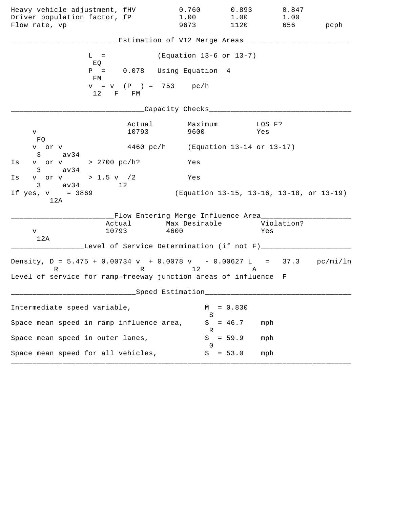| Heavy vehicle adjustment, fHV<br>Driver population factor, fP                                                                                    |                                                     | 0.760<br>1.00           | 0.893<br>1.00 | 0.847<br>1.00                            |      |
|--------------------------------------------------------------------------------------------------------------------------------------------------|-----------------------------------------------------|-------------------------|---------------|------------------------------------------|------|
| Flow rate, vp                                                                                                                                    |                                                     | 9673                    | 1120          | 656                                      | pcph |
|                                                                                                                                                  | Estimation of V12 Merge Areas__                     |                         |               |                                          |      |
| $L =$<br>EQ                                                                                                                                      |                                                     | (Equation 13-6 or 13-7) |               |                                          |      |
| $P =$<br>FМ                                                                                                                                      | 0.078 Using Equation 4                              |                         |               |                                          |      |
| 12                                                                                                                                               | $v = v$ (P ) = 753 pc/h<br>F FM                     |                         |               |                                          |      |
|                                                                                                                                                  |                                                     | Capacity Checks___      |               |                                          |      |
| V<br><b>FO</b>                                                                                                                                   | Actual<br>10793                                     | Maximum<br>9600         |               | LOS F?<br>Yes                            |      |
| v or v<br>3<br>av34                                                                                                                              | 4460 pc/h (Equation 13-14 or 13-17)                 |                         |               |                                          |      |
| v or v > 2700 pc/h?<br>Is<br>$3 \text{ av34}$                                                                                                    |                                                     | Yes                     |               |                                          |      |
| v or v > 1.5 v / 2<br>Ιs<br>$3 \text{ av } 34$                                                                                                   | 12                                                  | Yes                     |               |                                          |      |
| If $yes, v = 3869$<br>12A                                                                                                                        |                                                     |                         |               | (Equation 13-15, 13-16, 13-18, or 13-19) |      |
| Actual<br>10793<br>V<br>12A                                                                                                                      | __Flow Entering Merge Influence Area_______<br>4600 | Max Desirable           |               | Violation?<br>Yes                        |      |
|                                                                                                                                                  | Level of Service Determination (if not F)____       |                         |               |                                          |      |
| Density, $D = 5.475 + 0.00734 v + 0.0078 v - 0.00627 L = 37.3 pc/min/ln$<br>R<br>Level of service for ramp-freeway junction areas of influence F | R 12                                                |                         | Α             |                                          |      |
|                                                                                                                                                  | Speed Estimation                                    |                         |               |                                          |      |
|                                                                                                                                                  |                                                     |                         |               |                                          |      |
| Intermediate speed variable,                                                                                                                     |                                                     | М<br>S                  | $= 0.830$     |                                          |      |
| Space mean speed in ramp influence area,                                                                                                         |                                                     | S<br>ĸ                  | $= 46.7$      | mph                                      |      |
| Space mean speed in outer lanes,                                                                                                                 |                                                     | S<br>$\left( \right)$   | $= 59.9$      | mph                                      |      |
| Space mean speed for all vehicles,                                                                                                               |                                                     | S                       | $= 53.0$      | mph                                      |      |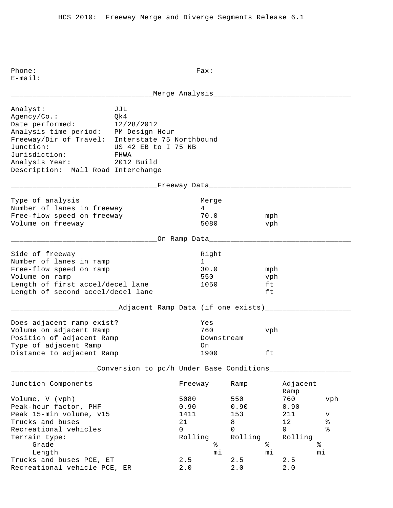Phone: Fax: E-mail: \_\_\_\_\_\_\_\_\_\_\_\_\_\_\_\_\_\_\_\_\_\_\_\_\_\_\_\_\_\_\_\_\_Merge Analysis\_\_\_\_\_\_\_\_\_\_\_\_\_\_\_\_\_\_\_\_\_\_\_\_\_\_\_\_\_\_\_\_ Analyst: JJL Agency/Co.: Qk4 Date performed: 12/28/2012 Analysis time period: PM Design Hour Freeway/Dir of Travel: Interstate 75 Northbound Junction: US 42 EB to I 75 NB Jurisdiction: FHWA Analysis Year: 2012 Build Description: Mall Road Interchange \_\_\_\_\_\_\_\_\_\_\_\_\_\_\_\_\_\_\_\_\_\_\_\_\_\_\_\_\_\_\_\_\_\_Freeway Data\_\_\_\_\_\_\_\_\_\_\_\_\_\_\_\_\_\_\_\_\_\_\_\_\_\_\_\_\_\_\_\_\_ Type of analysis and a series of analysis and a series of the Merge Number of lanes in freeway 14 Free-flow speed on freeway 70.0 mph Volume on freeway 5080 vph \_\_\_\_\_\_\_\_\_\_\_\_\_\_\_\_\_\_\_\_\_\_\_\_\_\_\_\_\_\_\_\_\_\_On Ramp Data\_\_\_\_\_\_\_\_\_\_\_\_\_\_\_\_\_\_\_\_\_\_\_\_\_\_\_\_\_\_\_\_\_ Side of freeway and the state of the state of the state of the state of the state of the state of the state of Number of lanes in ramp 1 Free-flow speed on ramp 30.0 mph Volume on ramp 550 vph Length of first accel/decel lane 1050 ft Length of second accel/decel lane ft \_\_\_\_\_\_\_\_\_\_\_\_\_\_\_\_\_\_\_\_\_\_\_\_\_Adjacent Ramp Data (if one exists)\_\_\_\_\_\_\_\_\_\_\_\_\_\_\_\_\_\_\_\_ Does adjacent ramp exist? Yes Volume on adjacent Ramp 760 vph Position of adjacent Ramp The Downstream Type of adjacent Ramp on Distance to adjacent Ramp 1900 ft \_\_\_\_\_\_\_\_\_\_\_\_\_\_\_\_\_\_\_\_Conversion to pc/h Under Base Conditions\_\_\_\_\_\_\_\_\_\_\_\_\_\_\_\_\_\_\_ Junction Components Freeway Ramp Adjacent Ramp Ramp and the state of the state of the state of the state of the state of the state of the state of the state of the state of the state of the state of the state of the state of the state of the state of the state of Volume, V (vph) 5080 550 760 vph Peak-hour factor, PHF 0.90 0.90 0.90 Peak 15-min volume, v15 1411 153 211 v Trucks and buses  $21$  and buses  $21$  and  $8$  and  $12$  and  $8$  are  $21$  and  $8$  are  $21$  and  $8$  are  $21$  and  $8$  are  $21$  and  $8$  are  $21$  and  $8$  are  $21$  and  $8$  are  $21$  and  $8$  are  $21$  and  $8$  are  $21$  and  $8$  are  $21$ Recreational vehicles and the control of the control of  $\sim$  0 0 0 % Terrain type:<br>
Grade<br>
Length<br>
The state<br>
The state<br>
The state<br>  $\begin{array}{ccc}\n\text{Rolling} & \text{Rolling} & \text{Rolling} \\
\text{\AA} & \text{\AA} & \text{\AA}\n\end{array}$ Grade  $\begin{matrix}3 \end{matrix}$   $\begin{matrix}6 \end{matrix}$   $\begin{matrix}6 \end{matrix}$   $\begin{matrix}6 \end{matrix}$   $\begin{matrix}6 \end{matrix}$   $\begin{matrix}6 \end{matrix}$   $\begin{matrix}6 \end{matrix}$   $\begin{matrix}6 \end{matrix}$   $\begin{matrix}6 \end{matrix}$   $\begin{matrix}6 \end{matrix}$   $\begin{matrix}6 \end{matrix}$   $\begin{matrix}6 \end{matrix}$   $\begin{matrix}6 \end{matrix}$   $\begin{matrix}6 \end{matrix}$   $\begin{matrix}6 \end{matrix}$   $\begin{matrix$  Length mi mi mi Trucks and buses PCE,  $ET$  2.5 2.5 2.5 Recreational vehicle PCE, ER 2.0 2.0 2.0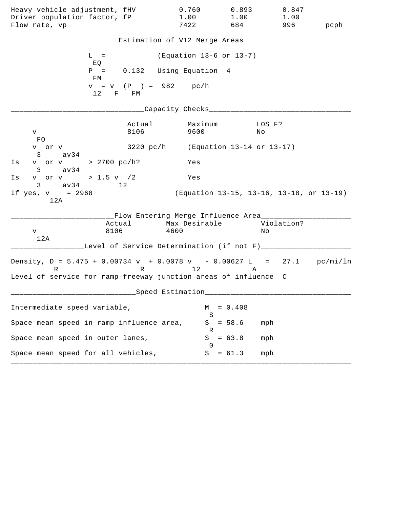| Heavy vehicle adjustment, fHV<br>Driver population factor, fP<br>Flow rate, vp |                | 0.760<br>1.00<br>7422                                              | 0.893<br>1.00<br>684 | 0.847<br>1.00<br>996                     | pcph |
|--------------------------------------------------------------------------------|----------------|--------------------------------------------------------------------|----------------------|------------------------------------------|------|
|                                                                                |                | Estimation of V12 Merge Areas_                                     |                      |                                          |      |
| $L =$<br>EQ                                                                    |                | (Equation 13-6 or 13-7)                                            |                      |                                          |      |
| $P =$<br>FM                                                                    |                | 0.132 Using Equation 4                                             |                      |                                          |      |
| 12                                                                             | F FM           | $v = v$ (P ) = 982 pc/h                                            |                      |                                          |      |
|                                                                                |                | Capacity Checks__                                                  |                      |                                          |      |
| V<br><b>FO</b>                                                                 | Actual<br>8106 | Maximum<br>9600                                                    |                      | LOS F?<br>No                             |      |
| v or v<br>3<br>av34                                                            |                | 3220 pc/h (Equation 13-14 or 13-17)                                |                      |                                          |      |
| v or v > 2700 pc/h?<br>Is<br>$3 \text{ av34}$                                  |                | Yes                                                                |                      |                                          |      |
| v or v > 1.5 v $/2$<br>Ιs<br>$3 \text{ av } 34$<br>$\sim$ 12                   |                | Yes                                                                |                      |                                          |      |
| If $yes, v = 2968$<br>12A                                                      |                |                                                                    |                      | (Equation 13-15, 13-16, 13-18, or 13-19) |      |
| Actual<br>8106<br>V<br>12A                                                     |                | __Flow Entering Merge Influence Area_____<br>Max Desirable<br>4600 |                      | Violation?<br>Νo                         |      |
| Density, $D = 5.475 + 0.00734 v + 0.0078 v - 0.00627 L = 27.1 pc/min/ln$       |                | Level of Service Determination (if not F)___                       |                      |                                          |      |
| R<br>Level of service for ramp-freeway junction areas of influence C           |                | R 12                                                               | Α                    |                                          |      |
|                                                                                |                | Speed Estimation                                                   |                      |                                          |      |
| Intermediate speed variable,                                                   |                | М<br>S                                                             | $= 0.408$            |                                          |      |
| Space mean speed in ramp influence area,                                       |                | S<br>R                                                             | $= 58.6$             | mph                                      |      |
| Space mean speed in outer lanes,                                               |                | S<br>$\left($                                                      | $= 63.8$             | mph                                      |      |
| Space mean speed for all vehicles,                                             |                | S                                                                  | $= 61.3$             | mph                                      |      |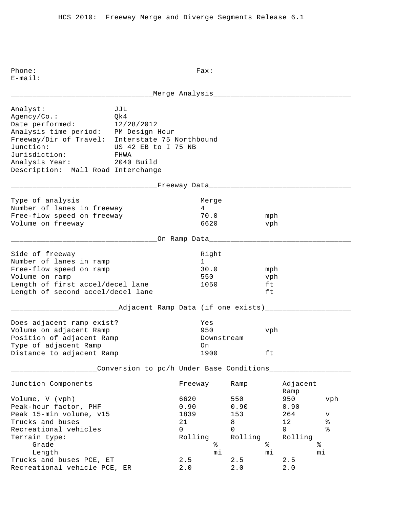Phone: Fax: E-mail: \_\_\_\_\_\_\_\_\_\_\_\_\_\_\_\_\_\_\_\_\_\_\_\_\_\_\_\_\_\_\_\_\_Merge Analysis\_\_\_\_\_\_\_\_\_\_\_\_\_\_\_\_\_\_\_\_\_\_\_\_\_\_\_\_\_\_\_\_ Analyst: JJL Agency/Co.: Qk4 Date performed: 12/28/2012 Analysis time period: PM Design Hour Freeway/Dir of Travel: Interstate 75 Northbound Junction: US 42 EB to I 75 NB Jurisdiction: FHWA Analysis Year: 2040 Build Description: Mall Road Interchange \_\_\_\_\_\_\_\_\_\_\_\_\_\_\_\_\_\_\_\_\_\_\_\_\_\_\_\_\_\_\_\_\_\_Freeway Data\_\_\_\_\_\_\_\_\_\_\_\_\_\_\_\_\_\_\_\_\_\_\_\_\_\_\_\_\_\_\_\_\_ Type of analysis and a series of analysis and a series of the Merge Number of lanes in freeway 14 Free-flow speed on freeway 70.0 mph Volume on freeway 6620 vph \_\_\_\_\_\_\_\_\_\_\_\_\_\_\_\_\_\_\_\_\_\_\_\_\_\_\_\_\_\_\_\_\_\_On Ramp Data\_\_\_\_\_\_\_\_\_\_\_\_\_\_\_\_\_\_\_\_\_\_\_\_\_\_\_\_\_\_\_\_\_ Side of freeway and the state of the state of the state of the state of the state of the state of the state of Number of lanes in ramp 1 Free-flow speed on ramp 30.0 mph Volume on ramp 550 vph Length of first accel/decel lane 1050 ft Length of second accel/decel lane ft \_\_\_\_\_\_\_\_\_\_\_\_\_\_Adjacent Ramp Data (if one exists)\_\_\_\_\_\_\_\_\_\_\_\_\_\_\_\_\_\_\_\_\_\_\_\_\_\_\_\_\_\_\_\_ Does adjacent ramp exist? Yes Volume on adjacent Ramp 950 vph Position of adjacent Ramp The Downstream Type of adjacent Ramp on Distance to adjacent Ramp 1900 ft \_\_\_\_\_\_\_\_\_\_\_\_\_\_\_\_\_\_\_\_Conversion to pc/h Under Base Conditions\_\_\_\_\_\_\_\_\_\_\_\_\_\_\_\_\_\_\_ Junction Components Freeway Ramp Adjacent Ramp Ramp and the state of the state of the state of the state of the state of the state of the state of the state of the state of the state of the state of the state of the state of the state of the state of the state of Volume, V (vph) 6620 550 950 vph Peak-hour factor, PHF 0.90 0.90 0.90 Peak 15-min volume, v15 1839 153 264 v Trucks and buses  $21$  and buses  $21$  and  $8$  and  $12$  and  $8$  are  $21$  and  $8$  are  $21$  and  $8$  are  $21$  and  $8$  are  $21$  and  $8$  are  $21$  and  $8$  are  $21$  and  $8$  are  $21$  and  $8$  are  $21$  and  $8$  are  $21$  and  $8$  are  $21$ Recreational vehicles and the control of the control of  $\sim$  0 0 0 % Terrain type:<br>
Grade<br>
Length<br>
The state<br>
The state<br>
The state<br>  $\begin{array}{ccc}\n\text{Rolling} & \text{Rolling} & \text{Rolling} \\
\text{\AA} & \text{\AA} & \text{\AA}\n\end{array}$ Grade  $\begin{matrix}3 \text{ rad} & 1 \end{matrix}$   $\begin{matrix}3 \text{ rad} & 1 \end{matrix}$   $\begin{matrix}3 \text{ rad} & 1 \end{matrix}$   $\begin{matrix}2 \text{ rad} & 1 \end{matrix}$   $\begin{matrix}2 \text{ rad} & 1 \end{matrix}$   $\begin{matrix}2 \text{ rad} & 1 \end{matrix}$   $\begin{matrix}2 \text{ rad} & 1 \end{matrix}$   $\begin{matrix}2 \text{ rad} & 1 \end{matrix}$   $\begin{matrix}2 \text{ rad} & 1 \end{matrix}$   $\begin{matrix}2 \text{ rad} & 1 \end$  Length mi mi mi Trucks and buses PCE,  $ET$  2.5 2.5 2.5 Recreational vehicle PCE, ER 2.0 2.0 2.0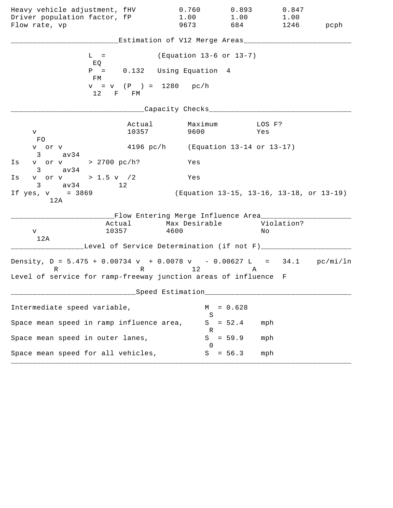| Heavy vehicle adjustment, fHV<br>Driver population factor, fP<br>Flow rate, vp                                                                   |                                                                             | 0.760<br>1.00<br>9673      | 0.893<br>1.00<br>684 | 0.847<br>1.00<br>1246                    | pcph |
|--------------------------------------------------------------------------------------------------------------------------------------------------|-----------------------------------------------------------------------------|----------------------------|----------------------|------------------------------------------|------|
|                                                                                                                                                  | Estimation of V12 Merge Areas___                                            |                            |                      |                                          |      |
| $L =$<br>EQ                                                                                                                                      |                                                                             | (Equation 13-6 or 13-7)    |                      |                                          |      |
| $P =$<br>FM                                                                                                                                      | 0.132 Using Equation 4                                                      |                            |                      |                                          |      |
| 12 F FM                                                                                                                                          | $v = v$ (P) = 1280 pc/h                                                     |                            |                      |                                          |      |
|                                                                                                                                                  |                                                                             | Capacity Checks___         |                      |                                          |      |
| V<br>FO.                                                                                                                                         | Actual<br>10357                                                             | Maximum<br>9600            |                      | LOS F?<br>Yes                            |      |
| v or v<br>3<br>av34                                                                                                                              | 4196 pc/h (Equation 13-14 or 13-17)                                         |                            |                      |                                          |      |
| v or v > 2700 pc/h?<br>Is<br>av34<br>$3 \sim$                                                                                                    |                                                                             | Yes                        |                      |                                          |      |
| v or v > 1.5 v /2<br>Is<br>$3 \text{ av } 34$<br>12                                                                                              |                                                                             | Yes                        |                      |                                          |      |
| If $yes, v = 3869$<br>12A                                                                                                                        |                                                                             |                            |                      | (Equation 13-15, 13-16, 13-18, or 13-19) |      |
| 10357<br>V<br>12A                                                                                                                                | __Flow Entering Merge Influence Area_______<br>Actual Max Desirable<br>4600 |                            |                      | Violation?<br>Νo                         |      |
|                                                                                                                                                  | Level of Service Determination (if not F)_____                              |                            |                      |                                          |      |
| Density, $D = 5.475 + 0.00734 v + 0.0078 v - 0.00627 L = 34.1 pc/min/ln$<br>R<br>Level of service for ramp-freeway junction areas of influence F |                                                                             | R 12                       | A                    |                                          |      |
|                                                                                                                                                  | Speed Estimation                                                            |                            |                      |                                          |      |
| Intermediate speed variable,                                                                                                                     |                                                                             | М                          | $= 0.628$            |                                          |      |
| Space mean speed in ramp influence area,                                                                                                         |                                                                             | S<br>S                     | $= 52.4$             | mph                                      |      |
| Space mean speed in outer lanes,                                                                                                                 |                                                                             | R<br>S<br>$\left( \right)$ | $= 59.9$             | mph                                      |      |
| Space mean speed for all vehicles,                                                                                                               |                                                                             | S                          | $= 56.3$             | mph                                      |      |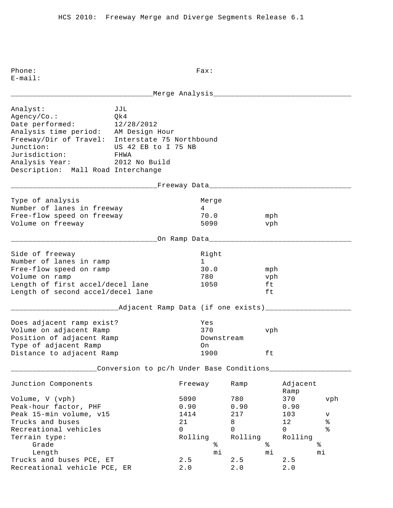E-mail: \_\_\_\_\_\_\_\_\_\_\_\_\_\_\_\_\_\_\_\_\_\_\_\_\_\_\_\_\_\_\_\_\_Merge Analysis\_\_\_\_\_\_\_\_\_\_\_\_\_\_\_\_\_\_\_\_\_\_\_\_\_\_\_\_\_\_\_\_ Analyst: JJL Agency/Co.: Qk4 Date performed: 12/28/2012 Analysis time period: AM Design Hour Freeway/Dir of Travel: Interstate 75 Northbound Junction: US 42 EB to I 75 NB Jurisdiction: FHWA Analysis Year: 2012 No Build Description: Mall Road Interchange \_\_\_\_\_\_\_\_\_\_\_\_\_\_\_\_\_\_\_\_\_\_\_\_\_\_\_\_\_\_\_\_\_\_Freeway Data\_\_\_\_\_\_\_\_\_\_\_\_\_\_\_\_\_\_\_\_\_\_\_\_\_\_\_\_\_\_\_\_\_ Type of analysis and a series of analysis and a series of the Merge Number of lanes in freeway 14 Free-flow speed on freeway 70.0 mph Volume on freeway 5090 vph \_\_\_\_\_\_\_\_\_\_\_\_\_\_\_\_\_\_\_\_\_\_\_\_\_\_\_\_\_\_\_\_\_\_On Ramp Data\_\_\_\_\_\_\_\_\_\_\_\_\_\_\_\_\_\_\_\_\_\_\_\_\_\_\_\_\_\_\_\_\_ Side of freeway and the state of the state of the state of the state of the state of the state of the state of Number of lanes in ramp 1 Free-flow speed on ramp 30.0 mph Volume on ramp  $\sim$  780 vph Length of first accel/decel lane 1050 ft Length of second accel/decel lane ft \_\_\_\_\_\_\_\_\_\_\_\_\_\_\_\_\_\_\_\_\_\_\_\_\_Adjacent Ramp Data (if one exists)\_\_\_\_\_\_\_\_\_\_\_\_\_\_\_\_\_\_\_\_ Does adjacent ramp exist? Yes Volume on adjacent Ramp 370 vph Position of adjacent Ramp The Downstream Type of adjacent Ramp on Distance to adjacent Ramp 1900 ft \_\_\_\_\_\_\_\_\_\_\_\_\_\_\_\_\_\_\_\_Conversion to pc/h Under Base Conditions\_\_\_\_\_\_\_\_\_\_\_\_\_\_\_\_\_\_\_ Junction Components Freeway Ramp Adjacent Ramp Ramp and the state of the state of the state of the state of the state of the state of the state of the state of the state of the state of the state of the state of the state of the state of the state of the state of Volume, V (vph) 5090 780 370 vph Peak-hour factor, PHF 0.90 0.90 0.90 0.90 Peak 15-min volume, v15 1414 1217 103 v Trucks and buses  $21$  and buses  $21$  and  $8$  and  $12$  and  $8$  are  $21$  and  $8$  are  $21$  and  $8$  are  $21$  and  $8$  are  $21$  and  $8$  are  $21$  and  $8$  are  $21$  and  $8$  are  $21$  and  $8$  are  $21$  and  $8$  are  $21$  and  $8$  are  $21$ Recreational vehicles and the control of the control of  $\sim$  0 0 0 % Terrain type: Rolling Rolling Rolling Grade  $\frac{1}{2}$   $\frac{1}{2}$   $\frac{1}{2}$   $\frac{1}{2}$   $\frac{1}{2}$   $\frac{1}{2}$   $\frac{1}{2}$   $\frac{1}{2}$   $\frac{1}{2}$   $\frac{1}{2}$   $\frac{1}{2}$   $\frac{1}{2}$   $\frac{1}{2}$   $\frac{1}{2}$   $\frac{1}{2}$   $\frac{1}{2}$   $\frac{1}{2}$   $\frac{1}{2}$   $\frac{1}{2}$   $\frac{1}{2}$   $\frac{1}{2}$   $\frac{1$  Length mi mi mi Trucks and buses PCE,  $ET$  2.5 2.5 2.5 Recreational vehicle PCE, ER 2.0 2.0 2.0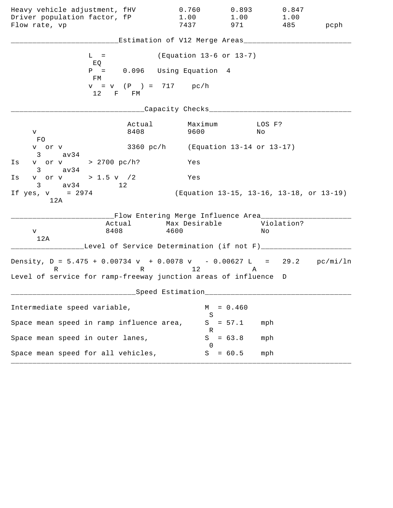| Heavy vehicle adjustment, fHV<br>Driver population factor, fP<br>Flow rate, vp                                                                            |                                | 0.760<br>1.00<br>7437                                                                                              | 0.893<br>1.00<br>971                     | 0.847<br>1.00<br>485 | pcph |
|-----------------------------------------------------------------------------------------------------------------------------------------------------------|--------------------------------|--------------------------------------------------------------------------------------------------------------------|------------------------------------------|----------------------|------|
|                                                                                                                                                           |                                | Estimation of V12 Merge Areas___                                                                                   |                                          |                      |      |
| $L =$<br>EQ                                                                                                                                               |                                | (Equation 13-6 or 13-7)                                                                                            |                                          |                      |      |
| $P =$<br>FM                                                                                                                                               |                                | 0.096 Using Equation 4                                                                                             |                                          |                      |      |
| 12                                                                                                                                                        | $v = v$ (P) = 717 pc/h<br>F FM |                                                                                                                    |                                          |                      |      |
|                                                                                                                                                           |                                | Capacity Checks___                                                                                                 |                                          |                      |      |
| V –<br>FO                                                                                                                                                 | Actual<br>8408                 | Maximum<br>9600                                                                                                    | Νo                                       | LOS F?               |      |
| v or v<br>3 av34                                                                                                                                          |                                | 3360 pc/h (Equation 13-14 or 13-17)                                                                                |                                          |                      |      |
| v or v > 2700 pc/h?<br>Is<br>$3 \text{ av34}$                                                                                                             |                                | Yes                                                                                                                |                                          |                      |      |
| v or v > 1.5 v $/2$<br>Is<br>$3 \text{ av } 34$<br>12                                                                                                     |                                | Yes                                                                                                                |                                          |                      |      |
| If $yes, v = 2974$<br>12A                                                                                                                                 |                                |                                                                                                                    | (Equation 13-15, 13-16, 13-18, or 13-19) |                      |      |
| Actual<br>8408<br>V<br>12A                                                                                                                                |                                | __Flow Entering Merge Influence Area_____<br>Max Desirable<br>4600<br>Level of Service Determination (if not F)___ |                                          | Violation?<br>Νo     |      |
| Density, $D = 5.475 + 0.00734 v + 0.0078 v - 0.00627 L = 29.2 pc/min/ln$<br>$R \sim 1$<br>Level of service for ramp-freeway junction areas of influence D |                                | R 12                                                                                                               | Α                                        |                      |      |
|                                                                                                                                                           |                                | ___Speed Estimation_                                                                                               |                                          |                      |      |
| Intermediate speed variable,                                                                                                                              |                                | M                                                                                                                  | $= 0.460$                                |                      |      |
| Space mean speed in ramp influence area,                                                                                                                  |                                | S<br>S                                                                                                             | $= 57.1$                                 | mph                  |      |
| Space mean speed in outer lanes,                                                                                                                          |                                | R<br>S<br>$\Omega$                                                                                                 | $= 63.8$                                 | mph                  |      |
| Space mean speed for all vehicles,                                                                                                                        |                                |                                                                                                                    | $S = 60.5$                               | mph                  |      |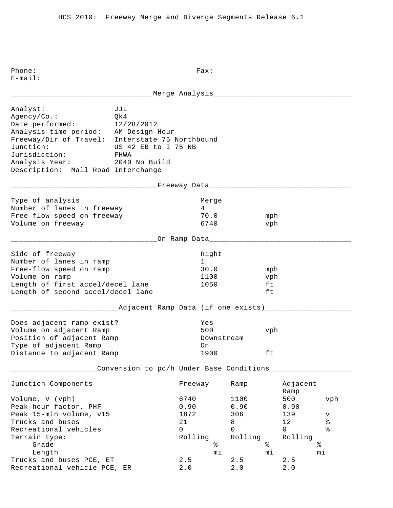E-mail: \_\_\_\_\_\_\_\_\_\_\_\_\_\_\_\_\_\_\_\_\_\_\_\_\_\_\_\_\_\_\_\_\_Merge Analysis\_\_\_\_\_\_\_\_\_\_\_\_\_\_\_\_\_\_\_\_\_\_\_\_\_\_\_\_\_\_\_\_ Analyst: JJL Agency/Co.: Qk4 Date performed: 12/28/2012 Analysis time period: AM Design Hour Freeway/Dir of Travel: Interstate 75 Northbound Junction: US 42 EB to I 75 NB Jurisdiction: FHWA Analysis Year: 2040 No Build Description: Mall Road Interchange \_\_\_\_\_\_\_\_\_\_\_\_\_\_\_\_\_\_\_\_\_\_\_\_\_\_\_\_\_\_\_\_\_\_Freeway Data\_\_\_\_\_\_\_\_\_\_\_\_\_\_\_\_\_\_\_\_\_\_\_\_\_\_\_\_\_\_\_\_\_ Type of analysis and a series of analysis and a series of the Merge Number of lanes in freeway 14 Free-flow speed on freeway 70.0 mph Volume on freeway and the control of  $\sim$  6740 vph \_\_\_\_\_\_\_\_\_\_\_\_\_\_\_\_\_\_\_\_\_\_\_\_\_\_\_\_\_\_\_\_\_\_On Ramp Data\_\_\_\_\_\_\_\_\_\_\_\_\_\_\_\_\_\_\_\_\_\_\_\_\_\_\_\_\_\_\_\_\_ Side of freeway and the state of the state of the state of the state of the state of the state of the state of Number of lanes in ramp 1 Free-flow speed on ramp 30.0 mph Volume on ramp  $1100$  vph Length of first accel/decel lane 1050 ft Length of second accel/decel lane ft \_\_\_\_\_\_\_\_\_\_\_\_\_\_\_\_\_\_\_\_\_\_\_\_\_Adjacent Ramp Data (if one exists)\_\_\_\_\_\_\_\_\_\_\_\_\_\_\_\_\_\_\_\_ Does adjacent ramp exist? Yes Volume on adjacent Ramp 500 vph Position of adjacent Ramp The Downstream Type of adjacent Ramp on Distance to adjacent Ramp 1900 ft \_\_\_\_\_\_\_\_\_\_\_\_\_\_\_\_\_\_\_\_Conversion to pc/h Under Base Conditions\_\_\_\_\_\_\_\_\_\_\_\_\_\_\_\_\_\_\_ Junction Components Freeway Ramp Adjacent Ramp Ramp and the state of the state of the state of the state of the state of the state of the state of the state of the state of the state of the state of the state of the state of the state of the state of the state of Volume, V (vph) 6740 1100 500 vph Peak-hour factor, PHF 0.90 0.90 0.90 Peak 15-min volume, v15 1872 306 139 v Trucks and buses  $21$  and buses  $21$  and  $8$  and  $12$  and  $8$  are  $21$  and  $8$  are  $21$  and  $8$  are  $21$  and  $8$  are  $21$  and  $8$  are  $21$  and  $8$  are  $21$  and  $8$  are  $21$  and  $8$  are  $21$  and  $8$  are  $21$  and  $8$  are  $21$ Recreational vehicles and the control of the control of  $\sim$  0 0 0 % Terrain type: Rolling Rolling Rolling Grade  $\frac{1}{2}$  Grade  $\frac{1}{2}$   $\frac{1}{2}$   $\frac{1}{2}$   $\frac{1}{2}$   $\frac{1}{2}$   $\frac{1}{2}$   $\frac{1}{2}$   $\frac{1}{2}$   $\frac{1}{2}$   $\frac{1}{2}$   $\frac{1}{2}$   $\frac{1}{2}$   $\frac{1}{2}$   $\frac{1}{2}$   $\frac{1}{2}$   $\frac{1}{2}$   $\frac{1}{2}$   $\frac{1}{2}$   $\frac{1}{2}$   $\frac{1}{2}$  Length mi mi mi Trucks and buses PCE,  $ET$  2.5 2.5 2.5 Recreational vehicle PCE, ER 2.0 2.0 2.0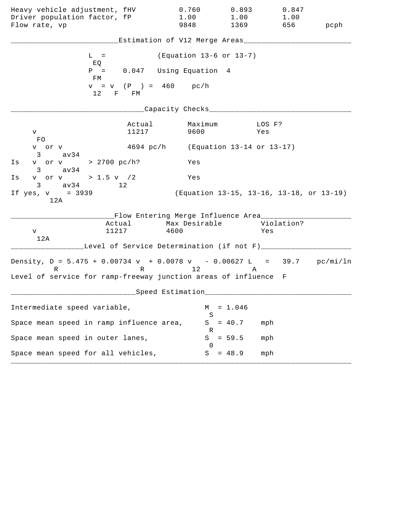| Heavy vehicle adjustment, fHV                                                                                                                    |                                                                     | 0.760<br>1.00                       | 0.893        | 0.847                                    |      |
|--------------------------------------------------------------------------------------------------------------------------------------------------|---------------------------------------------------------------------|-------------------------------------|--------------|------------------------------------------|------|
| Driver population factor, fP<br>Flow rate, vp                                                                                                    |                                                                     | 9848                                | 1.00<br>1369 | 1.00<br>656                              | pcph |
|                                                                                                                                                  | Estimation of V12 Merge Areas___                                    |                                     |              |                                          |      |
| $L =$<br>EQ                                                                                                                                      |                                                                     | (Equation 13-6 or 13-7)             |              |                                          |      |
| $P =$<br>FМ                                                                                                                                      | 0.047 Using Equation 4                                              |                                     |              |                                          |      |
| 12                                                                                                                                               | $v = v$ (P) = 460 pc/h<br>F FM                                      |                                     |              |                                          |      |
|                                                                                                                                                  |                                                                     | Capacity Checks___                  |              |                                          |      |
| V<br><b>FO</b>                                                                                                                                   | Actual<br>11217                                                     | Maximum<br>9600                     |              | LOS F?<br>Yes                            |      |
| v or v<br>$3 \text{ av34}$                                                                                                                       |                                                                     | 4694 pc/h (Equation 13-14 or 13-17) |              |                                          |      |
| v or v > 2700 pc/h?<br>Is<br>$3 \text{ av34}$                                                                                                    |                                                                     | Yes                                 |              |                                          |      |
| v or v > 1.5 v / 2<br>Ιs<br>$3 \text{ av } 34$                                                                                                   | 12                                                                  | Yes                                 |              |                                          |      |
| If $yes, v = 3939$<br>12A                                                                                                                        |                                                                     |                                     |              | (Equation 13-15, 13-16, 13-18, or 13-19) |      |
| 11217<br>V<br>12A                                                                                                                                | __Flow Entering Merge Influence Area_______<br>Actual Max Desirable | 4600                                |              | Violation?<br>Yes                        |      |
|                                                                                                                                                  | Level of Service Determination (if not F)____                       |                                     |              |                                          |      |
| Density, $D = 5.475 + 0.00734 v + 0.0078 v - 0.00627 L = 39.7 pc/min/ln$<br>R<br>Level of service for ramp-freeway junction areas of influence F | R 12                                                                |                                     | Α            |                                          |      |
|                                                                                                                                                  | Speed Estimation                                                    |                                     |              |                                          |      |
| Intermediate speed variable,                                                                                                                     |                                                                     | М                                   | $= 1.046$    |                                          |      |
| Space mean speed in ramp influence area,                                                                                                         |                                                                     | S<br>S                              | $= 40.7$     | mph                                      |      |
| Space mean speed in outer lanes,                                                                                                                 |                                                                     | ĸ<br>S                              | $= 59.5$     | mph                                      |      |
| Space mean speed for all vehicles,                                                                                                               |                                                                     | $\left( \right)$<br>S               | $= 48.9$     | mph                                      |      |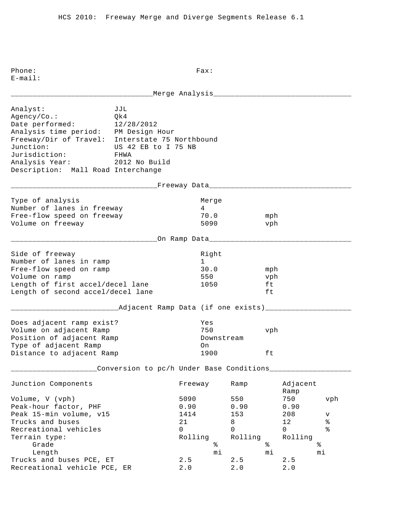E-mail: \_\_\_\_\_\_\_\_\_\_\_\_\_\_\_\_\_\_\_\_\_\_\_\_\_\_\_\_\_\_\_\_\_Merge Analysis\_\_\_\_\_\_\_\_\_\_\_\_\_\_\_\_\_\_\_\_\_\_\_\_\_\_\_\_\_\_\_\_ Analyst: JJL Agency/Co.: Qk4 Date performed: 12/28/2012 Analysis time period: PM Design Hour Freeway/Dir of Travel: Interstate 75 Northbound Junction: US 42 EB to I 75 NB Jurisdiction: FHWA Analysis Year: 2012 No Build Description: Mall Road Interchange \_\_\_\_\_\_\_\_\_\_\_\_\_\_\_\_\_\_\_\_\_\_\_\_\_\_\_\_\_\_\_\_\_\_Freeway Data\_\_\_\_\_\_\_\_\_\_\_\_\_\_\_\_\_\_\_\_\_\_\_\_\_\_\_\_\_\_\_\_\_ Type of analysis and a series of the Merge Number of lanes in freeway 14 Free-flow speed on freeway 70.0 mph Volume on freeway 5090 vph \_\_\_\_\_\_\_\_\_\_\_\_\_\_\_\_\_\_\_\_\_\_\_\_\_\_\_\_\_\_\_\_\_\_On Ramp Data\_\_\_\_\_\_\_\_\_\_\_\_\_\_\_\_\_\_\_\_\_\_\_\_\_\_\_\_\_\_\_\_\_ Side of freeway and the state of the state of the state of the state of the state of the state of the state of Number of lanes in ramp 1 Free-flow speed on ramp 30.0 mph Volume on ramp 550 vph Length of first accel/decel lane 1050 ft Length of second accel/decel lane ft \_\_\_\_\_\_\_\_\_\_\_\_\_\_\_\_\_\_\_\_\_\_\_\_\_Adjacent Ramp Data (if one exists)\_\_\_\_\_\_\_\_\_\_\_\_\_\_\_\_\_\_\_\_ Does adjacent ramp exist? Yes Volume on adjacent Ramp 750 vph Position of adjacent Ramp The Downstream Type of adjacent Ramp on Distance to adjacent Ramp 1900 ft \_\_\_\_\_\_\_\_\_\_\_\_\_\_\_\_\_\_\_\_Conversion to pc/h Under Base Conditions\_\_\_\_\_\_\_\_\_\_\_\_\_\_\_\_\_\_\_ Junction Components Freeway Ramp Adjacent Ramp Ramp and the state of the state of the state of the state of the state of the state of the state of the state of the state of the state of the state of the state of the state of the state of the state of the state of Volume, V (vph) 5090 550 750 vph Peak-hour factor, PHF 0.90 0.90 0.90 Peak 15-min volume, v15 1414 153 208 v Trucks and buses  $21$  and buses  $21$  and  $8$  and  $12$  and  $8$  are  $21$  and  $8$  are  $21$  and  $8$  are  $21$  and  $8$  are  $21$  and  $8$  are  $21$  and  $8$  are  $21$  and  $8$  are  $21$  and  $8$  are  $21$  and  $8$  are  $21$  and  $8$  are  $21$ Recreational vehicles and the control of the control of  $\sim$  0 0 0 % Terrain type:<br>
Grade<br>
Length<br>
The state<br>
The state<br>
The state<br>  $\begin{array}{ccc}\n\text{Rolling} & \text{Rolling} & \text{Rolling} \\
\text{\AA} & \text{\AA} & \text{\AA}\n\end{array}$ Grade  $\begin{matrix}3 \end{matrix}$   $\begin{matrix}6 \end{matrix}$   $\begin{matrix}6 \end{matrix}$   $\begin{matrix}6 \end{matrix}$   $\begin{matrix}6 \end{matrix}$   $\begin{matrix}6 \end{matrix}$   $\begin{matrix}6 \end{matrix}$   $\begin{matrix}6 \end{matrix}$   $\begin{matrix}6 \end{matrix}$   $\begin{matrix}6 \end{matrix}$   $\begin{matrix}6 \end{matrix}$   $\begin{matrix}6 \end{matrix}$   $\begin{matrix}6 \end{matrix}$   $\begin{matrix}6 \end{matrix}$   $\begin{matrix}6 \end{matrix}$   $\begin{matrix$  Length mi mi mi Trucks and buses PCE,  $ET$  2.5 2.5 2.5

Recreational vehicle PCE, ER  $2.0$   $2.0$   $2.0$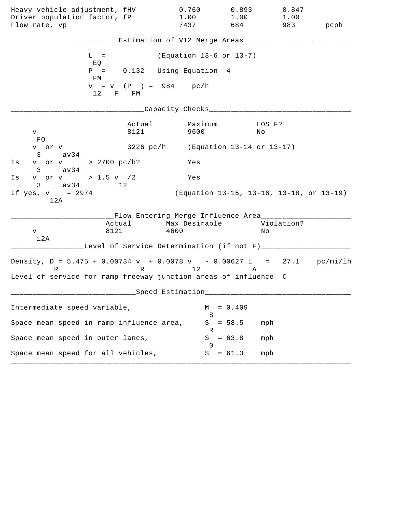| Heavy vehicle adjustment, fHV<br>Driver population factor, fP<br>Flow rate, vp |                | 0.760<br>1.00<br>7437                                             | 0.893<br>1.00<br>684                     | 0.847<br>1.00<br>983 | pcph |
|--------------------------------------------------------------------------------|----------------|-------------------------------------------------------------------|------------------------------------------|----------------------|------|
|                                                                                |                | Estimation of V12 Merge Areas___                                  |                                          |                      |      |
| $L =$<br>EQ                                                                    |                | (Equation 13-6 or 13-7)                                           |                                          |                      |      |
| $P =$<br>FM                                                                    |                | 0.132 Using Equation 4                                            |                                          |                      |      |
| 12 F FM                                                                        |                | $v = v$ (P) = 984 pc/h                                            |                                          |                      |      |
|                                                                                |                | Capacity Checks___                                                |                                          |                      |      |
| V.<br>FO.                                                                      | Actual<br>8121 | Maximum<br>9600                                                   | No                                       | LOS F?               |      |
| v or v<br>$3 \text{ av34}$                                                     |                | 3226 pc/h (Equation 13-14 or 13-17)                               |                                          |                      |      |
| v or v > 2700 pc/h?<br>Is<br>$3 \text{ av34}$                                  |                | Yes                                                               |                                          |                      |      |
| v or v > 1.5 v $/2$<br>Is<br>$3 \text{ av } 34$ 12                             |                | Yes                                                               |                                          |                      |      |
| If $yes, v = 2974$<br>12A                                                      |                |                                                                   | (Equation 13-15, 13-16, 13-18, or 13-19) |                      |      |
| Actual<br>8121<br>V<br>12A                                                     |                | __Flow Entering Merge Influence Area____<br>Max Desirable<br>4600 |                                          | Violation?<br>Νo     |      |
| Density, $D = 5.475 + 0.00734 v + 0.0078 v - 0.00627 L = 27.1 pc/min/ln$       |                | Level of Service Determination (if not F)___                      |                                          |                      |      |
| R<br>Level of service for ramp-freeway junction areas of influence             |                | R 12                                                              | Α                                        | C                    |      |
|                                                                                |                | ___Speed Estimation_                                              |                                          |                      |      |
| Intermediate speed variable,                                                   |                | M<br>S                                                            | $= 0.409$                                |                      |      |
| Space mean speed in ramp influence area,                                       |                | S<br>R                                                            | $= 58.5$                                 | mph                  |      |
| Space mean speed in outer lanes,                                               |                | S<br>$\Omega$                                                     | $= 63.8$                                 | mph                  |      |
| Space mean speed for all vehicles,                                             |                | S                                                                 | $= 61.3$                                 | mph                  |      |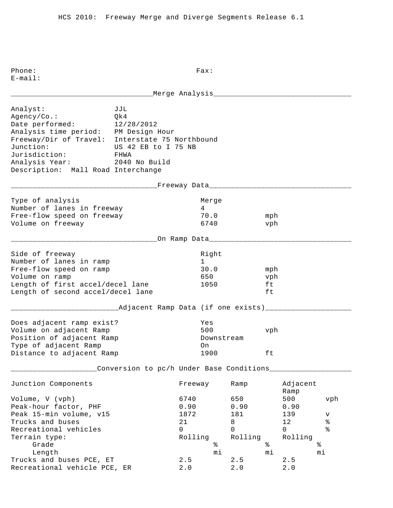E-mail: \_\_\_\_\_\_\_\_\_\_\_\_\_\_\_\_\_\_\_\_\_\_\_\_\_\_\_\_\_\_\_\_\_Merge Analysis\_\_\_\_\_\_\_\_\_\_\_\_\_\_\_\_\_\_\_\_\_\_\_\_\_\_\_\_\_\_\_\_ Analyst: JJL Agency/Co.: Qk4 Date performed: 12/28/2012 Analysis time period: PM Design Hour Freeway/Dir of Travel: Interstate 75 Northbound Junction: US 42 EB to I 75 NB Jurisdiction: FHWA Analysis Year: 2040 No Build Description: Mall Road Interchange \_\_\_\_\_\_\_\_\_\_\_\_\_\_\_\_\_\_\_\_\_\_\_\_\_\_\_\_\_\_\_\_\_\_Freeway Data\_\_\_\_\_\_\_\_\_\_\_\_\_\_\_\_\_\_\_\_\_\_\_\_\_\_\_\_\_\_\_\_\_ Type of analysis and a series of the Merge Number of lanes in freeway 14 Free-flow speed on freeway 70.0 mph Volume on freeway and the control of the control of the control of the vehicle of the vehicle of the vehicle of the vehicle of the vehicle of the vehicle of the vehicle of the vehicle of the vehicle of the vehicle of the v \_\_\_\_\_\_\_\_\_\_\_\_\_\_\_\_\_\_\_\_\_\_\_\_\_\_\_\_\_\_\_\_\_\_On Ramp Data\_\_\_\_\_\_\_\_\_\_\_\_\_\_\_\_\_\_\_\_\_\_\_\_\_\_\_\_\_\_\_\_\_ Side of freeway and the state of the state of the state of the state of the state of the state of the state of Number of lanes in ramp 1 Free-flow speed on ramp 30.0 mph Volume on ramp and the contract of the contract of the contract of the contract of the vibration of the vibration of the vibration of the vibration of the vibration of the vibration of the vibration of the vibration of the Length of first accel/decel lane 1050 ft Length of second accel/decel lane ft \_\_\_\_\_\_\_\_\_\_\_\_\_\_\_\_\_\_\_\_\_\_\_\_\_Adjacent Ramp Data (if one exists)\_\_\_\_\_\_\_\_\_\_\_\_\_\_\_\_\_\_\_\_ Does adjacent ramp exist? Yes Volume on adjacent Ramp 500 vph Position of adjacent Ramp The Downstream Type of adjacent Ramp on Distance to adjacent Ramp 1900 ft \_\_\_\_\_\_\_\_\_\_\_\_\_\_\_\_\_\_\_\_Conversion to pc/h Under Base Conditions\_\_\_\_\_\_\_\_\_\_\_\_\_\_\_\_\_\_\_ Junction Components Freeway Ramp Adjacent Ramp Ramp and the state of the state of the state of the state of the state of the state of the state of the state of the state of the state of the state of the state of the state of the state of the state of the state of Volume, V (vph) 6740 650 500 vph Peak-hour factor, PHF 0.90 0.90 0.90 Peak 15-min volume, v15 1872 181 139 v Trucks and buses 21 8 12 % Recreational vehicles and the control of the control of  $\sim$  0 0 0 % Terrain type: Rolling Rolling Rolling Grade  $\frac{1}{2}$  Grade  $\frac{1}{2}$   $\frac{1}{2}$   $\frac{1}{2}$   $\frac{1}{2}$   $\frac{1}{2}$   $\frac{1}{2}$   $\frac{1}{2}$   $\frac{1}{2}$   $\frac{1}{2}$   $\frac{1}{2}$   $\frac{1}{2}$   $\frac{1}{2}$   $\frac{1}{2}$   $\frac{1}{2}$   $\frac{1}{2}$   $\frac{1}{2}$   $\frac{1}{2}$   $\frac{1}{2}$   $\frac{1}{2}$   $\frac{1}{2}$  Length mi mi mi Trucks and buses PCE,  $ET$  2.5 2.5 2.5 Recreational vehicle PCE, ER 2.0 2.0 2.0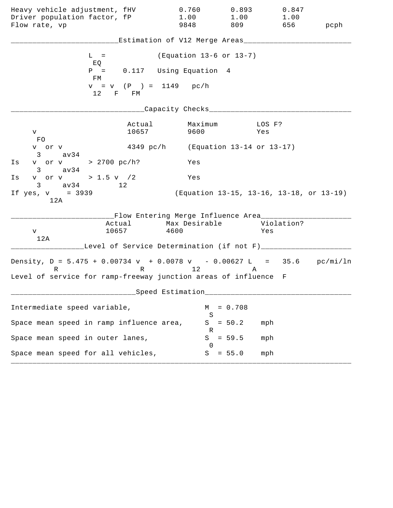| Heavy vehicle adjustment, fHV<br>Driver population factor, fP<br>Flow rate, vp                                                                   |                                                                     | 0.760<br>1.00<br>9848               | 0.893<br>1.00<br>809 | 0.847<br>1.00<br>656                     | pcph |
|--------------------------------------------------------------------------------------------------------------------------------------------------|---------------------------------------------------------------------|-------------------------------------|----------------------|------------------------------------------|------|
|                                                                                                                                                  | Estimation of V12 Merge Areas___                                    |                                     |                      |                                          |      |
| $L =$<br>EQ                                                                                                                                      |                                                                     | (Equation 13-6 or 13-7)             |                      |                                          |      |
| $P =$<br>FM                                                                                                                                      | 0.117 Using Equation 4                                              |                                     |                      |                                          |      |
| 12 F FM                                                                                                                                          | $v = v$ (P) = 1149 pc/h                                             |                                     |                      |                                          |      |
|                                                                                                                                                  |                                                                     | Capacity Checks___                  |                      |                                          |      |
| V<br>FO.                                                                                                                                         | Actual<br>10657                                                     | Maximum<br>9600                     |                      | LOS F?<br>Yes                            |      |
| v or v<br>$3 \sim$<br>av34                                                                                                                       |                                                                     | 4349 pc/h (Equation 13-14 or 13-17) |                      |                                          |      |
| v or v > 2700 pc/h?<br>Is<br>av34<br>$3 \sim$                                                                                                    |                                                                     | Yes                                 |                      |                                          |      |
| v or v > 1.5 v /2<br>Is<br>$3 \text{ av } 34$                                                                                                    | 12                                                                  | Yes                                 |                      |                                          |      |
| If $yes, v = 3939$<br>12A                                                                                                                        |                                                                     |                                     |                      | (Equation 13-15, 13-16, 13-18, or 13-19) |      |
| 10657<br>V<br>12A                                                                                                                                | __Flow Entering Merge Influence Area_______<br>Actual Max Desirable | 4600                                |                      | Violation?<br>Yes                        |      |
|                                                                                                                                                  | Level of Service Determination (if not F)_____                      |                                     |                      |                                          |      |
| Density, $D = 5.475 + 0.00734 v + 0.0078 v - 0.00627 L = 35.6 pc/min/ln$<br>R<br>Level of service for ramp-freeway junction areas of influence F |                                                                     | R 12                                | A                    |                                          |      |
|                                                                                                                                                  | Speed Estimation                                                    |                                     |                      |                                          |      |
| Intermediate speed variable,                                                                                                                     |                                                                     | М                                   | $= 0.708$            |                                          |      |
| Space mean speed in ramp influence area,                                                                                                         |                                                                     | S<br>S                              | $= 50.2$             | mph                                      |      |
| Space mean speed in outer lanes,                                                                                                                 |                                                                     | R<br>S<br>$\left( \right)$          | $= 59.5$             | mph                                      |      |
| Space mean speed for all vehicles,                                                                                                               |                                                                     | S                                   | $= 55.0$             | mph                                      |      |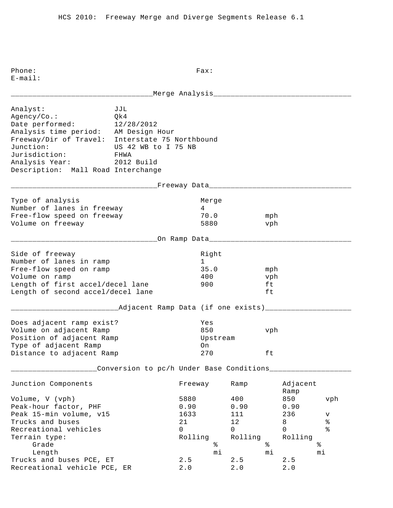Phone: Fax: E-mail: \_\_\_\_\_\_\_\_\_\_\_\_\_\_\_\_\_\_\_\_\_\_\_\_\_\_\_\_\_\_\_\_\_Merge Analysis\_\_\_\_\_\_\_\_\_\_\_\_\_\_\_\_\_\_\_\_\_\_\_\_\_\_\_\_\_\_\_\_ Analyst: JJL Agency/Co.: Qk4 Date performed: 12/28/2012 Analysis time period: AM Design Hour Freeway/Dir of Travel: Interstate 75 Northbound Junction: US 42 WB to I 75 NB Jurisdiction: FHWA Analysis Year: 2012 Build Description: Mall Road Interchange \_\_\_\_\_\_\_\_\_\_\_\_\_\_\_\_\_\_\_\_\_\_\_\_\_\_\_\_\_\_\_\_\_\_Freeway Data\_\_\_\_\_\_\_\_\_\_\_\_\_\_\_\_\_\_\_\_\_\_\_\_\_\_\_\_\_\_\_\_\_ Type of analysis and a series of the Merge Number of lanes in freeway 14 Free-flow speed on freeway 70.0 mph Volume on freeway 5880 vph \_\_\_\_\_\_\_\_\_\_\_\_\_\_\_\_\_\_\_\_\_\_\_\_\_\_\_\_\_\_\_\_\_\_On Ramp Data\_\_\_\_\_\_\_\_\_\_\_\_\_\_\_\_\_\_\_\_\_\_\_\_\_\_\_\_\_\_\_\_\_ Side of freeway and the state of the state of the state of the state of the state of the state of the state of Number of lanes in ramp 1 Free-flow speed on ramp 35.0 mph Volume on ramp  $\begin{array}{ccc} 400 & & \text{vph} \end{array}$ Length of first accel/decel lane 900 ft Length of second accel/decel lane ft \_\_\_\_\_\_\_\_\_\_\_\_\_\_\_\_\_\_\_\_\_\_\_\_\_Adjacent Ramp Data (if one exists)\_\_\_\_\_\_\_\_\_\_\_\_\_\_\_\_\_\_\_\_ Does adjacent ramp exist? Yes Volume on adjacent Ramp 850 vph Position of adjacent Ramp and Upstream Type of adjacent Ramp on Distance to adjacent Ramp  $270$  ft \_\_\_\_\_\_\_\_\_\_\_\_\_\_\_\_\_\_\_\_Conversion to pc/h Under Base Conditions\_\_\_\_\_\_\_\_\_\_\_\_\_\_\_\_\_\_\_ Junction Components Freeway Ramp Adjacent Ramp Ramp and the state of the state of the state of the state of the state of the state of the state of the state of the state of the state of the state of the state of the state of the state of the state of the state of Volume, V (vph) 5880 400 850 vph Peak-hour factor, PHF 0.90 0.90 0.90 0.90 Peak 15-min volume, v15 1633 111 236 v Prucks and buses and buses and buses the control of the control of the control of the control of the control o<br>
The control of the control of the control of the control of the control of the control of the control of the c Recreational vehicles and the control of the control of  $\sim$  0 0 0 % Terrain type: Terrain type: Terrain type: Rolling Rolling Rolling Grade  $\frac{1}{2}$  Grade  $\frac{1}{2}$   $\frac{1}{2}$   $\frac{1}{2}$   $\frac{1}{2}$   $\frac{1}{2}$   $\frac{1}{2}$   $\frac{1}{2}$   $\frac{1}{2}$   $\frac{1}{2}$   $\frac{1}{2}$   $\frac{1}{2}$   $\frac{1}{2}$   $\frac{1}{2}$   $\frac{1}{2}$   $\frac{1}{2}$   $\frac{1}{2}$   $\frac{1}{2}$   $\frac{1}{2}$   $\frac{1}{2}$   $\frac{1}{2}$  Length mi mi mi Trucks and buses PCE,  $ET$  2.5 2.5 2.5 Recreational vehicle PCE, ER 2.0 2.0 2.0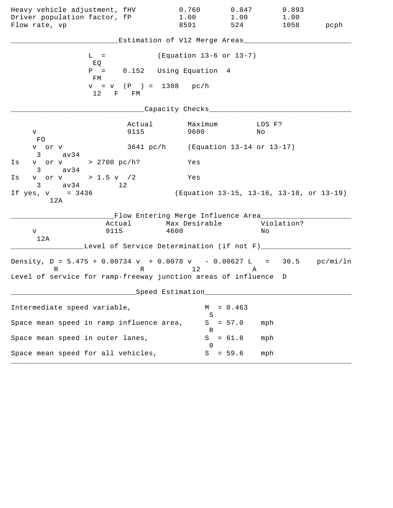| Heavy vehicle adjustment, fHV<br>Driver population factor, fP<br>Flow rate, vp                                                                   |                                                                      | 0.760<br>1.00<br>8591   | 0.847<br>1.00<br>524 | 0.893<br>1.00<br>1058                    | pcph |
|--------------------------------------------------------------------------------------------------------------------------------------------------|----------------------------------------------------------------------|-------------------------|----------------------|------------------------------------------|------|
|                                                                                                                                                  | Estimation of V12 Merge Areas___                                     |                         |                      |                                          |      |
| $L =$<br>EQ                                                                                                                                      |                                                                      | (Equation 13-6 or 13-7) |                      |                                          |      |
| $P =$<br>FM                                                                                                                                      | 0.152 Using Equation 4                                               |                         |                      |                                          |      |
| $12$ F FM                                                                                                                                        | $v = v$ (P) = 1308 pc/h                                              |                         |                      |                                          |      |
|                                                                                                                                                  |                                                                      | Capacity Checks___      |                      |                                          |      |
| V<br>FO.                                                                                                                                         | Actual<br>9115                                                       | Maximum<br>9600         |                      | LOS F?<br>No                             |      |
| v or v<br>$3 \sim$<br>av34                                                                                                                       | 3641 pc/h (Equation 13-14 or 13-17)                                  |                         |                      |                                          |      |
| v or v > 2700 pc/h?<br>Is<br>av34<br>$3 \sim$                                                                                                    |                                                                      | Yes                     |                      |                                          |      |
| v or v > 1.5 v $/2$<br>Is<br>$3 \text{ av } 34$<br>12                                                                                            |                                                                      | Yes                     |                      |                                          |      |
| If $yes, v = 3436$<br>12A                                                                                                                        |                                                                      |                         |                      | (Equation 13-15, 13-16, 13-18, or 13-19) |      |
| Actual<br>9115<br>V<br>12A                                                                                                                       | __Flow Entering Merge Influence Area_______<br>Max Desirable<br>4600 |                         |                      | Violation?<br>Νo                         |      |
|                                                                                                                                                  | Level of Service Determination (if not F)_____                       |                         |                      |                                          |      |
| Density, $D = 5.475 + 0.00734 v + 0.0078 v - 0.00627 L = 30.5 pc/min/ln$<br>R<br>Level of service for ramp-freeway junction areas of influence D |                                                                      | R 12                    | A                    |                                          |      |
|                                                                                                                                                  | Speed Estimation                                                     |                         |                      |                                          |      |
| Intermediate speed variable,                                                                                                                     |                                                                      | М                       | $= 0.463$            |                                          |      |
| Space mean speed in ramp influence area,                                                                                                         |                                                                      | S<br>S<br>R             | $= 57.0$             | mph                                      |      |
| Space mean speed in outer lanes,                                                                                                                 |                                                                      | S<br>$\left( \right)$   | $= 61.8$             | mph                                      |      |
| Space mean speed for all vehicles,                                                                                                               |                                                                      | S                       | $= 59.6$             | mph                                      |      |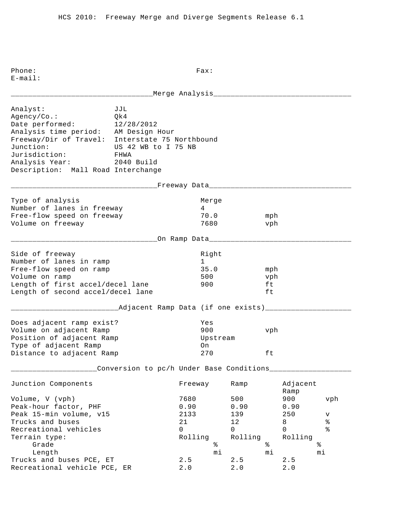Phone: Fax: E-mail: \_\_\_\_\_\_\_\_\_\_\_\_\_\_\_\_\_\_\_\_\_\_\_\_\_\_\_\_\_\_\_\_\_Merge Analysis\_\_\_\_\_\_\_\_\_\_\_\_\_\_\_\_\_\_\_\_\_\_\_\_\_\_\_\_\_\_\_\_ Analyst: JJL Agency/Co.: Qk4 Date performed: 12/28/2012 Analysis time period: AM Design Hour Freeway/Dir of Travel: Interstate 75 Northbound Junction: US 42 WB to I 75 NB Jurisdiction: FHWA Analysis Year: 2040 Build Description: Mall Road Interchange \_\_\_\_\_\_\_\_\_\_\_\_\_\_\_\_\_\_\_\_\_\_\_\_\_\_\_\_\_\_\_\_\_\_Freeway Data\_\_\_\_\_\_\_\_\_\_\_\_\_\_\_\_\_\_\_\_\_\_\_\_\_\_\_\_\_\_\_\_\_ Type of analysis and a series of the Merge Number of lanes in freeway 14 Free-flow speed on freeway 70.0 mph Volume on freeway 1680 vph \_\_\_\_\_\_\_\_\_\_\_\_\_\_\_\_\_\_\_\_\_\_\_\_\_\_\_\_\_\_\_\_\_\_On Ramp Data\_\_\_\_\_\_\_\_\_\_\_\_\_\_\_\_\_\_\_\_\_\_\_\_\_\_\_\_\_\_\_\_\_ Side of freeway and the state of the state of the state of the state of the state of the state of the state of Number of lanes in ramp 1 Free-flow speed on ramp 35.0 mph Volume on ramp 500 vph Length of first accel/decel lane 900 ft Length of second accel/decel lane ft \_\_\_\_\_\_\_\_\_\_\_\_\_\_Adjacent Ramp Data (if one exists)\_\_\_\_\_\_\_\_\_\_\_\_\_\_\_\_\_\_\_\_\_\_\_\_\_\_\_\_\_\_\_\_ Does adjacent ramp exist? Yes Volume on adjacent Ramp 900 vph Position of adjacent Ramp and Upstream Type of adjacent Ramp on Distance to adjacent Ramp  $270$  ft \_\_\_\_\_\_\_\_\_\_\_\_\_\_\_\_\_\_\_\_Conversion to pc/h Under Base Conditions\_\_\_\_\_\_\_\_\_\_\_\_\_\_\_\_\_\_\_ Junction Components Freeway Ramp Adjacent Ramp Ramp and the state of the state of the state of the state of the state of the state of the state of the state of the state of the state of the state of the state of the state of the state of the state of the state of Volume, V (vph) 7680 500 900 vph Peak-hour factor, PHF 0.90 0.90 0.90 Peak 15-min volume, v15 133 2133 139 250 v Trucks and buses  $21$  and buses  $21$  and  $21$  and  $21$  and  $2$  and  $2$  and  $2$  and  $2$  and  $2$  and  $2$  and  $2$  and  $2$  and  $2$  and  $2$  and  $2$  and  $2$  and  $2$  and  $2$  and  $2$  and  $2$  and  $2$  and  $2$  and  $2$  and  $2$  and  $2$ Recreational vehicles and the control of the control of  $\sim$  0 0 0 % Terrain type: Terrain type: Terrain type: Rolling Rolling Rolling Grade  $\frac{1}{2}$  Grade  $\frac{1}{2}$   $\frac{1}{2}$   $\frac{1}{2}$   $\frac{1}{2}$   $\frac{1}{2}$   $\frac{1}{2}$   $\frac{1}{2}$   $\frac{1}{2}$   $\frac{1}{2}$   $\frac{1}{2}$   $\frac{1}{2}$   $\frac{1}{2}$   $\frac{1}{2}$   $\frac{1}{2}$   $\frac{1}{2}$   $\frac{1}{2}$   $\frac{1}{2}$   $\frac{1}{2}$   $\frac{1}{2}$   $\frac{1}{2}$  Length mi mi mi Trucks and buses PCE,  $ET$  2.5 2.5 2.5 Recreational vehicle PCE, ER 2.0 2.0 2.0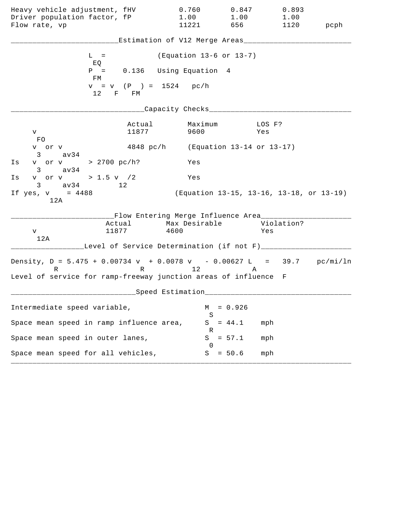| Heavy vehicle adjustment, fHV                                                          |                                                                                           | 0.760                               | 0.847                                    | 0.893  |      |
|----------------------------------------------------------------------------------------|-------------------------------------------------------------------------------------------|-------------------------------------|------------------------------------------|--------|------|
| Driver population factor, fP                                                           |                                                                                           | 1.00                                | 1.00                                     | 1.00   |      |
| Flow rate, vp                                                                          |                                                                                           | 11221                               | 656 100                                  | 1120   | pcph |
|                                                                                        |                                                                                           | Estimation of V12 Merge Areas___    |                                          |        |      |
| $L =$<br>EQ                                                                            |                                                                                           | (Equation 13-6 or 13-7)             |                                          |        |      |
| FM                                                                                     | $P = 0.136$ Using Equation 4                                                              |                                     |                                          |        |      |
|                                                                                        | $v = v$ (P) = 1524 pc/h<br>12 F FM                                                        |                                     |                                          |        |      |
|                                                                                        |                                                                                           | _Capacity Checks___________         |                                          |        |      |
| V                                                                                      | Actual<br>11877                                                                           | Maximum<br>9600                     | Yes                                      | LOS F? |      |
| FO<br>v or v<br>$3 \text{ av } 34$                                                     |                                                                                           | 4848 pc/h (Equation 13-14 or 13-17) |                                          |        |      |
| v or v > 2700 pc/h?<br>Is<br>$3 \text{ av}34$                                          |                                                                                           | Yes                                 |                                          |        |      |
| v or v > 1.5 v $/2$<br>Is<br>$3 \text{ av } 34$ 12                                     |                                                                                           | Yes                                 |                                          |        |      |
| If yes, $v = 4488$<br>12A                                                              |                                                                                           |                                     | (Equation 13-15, 13-16, 13-18, or 13-19) |        |      |
| V<br>12A                                                                               | __Flow Entering Merge Influence Area_________<br>Actual Max Desirable Violation?<br>11877 | 4600                                |                                          | Yes    |      |
|                                                                                        | Level of Service Determination (if not F)___                                              |                                     |                                          |        |      |
| Density, $D = 5.475 + 0.00734 v + 0.0078 v - 0.00627 L = 39.7 pc/min/ln$<br>$R \sim 1$ |                                                                                           | R 12                                | A                                        |        |      |
| Level of service for ramp-freeway junction areas of influence F                        |                                                                                           |                                     |                                          |        |      |
|                                                                                        |                                                                                           | Speed Estimation                    |                                          |        |      |
| Intermediate speed variable,                                                           |                                                                                           | М<br>S                              | $= 0.926$                                |        |      |
| Space mean speed in ramp influence area,                                               |                                                                                           | S<br>К                              | $= 44.1$                                 | mph    |      |
| Space mean speed in outer lanes,                                                       |                                                                                           | S<br>$\cup$                         | $= 57.1$                                 | mph    |      |
| Space mean speed for all vehicles,                                                     |                                                                                           | S                                   | $= 50.6$                                 | mph    |      |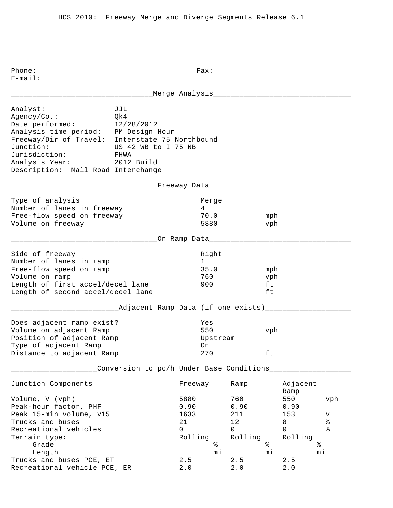Phone: Fax: E-mail: \_\_\_\_\_\_\_\_\_\_\_\_\_\_\_\_\_\_\_\_\_\_\_\_\_\_\_\_\_\_\_\_\_Merge Analysis\_\_\_\_\_\_\_\_\_\_\_\_\_\_\_\_\_\_\_\_\_\_\_\_\_\_\_\_\_\_\_\_ Analyst: JJL Agency/Co.: Qk4 Date performed: 12/28/2012 Analysis time period: PM Design Hour Freeway/Dir of Travel: Interstate 75 Northbound Junction: US 42 WB to I 75 NB Jurisdiction: FHWA Analysis Year: 2012 Build Description: Mall Road Interchange \_\_\_\_\_\_\_\_\_\_\_\_\_\_\_\_\_\_\_\_\_\_\_\_\_\_\_\_\_\_\_\_\_\_Freeway Data\_\_\_\_\_\_\_\_\_\_\_\_\_\_\_\_\_\_\_\_\_\_\_\_\_\_\_\_\_\_\_\_\_ Type of analysis and a series of the Merge Number of lanes in freeway 14 Free-flow speed on freeway 70.0 mph Volume on freeway 5880 vph \_\_\_\_\_\_\_\_\_\_\_\_\_\_\_\_\_\_\_\_\_\_\_\_\_\_\_\_\_\_\_\_\_\_On Ramp Data\_\_\_\_\_\_\_\_\_\_\_\_\_\_\_\_\_\_\_\_\_\_\_\_\_\_\_\_\_\_\_\_\_ Side of freeway and the state of the state of the state of the state of the state of the state of the state of Number of lanes in ramp 1 Free-flow speed on ramp 35.0 mph Volume on ramp  $\sim$  760 vph Length of first accel/decel lane 900 ft Length of second accel/decel lane ft \_\_\_\_\_\_\_\_\_\_\_\_\_\_\_\_\_\_\_\_\_\_\_\_\_Adjacent Ramp Data (if one exists)\_\_\_\_\_\_\_\_\_\_\_\_\_\_\_\_\_\_\_\_ Does adjacent ramp exist? Yes Volume on adjacent Ramp 550 vph Position of adjacent Ramp and Upstream Type of adjacent Ramp on Distance to adjacent Ramp  $270$  ft \_\_\_\_\_\_\_\_\_\_\_\_\_\_\_\_\_\_\_\_Conversion to pc/h Under Base Conditions\_\_\_\_\_\_\_\_\_\_\_\_\_\_\_\_\_\_\_ Junction Components Freeway Ramp Adjacent Ramp Ramp and the state of the state of the state of the state of the state of the state of the state of the state of the state of the state of the state of the state of the state of the state of the state of the state of Volume, V (vph) 5880 760 550 vph Peak-hour factor, PHF 0.90 0.90 0.90 Peak 15-min volume, v15 1633 211 153 v Prucks and buses and buses and buses the control of the control of the control of the control of the control o<br>
The control of the control of the control of the control of the control of the control of the control of the c Recreational vehicles and the control of the control of  $\sim$  0 0 0 % Terrain type: Terrain type: Terrain type: Rolling Rolling Rolling Grade % % % Length mi mi mi Trucks and buses PCE,  $ET$  2.5 2.5 2.5 Recreational vehicle PCE, ER 2.0 2.0 2.0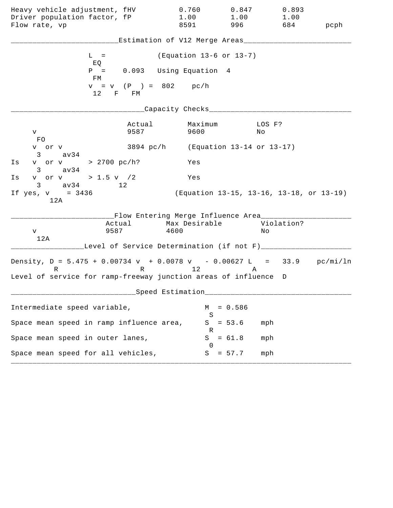| Heavy vehicle adjustment, fHV<br>Driver population factor, fP<br>Flow rate, vp                                                                   | 0.760<br>1.00<br>8591                                                | 0.847<br>1.00<br>996 — 19                | 0.893<br>1.00<br>684 | pcph |
|--------------------------------------------------------------------------------------------------------------------------------------------------|----------------------------------------------------------------------|------------------------------------------|----------------------|------|
|                                                                                                                                                  | Estimation of V12 Merge Areas___                                     |                                          |                      |      |
| $L =$<br>EQ                                                                                                                                      | (Equation 13-6 or 13-7)                                              |                                          |                      |      |
| $P =$<br>FM                                                                                                                                      | 0.093 Using Equation 4                                               |                                          |                      |      |
| $v = v (P) = 802$<br>12<br>F FM                                                                                                                  | pc/h                                                                 |                                          |                      |      |
|                                                                                                                                                  | Capacity Checks___                                                   |                                          |                      |      |
| Actual<br>9587<br>V<br>FO.                                                                                                                       | Maximum<br>9600                                                      | No                                       | LOS F?               |      |
| v or v<br>$3 \sim$<br>av34                                                                                                                       | 3894 $pc/h$ (Equation 13-14 or 13-17)                                |                                          |                      |      |
| v or v > 2700 pc/h?<br>Is<br>av34<br>$3 \sim$                                                                                                    | Yes                                                                  |                                          |                      |      |
| v or v > 1.5 v $/2$<br>Is<br>$3 \text{ av } 34$<br>12                                                                                            | Yes                                                                  |                                          |                      |      |
| If $yes, v = 3436$<br>12A                                                                                                                        |                                                                      | (Equation 13-15, 13-16, 13-18, or 13-19) |                      |      |
| Actual<br>9587<br>V<br>12A                                                                                                                       | __Flow Entering Merge Influence Area_______<br>Max Desirable<br>4600 |                                          | Violation?<br>Νo     |      |
| Level of Service Determination (if not F)_____                                                                                                   |                                                                      |                                          |                      |      |
| Density, $D = 5.475 + 0.00734 v + 0.0078 v - 0.00627 L = 33.9 pc/min/ln$<br>R<br>Level of service for ramp-freeway junction areas of influence D | R 12                                                                 | A                                        |                      |      |
|                                                                                                                                                  | Speed Estimation                                                     |                                          |                      |      |
| Intermediate speed variable,                                                                                                                     |                                                                      | $= 0.586$<br>М                           |                      |      |
| Space mean speed in ramp influence area,                                                                                                         |                                                                      | S<br>$= 53.6$<br>S                       | mph                  |      |
| Space mean speed in outer lanes,                                                                                                                 |                                                                      | R<br>S<br>$= 61.8$<br>$\left( \right)$   | mph                  |      |
| Space mean speed for all vehicles,                                                                                                               |                                                                      | $= 57.7$<br>S                            | mph                  |      |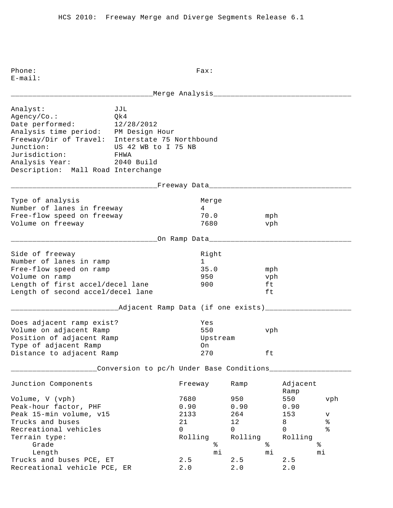Phone: Fax: E-mail: \_\_\_\_\_\_\_\_\_\_\_\_\_\_\_\_\_\_\_\_\_\_\_\_\_\_\_\_\_\_\_\_\_Merge Analysis\_\_\_\_\_\_\_\_\_\_\_\_\_\_\_\_\_\_\_\_\_\_\_\_\_\_\_\_\_\_\_\_ Analyst: JJL Agency/Co.: Qk4 Date performed: 12/28/2012 Analysis time period: PM Design Hour Freeway/Dir of Travel: Interstate 75 Northbound Junction: US 42 WB to I 75 NB Jurisdiction: FHWA Analysis Year: 2040 Build Description: Mall Road Interchange \_\_\_\_\_\_\_\_\_\_\_\_\_\_\_\_\_\_\_\_\_\_\_\_\_\_\_\_\_\_\_\_\_\_Freeway Data\_\_\_\_\_\_\_\_\_\_\_\_\_\_\_\_\_\_\_\_\_\_\_\_\_\_\_\_\_\_\_\_\_ Type of analysis and a series of analysis and a series of the Merge Number of lanes in freeway 14 Free-flow speed on freeway 70.0 mph Volume on freeway 1680 vph \_\_\_\_\_\_\_\_\_\_\_\_\_\_\_\_\_\_\_\_\_\_\_\_\_\_\_\_\_\_\_\_\_\_On Ramp Data\_\_\_\_\_\_\_\_\_\_\_\_\_\_\_\_\_\_\_\_\_\_\_\_\_\_\_\_\_\_\_\_\_ Side of freeway and the state of the state of the state of the state of the state of the state of the state of Number of lanes in ramp 1 Free-flow speed on ramp 35.0 mph Volume on ramp 950 vph Length of first accel/decel lane 900 ft Length of second accel/decel lane ft \_\_\_\_\_\_\_\_\_\_\_\_\_\_Adjacent Ramp Data (if one exists)\_\_\_\_\_\_\_\_\_\_\_\_\_\_\_\_\_\_\_\_\_\_\_\_\_\_\_\_\_\_\_\_ Does adjacent ramp exist? Yes Volume on adjacent Ramp 550 vph Position of adjacent Ramp and Upstream Type of adjacent Ramp on Distance to adjacent Ramp  $270$  ft \_\_\_\_\_\_\_\_\_\_\_\_\_\_\_\_\_\_\_\_Conversion to pc/h Under Base Conditions\_\_\_\_\_\_\_\_\_\_\_\_\_\_\_\_\_\_\_ Junction Components Freeway Ramp Adjacent Ramp Ramp and the state of the state of the state of the state of the state of the state of the state of the state of the state of the state of the state of the state of the state of the state of the state of the state of Volume, V (vph) 7680 950 550 vph Peak-hour factor, PHF 0.90 0.90 0.90 Peak 15-min volume, v15 2133 264 153 v Prucks and buses and buses and buses the control of the control of the control of the control of the control o<br>
The control of the control of the control of the control of the control of the control of the control of the c Recreational vehicles and the control of the control of  $\sim$  0 0 0 % Terrain type: Terrain type: Terrain type: Rolling Rolling Rolling Grade  $\frac{8}{1}$   $\frac{8}{1}$   $\frac{8}{1}$   $\frac{8}{1}$   $\frac{8}{1}$   $\frac{8}{1}$   $\frac{8}{1}$   $\frac{8}{1}$   $\frac{8}{1}$   $\frac{8}{1}$   $\frac{8}{1}$   $\frac{8}{1}$   $\frac{8}{1}$   $\frac{8}{1}$   $\frac{8}{1}$   $\frac{8}{1}$   $\frac{8}{1}$   $\frac{8}{1}$   $\frac{8}{1}$   $\frac{8}{1}$   $\frac{8}{1}$   $\frac{8$  Length mi mi mi Trucks and buses PCE,  $ET$  2.5 2.5 2.5 Recreational vehicle PCE, ER 2.0 2.0 2.0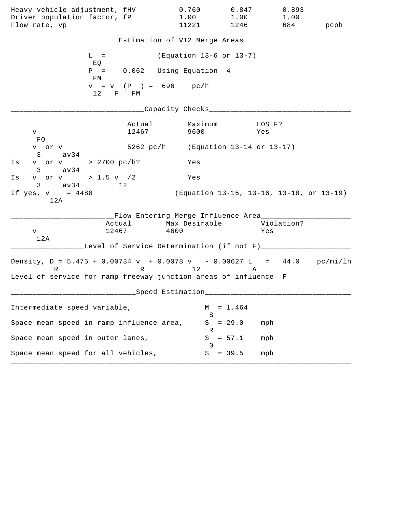| Heavy vehicle adjustment, fHV                                                                                                                    | 0.760                                                                       | 0.847                                    | 0.893             |      |
|--------------------------------------------------------------------------------------------------------------------------------------------------|-----------------------------------------------------------------------------|------------------------------------------|-------------------|------|
| Driver population factor, fP<br>Flow rate, vp                                                                                                    | 1.00<br>11221                                                               | 1.00<br>1246                             | 1.00<br>684       | pcph |
|                                                                                                                                                  | Estimation of V12 Merge Areas__                                             |                                          |                   |      |
| $L =$<br>EQ                                                                                                                                      |                                                                             | (Equation 13-6 or 13-7)                  |                   |      |
| $P =$<br>FМ                                                                                                                                      | 0.062 Using Equation 4                                                      |                                          |                   |      |
| 12<br>F FM                                                                                                                                       | $v = v$ (P) = 696 pc/h                                                      |                                          |                   |      |
|                                                                                                                                                  | Capacity Checks___                                                          |                                          |                   |      |
| Actual<br>12467<br>V<br>FO.                                                                                                                      | Maximum<br>9600                                                             |                                          | LOS F?<br>Yes     |      |
| v or v<br>$3 \text{ av34}$                                                                                                                       | 5262 pc/h (Equation 13-14 or 13-17)                                         |                                          |                   |      |
| v or v > 2700 pc/h?<br>Is<br>$3 \text{ av34}$                                                                                                    | Yes                                                                         |                                          |                   |      |
| v or v > 1.5 v / 2<br>Ιs<br>$3 \text{ av } 34$<br>12                                                                                             | Yes                                                                         |                                          |                   |      |
| If $yes, v = 4488$<br>12A                                                                                                                        |                                                                             | (Equation 13-15, 13-16, 13-18, or 13-19) |                   |      |
| 12467<br>V<br>12A                                                                                                                                | __Flow Entering Merge Influence Area_______<br>Actual Max Desirable<br>4600 |                                          | Violation?<br>Yes |      |
|                                                                                                                                                  | Level of Service Determination (if not F)____                               |                                          |                   |      |
| Density, $D = 5.475 + 0.00734 v + 0.0078 v - 0.00627 L = 44.0 pc/min/ln$<br>R<br>Level of service for ramp-freeway junction areas of influence F | R 12                                                                        | Α                                        |                   |      |
|                                                                                                                                                  | Speed Estimation                                                            |                                          |                   |      |
| Intermediate speed variable,                                                                                                                     |                                                                             | $= 1.464$<br>М                           |                   |      |
| Space mean speed in ramp influence area,                                                                                                         |                                                                             | S<br>$= 29.0$<br>S                       | mph               |      |
| Space mean speed in outer lanes,                                                                                                                 |                                                                             | ĸ<br>$= 57.1$<br>S                       | mph               |      |
| Space mean speed for all vehicles,                                                                                                               |                                                                             | $= 39.5$<br>S                            | mph               |      |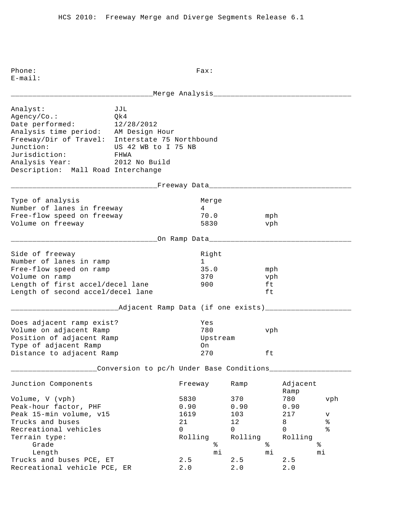E-mail: \_\_\_\_\_\_\_\_\_\_\_\_\_\_\_\_\_\_\_\_\_\_\_\_\_\_\_\_\_\_\_\_\_Merge Analysis\_\_\_\_\_\_\_\_\_\_\_\_\_\_\_\_\_\_\_\_\_\_\_\_\_\_\_\_\_\_\_\_ Analyst: JJL Agency/Co.: Qk4 Date performed: 12/28/2012 Analysis time period: AM Design Hour Freeway/Dir of Travel: Interstate 75 Northbound Junction: US 42 WB to I 75 NB Jurisdiction: FHWA Analysis Year: 2012 No Build Description: Mall Road Interchange \_\_\_\_\_\_\_\_\_\_\_\_\_\_\_\_\_\_\_\_\_\_\_\_\_\_\_\_\_\_\_\_\_\_Freeway Data\_\_\_\_\_\_\_\_\_\_\_\_\_\_\_\_\_\_\_\_\_\_\_\_\_\_\_\_\_\_\_\_\_ Type of analysis and a series of analysis and a series of the Merge Number of lanes in freeway 14 Free-flow speed on freeway 70.0 mph Volume on freeway 5830 vph \_\_\_\_\_\_\_\_\_\_\_\_\_\_\_\_\_\_\_\_\_\_\_\_\_\_\_\_\_\_\_\_\_\_On Ramp Data\_\_\_\_\_\_\_\_\_\_\_\_\_\_\_\_\_\_\_\_\_\_\_\_\_\_\_\_\_\_\_\_\_ Side of freeway and the state of the state of the state of the state of the state of the state of the state of Number of lanes in ramp 1 Free-flow speed on ramp 35.0 mph Volume on ramp  $\sim$  370 vph Length of first accel/decel lane 900 ft Length of second accel/decel lane ft \_\_\_\_\_\_\_\_\_\_\_\_\_\_\_\_\_\_\_\_\_\_\_\_\_Adjacent Ramp Data (if one exists)\_\_\_\_\_\_\_\_\_\_\_\_\_\_\_\_\_\_\_\_ Does adjacent ramp exist? Yes Volume on adjacent Ramp 780 vph Position of adjacent Ramp and Upstream Type of adjacent Ramp on Distance to adjacent Ramp  $270$  ft \_\_\_\_\_\_\_\_\_\_\_\_\_\_\_\_\_\_\_\_Conversion to pc/h Under Base Conditions\_\_\_\_\_\_\_\_\_\_\_\_\_\_\_\_\_\_\_ Junction Components Freeway Ramp Adjacent Ramp Ramp and the state of the state of the state of the state of the state of the state of the state of the state of the state of the state of the state of the state of the state of the state of the state of the state of Volume, V (vph) 5830 370 780 vph Peak-hour factor, PHF 0.90 0.90 0.90 0.90 Peak 15-min volume, v15 1619 1619 103 217 v Prucks and buses and buses and buses the control of the control of the control of the control of the control o<br>
The control of the control of the control of the control of the control of the control of the control of the c Recreational vehicles and the control of the control of  $\sim$  0 0 0 % Terrain type: Terrain type: Terrain type: Rolling Rolling Rolling Grade  $\frac{1}{8}$   $\frac{1}{8}$   $\frac{2}{8}$   $\frac{2}{8}$   $\frac{2}{8}$   $\frac{2}{8}$   $\frac{2}{8}$   $\frac{2}{8}$   $\frac{2}{8}$   $\frac{2}{8}$   $\frac{2}{8}$   $\frac{2}{8}$   $\frac{2}{8}$   $\frac{2}{8}$   $\frac{2}{8}$   $\frac{2}{8}$   $\frac{2}{8}$   $\frac{2}{8}$   $\frac{2}{8}$   $\frac{2}{8}$   $\frac{2}{8}$   $\frac{2$  Length mi mi mi Trucks and buses PCE,  $ET$  2.5 2.5 2.5 Recreational vehicle PCE, ER 2.0 2.0 2.0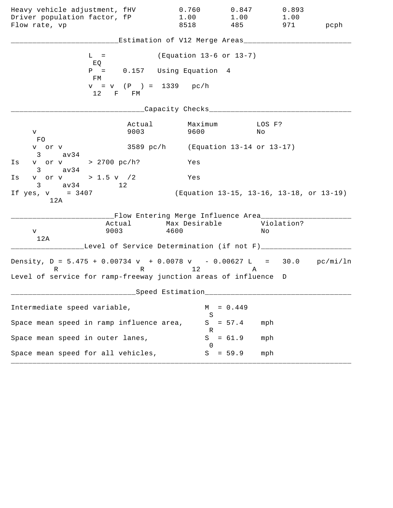| Heavy vehicle adjustment, fHV<br>Driver population factor, fP<br>Flow rate, vp                                                                   | 0.760<br>1.00<br>8518                                                | 0.847<br>1.00<br>485                   | 0.893<br>1.00<br>971                     | pcph |
|--------------------------------------------------------------------------------------------------------------------------------------------------|----------------------------------------------------------------------|----------------------------------------|------------------------------------------|------|
|                                                                                                                                                  | Estimation of V12 Merge Areas___                                     |                                        |                                          |      |
| $L =$<br>EQ                                                                                                                                      |                                                                      | (Equation 13-6 or 13-7)                |                                          |      |
| $P =$<br>FM                                                                                                                                      | 0.157 Using Equation 4                                               |                                        |                                          |      |
| $12$ F FM                                                                                                                                        | $v = v$ (P ) = 1339 pc/h                                             |                                        |                                          |      |
|                                                                                                                                                  | Capacity Checks___                                                   |                                        |                                          |      |
| Actual<br>9003<br>V<br>FO.                                                                                                                       | 9600                                                                 | Maximum                                | LOS F?<br>No                             |      |
| v or v<br>3<br>av34                                                                                                                              | 3589 pc/h (Equation 13-14 or 13-17)                                  |                                        |                                          |      |
| v or v > 2700 pc/h?<br>Is<br>av34<br>$3 \sim$                                                                                                    | Yes                                                                  |                                        |                                          |      |
| v or v > 1.5 v $/2$<br>Is<br>$3 \text{ av } 34$<br>12                                                                                            | Yes                                                                  |                                        |                                          |      |
| If $yes, v = 3407$<br>12A                                                                                                                        |                                                                      |                                        | (Equation 13-15, 13-16, 13-18, or 13-19) |      |
| Actual<br>9003<br>V<br>12A                                                                                                                       | __Flow Entering Merge Influence Area_______<br>Max Desirable<br>4600 |                                        | Violation?<br>Νo                         |      |
| Level of Service Determination (if not F)_____                                                                                                   |                                                                      |                                        |                                          |      |
| Density, $D = 5.475 + 0.00734 v + 0.0078 v - 0.00627 L = 30.0 pc/min/ln$<br>R<br>Level of service for ramp-freeway junction areas of influence D | R 12                                                                 |                                        | A                                        |      |
|                                                                                                                                                  | Speed Estimation                                                     |                                        |                                          |      |
| Intermediate speed variable,                                                                                                                     |                                                                      | $= 0.449$<br>М                         |                                          |      |
| Space mean speed in ramp influence area,                                                                                                         |                                                                      | S<br>$= 57.4$<br>S                     | mph                                      |      |
| Space mean speed in outer lanes,                                                                                                                 |                                                                      | R<br>S<br>$= 61.9$<br>$\left( \right)$ | mph                                      |      |
| Space mean speed for all vehicles,                                                                                                               |                                                                      | $= 59.9$<br>S                          | mph                                      |      |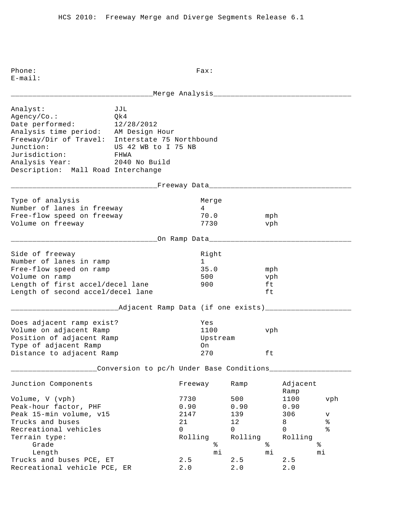Phone: Fax: E-mail: \_\_\_\_\_\_\_\_\_\_\_\_\_\_\_\_\_\_\_\_\_\_\_\_\_\_\_\_\_\_\_\_\_Merge Analysis\_\_\_\_\_\_\_\_\_\_\_\_\_\_\_\_\_\_\_\_\_\_\_\_\_\_\_\_\_\_\_\_ Analyst: JJL Agency/Co.: Qk4 Date performed: 12/28/2012 Analysis time period: AM Design Hour Freeway/Dir of Travel: Interstate 75 Northbound Junction: US 42 WB to I 75 NB Jurisdiction: FHWA Analysis Year: 2040 No Build Description: Mall Road Interchange \_\_\_\_\_\_\_\_\_\_\_\_\_\_\_\_\_\_\_\_\_\_\_\_\_\_\_\_\_\_\_\_\_\_Freeway Data\_\_\_\_\_\_\_\_\_\_\_\_\_\_\_\_\_\_\_\_\_\_\_\_\_\_\_\_\_\_\_\_\_ Type of analysis and a series of analysis and a series of the Merge Number of lanes in freeway 14 Free-flow speed on freeway 70.0 mph Volume on freeway 7730 vph \_\_\_\_\_\_\_\_\_\_\_\_\_\_\_\_\_\_\_\_\_\_\_\_\_\_\_\_\_\_\_\_\_\_On Ramp Data\_\_\_\_\_\_\_\_\_\_\_\_\_\_\_\_\_\_\_\_\_\_\_\_\_\_\_\_\_\_\_\_\_ Side of freeway and the state of the state of the state of the state of the state of the state of the state of Number of lanes in ramp 1 Free-flow speed on ramp 35.0 mph Volume on ramp<br>
Length of first accel/decel lane 500 500 ft Length of first accel/decel lane 900 ft Length of second accel/decel lane ft \_\_\_\_\_\_\_\_\_\_\_\_\_\_\_\_\_\_\_\_\_\_\_\_\_Adjacent Ramp Data (if one exists)\_\_\_\_\_\_\_\_\_\_\_\_\_\_\_\_\_\_\_\_ Does adjacent ramp exist? Yes Volume on adjacent Ramp 1100 vph Position of adjacent Ramp and Upstream Type of adjacent Ramp on Distance to adjacent Ramp  $270$  ft \_\_\_\_\_\_\_\_\_\_\_\_\_\_\_\_\_\_\_\_Conversion to pc/h Under Base Conditions\_\_\_\_\_\_\_\_\_\_\_\_\_\_\_\_\_\_\_ Junction Components Freeway Ramp Adjacent Ramp Ramp and the state of the state of the state of the state of the state of the state of the state of the state of the state of the state of the state of the state of the state of the state of the state of the state of Volume, V (vph) 7730 500 1100 vph Peak-hour factor, PHF 0.90 0.90 0.90 Peak 15-min volume, v15 1147 139 306 v Trucks and buses  $21$  and buses  $21$  and  $21$  and  $21$  and  $21$  and  $21$  and  $21$  and  $2$  and  $2$  and  $2$  and  $2$  and  $2$  and  $2$  and  $2$  and  $2$  and  $2$  and  $2$  and  $2$  and  $2$  and  $2$  and  $2$  and  $2$  and  $2$  and  $2$  and Recreational vehicles and the control of the control of  $\sim$  0 0 0 % Terrain type: Terrain type: Terrain type: Rolling Rolling Rolling Grade  $\frac{1}{8}$   $\frac{1}{8}$   $\frac{2}{8}$   $\frac{2}{8}$   $\frac{2}{8}$   $\frac{2}{8}$   $\frac{2}{8}$   $\frac{2}{8}$   $\frac{2}{8}$   $\frac{2}{8}$   $\frac{2}{8}$   $\frac{2}{8}$   $\frac{2}{8}$   $\frac{2}{8}$   $\frac{2}{8}$   $\frac{2}{8}$   $\frac{2}{8}$   $\frac{2}{8}$   $\frac{2}{8}$   $\frac{2}{8}$   $\frac{2}{8}$   $\frac{2$  Length mi mi mi Trucks and buses PCE,  $ET$  2.5 2.5 2.5 Recreational vehicle PCE, ER 2.0 2.0 2.0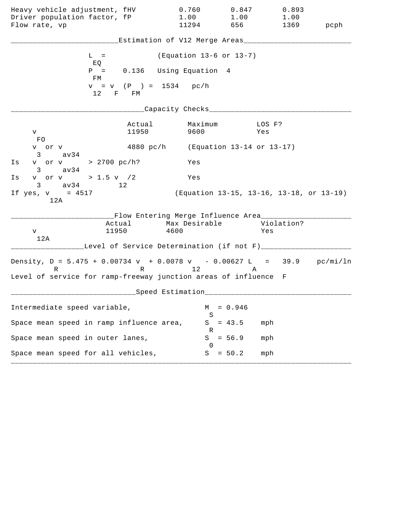| Heavy vehicle adjustment, fHV                                                 |                 | 0.760                                                                                   | 0.847           | 0.893                                    |           |
|-------------------------------------------------------------------------------|-----------------|-----------------------------------------------------------------------------------------|-----------------|------------------------------------------|-----------|
| Driver population factor, fP<br>Flow rate, vp                                 |                 | 1.00<br>11294                                                                           | 1.00<br>656 100 | 1.00                                     | 1369 pcph |
|                                                                               |                 |                                                                                         |                 |                                          |           |
|                                                                               |                 | Estimation of V12 Merge Areas___                                                        |                 |                                          |           |
| $L =$<br>EQ                                                                   |                 | (Equation 13-6 or 13-7)                                                                 |                 |                                          |           |
| FM                                                                            |                 | $P = 0.136$ Using Equation 4                                                            |                 |                                          |           |
| 12 F FM                                                                       |                 | $v = v$ (P) = 1534 pc/h                                                                 |                 |                                          |           |
|                                                                               |                 | Capacity Checks_________                                                                |                 |                                          |           |
| V                                                                             | Actual<br>11950 | Maximum<br>9600                                                                         |                 | LOS F?<br>Yes                            |           |
| FO<br>v or v<br>$3 \text{ av } 34$                                            |                 | 4880 pc/h (Equation 13-14 or 13-17)                                                     |                 |                                          |           |
| v or v > 2700 pc/h?<br>Is<br>$3 \text{ av } 34$                               |                 | Yes                                                                                     |                 |                                          |           |
| v or v > 1.5 v $/2$<br>Is<br>$3 \text{ av } 34$ 12                            |                 | Yes                                                                                     |                 |                                          |           |
| If yes, $v = 4517$<br>12A                                                     |                 |                                                                                         |                 | (Equation 13-15, 13-16, 13-18, or 13-19) |           |
| V                                                                             | 11950           | __Flow Entering Merge Influence Area________<br>Actual Max Desirable Violation?<br>4600 |                 | Yes                                      |           |
| 12A                                                                           |                 | Level of Service Determination (if not F)___                                            |                 |                                          |           |
| Density, $D = 5.475 + 0.00734 v + 0.0078 v - 0.00627 L = 39.9 pc/min/ln$<br>R |                 | R 12                                                                                    | A               |                                          |           |
| Level of service for ramp-freeway junction areas of influence F               |                 |                                                                                         |                 |                                          |           |
|                                                                               |                 | Speed Estimation                                                                        |                 |                                          |           |
| Intermediate speed variable,                                                  |                 | М<br>S                                                                                  | $= 0.946$       |                                          |           |
| Space mean speed in ramp influence area,                                      |                 | S<br>R                                                                                  | $= 43.5$        | mph                                      |           |
| Space mean speed in outer lanes,                                              |                 | S<br>$\cup$                                                                             | $= 56.9$        | mph                                      |           |
| Space mean speed for all vehicles,                                            |                 | S                                                                                       | $= 50.2$        | mph                                      |           |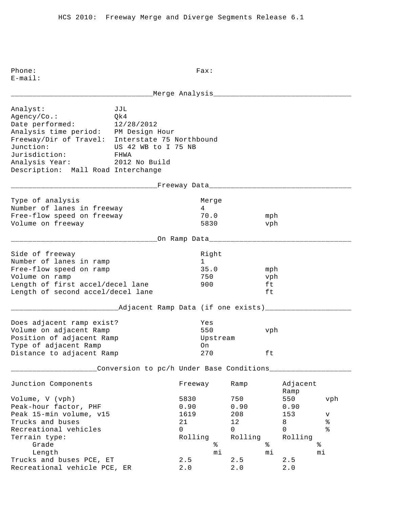E-mail: \_\_\_\_\_\_\_\_\_\_\_\_\_\_\_\_\_\_\_\_\_\_\_\_\_\_\_\_\_\_\_\_\_Merge Analysis\_\_\_\_\_\_\_\_\_\_\_\_\_\_\_\_\_\_\_\_\_\_\_\_\_\_\_\_\_\_\_\_ Analyst: JJL Agency/Co.: Qk4 Date performed: 12/28/2012 Analysis time period: PM Design Hour Freeway/Dir of Travel: Interstate 75 Northbound Junction: US 42 WB to I 75 NB Jurisdiction: FHWA Analysis Year: 2012 No Build Description: Mall Road Interchange \_\_\_\_\_\_\_\_\_\_\_\_\_\_\_\_\_\_\_\_\_\_\_\_\_\_\_\_\_\_\_\_\_\_Freeway Data\_\_\_\_\_\_\_\_\_\_\_\_\_\_\_\_\_\_\_\_\_\_\_\_\_\_\_\_\_\_\_\_\_ Type of analysis and a series of analysis and a series of the Merge Number of lanes in freeway 14 Free-flow speed on freeway 70.0 mph Volume on freeway 5830 vph \_\_\_\_\_\_\_\_\_\_\_\_\_\_\_\_\_\_\_\_\_\_\_\_\_\_\_\_\_\_\_\_\_\_On Ramp Data\_\_\_\_\_\_\_\_\_\_\_\_\_\_\_\_\_\_\_\_\_\_\_\_\_\_\_\_\_\_\_\_\_ Side of freeway and the state of the state of the state of the state of the state of the state of the state of Number of lanes in ramp 1 Free-flow speed on ramp 35.0 mph Volume on ramp  $\sim$  750 vph Length of first accel/decel lane 900 ft Length of second accel/decel lane ft \_\_\_\_\_\_\_\_\_\_\_\_\_\_\_\_\_\_\_\_\_\_\_\_\_Adjacent Ramp Data (if one exists)\_\_\_\_\_\_\_\_\_\_\_\_\_\_\_\_\_\_\_\_ Does adjacent ramp exist? Yes Volume on adjacent Ramp 550 vph Position of adjacent Ramp and Upstream Type of adjacent Ramp on Distance to adjacent Ramp  $270$  ft \_\_\_\_\_\_\_\_\_\_\_\_\_\_\_\_\_\_\_\_Conversion to pc/h Under Base Conditions\_\_\_\_\_\_\_\_\_\_\_\_\_\_\_\_\_\_\_ Junction Components Freeway Ramp Adjacent Ramp Ramp and the state of the state of the state of the state of the state of the state of the state of the state of the state of the state of the state of the state of the state of the state of the state of the state of Volume, V (vph) 5830 750 550 vph Peak-hour factor, PHF 0.90 0.90 0.90 0.90 Peak 15-min volume, v15 1619 1619 1208 153 v Prucks and buses and buses and buses the control of the control of the control of the control of the control o<br>
The control of the control of the control of the control of the control of the control of the control of the c Recreational vehicles and the control of the control of  $\sim$  0 0 0 % Terrain type: Terrain type: Terrain type: Rolling Rolling Rolling Grade  $\frac{1}{8}$   $\frac{1}{8}$   $\frac{2}{8}$   $\frac{2}{8}$   $\frac{2}{8}$   $\frac{2}{8}$   $\frac{2}{8}$   $\frac{2}{8}$   $\frac{2}{8}$   $\frac{2}{8}$   $\frac{2}{8}$   $\frac{2}{8}$   $\frac{2}{8}$   $\frac{2}{8}$   $\frac{2}{8}$   $\frac{2}{8}$   $\frac{2}{8}$   $\frac{2}{8}$   $\frac{2}{8}$   $\frac{2}{8}$   $\frac{2}{8}$   $\frac{2$  Length mi mi mi Trucks and buses PCE,  $ET$  2.5 2.5 2.5 Recreational vehicle PCE, ER 2.0 2.0 2.0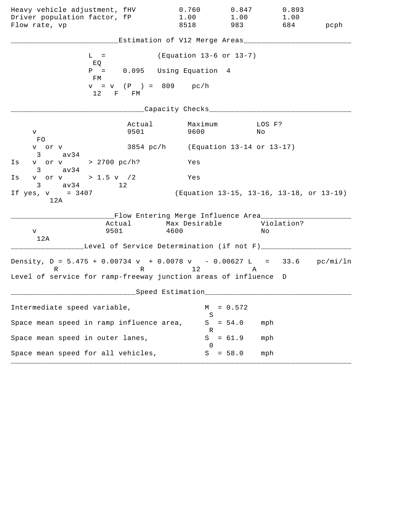| Heavy vehicle adjustment, fHV<br>Driver population factor, fP<br>Flow rate, vp                                                                   |                | 0.760<br>1.00<br>8518                                             | 0.847<br>1.00<br>983                     | 0.893<br>1.00<br>684 | pcph |
|--------------------------------------------------------------------------------------------------------------------------------------------------|----------------|-------------------------------------------------------------------|------------------------------------------|----------------------|------|
|                                                                                                                                                  |                | Estimation of V12 Merge Areas___                                  |                                          |                      |      |
| $L =$<br>EQ                                                                                                                                      |                | (Equation 13-6 or 13-7)                                           |                                          |                      |      |
| $P =$<br>FM                                                                                                                                      |                | 0.095 Using Equation 4                                            |                                          |                      |      |
| 12                                                                                                                                               | F FM           | $v = v$ (P ) = 809 pc/h                                           |                                          |                      |      |
|                                                                                                                                                  |                | Capacity Checks___                                                |                                          |                      |      |
| V.<br>FO.                                                                                                                                        | Actual<br>9501 | Maximum<br>9600                                                   | No                                       | LOS F?               |      |
| v or v<br>$3 \text{ av34}$                                                                                                                       |                | 3854 pc/h (Equation 13-14 or 13-17)                               |                                          |                      |      |
| v or v > 2700 pc/h?<br>Is<br>$3 \text{ av34}$                                                                                                    |                | Yes                                                               |                                          |                      |      |
| v or v > 1.5 v $/2$<br>Is<br>$3 \text{ av } 34$ 12                                                                                               |                | Yes                                                               |                                          |                      |      |
| If $yes, v = 3407$<br>12A                                                                                                                        |                |                                                                   | (Equation 13-15, 13-16, 13-18, or 13-19) |                      |      |
| Actual<br>9501<br>V<br>12A                                                                                                                       |                | __Flow Entering Merge Influence Area____<br>Max Desirable<br>4600 |                                          | Violation?<br>Νo     |      |
|                                                                                                                                                  |                | Level of Service Determination (if not F)___                      |                                          |                      |      |
| Density, $D = 5.475 + 0.00734 v + 0.0078 v - 0.00627 L = 33.6 pc/min/ln$<br>R<br>Level of service for ramp-freeway junction areas of influence D |                | R 12                                                              | Α                                        |                      |      |
|                                                                                                                                                  |                | ___Speed Estimation_                                              |                                          |                      |      |
| Intermediate speed variable,                                                                                                                     |                | M                                                                 | $= 0.572$                                |                      |      |
| Space mean speed in ramp influence area,                                                                                                         |                | S<br>S                                                            | $= 54.0$                                 | mph                  |      |
| Space mean speed in outer lanes,                                                                                                                 |                | R<br>S<br>()                                                      | $= 61.9$                                 | mph                  |      |
| Space mean speed for all vehicles,                                                                                                               |                | S                                                                 | $= 58.0$                                 | mph                  |      |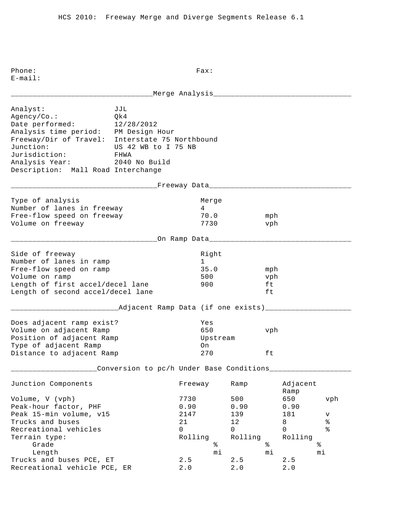E-mail: \_\_\_\_\_\_\_\_\_\_\_\_\_\_\_\_\_\_\_\_\_\_\_\_\_\_\_\_\_\_\_\_\_Merge Analysis\_\_\_\_\_\_\_\_\_\_\_\_\_\_\_\_\_\_\_\_\_\_\_\_\_\_\_\_\_\_\_\_ Analyst: JJL Agency/Co.: Qk4 Date performed: 12/28/2012 Analysis time period: PM Design Hour Freeway/Dir of Travel: Interstate 75 Northbound Junction: US 42 WB to I 75 NB Jurisdiction: FHWA Analysis Year: 2040 No Build Description: Mall Road Interchange \_\_\_\_\_\_\_\_\_\_\_\_\_\_\_\_\_\_\_\_\_\_\_\_\_\_\_\_\_\_\_\_\_\_Freeway Data\_\_\_\_\_\_\_\_\_\_\_\_\_\_\_\_\_\_\_\_\_\_\_\_\_\_\_\_\_\_\_\_\_ Type of analysis and a series of analysis and a series of the Merge Number of lanes in freeway 14 Free-flow speed on freeway 70.0 mph Volume on freeway 7730 vph \_\_\_\_\_\_\_\_\_\_\_\_\_\_\_\_\_\_\_\_\_\_\_\_\_\_\_\_\_\_\_\_\_\_On Ramp Data\_\_\_\_\_\_\_\_\_\_\_\_\_\_\_\_\_\_\_\_\_\_\_\_\_\_\_\_\_\_\_\_\_ Side of freeway and the state of the state of the state of the state of the state of the state of the state of Number of lanes in ramp 1 Free-flow speed on ramp 35.0 mph Volume on ramp<br>
Length of first accel/decel lane 500 500 ft Length of first accel/decel lane 900 ft Length of second accel/decel lane ft \_\_\_\_\_\_\_\_\_\_\_\_\_\_\_\_\_\_\_\_\_\_\_\_\_Adjacent Ramp Data (if one exists)\_\_\_\_\_\_\_\_\_\_\_\_\_\_\_\_\_\_\_\_ Does adjacent ramp exist? Yes Volume on adjacent Ramp 650 vph Position of adjacent Ramp and Upstream Type of adjacent Ramp on Distance to adjacent Ramp  $270$  ft \_\_\_\_\_\_\_\_\_\_\_\_\_\_\_\_\_\_\_\_Conversion to pc/h Under Base Conditions\_\_\_\_\_\_\_\_\_\_\_\_\_\_\_\_\_\_\_ Junction Components Freeway Ramp Adjacent Ramp Ramp and the state of the state of the state of the state of the state of the state of the state of the state of the state of the state of the state of the state of the state of the state of the state of the state of Volume, V (vph) 7730 500 650 vph Peak-hour factor, PHF 0.90 0.90 0.90 0.90 Peak 15-min volume, v15 1147 139 181 v Trucks and buses  $21$  and buses  $21$  and  $21$  and  $21$  and  $21$  and  $21$  and  $21$  and  $2$  and  $2$  and  $2$  and  $2$  and  $2$  and  $2$  and  $2$  and  $2$  and  $2$  and  $2$  and  $2$  and  $2$  and  $2$  and  $2$  and  $2$  and  $2$  and  $2$  and Recreational vehicles and the control of the control of  $\sim$  0 0 0 % Terrain type: Terrain type: Terrain type: Rolling Rolling Rolling Grade  $\frac{1}{8}$   $\frac{1}{8}$   $\frac{2}{8}$   $\frac{2}{8}$   $\frac{2}{8}$   $\frac{2}{8}$   $\frac{2}{8}$   $\frac{2}{8}$   $\frac{2}{8}$   $\frac{2}{8}$   $\frac{2}{8}$   $\frac{2}{8}$   $\frac{2}{8}$   $\frac{2}{8}$   $\frac{2}{8}$   $\frac{2}{8}$   $\frac{2}{8}$   $\frac{2}{8}$   $\frac{2}{8}$   $\frac{2}{8}$   $\frac{2}{8}$   $\frac{2$  Length mi mi mi Trucks and buses PCE,  $ET$  2.5 2.5 2.5 Recreational vehicle PCE, ER 2.0 2.0 2.0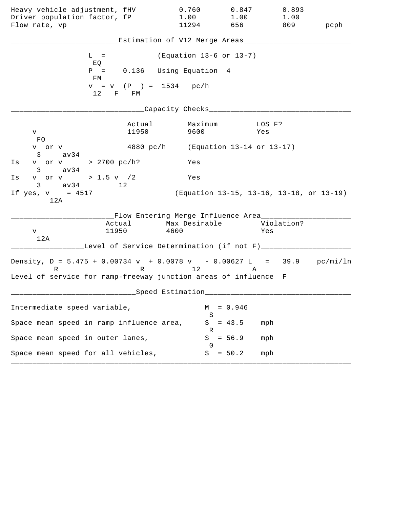| Heavy vehicle adjustment, fHV<br>Driver population factor, fP                                                                                    | 0.760<br>1.00                                                               | 0.847                                    | 0.893<br>1.00<br>1.00 |      |
|--------------------------------------------------------------------------------------------------------------------------------------------------|-----------------------------------------------------------------------------|------------------------------------------|-----------------------|------|
| Flow rate, vp                                                                                                                                    | 11294                                                                       | 656 10                                   | 809                   | pcph |
|                                                                                                                                                  | Estimation of V12 Merge Areas___                                            |                                          |                       |      |
| $L =$<br>EQ                                                                                                                                      |                                                                             | (Equation 13-6 or 13-7)                  |                       |      |
| $P =$<br>FM                                                                                                                                      | 0.136 Using Equation 4                                                      |                                          |                       |      |
| $12$ F FM                                                                                                                                        | $v = v$ (P) = 1534 pc/h                                                     |                                          |                       |      |
|                                                                                                                                                  | Capacity Checks___                                                          |                                          |                       |      |
| V<br>FO.                                                                                                                                         | Actual<br>11950                                                             | Maximum<br>9600                          | LOS F?<br>Yes         |      |
| v or v<br>$3 \sim$<br>av34                                                                                                                       | 4880 pc/h (Equation 13-14 or 13-17)                                         |                                          |                       |      |
| v or v > 2700 pc/h?<br>Is<br>av34<br>$3 \sim$                                                                                                    | Yes                                                                         |                                          |                       |      |
| v or v > 1.5 v /2<br>Is<br>$3 \text{ av } 34$ 12                                                                                                 | Yes                                                                         |                                          |                       |      |
| If $yes, v = 4517$<br>12A                                                                                                                        |                                                                             | (Equation 13-15, 13-16, 13-18, or 13-19) |                       |      |
| 11950<br>V<br>12A                                                                                                                                | __Flow Entering Merge Influence Area_______<br>Actual Max Desirable<br>4600 |                                          | Violation?<br>Yes     |      |
|                                                                                                                                                  | Level of Service Determination (if not F)______                             |                                          |                       |      |
| Density, $D = 5.475 + 0.00734 v + 0.0078 v - 0.00627 L = 39.9 pc/min/ln$<br>R<br>Level of service for ramp-freeway junction areas of influence F | R 12                                                                        |                                          | A                     |      |
|                                                                                                                                                  | Speed Estimation                                                            |                                          |                       |      |
| Intermediate speed variable,                                                                                                                     |                                                                             | $= 0.946$<br>М                           |                       |      |
| Space mean speed in ramp influence area,                                                                                                         |                                                                             | S<br>$= 43.5$<br>S                       | mph                   |      |
| Space mean speed in outer lanes,                                                                                                                 |                                                                             | R<br>S<br>$= 56.9$                       | mph                   |      |
| Space mean speed for all vehicles,                                                                                                               |                                                                             | $\left( \right)$<br>$= 50.2$<br>S        | mph                   |      |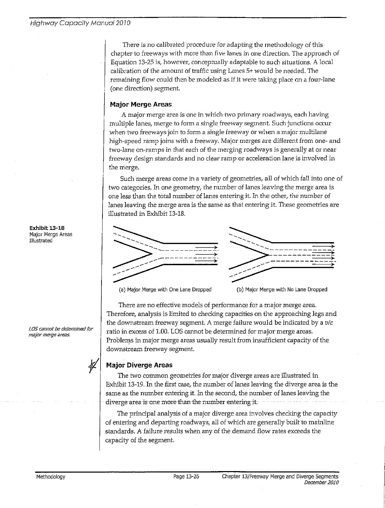There is no calibrated procedure for adapting the methodology of this chapter to freeways with more than five lanes in one direction. The approach of Equation 13-25 is, however, conceptually adaptable to such situations. A local calibration of the amount of traffic using Lanes 5+ would be needed. The remaining flow could then be modeled as if it were taking place on a four-lane (one direction) segment.

## **Major Merge Areas**

A major merge area is one in which two primary roadways, each having multiple lanes, merge to form a single freeway segment. Such junctions occur when two freeways join to form a single freeway or when a major multilane high-speed ramp joins with a freeway. Major merges are different from one- and two-lane on-ramps in that each of the merging roadways is generally at or near freeway design standards and no clear ramp or acceleration lane is involved in the merge.

Such merge areas come in a variety of geometries, all of which fall into one of two categories. In one geometry, the number of lanes leaving the merge area is one less than the total number of lanes entering it. In the other, the number of lanes leaving the merge area is the same as that entering it. These geometries are illustrated in Exhibit 13-18.





(a) Major Merge with One Lane Dropped

(b) Major Merge with No Lane Dropped

There are no effective models of performance for a major merge area. Therefore, analysis is limited to checking capacities on the approaching legs and the downstream freeway segment. A merge failure would be indicated by a  $v/c$ ratio in excess of 1.00. LOS cannot be determined for major merge areas. Problems in major merge areas usually result from insufficient capacity of the downstream freeway segment.

# **Major Diverge Areas**

The two common geometries for major diverge areas are illustrated in Exhibit 13-19. In the first case, the number of lanes leaving the diverge area is the same as the number entering it. In the second, the number of lanes leaving the diverge area is one more than the number entering it.

The principal analysis of a major diverge area involves checking the capacity of entering and departing roadways, all of which are generally built to mainline standards. A failure results when any of the demand flow rates exceeds the capacity of the segment.

Exhibit 13-18 Major Merge Areas Illustrated

LOS cannot be determined for major merge areas.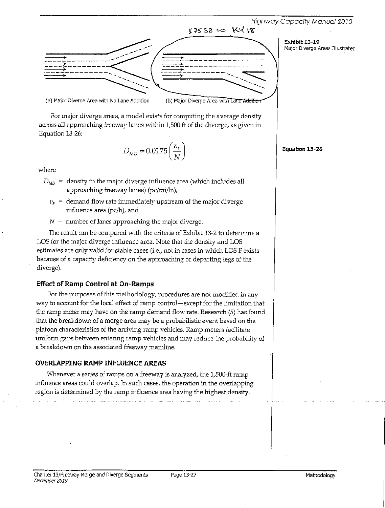



For major diverge areas, a model exists for computing the average density across all approaching freeway lanes within 1,500 ft of the diverge, as given in Equation 13-26:

$$
D_{MD} = 0.0175 \left(\frac{v_F}{N}\right)
$$

where

 $D_{MD}$  = density in the major diverge influence area (which includes all approaching freeway lanes) (pc/mi/ln),

- $v_F$  = demand flow rate immediately upstream of the major diverge influence area (pc/h), and
- $N =$  number of lanes approaching the major diverge.

The result can be compared with the criteria of Exhibit 13-2 to determine a LOS for the major diverge influence area. Note that the density and LOS estimates are only valid for stable cases (i.e., not in cases in which LOS F exists because of a capacity deficiency on the approaching or departing legs of the diverge).

#### **Effect of Ramp Control at On-Ramps**

For the purposes of this methodology, procedures are not modified in any way to account for the local effect of ramp control-except for the limitation that the ramp meter may have on the ramp demand flow rate. Research  $(5)$  has found that the breakdown of a merge area may be a probabilistic event based on the platoon characteristics of the arriving ramp vehicles. Ramp meters facilitate uniform gaps between entering ramp vehicles and may reduce the probability of a breakdown on the associated freeway mainline.

#### OVERLAPPING RAMP INFLUENCE AREAS

Whenever a series of ramps on a freeway is analyzed, the 1,500-ft ramp influence areas could overlap. In such cases, the operation in the overlapping region is determined by the ramp influence area having the highest density.

Equation 13-26

Exhibit 13-19

Major Diverge Areas Illustrated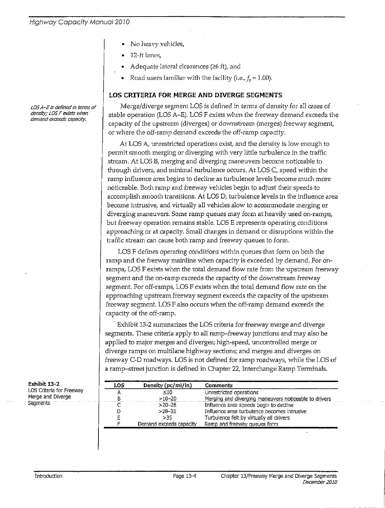- No heavy vehicles,
- 12-ft lanes,
- Adequate lateral clearances ( $\geq$ 6 ft), and
- Road users familiar with the facility (i.e.,  $f_n = 1.00$ ).

### LOS CRITERIA FOR MERGE AND DIVERGE SEGMENTS

Merge/diverge segment LOS is defined in terms of density for all cases of stable operation (LOS A-E). LOS F exists when the freeway demand exceeds the capacity of the upstream (diverges) or downstream (merges) freeway segment, or where the off-ramp demand exceeds the off-ramp capacity.

At LOS A, unrestricted operations exist, and the density is low enough to permit smooth merging or diverging with very little turbulence in the traffic stream. At LOS B, merging and diverging maneuvers become noticeable to through drivers, and minimal turbulence occurs. At LOS C, speed within the ramp influence area begins to decline as turbulence levels become much more noticeable. Both ramp and freeway vehicles begin to adjust their speeds to accomplish smooth transitions. At LOS D, turbulence levels in the influence area become intrusive, and virtually all vehicles slow to accommodate merging or diverging maneuvers. Some ramp queues may form at heavily used on-ramps, but freeway operation remains stable. LOS E represents operating conditions approaching or at capacity. Small changes in demand or disruptions within the traffic stream can cause both ramp and freeway queues to form.

LOS F defines operating conditions within queues that form on both the ramp and the freeway mainline when capacity is exceeded by demand. For onramps, LOS F exists when the total demand flow rate from the upstream freeway segment and the on-ramp exceeds the capacity of the downstream freeway segment. For off-ramps, LOS F exists when the total demand flow rate on the approaching upstream freeway segment exceeds the capacity of the upstream freeway segment. LOS F also occurs when the off-ramp demand exceeds the capacity of the off-ramp.

Exhibit 13-2 summarizes the LOS criteria for freeway merge and diverge segments. These criteria apply to all ramp-freeway junctions and may also be applied to major merges and diverges; high-speed, uncontrolled merge or diverge ramps on multilane highway sections; and merges and diverges on freeway C-D roadways. LOS is not defined for ramp roadways, while the LOS of a ramp-street junction is defined in Chapter 22, Interchange Ramp Terminals.

| LOS | Density $(pc/min/ln)$   | <b>Comments</b>                                       |
|-----|-------------------------|-------------------------------------------------------|
|     | $\leq 10$               | Unrestricted operations                               |
|     | $>10 - 20$              | Merging and diverging maneuvers noticeable to drivers |
|     | $>20-28$                | Influence area speeds begin to decline                |
|     | $>28 - 35$              | Influence area turbulence becomes intrusive           |
|     | >35                     | Turbulence felt by virtually all drivers              |
|     | Demand exceeds capacity | Ramp and freeway queues form                          |

LOS A-E is defined in terms of density; LOS F exists when demand exceeds capacity.

Exhibit 13-2

LOS Criteria for Freeway Merge and Diverge **Seaments**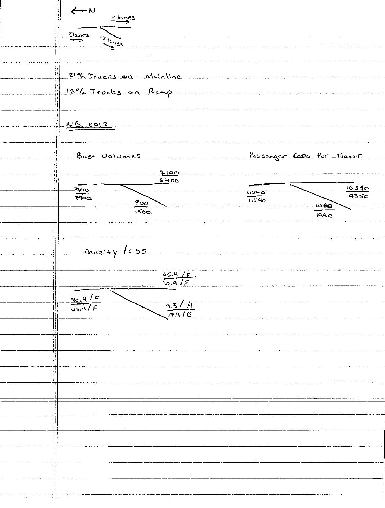$\leftarrow$ 4 lages  $5$  lenes  $\frac{1}{\sqrt{\frac{c_0}{c_1}}c_2}$ 21% Trucks on Mainline 13% Trucks on Rang NB 2012 Pessanger Cars Per 14005 Base Volumes  $7100$  $\frac{10.370}{93.50}$ <u>moo</u> 11540  $F = 5$  $\overline{11540}$  $800$ -ක**6**ල- $1560$  $\overline{1000}$ Density / Los  $\frac{45.4}{40.9}$  / F  $\frac{40.9/F}{40.9/F}$  $\frac{9.3 / A}{17.4 / B}$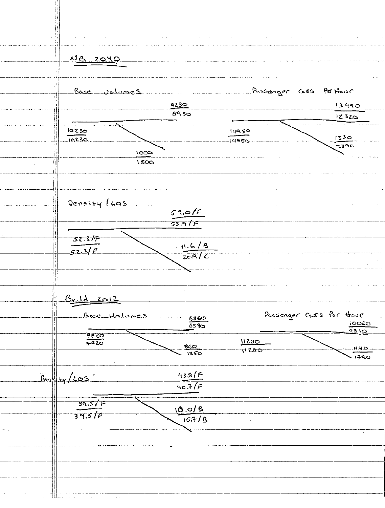